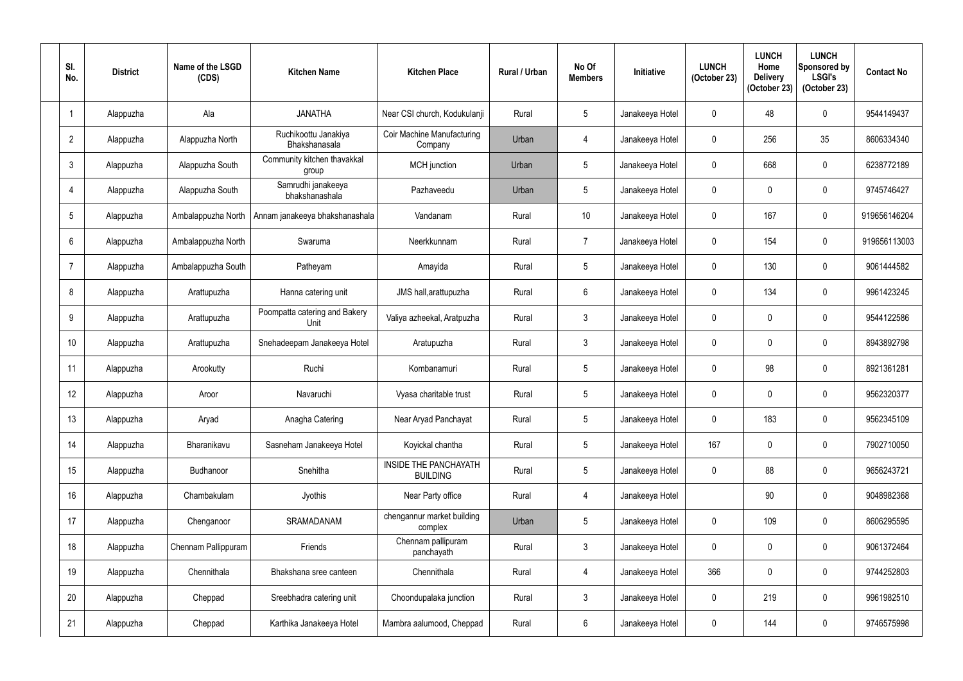| SI.<br>No.      | <b>District</b> | Name of the LSGD<br>(CDS) | <b>Kitchen Name</b>                   | <b>Kitchen Place</b>                         | <b>Rural / Urban</b> | No Of<br><b>Members</b> | Initiative      | <b>LUNCH</b><br>(October 23) | <b>LUNCH</b><br>Home<br><b>Delivery</b><br>(October 23) | <b>LUNCH</b><br>Sponsored by<br><b>LSGI's</b><br>(October 23) | <b>Contact No</b> |
|-----------------|-----------------|---------------------------|---------------------------------------|----------------------------------------------|----------------------|-------------------------|-----------------|------------------------------|---------------------------------------------------------|---------------------------------------------------------------|-------------------|
| $\overline{1}$  | Alappuzha       | Ala                       | <b>JANATHA</b>                        | Near CSI church, Kodukulanji                 | Rural                | 5                       | Janakeeya Hotel | 0                            | 48                                                      | 0                                                             | 9544149437        |
| $\overline{2}$  | Alappuzha       | Alappuzha North           | Ruchikoottu Janakiya<br>Bhakshanasala | <b>Coir Machine Manufacturing</b><br>Company | Urban                | 4                       | Janakeeya Hotel | 0                            | 256                                                     | 35                                                            | 8606334340        |
| $\mathbf{3}$    | Alappuzha       | Alappuzha South           | Community kitchen thavakkal<br>group  | MCH junction                                 | Urban                | $5\overline{)}$         | Janakeeya Hotel | $\mathbf 0$                  | 668                                                     | 0                                                             | 6238772189        |
| $\overline{4}$  | Alappuzha       | Alappuzha South           | Samrudhi janakeeya<br>bhakshanashala  | Pazhaveedu                                   | Urban                | $5\phantom{.0}$         | Janakeeya Hotel | 0                            | $\mathbf{0}$                                            | 0                                                             | 9745746427        |
| $5\phantom{.0}$ | Alappuzha       | Ambalappuzha North        | Annam janakeeya bhakshanashala        | Vandanam                                     | Rural                | 10 <sup>°</sup>         | Janakeeya Hotel | $\mathbf 0$                  | 167                                                     | 0                                                             | 919656146204      |
| $6\phantom{.}6$ | Alappuzha       | Ambalappuzha North        | Swaruma                               | Neerkkunnam                                  | Rural                | $\overline{7}$          | Janakeeya Hotel | 0                            | 154                                                     | 0                                                             | 919656113003      |
| $\overline{7}$  | Alappuzha       | Ambalappuzha South        | Patheyam                              | Amayida                                      | Rural                | 5                       | Janakeeya Hotel | $\mathbf 0$                  | 130                                                     | 0                                                             | 9061444582        |
| 8               | Alappuzha       | Arattupuzha               | Hanna catering unit                   | JMS hall, arattupuzha                        | Rural                | $6\phantom{.}$          | Janakeeya Hotel | $\mathbf 0$                  | 134                                                     | 0                                                             | 9961423245        |
| 9               | Alappuzha       | Arattupuzha               | Poompatta catering and Bakery<br>Unit | Valiya azheekal, Aratpuzha                   | Rural                | $\mathfrak{Z}$          | Janakeeya Hotel | 0                            | $\mathbf{0}$                                            | 0                                                             | 9544122586        |
| 10              | Alappuzha       | Arattupuzha               | Snehadeepam Janakeeya Hotel           | Aratupuzha                                   | Rural                | $\mathfrak{Z}$          | Janakeeya Hotel | 0                            | $\mathbf{0}$                                            | 0                                                             | 8943892798        |
| 11              | Alappuzha       | Arookutty                 | Ruchi                                 | Kombanamuri                                  | Rural                | $5\phantom{.0}$         | Janakeeya Hotel | 0                            | 98                                                      | 0                                                             | 8921361281        |
| 12              | Alappuzha       | Aroor                     | Navaruchi                             | Vyasa charitable trust                       | Rural                | $5\phantom{.0}$         | Janakeeya Hotel | $\mathbf 0$                  | $\mathbf{0}$                                            | 0                                                             | 9562320377        |
| 13              | Alappuzha       | Aryad                     | Anagha Catering                       | Near Aryad Panchayat                         | Rural                | $\overline{5}$          | Janakeeya Hotel | $\mathbf 0$                  | 183                                                     | 0                                                             | 9562345109        |
| 14              | Alappuzha       | Bharanikavu               | Sasneham Janakeeya Hotel              | Koyickal chantha                             | Rural                | $5\overline{)}$         | Janakeeya Hotel | 167                          | 0                                                       | 0                                                             | 7902710050        |
| 15              | Alappuzha       | Budhanoor                 | Snehitha                              | INSIDE THE PANCHAYATH<br><b>BUILDING</b>     | Rural                | $5\phantom{.0}$         | Janakeeya Hotel | 0                            | 88                                                      | 0                                                             | 9656243721        |
| 16              | Alappuzha       | Chambakulam               | Jyothis                               | Near Party office                            | Rural                | 4                       | Janakeeya Hotel |                              | 90                                                      | 0                                                             | 9048982368        |
| 17              | Alappuzha       | Chenganoor                | SRAMADANAM                            | chengannur market building<br>complex        | Urban                | $\overline{5}$          | Janakeeya Hotel | 0                            | 109                                                     | 0                                                             | 8606295595        |
| 18              | Alappuzha       | Chennam Pallippuram       | Friends                               | Chennam pallipuram<br>panchayath             | Rural                | $\mathfrak{Z}$          | Janakeeya Hotel | 0                            | $\mathbf 0$                                             | 0                                                             | 9061372464        |
| 19              | Alappuzha       | Chennithala               | Bhakshana sree canteen                | Chennithala                                  | Rural                | $\overline{4}$          | Janakeeya Hotel | 366                          | 0                                                       | 0                                                             | 9744252803        |
| 20              | Alappuzha       | Cheppad                   | Sreebhadra catering unit              | Choondupalaka junction                       | Rural                | $\mathfrak{Z}$          | Janakeeya Hotel | 0                            | 219                                                     | 0                                                             | 9961982510        |
| 21              | Alappuzha       | Cheppad                   | Karthika Janakeeya Hotel              | Mambra aalumood, Cheppad                     | Rural                | 6                       | Janakeeya Hotel | 0                            | 144                                                     | 0                                                             | 9746575998        |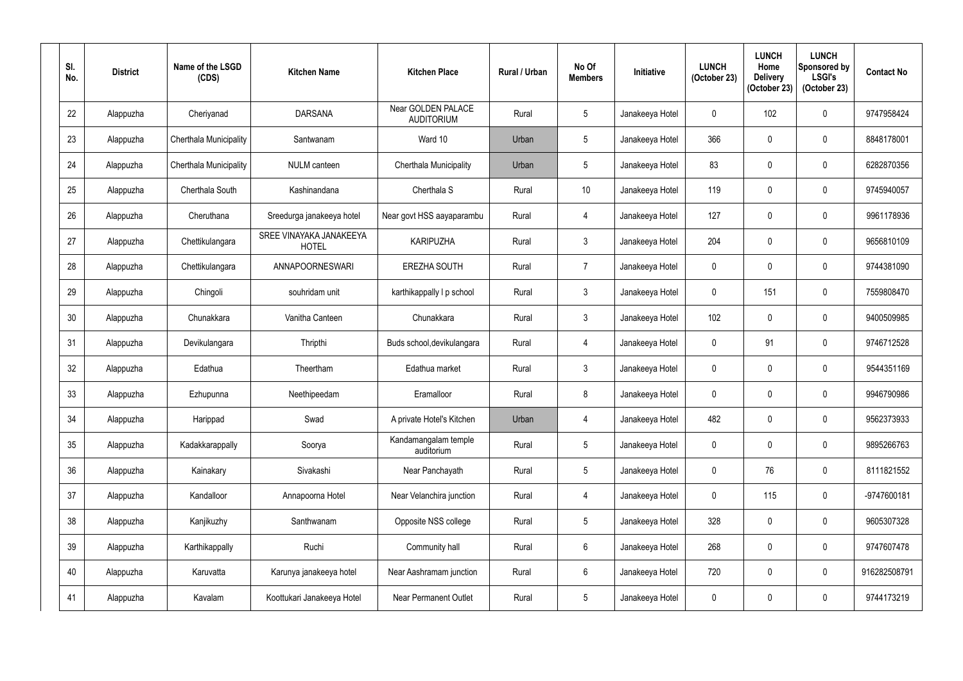| SI.<br>No.      | <b>District</b> | Name of the LSGD<br>(CDS)     | <b>Kitchen Name</b>                     | <b>Kitchen Place</b>                    | <b>Rural / Urban</b> | No Of<br><b>Members</b> | Initiative      | <b>LUNCH</b><br>(October 23) | <b>LUNCH</b><br>Home<br><b>Delivery</b><br>(October 23) | <b>LUNCH</b><br>Sponsored by<br><b>LSGI's</b><br>(October 23) | <b>Contact No</b> |
|-----------------|-----------------|-------------------------------|-----------------------------------------|-----------------------------------------|----------------------|-------------------------|-----------------|------------------------------|---------------------------------------------------------|---------------------------------------------------------------|-------------------|
| 22              | Alappuzha       | Cheriyanad                    | <b>DARSANA</b>                          | Near GOLDEN PALACE<br><b>AUDITORIUM</b> | Rural                | $5\phantom{.0}$         | Janakeeya Hotel | $\mathbf 0$                  | 102                                                     | $\pmb{0}$                                                     | 9747958424        |
| 23              | Alappuzha       | <b>Cherthala Municipality</b> | Santwanam                               | Ward 10                                 | Urban                | $\overline{5}$          | Janakeeya Hotel | 366                          | $\mathbf 0$                                             | $\pmb{0}$                                                     | 8848178001        |
| 24              | Alappuzha       | Cherthala Municipality        | <b>NULM</b> canteen                     | Cherthala Municipality                  | Urban                | $\overline{5}$          | Janakeeya Hotel | 83                           | $\mathbf 0$                                             | $\pmb{0}$                                                     | 6282870356        |
| 25              | Alappuzha       | Cherthala South               | Kashinandana                            | Cherthala S                             | Rural                | 10                      | Janakeeya Hotel | 119                          | 0                                                       | $\mathbf 0$                                                   | 9745940057        |
| 26              | Alappuzha       | Cheruthana                    | Sreedurga janakeeya hotel               | Near govt HSS aayaparambu               | Rural                | 4                       | Janakeeya Hotel | 127                          | $\mathbf 0$                                             | $\pmb{0}$                                                     | 9961178936        |
| 27              | Alappuzha       | Chettikulangara               | SREE VINAYAKA JANAKEEYA<br><b>HOTEL</b> | <b>KARIPUZHA</b>                        | Rural                | $\mathfrak{Z}$          | Janakeeya Hotel | 204                          | 0                                                       | $\pmb{0}$                                                     | 9656810109        |
| 28              | Alappuzha       | Chettikulangara               | ANNAPOORNESWARI                         | <b>EREZHA SOUTH</b>                     | Rural                | $\overline{7}$          | Janakeeya Hotel | 0                            | 0                                                       | $\pmb{0}$                                                     | 9744381090        |
| 29              | Alappuzha       | Chingoli                      | souhridam unit                          | karthikappally I p school               | Rural                | $\mathfrak{Z}$          | Janakeeya Hotel | 0                            | 151                                                     | 0                                                             | 7559808470        |
| 30              | Alappuzha       | Chunakkara                    | Vanitha Canteen                         | Chunakkara                              | Rural                | $\mathfrak{Z}$          | Janakeeya Hotel | 102                          | 0                                                       | $\pmb{0}$                                                     | 9400509985        |
| 31              | Alappuzha       | Devikulangara                 | Thripthi                                | Buds school, devikulangara              | Rural                | 4                       | Janakeeya Hotel | $\mathbf 0$                  | 91                                                      | $\mathbf 0$                                                   | 9746712528        |
| 32              | Alappuzha       | Edathua                       | Theertham                               | Edathua market                          | Rural                | $\mathfrak{Z}$          | Janakeeya Hotel | 0                            | $\mathbf 0$                                             | $\mathbf 0$                                                   | 9544351169        |
| 33              | Alappuzha       | Ezhupunna                     | Neethipeedam                            | Eramalloor                              | Rural                | 8                       | Janakeeya Hotel | 0                            | 0                                                       | $\mathbf 0$                                                   | 9946790986        |
| 34              | Alappuzha       | Harippad                      | Swad                                    | A private Hotel's Kitchen               | Urban                | $\overline{4}$          | Janakeeya Hotel | 482                          | $\mathbf 0$                                             | $\pmb{0}$                                                     | 9562373933        |
| 35 <sub>5</sub> | Alappuzha       | Kadakkarappally               | Soorya                                  | Kandamangalam temple<br>auditorium      | Rural                | $\sqrt{5}$              | Janakeeya Hotel | $\overline{0}$               | 0                                                       | $\boldsymbol{0}$                                              | 9895266763        |
| 36              | Alappuzha       | Kainakary                     | Sivakashi                               | Near Panchayath                         | Rural                | $\sqrt{5}$              | Janakeeya Hotel | $\mathbf 0$                  | 76                                                      | $\pmb{0}$                                                     | 8111821552        |
| 37              | Alappuzha       | Kandalloor                    | Annapoorna Hotel                        | Near Velanchira junction                | Rural                | $\overline{4}$          | Janakeeya Hotel | 0                            | 115                                                     | $\pmb{0}$                                                     | -9747600181       |
| 38              | Alappuzha       | Kanjikuzhy                    | Santhwanam                              | Opposite NSS college                    | Rural                | $5\phantom{.0}$         | Janakeeya Hotel | 328                          | 0                                                       | $\pmb{0}$                                                     | 9605307328        |
| 39              | Alappuzha       | Karthikappally                | Ruchi                                   | Community hall                          | Rural                | $6\phantom{.0}$         | Janakeeya Hotel | 268                          | 0                                                       | $\boldsymbol{0}$                                              | 9747607478        |
| 40              | Alappuzha       | Karuvatta                     | Karunya janakeeya hotel                 | Near Aashramam junction                 | Rural                | $6\,$                   | Janakeeya Hotel | 720                          | 0                                                       | $\boldsymbol{0}$                                              | 916282508791      |
| 41              | Alappuzha       | Kavalam                       | Koottukari Janakeeya Hotel              | <b>Near Permanent Outlet</b>            | Rural                | $\sqrt{5}$              | Janakeeya Hotel | 0                            | 0                                                       | $\pmb{0}$                                                     | 9744173219        |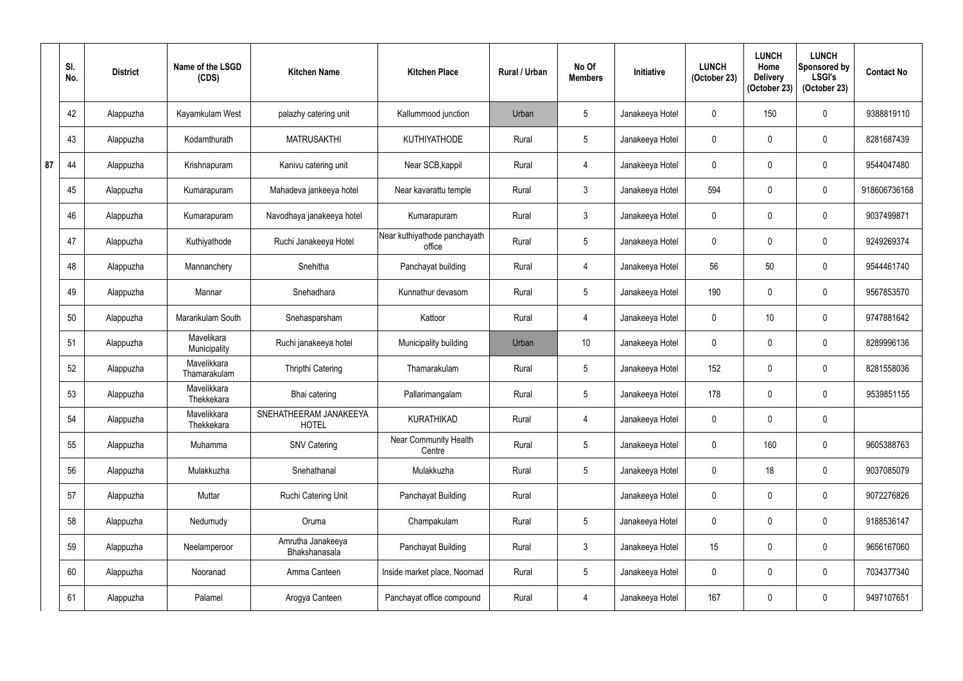|    | SI.<br>No. | <b>District</b> | Name of the LSGD<br>(CDS)   | <b>Kitchen Name</b>                    | <b>Kitchen Place</b>                   | <b>Rural / Urban</b> | No Of<br><b>Members</b> | Initiative      | <b>LUNCH</b><br>(October 23) | <b>LUNCH</b><br>Home<br><b>Delivery</b><br>(October 23) | <b>LUNCH</b><br><b>Sponsored by</b><br><b>LSGI's</b><br>(October 23) | <b>Contact No</b> |
|----|------------|-----------------|-----------------------------|----------------------------------------|----------------------------------------|----------------------|-------------------------|-----------------|------------------------------|---------------------------------------------------------|----------------------------------------------------------------------|-------------------|
|    | 42         | Alappuzha       | Kayamkulam West             | palazhy catering unit                  | Kallummood junction                    | Urban                | 5                       | Janakeeya Hotel | $\mathbf{0}$                 | 150                                                     | $\boldsymbol{0}$                                                     | 9388819110        |
|    | 43         | Alappuzha       | Kodamthurath                | <b>MATRUSAKTHI</b>                     | <b>KUTHIYATHODE</b>                    | Rural                | $5\phantom{.0}$         | Janakeeya Hotel | $\mathbf{0}$                 |                                                         | $\boldsymbol{0}$                                                     | 8281687439        |
| 87 | 44         | Alappuzha       | Krishnapuram                | Kanivu catering unit                   | Near SCB, kappil                       | Rural                | $\overline{4}$          | Janakeeya Hotel | $\mathbf{0}$                 | $\Omega$                                                | $\boldsymbol{0}$                                                     | 9544047480        |
|    | 45         | Alappuzha       | Kumarapuram                 | Mahadeva jankeeya hotel                | Near kavarattu temple                  | Rural                | $\mathbf{3}$            | Janakeeya Hotel | 594                          |                                                         | $\mathbf 0$                                                          | 918606736168      |
|    | 46         | Alappuzha       | Kumarapuram                 | Navodhaya janakeeya hotel              | Kumarapuram                            | Rural                | $\mathfrak{Z}$          | Janakeeya Hotel | $\mathbf 0$                  | $\Omega$                                                | $\pmb{0}$                                                            | 9037499871        |
|    | 47         | Alappuzha       | Kuthiyathode                | Ruchi Janakeeya Hotel                  | Near kuthiyathode panchayath<br>office | Rural                | $5\phantom{.0}$         | Janakeeya Hotel | 0                            |                                                         | $\boldsymbol{0}$                                                     | 9249269374        |
|    | 48         | Alappuzha       | Mannanchery                 | Snehitha                               | Panchayat building                     | Rural                | 4                       | Janakeeya Hotel | 56                           | 50                                                      | $\pmb{0}$                                                            | 9544461740        |
|    | 49         | Alappuzha       | Mannar                      | Snehadhara                             | Kunnathur devasom                      | Rural                | $5\phantom{.0}$         | Janakeeya Hotel | 190                          | 0                                                       | $\pmb{0}$                                                            | 9567853570        |
|    | 50         | Alappuzha       | Mararikulam South           | Snehasparsham                          | Kattoor                                | Rural                | 4                       | Janakeeya Hotel | $\mathbf{0}$                 | 10 <sup>°</sup>                                         | $\mathbf 0$                                                          | 9747881642        |
|    | 51         | Alappuzha       | Mavelikara<br>Municipality  | Ruchi janakeeya hotel                  | Municipality building                  | Urban                | 10 <sup>°</sup>         | Janakeeya Hotel | $\mathbf{0}$                 |                                                         | $\mathbf 0$                                                          | 8289996136        |
|    | 52         | Alappuzha       | Mavelikkara<br>Thamarakulam | <b>Thripthi Catering</b>               | Thamarakulam                           | Rural                | $5\phantom{.0}$         | Janakeeya Hotel | 152                          | 0                                                       | $\pmb{0}$                                                            | 8281558036        |
|    | 53         | Alappuzha       | Mavelikkara<br>Thekkekara   | Bhai catering                          | Pallarimangalam                        | Rural                | $5\phantom{.0}$         | Janakeeya Hotel | 178                          | 0                                                       | $\mathbf 0$                                                          | 9539851155        |
|    | 54         | Alappuzha       | Mavelikkara<br>Thekkekara   | SNEHATHEERAM JANAKEEYA<br><b>HOTEL</b> | <b>KURATHIKAD</b>                      | Rural                | $\overline{4}$          | Janakeeya Hotel | $\mathbf 0$                  | $\mathbf 0$                                             | $\pmb{0}$                                                            |                   |
|    | 55         | Alappuzha       | Muhamma                     | <b>SNV Catering</b>                    | Near Community Health<br>Centre        | Rural                | $5\overline{)}$         | Janakeeya Hotel | $\mathbf 0$                  | 160                                                     | $\pmb{0}$                                                            | 9605388763        |
|    | 56         | Alappuzha       | Mulakkuzha                  | Snehathanal                            | Mulakkuzha                             | Rural                | $5\phantom{.0}$         | Janakeeya Hotel | $\mathbf 0$                  | 18                                                      | $\pmb{0}$                                                            | 9037085079        |
|    | 57         | Alappuzha       | Muttar                      | Ruchi Catering Unit                    | Panchayat Building                     | Rural                |                         | Janakeeya Hotel | $\mathbf 0$                  | $\mathbf 0$                                             | $\boldsymbol{0}$                                                     | 9072276826        |
|    | 58         | Alappuzha       | Nedumudy                    | Oruma                                  | Champakulam                            | Rural                | $5\phantom{.0}$         | Janakeeya Hotel | $\mathbf 0$                  | $\mathbf 0$                                             | $\pmb{0}$                                                            | 9188536147        |
|    | 59         | Alappuzha       | Neelamperoor                | Amrutha Janakeeya<br>Bhakshanasala     | Panchayat Building                     | Rural                | $\mathbf{3}$            | Janakeeya Hotel | 15                           | 0                                                       | $\pmb{0}$                                                            | 9656167060        |
|    | 60         | Alappuzha       | Nooranad                    | Amma Canteen                           | Inside market place, Noornad           | Rural                | $5\phantom{.0}$         | Janakeeya Hotel | $\mathbf 0$                  | $\mathbf{0}$                                            | $\pmb{0}$                                                            | 7034377340        |
|    | 61         | Alappuzha       | Palamel                     | Arogya Canteen                         | Panchayat office compound              | Rural                | 4                       | Janakeeya Hotel | 167                          | 0                                                       | $\pmb{0}$                                                            | 9497107651        |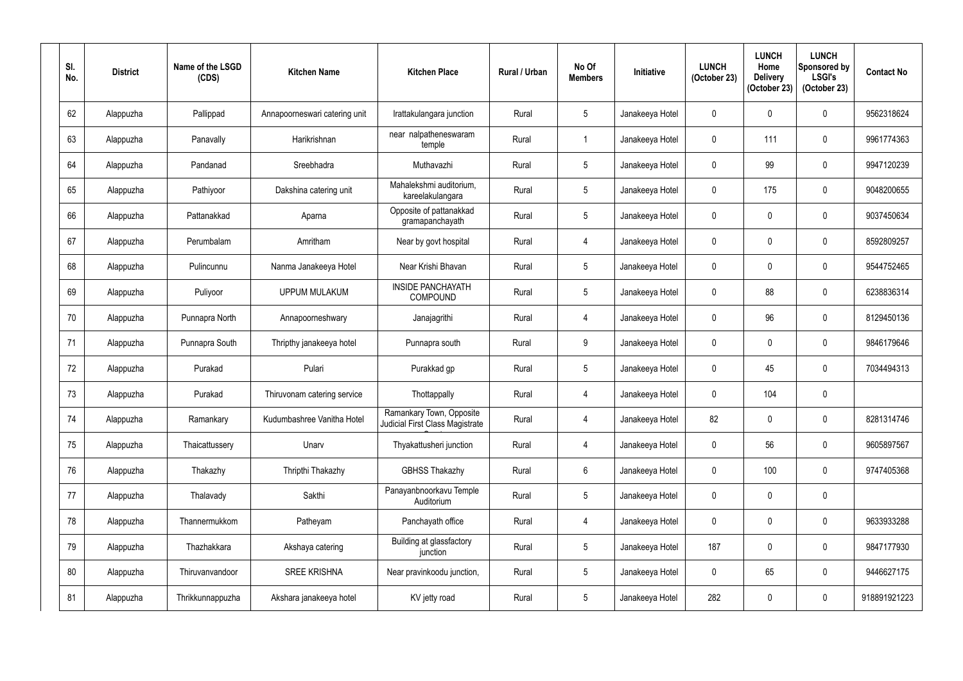| SI.<br>No. | <b>District</b> | Name of the LSGD<br>(CDS) | <b>Kitchen Name</b>           | <b>Kitchen Place</b>                                        | Rural / Urban | No Of<br><b>Members</b> | Initiative      | <b>LUNCH</b><br>(October 23) | <b>LUNCH</b><br>Home<br><b>Delivery</b><br>(October 23) | <b>LUNCH</b><br>Sponsored by<br><b>LSGI's</b><br>(October 23) | <b>Contact No</b> |
|------------|-----------------|---------------------------|-------------------------------|-------------------------------------------------------------|---------------|-------------------------|-----------------|------------------------------|---------------------------------------------------------|---------------------------------------------------------------|-------------------|
| 62         | Alappuzha       | Pallippad                 | Annapoorneswari catering unit | Irattakulangara junction                                    | Rural         | 5                       | Janakeeya Hotel | 0                            | 0                                                       | 0                                                             | 9562318624        |
| 63         | Alappuzha       | Panavally                 | Harikrishnan                  | near nalpatheneswaram<br>temple                             | Rural         | $\overline{1}$          | Janakeeya Hotel | $\mathbf 0$                  | 111                                                     | 0                                                             | 9961774363        |
| 64         | Alappuzha       | Pandanad                  | Sreebhadra                    | Muthavazhi                                                  | Rural         | 5                       | Janakeeya Hotel | $\mathbf 0$                  | 99                                                      | 0                                                             | 9947120239        |
| 65         | Alappuzha       | Pathiyoor                 | Dakshina catering unit        | Mahalekshmi auditorium,<br>kareelakulangara                 | Rural         | $\overline{5}$          | Janakeeya Hotel | $\mathbf{0}$                 | 175                                                     | 0                                                             | 9048200655        |
| 66         | Alappuzha       | Pattanakkad               | Aparna                        | Opposite of pattanakkad<br>gramapanchayath                  | Rural         | 5                       | Janakeeya Hotel | $\mathbf 0$                  | $\mathbf{0}$                                            | 0                                                             | 9037450634        |
| 67         | Alappuzha       | Perumbalam                | Amritham                      | Near by govt hospital                                       | Rural         | 4                       | Janakeeya Hotel | 0                            | $\mathbf{0}$                                            | 0                                                             | 8592809257        |
| 68         | Alappuzha       | Pulincunnu                | Nanma Janakeeya Hotel         | Near Krishi Bhavan                                          | Rural         | $\overline{5}$          | Janakeeya Hotel | 0                            | $\mathbf{0}$                                            | 0                                                             | 9544752465        |
| 69         | Alappuzha       | Puliyoor                  | <b>UPPUM MULAKUM</b>          | <b>INSIDE PANCHAYATH</b><br><b>COMPOUND</b>                 | Rural         | $5\phantom{.0}$         | Janakeeya Hotel | 0                            | 88                                                      | 0                                                             | 6238836314        |
| 70         | Alappuzha       | Punnapra North            | Annapoorneshwary              | Janajagrithi                                                | Rural         | 4                       | Janakeeya Hotel | 0                            | 96                                                      | 0                                                             | 8129450136        |
| 71         | Alappuzha       | Punnapra South            | Thripthy janakeeya hotel      | Punnapra south                                              | Rural         | 9                       | Janakeeya Hotel | 0                            | $\mathbf{0}$                                            | 0                                                             | 9846179646        |
| 72         | Alappuzha       | Purakad                   | Pulari                        | Purakkad gp                                                 | Rural         | $5\phantom{.0}$         | Janakeeya Hotel | $\mathbf 0$                  | 45                                                      | 0                                                             | 7034494313        |
| 73         | Alappuzha       | Purakad                   | Thiruvonam catering service   | Thottappally                                                | Rural         | 4                       | Janakeeya Hotel | 0                            | 104                                                     | 0                                                             |                   |
| 74         | Alappuzha       | Ramankary                 | Kudumbashree Vanitha Hotel    | Ramankary Town, Opposite<br>Judicial First Class Magistrate | Rural         | 4                       | Janakeeya Hotel | 82                           | $\mathbf 0$                                             | 0                                                             | 8281314746        |
| 75         | Alappuzha       | Thaicattussery            | Unarv                         | Thyakattusheri junction                                     | Rural         | $\overline{4}$          | Janakeeya Hotel | 0                            | 56                                                      | 0                                                             | 9605897567        |
| 76         | Alappuzha       | Thakazhy                  | Thripthi Thakazhy             | <b>GBHSS Thakazhy</b>                                       | Rural         | $6\phantom{.}$          | Janakeeya Hotel | 0                            | 100                                                     | 0                                                             | 9747405368        |
| 77         | Alappuzha       | Thalavady                 | Sakthi                        | Panayanbnoorkavu Temple<br>Auditorium                       | Rural         | $5\phantom{.0}$         | Janakeeya Hotel | 0                            | 0                                                       | 0                                                             |                   |
| 78         | Alappuzha       | Thannermukkom             | Patheyam                      | Panchayath office                                           | Rural         | 4                       | Janakeeya Hotel | 0                            | $\mathbf 0$                                             | 0                                                             | 9633933288        |
| 79         | Alappuzha       | Thazhakkara               | Akshaya catering              | Building at glassfactory<br>junction                        | Rural         | $5\phantom{.0}$         | Janakeeya Hotel | 187                          | $\mathbf 0$                                             | 0                                                             | 9847177930        |
| 80         | Alappuzha       | Thiruvanvandoor           | <b>SREE KRISHNA</b>           | Near pravinkoodu junction,                                  | Rural         | $5\,$                   | Janakeeya Hotel | 0                            | 65                                                      | 0                                                             | 9446627175        |
| 81         | Alappuzha       | Thrikkunnappuzha          | Akshara janakeeya hotel       | KV jetty road                                               | Rural         | $5\phantom{.0}$         | Janakeeya Hotel | 282                          | 0                                                       | 0                                                             | 918891921223      |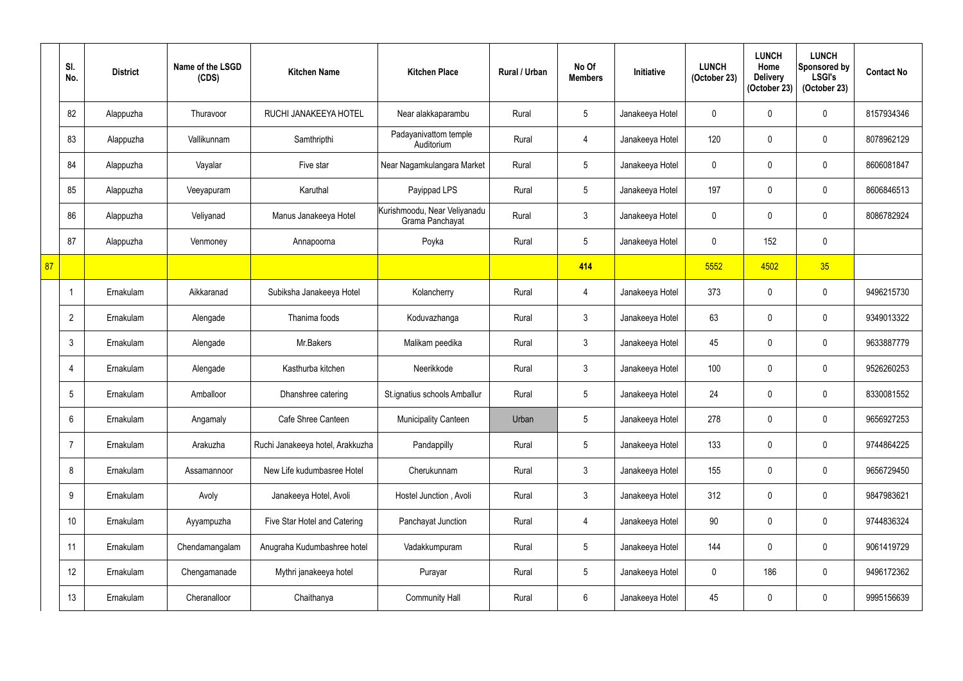|    | SI.<br>No.      | <b>District</b> | Name of the LSGD<br>(CDS) | <b>Kitchen Name</b>              | <b>Kitchen Place</b>                            | <b>Rural / Urban</b> | No Of<br><b>Members</b> | Initiative      | <b>LUNCH</b><br>(October 23) | <b>LUNCH</b><br>Home<br><b>Delivery</b><br>(October 23) | <b>LUNCH</b><br>Sponsored by<br><b>LSGI's</b><br>(October 23) | <b>Contact No</b> |
|----|-----------------|-----------------|---------------------------|----------------------------------|-------------------------------------------------|----------------------|-------------------------|-----------------|------------------------------|---------------------------------------------------------|---------------------------------------------------------------|-------------------|
|    | 82              | Alappuzha       | Thuravoor                 | RUCHI JANAKEEYA HOTEL            | Near alakkaparambu                              | Rural                | 5                       | Janakeeya Hotel | $\overline{0}$               |                                                         | $\mathbf 0$                                                   | 8157934346        |
|    | 83              | Alappuzha       | Vallikunnam               | Samthripthi                      | Padayanivattom temple<br>Auditorium             | Rural                | $\overline{4}$          | Janakeeya Hotel | 120                          |                                                         | $\pmb{0}$                                                     | 8078962129        |
|    | 84              | Alappuzha       | Vayalar                   | Five star                        | Near Nagamkulangara Market                      | Rural                | 5                       | Janakeeya Hotel | $\mathbf 0$                  |                                                         | $\mathbf 0$                                                   | 8606081847        |
|    | 85              | Alappuzha       | Veeyapuram                | Karuthal                         | Payippad LPS                                    | Rural                | 5                       | Janakeeya Hotel | 197                          |                                                         | $\boldsymbol{0}$                                              | 8606846513        |
|    | 86              | Alappuzha       | Veliyanad                 | Manus Janakeeya Hotel            | Kurishmoodu, Near Veliyanadu<br>Grama Panchayat | Rural                | $\mathfrak{Z}$          | Janakeeya Hotel | $\mathbf 0$                  |                                                         | $\pmb{0}$                                                     | 8086782924        |
|    | 87              | Alappuzha       | Venmoney                  | Annapoorna                       | Poyka                                           | Rural                | 5                       | Janakeeya Hotel | $\mathbf 0$                  | 152                                                     | $\pmb{0}$                                                     |                   |
| 87 |                 |                 |                           |                                  |                                                 |                      | 414                     |                 | 5552                         | 4502                                                    | 35                                                            |                   |
|    |                 | Ernakulam       | Aikkaranad                | Subiksha Janakeeya Hotel         | Kolancherry                                     | Rural                | $\overline{4}$          | Janakeeya Hotel | 373                          | 0                                                       | $\mathbf 0$                                                   | 9496215730        |
|    | $\overline{2}$  | Ernakulam       | Alengade                  | Thanima foods                    | Koduvazhanga                                    | Rural                | $\mathfrak{Z}$          | Janakeeya Hotel | 63                           |                                                         | $\mathbf 0$                                                   | 9349013322        |
|    | 3               | Ernakulam       | Alengade                  | Mr.Bakers                        | Malikam peedika                                 | Rural                | $3\phantom{.0}$         | Janakeeya Hotel | 45                           |                                                         | $\pmb{0}$                                                     | 9633887779        |
|    | 4               | Ernakulam       | Alengade                  | Kasthurba kitchen                | Neerikkode                                      | Rural                | $\mathfrak{Z}$          | Janakeeya Hotel | 100                          |                                                         | $\mathbf 0$                                                   | 9526260253        |
|    | 5               | Ernakulam       | Amballoor                 | Dhanshree catering               | St.ignatius schools Amballur                    | Rural                | 5                       | Janakeeya Hotel | 24                           | 0                                                       | $\boldsymbol{0}$                                              | 8330081552        |
|    | $6\phantom{.}$  | Ernakulam       | Angamaly                  | Cafe Shree Canteen               | <b>Municipality Canteen</b>                     | Urban                | 5                       | Janakeeya Hotel | 278                          |                                                         | $\pmb{0}$                                                     | 9656927253        |
|    | $\overline{7}$  | Ernakulam       | Arakuzha                  | Ruchi Janakeeya hotel, Arakkuzha | Pandappilly                                     | Rural                | $5\overline{)}$         | Janakeeya Hotel | 133                          | $\mathbf{0}$                                            | $\pmb{0}$                                                     | 9744864225        |
|    | 8               | Ernakulam       | Assamannoor               | New Life kudumbasree Hotel       | Cherukunnam                                     | Rural                | $\mathfrak{Z}$          | Janakeeya Hotel | 155                          | 0                                                       | $\pmb{0}$                                                     | 9656729450        |
|    | 9               | Ernakulam       | Avoly                     | Janakeeya Hotel, Avoli           | Hostel Junction, Avoli                          | Rural                | $\mathfrak{Z}$          | Janakeeya Hotel | 312                          | 0                                                       | $\mathbf 0$                                                   | 9847983621        |
|    | 10 <sup>°</sup> | Ernakulam       | Ayyampuzha                | Five Star Hotel and Catering     | Panchayat Junction                              | Rural                | $\overline{4}$          | Janakeeya Hotel | $90\,$                       | 0                                                       | $\pmb{0}$                                                     | 9744836324        |
|    | 11              | Ernakulam       | Chendamangalam            | Anugraha Kudumbashree hotel      | Vadakkumpuram                                   | Rural                | 5                       | Janakeeya Hotel | 144                          | 0                                                       | $\pmb{0}$                                                     | 9061419729        |
|    | 12              | Ernakulam       | Chengamanade              | Mythri janakeeya hotel           | Purayar                                         | Rural                | $5\phantom{.0}$         | Janakeeya Hotel | $\mathbf 0$                  | 186                                                     | $\mathbf 0$                                                   | 9496172362        |
|    | 13              | Ernakulam       | Cheranalloor              | Chaithanya                       | <b>Community Hall</b>                           | Rural                | $6\phantom{.0}$         | Janakeeya Hotel | 45                           | $\overline{0}$                                          | $\pmb{0}$                                                     | 9995156639        |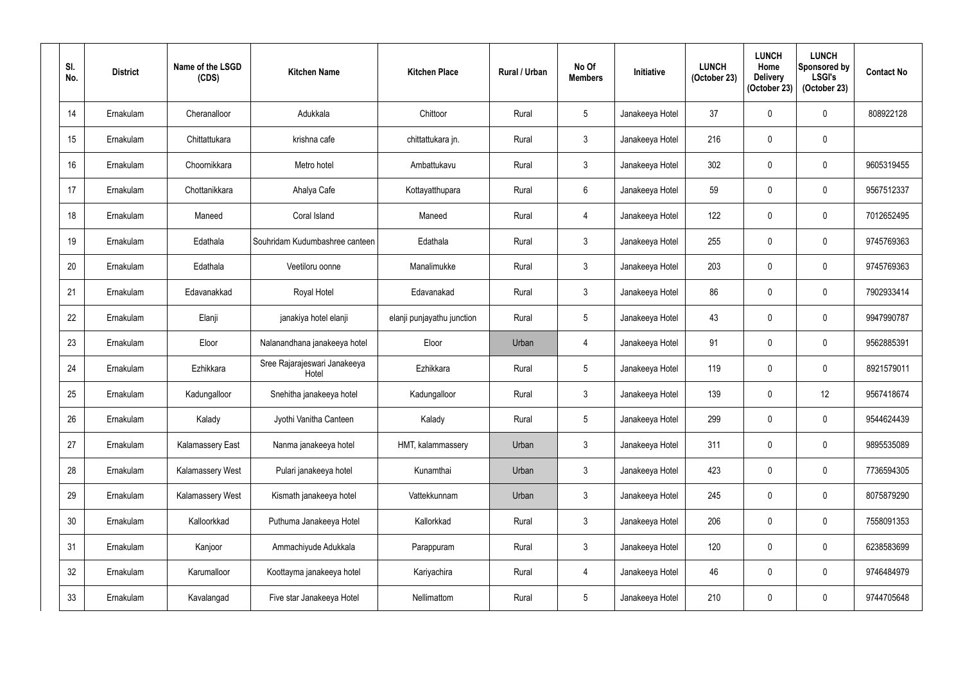| SI.<br>No.      | <b>District</b> | Name of the LSGD<br>(CDS) | <b>Kitchen Name</b>                   | <b>Kitchen Place</b>       | <b>Rural / Urban</b> | No Of<br><b>Members</b> | Initiative      | <b>LUNCH</b><br>(October 23) | <b>LUNCH</b><br>Home<br><b>Delivery</b><br>(October 23) | <b>LUNCH</b><br>Sponsored by<br><b>LSGI's</b><br>(October 23) | <b>Contact No</b> |
|-----------------|-----------------|---------------------------|---------------------------------------|----------------------------|----------------------|-------------------------|-----------------|------------------------------|---------------------------------------------------------|---------------------------------------------------------------|-------------------|
| 14              | Ernakulam       | Cheranalloor              | Adukkala                              | Chittoor                   | Rural                | $\overline{5}$          | Janakeeya Hotel | 37                           | $\mathbf{0}$                                            | 0                                                             | 808922128         |
| 15              | Ernakulam       | Chittattukara             | krishna cafe                          | chittattukara jn.          | Rural                | $\mathfrak{Z}$          | Janakeeya Hotel | 216                          | 0                                                       | 0                                                             |                   |
| 16              | Ernakulam       | Choornikkara              | Metro hotel                           | Ambattukavu                | Rural                | $\mathfrak{Z}$          | Janakeeya Hotel | 302                          | 0                                                       | 0                                                             | 9605319455        |
| 17              | Ernakulam       | Chottanikkara             | Ahalya Cafe                           | Kottayatthupara            | Rural                | $6\phantom{.}$          | Janakeeya Hotel | 59                           | 0                                                       | 0                                                             | 9567512337        |
| 18              | Ernakulam       | Maneed                    | Coral Island                          | Maneed                     | Rural                | $\overline{4}$          | Janakeeya Hotel | 122                          | $\mathbf 0$                                             | 0                                                             | 7012652495        |
| 19              | Ernakulam       | Edathala                  | Souhridam Kudumbashree canteen        | Edathala                   | Rural                | $\mathfrak{Z}$          | Janakeeya Hotel | 255                          | 0                                                       | 0                                                             | 9745769363        |
| 20              | Ernakulam       | Edathala                  | Veetiloru oonne                       | Manalimukke                | Rural                | $\mathfrak{Z}$          | Janakeeya Hotel | 203                          | 0                                                       | 0                                                             | 9745769363        |
| 21              | Ernakulam       | Edavanakkad               | Royal Hotel                           | Edavanakad                 | Rural                | $\mathfrak{Z}$          | Janakeeya Hotel | 86                           | 0                                                       | 0                                                             | 7902933414        |
| 22              | Ernakulam       | Elanji                    | janakiya hotel elanji                 | elanji punjayathu junction | Rural                | $\overline{5}$          | Janakeeya Hotel | 43                           | 0                                                       | 0                                                             | 9947990787        |
| 23              | Ernakulam       | Eloor                     | Nalanandhana janakeeya hotel          | Eloor                      | Urban                | 4                       | Janakeeya Hotel | 91                           | $\mathbf 0$                                             | 0                                                             | 9562885391        |
| 24              | Ernakulam       | Ezhikkara                 | Sree Rajarajeswari Janakeeya<br>Hotel | Ezhikkara                  | Rural                | $\overline{5}$          | Janakeeya Hotel | 119                          | 0                                                       | 0                                                             | 8921579011        |
| 25              | Ernakulam       | Kadungalloor              | Snehitha janakeeya hotel              | Kadungalloor               | Rural                | $\mathfrak{Z}$          | Janakeeya Hotel | 139                          | 0                                                       | 12                                                            | 9567418674        |
| 26              | Ernakulam       | Kalady                    | Jyothi Vanitha Canteen                | Kalady                     | Rural                | $\overline{5}$          | Janakeeya Hotel | 299                          | 0                                                       | 0                                                             | 9544624439        |
| 27              | Ernakulam       | Kalamassery East          | Nanma janakeeya hotel                 | HMT, kalammassery          | Urban                | $\mathfrak{Z}$          | Janakeeya Hotel | 311                          | $\mathbf 0$                                             | 0                                                             | 9895535089        |
| 28              | Ernakulam       | Kalamassery West          | Pulari janakeeya hotel                | Kunamthai                  | Urban                | $\mathfrak{Z}$          | Janakeeya Hotel | 423                          | $\mathbf 0$                                             | 0                                                             | 7736594305        |
| 29              | Ernakulam       | Kalamassery West          | Kismath janakeeya hotel               | Vattekkunnam               | Urban                | $\mathfrak{Z}$          | Janakeeya Hotel | 245                          | $\mathbf 0$                                             | 0                                                             | 8075879290        |
| 30 <sup>°</sup> | Ernakulam       | Kalloorkkad               | Puthuma Janakeeya Hotel               | Kallorkkad                 | Rural                | $\mathfrak{Z}$          | Janakeeya Hotel | 206                          | $\mathbf 0$                                             | 0                                                             | 7558091353        |
| 31              | Ernakulam       | Kanjoor                   | Ammachiyude Adukkala                  | Parappuram                 | Rural                | $\mathfrak{Z}$          | Janakeeya Hotel | 120                          | $\mathbf 0$                                             | 0                                                             | 6238583699        |
| 32              | Ernakulam       | Karumalloor               | Koottayma janakeeya hotel             | Kariyachira                | Rural                | $\overline{4}$          | Janakeeya Hotel | 46                           | $\mathbf 0$                                             | 0                                                             | 9746484979        |
| 33              | Ernakulam       | Kavalangad                | Five star Janakeeya Hotel             | Nellimattom                | Rural                | $\sqrt{5}$              | Janakeeya Hotel | 210                          | 0                                                       | $\pmb{0}$                                                     | 9744705648        |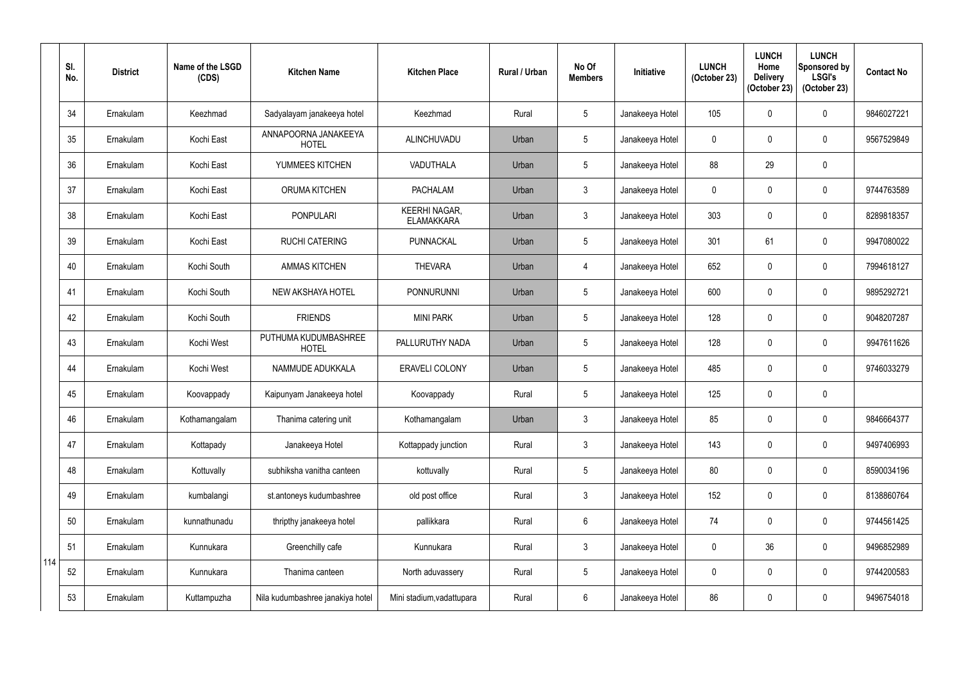|     | SI.<br>No. | <b>District</b> | Name of the LSGD<br>(CDS) | <b>Kitchen Name</b>                  | <b>Kitchen Place</b>                      | <b>Rural / Urban</b> | No Of<br><b>Members</b> | <b>Initiative</b> | <b>LUNCH</b><br>(October 23) | <b>LUNCH</b><br>Home<br><b>Delivery</b><br>(October 23) | <b>LUNCH</b><br>Sponsored by<br><b>LSGI's</b><br>(October 23) | <b>Contact No</b> |
|-----|------------|-----------------|---------------------------|--------------------------------------|-------------------------------------------|----------------------|-------------------------|-------------------|------------------------------|---------------------------------------------------------|---------------------------------------------------------------|-------------------|
|     | 34         | Ernakulam       | Keezhmad                  | Sadyalayam janakeeya hotel           | Keezhmad                                  | Rural                | $5\phantom{.0}$         | Janakeeya Hotel   | 105                          | 0                                                       | $\mathbf 0$                                                   | 9846027221        |
|     | 35         | Ernakulam       | Kochi East                | ANNAPOORNA JANAKEEYA<br><b>HOTEL</b> | ALINCHUVADU                               | Urban                | $5\phantom{.0}$         | Janakeeya Hotel   | $\mathbf 0$                  | $\Omega$                                                | $\mathbf 0$                                                   | 9567529849        |
|     | 36         | Ernakulam       | Kochi East                | YUMMEES KITCHEN                      | VADUTHALA                                 | Urban                | $\overline{5}$          | Janakeeya Hotel   | 88                           | 29                                                      | $\pmb{0}$                                                     |                   |
|     | 37         | Ernakulam       | Kochi East                | <b>ORUMA KITCHEN</b>                 | <b>PACHALAM</b>                           | Urban                | $\mathbf{3}$            | Janakeeya Hotel   | $\mathbf 0$                  | 0                                                       | $\mathbf 0$                                                   | 9744763589        |
|     | 38         | Ernakulam       | Kochi East                | <b>PONPULARI</b>                     | <b>KEERHI NAGAR,</b><br><b>ELAMAKKARA</b> | Urban                | $\mathfrak{Z}$          | Janakeeya Hotel   | 303                          | $\Omega$                                                | $\pmb{0}$                                                     | 8289818357        |
|     | 39         | Ernakulam       | Kochi East                | <b>RUCHI CATERING</b>                | PUNNACKAL                                 | Urban                | $5\phantom{.0}$         | Janakeeya Hotel   | 301                          | 61                                                      | $\pmb{0}$                                                     | 9947080022        |
|     | 40         | Ernakulam       | Kochi South               | <b>AMMAS KITCHEN</b>                 | <b>THEVARA</b>                            | Urban                | $\overline{4}$          | Janakeeya Hotel   | 652                          | 0                                                       | $\pmb{0}$                                                     | 7994618127        |
|     | 41         | Ernakulam       | Kochi South               | <b>NEW AKSHAYA HOTEL</b>             | <b>PONNURUNNI</b>                         | Urban                | $5\phantom{.0}$         | Janakeeya Hotel   | 600                          | $\mathbf 0$                                             | $\pmb{0}$                                                     | 9895292721        |
|     | 42         | Ernakulam       | Kochi South               | <b>FRIENDS</b>                       | <b>MINI PARK</b>                          | Urban                | 5                       | Janakeeya Hotel   | 128                          | $\theta$                                                | $\pmb{0}$                                                     | 9048207287        |
|     | 43         | Ernakulam       | Kochi West                | PUTHUMA KUDUMBASHREE<br><b>HOTEL</b> | PALLURUTHY NADA                           | Urban                | $5\overline{)}$         | Janakeeya Hotel   | 128                          | $\Omega$                                                | $\mathbf 0$                                                   | 9947611626        |
|     | 44         | Ernakulam       | Kochi West                | NAMMUDE ADUKKALA                     | <b>ERAVELI COLONY</b>                     | Urban                | $\overline{5}$          | Janakeeya Hotel   | 485                          | $\mathbf 0$                                             | $\pmb{0}$                                                     | 9746033279        |
|     | 45         | Ernakulam       | Koovappady                | Kaipunyam Janakeeya hotel            | Koovappady                                | Rural                | $5\phantom{.0}$         | Janakeeya Hotel   | 125                          | $\mathbf 0$                                             | $\pmb{0}$                                                     |                   |
|     | 46         | Ernakulam       | Kothamangalam             | Thanima catering unit                | Kothamangalam                             | Urban                | $\mathbf{3}$            | Janakeeya Hotel   | 85                           | $\mathbf 0$                                             | $\pmb{0}$                                                     | 9846664377        |
|     | 47         | Ernakulam       | Kottapady                 | Janakeeya Hotel                      | Kottappady junction                       | Rural                | $\mathfrak{Z}$          | Janakeeya Hotel   | 143                          | $\mathbf 0$                                             | $\pmb{0}$                                                     | 9497406993        |
|     | 48         | Ernakulam       | Kottuvally                | subhiksha vanitha canteen            | kottuvally                                | Rural                | $5\phantom{.0}$         | Janakeeya Hotel   | 80                           | $\mathbf 0$                                             | $\pmb{0}$                                                     | 8590034196        |
|     | 49         | Ernakulam       | kumbalangi                | st.antoneys kudumbashree             | old post office                           | Rural                | $\mathfrak{Z}$          | Janakeeya Hotel   | 152                          | $\mathbf 0$                                             | $\pmb{0}$                                                     | 8138860764        |
|     | 50         | Ernakulam       | kunnathunadu              | thripthy janakeeya hotel             | pallikkara                                | Rural                | $6\,$                   | Janakeeya Hotel   | 74                           | $\mathbf 0$                                             | $\pmb{0}$                                                     | 9744561425        |
|     | 51         | Ernakulam       | Kunnukara                 | Greenchilly cafe                     | Kunnukara                                 | Rural                | $\mathfrak{Z}$          | Janakeeya Hotel   | $\mathbf 0$                  | 36                                                      | $\pmb{0}$                                                     | 9496852989        |
| 114 | 52         | Ernakulam       | Kunnukara                 | Thanima canteen                      | North aduvassery                          | Rural                | $5\phantom{.0}$         | Janakeeya Hotel   | $\mathbf 0$                  | 0                                                       | $\boldsymbol{0}$                                              | 9744200583        |
|     | 53         | Ernakulam       | Kuttampuzha               | Nila kudumbashree janakiya hotel     | Mini stadium, vadattupara                 | Rural                | $\boldsymbol{6}$        | Janakeeya Hotel   | 86                           | $\mathbf 0$                                             | $\pmb{0}$                                                     | 9496754018        |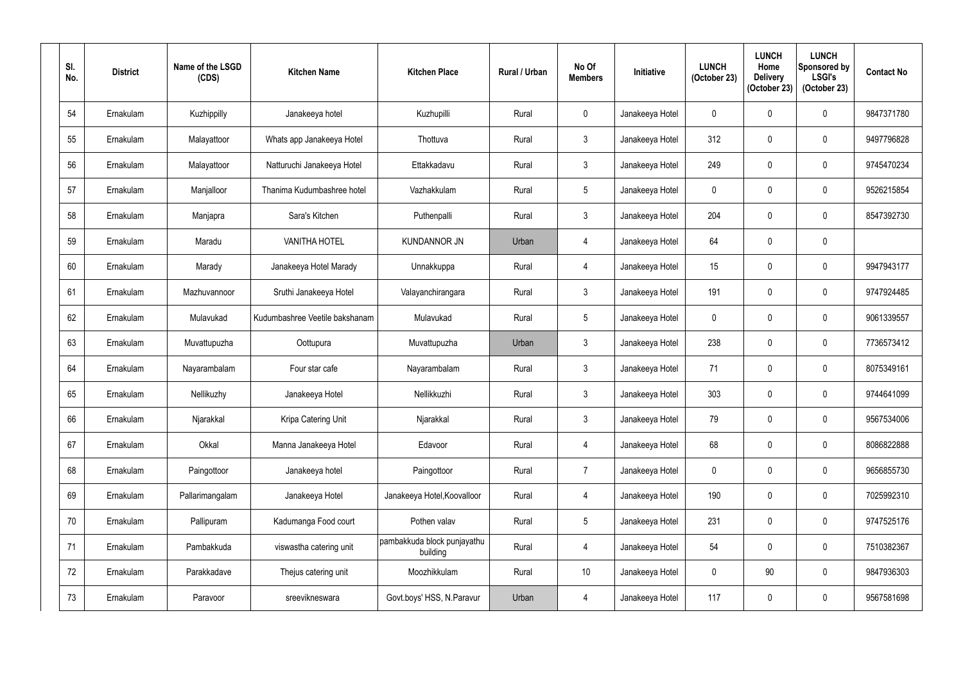| SI.<br>No. | <b>District</b> | Name of the LSGD<br>(CDS) | <b>Kitchen Name</b>            | <b>Kitchen Place</b>                    | <b>Rural / Urban</b> | No Of<br><b>Members</b> | Initiative      | <b>LUNCH</b><br>(October 23) | <b>LUNCH</b><br>Home<br><b>Delivery</b><br>(October 23) | <b>LUNCH</b><br>Sponsored by<br><b>LSGI's</b><br>(October 23) | <b>Contact No</b> |
|------------|-----------------|---------------------------|--------------------------------|-----------------------------------------|----------------------|-------------------------|-----------------|------------------------------|---------------------------------------------------------|---------------------------------------------------------------|-------------------|
| 54         | Ernakulam       | Kuzhippilly               | Janakeeya hotel                | Kuzhupilli                              | Rural                | $\boldsymbol{0}$        | Janakeeya Hotel | $\mathbf 0$                  | $\mathbf{0}$                                            | 0                                                             | 9847371780        |
| 55         | Ernakulam       | Malayattoor               | Whats app Janakeeya Hotel      | Thottuva                                | Rural                | $\mathfrak{Z}$          | Janakeeya Hotel | 312                          | $\mathbf 0$                                             | 0                                                             | 9497796828        |
| 56         | Ernakulam       | Malayattoor               | Natturuchi Janakeeya Hotel     | Ettakkadavu                             | Rural                | $\mathfrak{Z}$          | Janakeeya Hotel | 249                          | 0                                                       | 0                                                             | 9745470234        |
| 57         | Ernakulam       | Manjalloor                | Thanima Kudumbashree hotel     | Vazhakkulam                             | Rural                | $\sqrt{5}$              | Janakeeya Hotel | $\mathbf 0$                  | 0                                                       | 0                                                             | 9526215854        |
| 58         | Ernakulam       | Manjapra                  | Sara's Kitchen                 | Puthenpalli                             | Rural                | $\mathfrak{Z}$          | Janakeeya Hotel | 204                          | $\mathbf 0$                                             | 0                                                             | 8547392730        |
| 59         | Ernakulam       | Maradu                    | <b>VANITHA HOTEL</b>           | <b>KUNDANNOR JN</b>                     | Urban                | $\overline{4}$          | Janakeeya Hotel | 64                           | 0                                                       | 0                                                             |                   |
| 60         | Ernakulam       | Marady                    | Janakeeya Hotel Marady         | Unnakkuppa                              | Rural                | 4                       | Janakeeya Hotel | 15                           | 0                                                       | 0                                                             | 9947943177        |
| 61         | Ernakulam       | Mazhuvannoor              | Sruthi Janakeeya Hotel         | Valayanchirangara                       | Rural                | $\mathfrak{Z}$          | Janakeeya Hotel | 191                          | 0                                                       | 0                                                             | 9747924485        |
| 62         | Ernakulam       | Mulavukad                 | Kudumbashree Veetile bakshanam | Mulavukad                               | Rural                | 5                       | Janakeeya Hotel | $\mathbf 0$                  | 0                                                       | 0                                                             | 9061339557        |
| 63         | Ernakulam       | Muvattupuzha              | Oottupura                      | Muvattupuzha                            | Urban                | $\mathfrak{Z}$          | Janakeeya Hotel | 238                          | 0                                                       | 0                                                             | 7736573412        |
| 64         | Ernakulam       | Nayarambalam              | Four star cafe                 | Nayarambalam                            | Rural                | $\mathfrak{Z}$          | Janakeeya Hotel | 71                           | $\mathbf 0$                                             | 0                                                             | 8075349161        |
| 65         | Ernakulam       | Nellikuzhy                | Janakeeya Hotel                | Nellikkuzhi                             | Rural                | $\mathfrak{Z}$          | Janakeeya Hotel | 303                          | 0                                                       | 0                                                             | 9744641099        |
| 66         | Ernakulam       | Njarakkal                 | Kripa Catering Unit            | Njarakkal                               | Rural                | $\mathfrak{Z}$          | Janakeeya Hotel | 79                           | $\mathbf 0$                                             | 0                                                             | 9567534006        |
| 67         | Ernakulam       | Okkal                     | Manna Janakeeya Hotel          | Edavoor                                 | Rural                | $\overline{4}$          | Janakeeya Hotel | 68                           | 0                                                       | 0                                                             | 8086822888        |
| 68         | Ernakulam       | Paingottoor               | Janakeeya hotel                | Paingottoor                             | Rural                | $\overline{7}$          | Janakeeya Hotel | 0                            | $\mathbf 0$                                             | 0                                                             | 9656855730        |
| 69         | Ernakulam       | Pallarimangalam           | Janakeeya Hotel                | Janakeeya Hotel, Koovalloor             | Rural                | 4                       | Janakeeya Hotel | 190                          | $\mathbf 0$                                             | 0                                                             | 7025992310        |
| 70         | Ernakulam       | Pallipuram                | Kadumanga Food court           | Pothen valav                            | Rural                | $5\phantom{.0}$         | Janakeeya Hotel | 231                          | $\mathbf 0$                                             | 0                                                             | 9747525176        |
| 71         | Ernakulam       | Pambakkuda                | viswastha catering unit        | pambakkuda block punjayathu<br>building | Rural                | $\overline{4}$          | Janakeeya Hotel | 54                           | $\mathbf 0$                                             | 0                                                             | 7510382367        |
| 72         | Ernakulam       | Parakkadave               | Thejus catering unit           | Moozhikkulam                            | Rural                | 10 <sup>°</sup>         | Janakeeya Hotel | 0                            | 90                                                      | 0                                                             | 9847936303        |
| 73         | Ernakulam       | Paravoor                  | sreevikneswara                 | Govt.boys' HSS, N.Paravur               | Urban                | $\overline{4}$          | Janakeeya Hotel | 117                          | 0                                                       | 0                                                             | 9567581698        |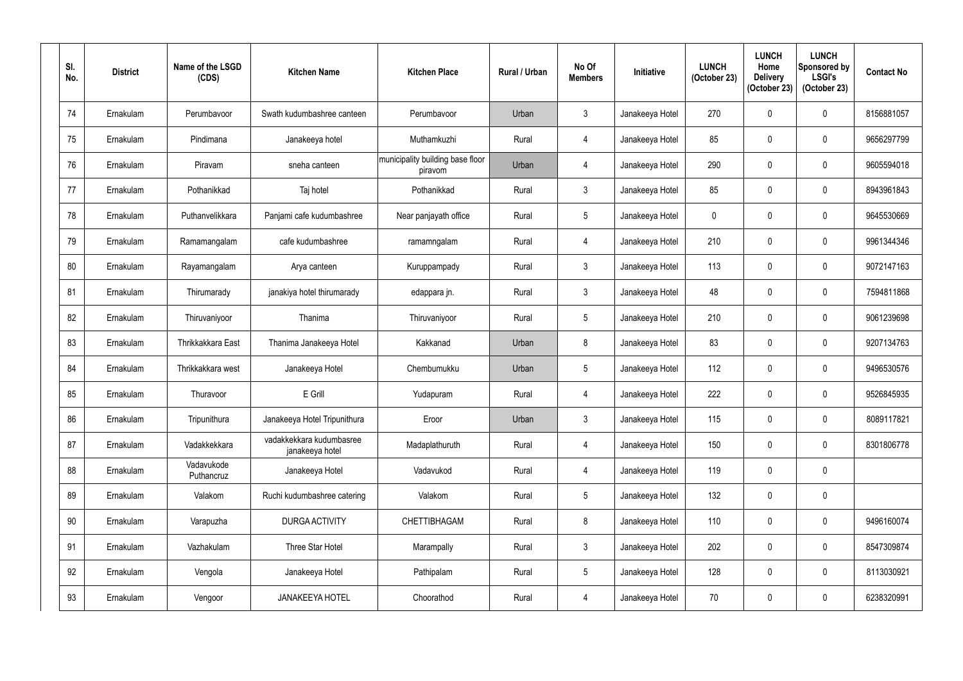| SI.<br>No. | <b>District</b> | Name of the LSGD<br>(CDS) | <b>Kitchen Name</b>                         | <b>Kitchen Place</b>                        | <b>Rural / Urban</b> | No Of<br><b>Members</b> | Initiative      | <b>LUNCH</b><br>(October 23) | <b>LUNCH</b><br>Home<br><b>Delivery</b><br>(October 23) | <b>LUNCH</b><br>Sponsored by<br><b>LSGI's</b><br>(October 23) | <b>Contact No</b> |
|------------|-----------------|---------------------------|---------------------------------------------|---------------------------------------------|----------------------|-------------------------|-----------------|------------------------------|---------------------------------------------------------|---------------------------------------------------------------|-------------------|
| 74         | Ernakulam       | Perumbavoor               | Swath kudumbashree canteen                  | Perumbavoor                                 | Urban                | $\mathfrak{Z}$          | Janakeeya Hotel | 270                          | 0                                                       | $\mathbf 0$                                                   | 8156881057        |
| 75         | Ernakulam       | Pindimana                 | Janakeeya hotel                             | Muthamkuzhi                                 | Rural                | 4                       | Janakeeya Hotel | 85                           | $\mathbf 0$                                             | $\mathbf 0$                                                   | 9656297799        |
| 76         | Ernakulam       | Piravam                   | sneha canteen                               | municipality building base floor<br>piravom | Urban                | 4                       | Janakeeya Hotel | 290                          | $\mathbf 0$                                             | $\mathbf 0$                                                   | 9605594018        |
| 77         | Ernakulam       | Pothanikkad               | Taj hotel                                   | Pothanikkad                                 | Rural                | $\mathfrak{Z}$          | Janakeeya Hotel | 85                           | $\mathbf 0$                                             | 0                                                             | 8943961843        |
| 78         | Ernakulam       | Puthanvelikkara           | Panjami cafe kudumbashree                   | Near panjayath office                       | Rural                | $\overline{5}$          | Janakeeya Hotel | 0                            | $\mathbf{0}$                                            | $\pmb{0}$                                                     | 9645530669        |
| 79         | Ernakulam       | Ramamangalam              | cafe kudumbashree                           | ramamngalam                                 | Rural                | 4                       | Janakeeya Hotel | 210                          | $\mathbf 0$                                             | $\mathbf 0$                                                   | 9961344346        |
| 80         | Ernakulam       | Rayamangalam              | Arya canteen                                | Kuruppampady                                | Rural                | $\mathfrak{Z}$          | Janakeeya Hotel | 113                          | $\mathbf 0$                                             | $\mathbf 0$                                                   | 9072147163        |
| 81         | Ernakulam       | Thirumarady               | janakiya hotel thirumarady                  | edappara jn.                                | Rural                | $\mathfrak{Z}$          | Janakeeya Hotel | 48                           | $\mathbf 0$                                             | 0                                                             | 7594811868        |
| 82         | Ernakulam       | Thiruvaniyoor             | Thanima                                     | Thiruvaniyoor                               | Rural                | $5\phantom{.0}$         | Janakeeya Hotel | 210                          | $\mathbf 0$                                             | $\pmb{0}$                                                     | 9061239698        |
| 83         | Ernakulam       | <b>Thrikkakkara East</b>  | Thanima Janakeeya Hotel                     | Kakkanad                                    | Urban                | 8                       | Janakeeya Hotel | 83                           | $\mathbf 0$                                             | $\mathbf 0$                                                   | 9207134763        |
| 84         | Ernakulam       | Thrikkakkara west         | Janakeeya Hotel                             | Chembumukku                                 | Urban                | $\overline{5}$          | Janakeeya Hotel | 112                          | $\mathbf 0$                                             | $\mathbf 0$                                                   | 9496530576        |
| 85         | Ernakulam       | Thuravoor                 | E Grill                                     | Yudapuram                                   | Rural                | 4                       | Janakeeya Hotel | 222                          | $\mathbf 0$                                             | 0                                                             | 9526845935        |
| 86         | Ernakulam       | Tripunithura              | Janakeeya Hotel Tripunithura                | Eroor                                       | Urban                | $\mathfrak{Z}$          | Janakeeya Hotel | 115                          | $\mathbf 0$                                             | $\pmb{0}$                                                     | 8089117821        |
| 87         | Ernakulam       | Vadakkekkara              | vadakkekkara kudumbasree<br>janakeeya hotel | Madaplathuruth                              | Rural                | $\overline{4}$          | Janakeeya Hotel | 150                          | $\mathbf 0$                                             | $\pmb{0}$                                                     | 8301806778        |
| 88         | Ernakulam       | Vadavukode<br>Puthancruz  | Janakeeya Hotel                             | Vadavukod                                   | Rural                | $\overline{4}$          | Janakeeya Hotel | 119                          | $\mathbf 0$                                             | $\pmb{0}$                                                     |                   |
| 89         | Ernakulam       | Valakom                   | Ruchi kudumbashree catering                 | Valakom                                     | Rural                | $\sqrt{5}$              | Janakeeya Hotel | 132                          | $\mathbf 0$                                             | $\pmb{0}$                                                     |                   |
| 90         | Ernakulam       | Varapuzha                 | <b>DURGA ACTIVITY</b>                       | CHETTIBHAGAM                                | Rural                | $\bf 8$                 | Janakeeya Hotel | 110                          | $\mathbf 0$                                             | $\pmb{0}$                                                     | 9496160074        |
| 91         | Ernakulam       | Vazhakulam                | Three Star Hotel                            | Marampally                                  | Rural                | $\mathfrak{Z}$          | Janakeeya Hotel | 202                          | $\mathbf 0$                                             | $\pmb{0}$                                                     | 8547309874        |
| 92         | Ernakulam       | Vengola                   | Janakeeya Hotel                             | Pathipalam                                  | Rural                | $\sqrt{5}$              | Janakeeya Hotel | 128                          | $\mathbf 0$                                             | $\boldsymbol{0}$                                              | 8113030921        |
| 93         | Ernakulam       | Vengoor                   | <b>JANAKEEYA HOTEL</b>                      | Choorathod                                  | Rural                | $\overline{4}$          | Janakeeya Hotel | 70                           | $\mathbf 0$                                             | $\pmb{0}$                                                     | 6238320991        |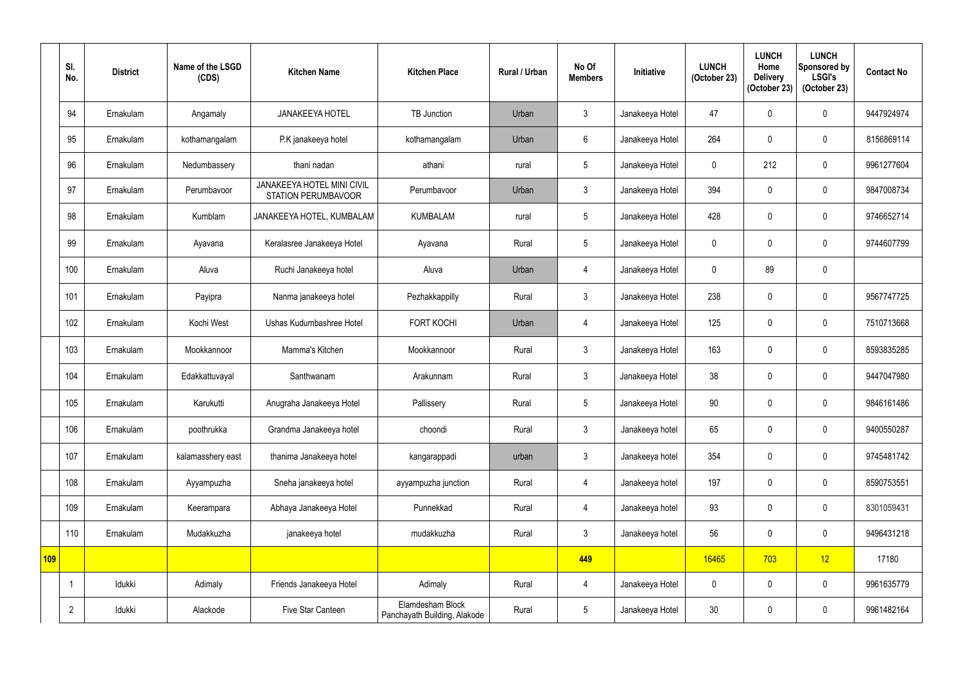|     | SI.<br>No.     | <b>District</b> | Name of the LSGD<br>(CDS) | <b>Kitchen Name</b>                                             | <b>Kitchen Place</b>                             | Rural / Urban | No Of<br><b>Members</b> | Initiative      | <b>LUNCH</b><br>(October 23) | <b>LUNCH</b><br>Home<br><b>Delivery</b><br>(October 23) | <b>LUNCH</b><br>Sponsored by<br><b>LSGI's</b><br>(October 23) | <b>Contact No</b> |
|-----|----------------|-----------------|---------------------------|-----------------------------------------------------------------|--------------------------------------------------|---------------|-------------------------|-----------------|------------------------------|---------------------------------------------------------|---------------------------------------------------------------|-------------------|
|     | 94             | Ernakulam       | Angamaly                  | <b>JANAKEEYA HOTEL</b>                                          | TB Junction                                      | Urban         | $\mathbf{3}$            | Janakeeya Hotel | 47                           | 0                                                       | $\mathbf 0$                                                   | 9447924974        |
|     | 95             | Ernakulam       | kothamangalam             | P.K janakeeya hotel                                             | kothamangalam                                    | Urban         | 6                       | Janakeeya Hotel | 264                          | $\mathbf{0}$                                            | $\boldsymbol{0}$                                              | 8156869114        |
|     | 96             | Ernakulam       | Nedumbassery              | thani nadan                                                     | athani                                           | rural         | $5\phantom{.0}$         | Janakeeya Hotel | $\overline{0}$               | 212                                                     | $\boldsymbol{0}$                                              | 9961277604        |
|     | 97             | Ernakulam       | Perumbayoor               | <b>JANAKEEYA HOTEL MINI CIVIL</b><br><b>STATION PERUMBAVOOR</b> | Perumbavoor                                      | Urban         | $\mathbf{3}$            | Janakeeya Hotel | 394                          | 0                                                       | $\mathbf 0$                                                   | 9847008734        |
|     | 98             | Ernakulam       | Kumblam                   | JANAKEEYA HOTEL, KUMBALAM                                       | <b>KUMBALAM</b>                                  | rural         | $5\overline{)}$         | Janakeeya Hotel | 428                          | 0                                                       | $\mathbf 0$                                                   | 9746652714        |
|     | 99             | Ernakulam       | Ayavana                   | Keralasree Janakeeya Hotel                                      | Ayavana                                          | Rural         | $5\overline{)}$         | Janakeeya Hotel | $\mathbf 0$                  | $\mathbf{0}$                                            | $\mathbf 0$                                                   | 9744607799        |
|     | 100            | Ernakulam       | Aluva                     | Ruchi Janakeeya hotel                                           | Aluva                                            | Urban         | 4                       | Janakeeya Hotel | $\overline{0}$               | 89                                                      | $\boldsymbol{0}$                                              |                   |
|     | 101            | Ernakulam       | Payipra                   | Nanma janakeeya hotel                                           | Pezhakkappilly                                   | Rural         | $\mathfrak{Z}$          | Janakeeya Hotel | 238                          | 0                                                       | $\mathbf 0$                                                   | 9567747725        |
|     | 102            | Ernakulam       | Kochi West                | Ushas Kudumbashree Hotel                                        | <b>FORT KOCHI</b>                                | Urban         | 4                       | Janakeeya Hotel | 125                          | 0                                                       | $\mathbf 0$                                                   | 7510713668        |
|     | 103            | Ernakulam       | Mookkannoor               | Mamma's Kitchen                                                 | Mookkannoor                                      | Rural         | $\mathfrak{Z}$          | Janakeeya Hotel | 163                          | 0                                                       | $\overline{0}$                                                | 8593835285        |
|     | 104            | Ernakulam       | Edakkattuvayal            | Santhwanam                                                      | Arakunnam                                        | Rural         | $\mathfrak{Z}$          | Janakeeya Hotel | 38                           | 0                                                       | $\overline{0}$                                                | 9447047980        |
|     | 105            | Ernakulam       | Karukutti                 | Anugraha Janakeeya Hotel                                        | Pallissery                                       | Rural         | 5                       | Janakeeya Hotel | 90                           | $\mathbf 0$                                             | 0                                                             | 9846161486        |
|     | 106            | Ernakulam       | poothrukka                | Grandma Janakeeya hotel                                         | choondi                                          | Rural         | $\mathfrak{Z}$          | Janakeeya hotel | 65                           | $\mathbf 0$                                             | $\pmb{0}$                                                     | 9400550287        |
|     | 107            | Ernakulam       | kalamasshery east         | thanima Janakeeya hotel                                         | kangarappadi                                     | urban         | $\mathfrak{Z}$          | Janakeeya hotel | 354                          | 0                                                       | $\boldsymbol{0}$                                              | 9745481742        |
|     | 108            | Ernakulam       | Ayyampuzha                | Sneha janakeeya hotel                                           | ayyampuzha junction                              | Rural         | $\overline{4}$          | Janakeeya hotel | 197                          | $\mathbf 0$                                             | $\pmb{0}$                                                     | 8590753551        |
|     | 109            | Ernakulam       | Keerampara                | Abhaya Janakeeya Hotel                                          | Punnekkad                                        | Rural         | $\overline{4}$          | Janakeeya hotel | 93                           | 0                                                       | $\boldsymbol{0}$                                              | 8301059431        |
|     | 110            | Ernakulam       | Mudakkuzha                | janakeeya hotel                                                 | mudakkuzha                                       | Rural         | $\mathfrak{Z}$          | Janakeeya hotel | 56                           | $\mathbf 0$                                             | $\pmb{0}$                                                     | 9496431218        |
| 109 |                |                 |                           |                                                                 |                                                  |               | 449                     |                 | 16465                        | 703                                                     | 12                                                            | 17180             |
|     |                | Idukki          | Adimaly                   | Friends Janakeeya Hotel                                         | Adimaly                                          | Rural         | 4                       | Janakeeya Hotel | $\mathbf 0$                  | $\mathbf 0$                                             | $\pmb{0}$                                                     | 9961635779        |
|     | $\overline{2}$ | Idukki          | Alackode                  | Five Star Canteen                                               | Elamdesham Block<br>Panchayath Building, Alakode | Rural         | $5\phantom{.0}$         | Janakeeya Hotel | 30                           | 0                                                       | $\pmb{0}$                                                     | 9961482164        |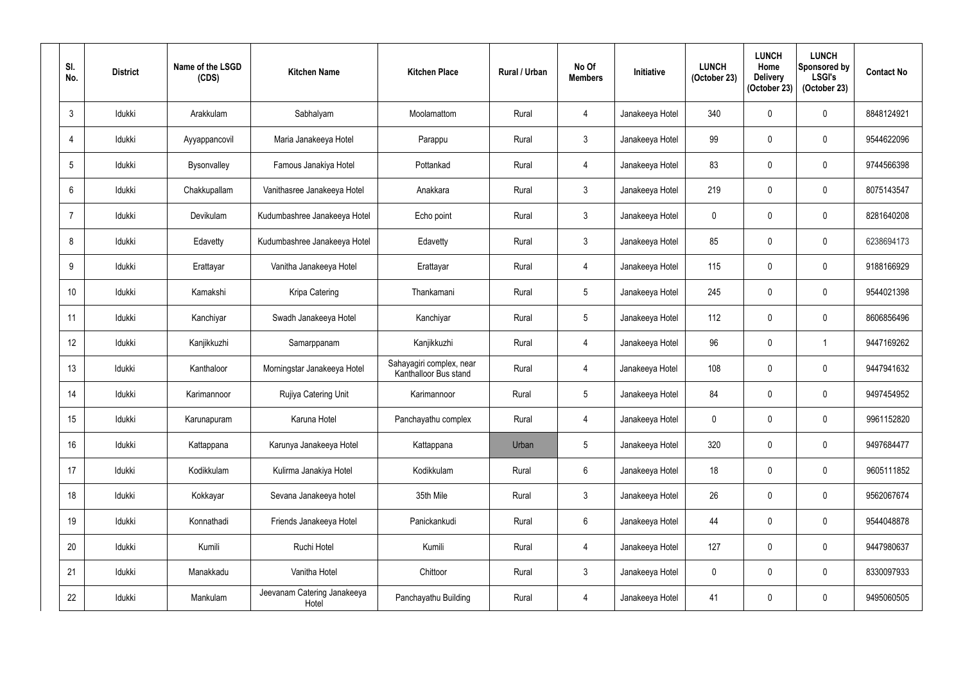| SI.<br>No.      | <b>District</b> | Name of the LSGD<br>(CDS) | <b>Kitchen Name</b>                  | <b>Kitchen Place</b>                              | <b>Rural / Urban</b> | No Of<br><b>Members</b> | <b>Initiative</b> | <b>LUNCH</b><br>(October 23) | <b>LUNCH</b><br>Home<br><b>Delivery</b><br>(October 23) | <b>LUNCH</b><br>Sponsored by<br><b>LSGI's</b><br>(October 23) | <b>Contact No</b> |
|-----------------|-----------------|---------------------------|--------------------------------------|---------------------------------------------------|----------------------|-------------------------|-------------------|------------------------------|---------------------------------------------------------|---------------------------------------------------------------|-------------------|
| $\mathfrak{Z}$  | Idukki          | Arakkulam                 | Sabhalyam                            | Moolamattom                                       | Rural                | 4                       | Janakeeya Hotel   | 340                          | 0                                                       | $\pmb{0}$                                                     | 8848124921        |
| 4               | Idukki          | Ayyappancovil             | Maria Janakeeya Hotel                | Parappu                                           | Rural                | $\mathbf{3}$            | Janakeeya Hotel   | 99                           | $\mathbf 0$                                             | $\boldsymbol{0}$                                              | 9544622096        |
| $5\phantom{.0}$ | Idukki          | Bysonvalley               | Famous Janakiya Hotel                | Pottankad                                         | Rural                | $\overline{4}$          | Janakeeya Hotel   | 83                           | $\mathbf 0$                                             | $\pmb{0}$                                                     | 9744566398        |
| 6               | Idukki          | Chakkupallam              | Vanithasree Janakeeya Hotel          | Anakkara                                          | Rural                | $\mathbf{3}$            | Janakeeya Hotel   | 219                          | $\mathbf 0$                                             | $\mathbf 0$                                                   | 8075143547        |
| $\overline{7}$  | Idukki          | Devikulam                 | Kudumbashree Janakeeya Hotel         | Echo point                                        | Rural                | $\mathfrak{Z}$          | Janakeeya Hotel   | $\pmb{0}$                    | $\mathbf 0$                                             | $\pmb{0}$                                                     | 8281640208        |
| 8               | Idukki          | Edavetty                  | Kudumbashree Janakeeya Hotel         | Edavetty                                          | Rural                | $\mathbf{3}$            | Janakeeya Hotel   | 85                           | 0                                                       | $\mathbf 0$                                                   | 6238694173        |
| 9               | Idukki          | Erattayar                 | Vanitha Janakeeya Hotel              | Erattayar                                         | Rural                | $\overline{4}$          | Janakeeya Hotel   | 115                          | $\mathbf 0$                                             | $\pmb{0}$                                                     | 9188166929        |
| 10 <sup>°</sup> | Idukki          | Kamakshi                  | Kripa Catering                       | Thankamani                                        | Rural                | $\sqrt{5}$              | Janakeeya Hotel   | 245                          | $\mathbf 0$                                             | $\mathbf 0$                                                   | 9544021398        |
| 11              | Idukki          | Kanchiyar                 | Swadh Janakeeya Hotel                | Kanchiyar                                         | Rural                | $5\phantom{.0}$         | Janakeeya Hotel   | 112                          | 0                                                       | $\pmb{0}$                                                     | 8606856496        |
| 12              | Idukki          | Kanjikkuzhi               | Samarppanam                          | Kanjikkuzhi                                       | Rural                | $\overline{4}$          | Janakeeya Hotel   | 96                           | $\mathbf 0$                                             | $\mathbf 1$                                                   | 9447169262        |
| 13              | Idukki          | Kanthaloor                | Morningstar Janakeeya Hotel          | Sahayagiri complex, near<br>Kanthalloor Bus stand | Rural                | $\overline{4}$          | Janakeeya Hotel   | 108                          | $\mathbf 0$                                             | $\pmb{0}$                                                     | 9447941632        |
| 14              | Idukki          | Karimannoor               | Rujiya Catering Unit                 | Karimannoor                                       | Rural                | $\sqrt{5}$              | Janakeeya Hotel   | 84                           | 0                                                       | $\mathbf 0$                                                   | 9497454952        |
| 15              | Idukki          | Karunapuram               | Karuna Hotel                         | Panchayathu complex                               | Rural                | $\overline{4}$          | Janakeeya Hotel   | $\mathbf 0$                  | 0                                                       | $\pmb{0}$                                                     | 9961152820        |
| 16              | Idukki          | Kattappana                | Karunya Janakeeya Hotel              | Kattappana                                        | Urban                | $5\,$                   | Janakeeya Hotel   | 320                          | $\mathbf 0$                                             | $\pmb{0}$                                                     | 9497684477        |
| 17              | Idukki          | Kodikkulam                | Kulirma Janakiya Hotel               | Kodikkulam                                        | Rural                | $6\phantom{.}6$         | Janakeeya Hotel   | 18                           | 0                                                       | $\boldsymbol{0}$                                              | 9605111852        |
| 18              | Idukki          | Kokkayar                  | Sevana Janakeeya hotel               | 35th Mile                                         | Rural                | $\mathbf{3}$            | Janakeeya Hotel   | 26                           | 0                                                       | $\boldsymbol{0}$                                              | 9562067674        |
| 19              | Idukki          | Konnathadi                | Friends Janakeeya Hotel              | Panickankudi                                      | Rural                | $6\phantom{.}6$         | Janakeeya Hotel   | 44                           | 0                                                       | $\pmb{0}$                                                     | 9544048878        |
| 20              | Idukki          | Kumili                    | Ruchi Hotel                          | Kumili                                            | Rural                | $\overline{4}$          | Janakeeya Hotel   | 127                          | 0                                                       | $\pmb{0}$                                                     | 9447980637        |
| 21              | Idukki          | Manakkadu                 | Vanitha Hotel                        | Chittoor                                          | Rural                | $\mathfrak{Z}$          | Janakeeya Hotel   | $\mathbf 0$                  | 0                                                       | $\boldsymbol{0}$                                              | 8330097933        |
| 22              | Idukki          | Mankulam                  | Jeevanam Catering Janakeeya<br>Hotel | Panchayathu Building                              | Rural                | $\overline{4}$          | Janakeeya Hotel   | 41                           | 0                                                       | $\pmb{0}$                                                     | 9495060505        |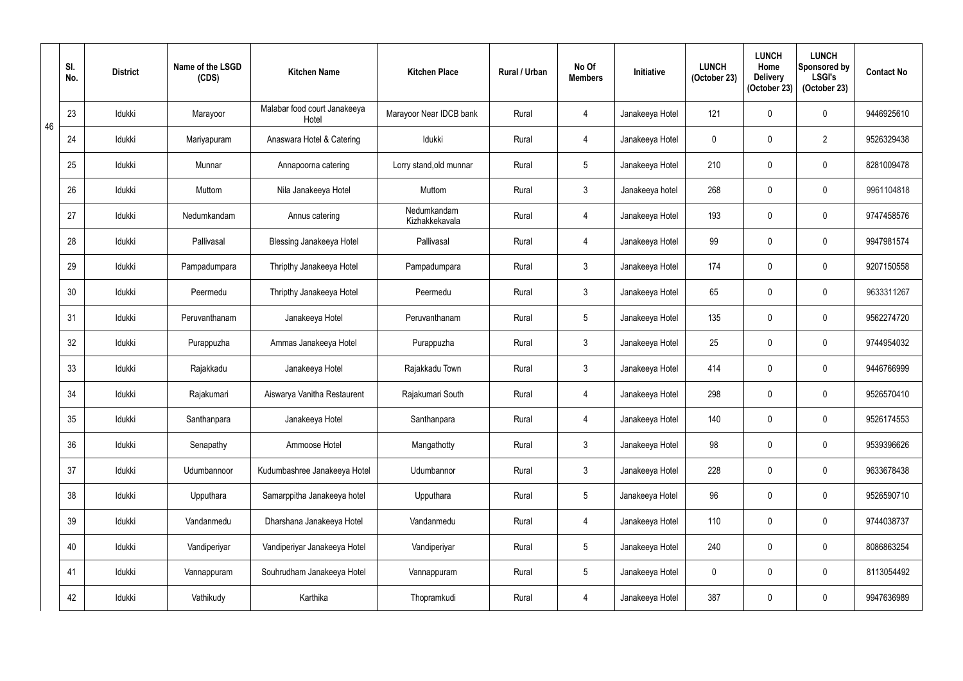|    | SI.<br>No. | <b>District</b> | Name of the LSGD<br>(CDS) | <b>Kitchen Name</b>                   | <b>Kitchen Place</b>          | <b>Rural / Urban</b> | No Of<br><b>Members</b> | <b>Initiative</b> | <b>LUNCH</b><br>(October 23) | <b>LUNCH</b><br>Home<br><b>Delivery</b><br>(October 23) | <b>LUNCH</b><br>Sponsored by<br><b>LSGI's</b><br>(October 23) | <b>Contact No</b> |
|----|------------|-----------------|---------------------------|---------------------------------------|-------------------------------|----------------------|-------------------------|-------------------|------------------------------|---------------------------------------------------------|---------------------------------------------------------------|-------------------|
| 46 | 23         | Idukki          | Marayoor                  | Malabar food court Janakeeya<br>Hotel | Marayoor Near IDCB bank       | Rural                | 4                       | Janakeeya Hotel   | 121                          | 0                                                       | $\boldsymbol{0}$                                              | 9446925610        |
|    | 24         | Idukki          | Mariyapuram               | Anaswara Hotel & Catering             | Idukki                        | Rural                | 4                       | Janakeeya Hotel   | $\mathbf 0$                  | $\Omega$                                                | $\overline{2}$                                                | 9526329438        |
|    | 25         | Idukki          | Munnar                    | Annapoorna catering                   | Lorry stand, old munnar       | Rural                | $5\overline{)}$         | Janakeeya Hotel   | 210                          | $\mathbf 0$                                             | 0                                                             | 8281009478        |
|    | 26         | Idukki          | Muttom                    | Nila Janakeeya Hotel                  | Muttom                        | Rural                | $\mathbf{3}$            | Janakeeya hotel   | 268                          | 0                                                       | $\boldsymbol{0}$                                              | 9961104818        |
|    | 27         | Idukki          | Nedumkandam               | Annus catering                        | Nedumkandam<br>Kizhakkekavala | Rural                | $\overline{4}$          | Janakeeya Hotel   | 193                          | $\mathbf 0$                                             | 0                                                             | 9747458576        |
|    | 28         | Idukki          | Pallivasal                | Blessing Janakeeya Hotel              | Pallivasal                    | Rural                | $\overline{4}$          | Janakeeya Hotel   | 99                           | $\Omega$                                                | $\mathbf 0$                                                   | 9947981574        |
|    | 29         | Idukki          | Pampadumpara              | Thripthy Janakeeya Hotel              | Pampadumpara                  | Rural                | $\mathbf{3}$            | Janakeeya Hotel   | 174                          | $\mathbf{0}$                                            | $\boldsymbol{0}$                                              | 9207150558        |
|    | 30         | Idukki          | Peermedu                  | Thripthy Janakeeya Hotel              | Peermedu                      | Rural                | $\mathbf{3}$            | Janakeeya Hotel   | 65                           | $\mathbf 0$                                             | 0                                                             | 9633311267        |
|    | 31         | Idukki          | Peruvanthanam             | Janakeeya Hotel                       | Peruvanthanam                 | Rural                | $5\overline{)}$         | Janakeeya Hotel   | 135                          | $\overline{0}$                                          | 0                                                             | 9562274720        |
|    | 32         | Idukki          | Purappuzha                | Ammas Janakeeya Hotel                 | Purappuzha                    | Rural                | $\mathbf{3}$            | Janakeeya Hotel   | 25                           | $\Omega$                                                | $\mathbf 0$                                                   | 9744954032        |
|    | 33         | Idukki          | Rajakkadu                 | Janakeeya Hotel                       | Rajakkadu Town                | Rural                | $\mathbf{3}$            | Janakeeya Hotel   | 414                          | $\mathbf 0$                                             | $\boldsymbol{0}$                                              | 9446766999        |
|    | 34         | Idukki          | Rajakumari                | Aiswarya Vanitha Restaurent           | Rajakumari South              | Rural                | 4                       | Janakeeya Hotel   | 298                          | 0                                                       | 0                                                             | 9526570410        |
|    | 35         | Idukki          | Santhanpara               | Janakeeya Hotel                       | Santhanpara                   | Rural                | $\overline{4}$          | Janakeeya Hotel   | 140                          | $\mathbf 0$                                             | $\mathbf 0$                                                   | 9526174553        |
|    | 36         | Idukki          | Senapathy                 | Ammoose Hotel                         | Mangathotty                   | Rural                | $\mathbf{3}$            | Janakeeya Hotel   | 98                           | $\mathbf 0$                                             | $\pmb{0}$                                                     | 9539396626        |
|    | 37         | Idukki          | Udumbannoor               | Kudumbashree Janakeeya Hotel          | Udumbannor                    | Rural                | $\mathbf{3}$            | Janakeeya Hotel   | 228                          | $\mathbf 0$                                             | $\pmb{0}$                                                     | 9633678438        |
|    | 38         | Idukki          | Upputhara                 | Samarppitha Janakeeya hotel           | Upputhara                     | Rural                | $5\overline{)}$         | Janakeeya Hotel   | 96                           | $\mathbf 0$                                             | $\pmb{0}$                                                     | 9526590710        |
|    | 39         | Idukki          | Vandanmedu                | Dharshana Janakeeya Hotel             | Vandanmedu                    | Rural                | $\overline{4}$          | Janakeeya Hotel   | 110                          | $\mathbf 0$                                             | $\pmb{0}$                                                     | 9744038737        |
|    | 40         | Idukki          | Vandiperiyar              | Vandiperiyar Janakeeya Hotel          | Vandiperiyar                  | Rural                | $5\overline{)}$         | Janakeeya Hotel   | 240                          | 0                                                       | $\boldsymbol{0}$                                              | 8086863254        |
|    | 41         | Idukki          | Vannappuram               | Souhrudham Janakeeya Hotel            | Vannappuram                   | Rural                | $5\phantom{.0}$         | Janakeeya Hotel   | $\mathbf 0$                  | $\mathbf 0$                                             | $\pmb{0}$                                                     | 8113054492        |
|    | 42         | Idukki          | Vathikudy                 | Karthika                              | Thopramkudi                   | Rural                | $\overline{4}$          | Janakeeya Hotel   | 387                          | 0                                                       | $\pmb{0}$                                                     | 9947636989        |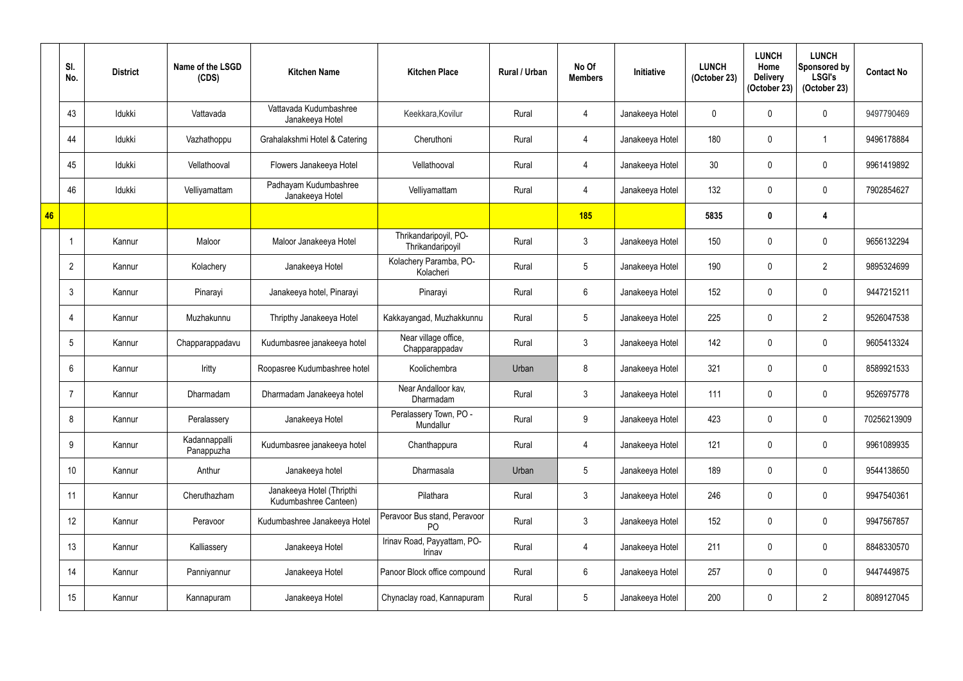|    | SI.<br>No.     | <b>District</b> | Name of the LSGD<br>(CDS)   | <b>Kitchen Name</b>                                | <b>Kitchen Place</b>                           | <b>Rural / Urban</b> | No Of<br><b>Members</b> | Initiative      | <b>LUNCH</b><br>(October 23) | <b>LUNCH</b><br>Home<br><b>Delivery</b><br>(October 23) | <b>LUNCH</b><br>Sponsored by<br><b>LSGI's</b><br>(October 23) | <b>Contact No</b> |
|----|----------------|-----------------|-----------------------------|----------------------------------------------------|------------------------------------------------|----------------------|-------------------------|-----------------|------------------------------|---------------------------------------------------------|---------------------------------------------------------------|-------------------|
|    | 43             | Idukki          | Vattavada                   | Vattavada Kudumbashree<br>Janakeeya Hotel          | Keekkara, Kovilur                              | Rural                | 4                       | Janakeeya Hotel | $\mathbf 0$                  |                                                         | $\mathbf 0$                                                   | 9497790469        |
|    | 44             | Idukki          | Vazhathoppu                 | Grahalakshmi Hotel & Catering                      | Cheruthoni                                     | Rural                | 4                       | Janakeeya Hotel | 180                          | $\Omega$                                                | $\mathbf{1}$                                                  | 9496178884        |
|    | 45             | Idukki          | Vellathooval                | Flowers Janakeeya Hotel                            | Vellathooval                                   | Rural                | 4                       | Janakeeya Hotel | 30                           | $\Omega$                                                | $\mathbf 0$                                                   | 9961419892        |
|    | 46             | Idukki          | Velliyamattam               | Padhayam Kudumbashree<br>Janakeeya Hotel           | Velliyamattam                                  | Rural                | $\overline{4}$          | Janakeeya Hotel | 132                          | 0                                                       | $\mathbf 0$                                                   | 7902854627        |
| 46 |                |                 |                             |                                                    |                                                |                      | 185                     |                 | 5835                         | $\mathbf{0}$                                            | 4                                                             |                   |
|    |                | Kannur          | Maloor                      | Maloor Janakeeya Hotel                             | Thrikandaripoyil, PO-<br>Thrikandaripoyil      | Rural                | $\mathbf{3}$            | Janakeeya Hotel | 150                          | $\Omega$                                                | 0                                                             | 9656132294        |
|    | 2              | Kannur          | Kolachery                   | Janakeeya Hotel                                    | Kolachery Paramba, PO-<br>Kolacheri            | Rural                | $\overline{5}$          | Janakeeya Hotel | 190                          |                                                         | $\overline{2}$                                                | 9895324699        |
|    | 3              | Kannur          | Pinarayi                    | Janakeeya hotel, Pinarayi                          | Pinarayi                                       | Rural                | $6\overline{6}$         | Janakeeya Hotel | 152                          | $\mathbf 0$                                             | $\mathbf 0$                                                   | 9447215211        |
|    | $\overline{4}$ | Kannur          | Muzhakunnu                  | Thripthy Janakeeya Hotel                           | Kakkayangad, Muzhakkunnu                       | Rural                | $5\overline{)}$         | Janakeeya Hotel | 225                          | 0                                                       | $\overline{2}$                                                | 9526047538        |
|    | 5              | Kannur          | Chapparappadavu             | Kudumbasree janakeeya hotel                        | Near village office,<br>Chapparappadav         | Rural                | $\mathbf{3}$            | Janakeeya Hotel | 142                          | $\Omega$                                                | 0                                                             | 9605413324        |
|    | 6              | Kannur          | Iritty                      | Roopasree Kudumbashree hotel                       | Koolichembra                                   | Urban                | 8                       | Janakeeya Hotel | 321                          | $\mathbf 0$                                             | $\mathbf 0$                                                   | 8589921533        |
|    |                | Kannur          | Dharmadam                   | Dharmadam Janakeeya hotel                          | Near Andalloor kav,<br>Dharmadam               | Rural                | $\mathfrak{Z}$          | Janakeeya Hotel | 111                          | $\Omega$                                                | 0                                                             | 9526975778        |
|    | 8              | Kannur          | Peralassery                 | Janakeeya Hotel                                    | Peralassery Town, PO -<br><b>Mundallur</b>     | Rural                | 9                       | Janakeeya Hotel | 423                          | $\mathbf{0}$                                            | $\pmb{0}$                                                     | 70256213909       |
|    | 9              | Kannur          | Kadannappalli<br>Panappuzha | Kudumbasree janakeeya hotel                        | Chanthappura                                   | Rural                | $\overline{4}$          | Janakeeya Hotel | 121                          | $\mathbf 0$                                             | $\pmb{0}$                                                     | 9961089935        |
|    | 10             | Kannur          | Anthur                      | Janakeeya hotel                                    | Dharmasala                                     | Urban                | $5\phantom{.0}$         | Janakeeya Hotel | 189                          | $\mathbf 0$                                             | $\pmb{0}$                                                     | 9544138650        |
|    | 11             | Kannur          | Cheruthazham                | Janakeeya Hotel (Thripthi<br>Kudumbashree Canteen) | Pilathara                                      | Rural                | $\mathbf{3}$            | Janakeeya Hotel | 246                          | 0                                                       | $\boldsymbol{0}$                                              | 9947540361        |
|    | 12             | Kannur          | Peravoor                    | Kudumbashree Janakeeya Hotel                       | Peravoor Bus stand, Peravoor<br>P <sub>O</sub> | Rural                | $\mathfrak{Z}$          | Janakeeya Hotel | 152                          | $\mathbf 0$                                             | $\pmb{0}$                                                     | 9947567857        |
|    | 13             | Kannur          | Kalliassery                 | Janakeeya Hotel                                    | Irinav Road, Payyattam, PO-<br>Irinav          | Rural                | $\overline{4}$          | Janakeeya Hotel | 211                          | 0                                                       | $\pmb{0}$                                                     | 8848330570        |
|    | 14             | Kannur          | Panniyannur                 | Janakeeya Hotel                                    | Panoor Block office compound                   | Rural                | $6\phantom{.0}$         | Janakeeya Hotel | 257                          | 0                                                       | $\pmb{0}$                                                     | 9447449875        |
|    | 15             | Kannur          | Kannapuram                  | Janakeeya Hotel                                    | Chynaclay road, Kannapuram                     | Rural                | $5\phantom{.0}$         | Janakeeya Hotel | 200                          | 0                                                       | $\overline{2}$                                                | 8089127045        |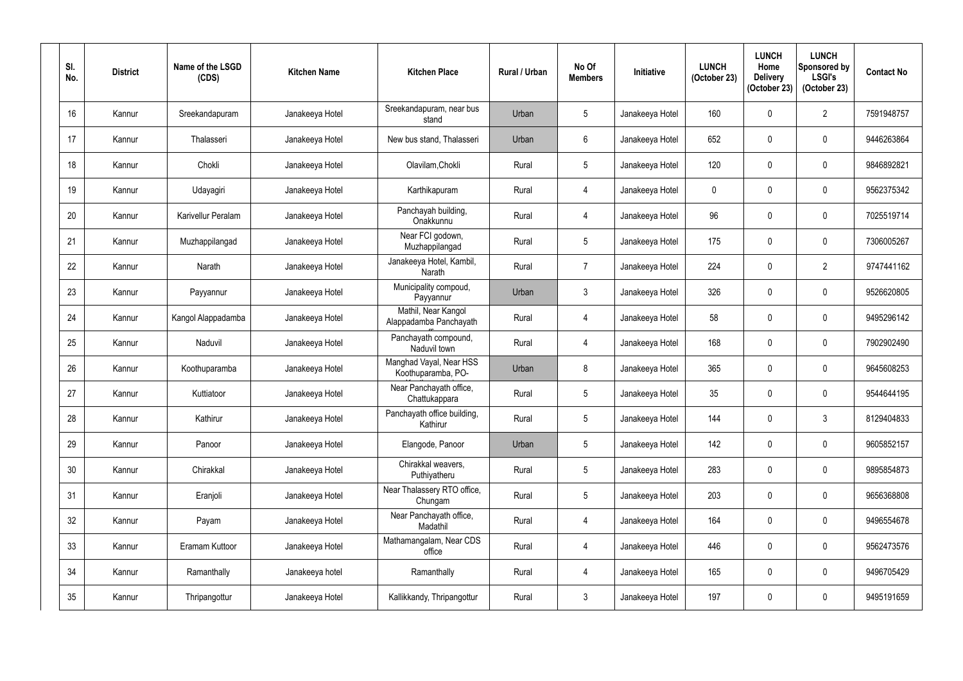| SI.<br>No.      | <b>District</b> | Name of the LSGD<br>(CDS) | <b>Kitchen Name</b> | <b>Kitchen Place</b>                          | <b>Rural / Urban</b> | No Of<br><b>Members</b> | Initiative      | <b>LUNCH</b><br>(October 23) | <b>LUNCH</b><br>Home<br><b>Delivery</b><br>(October 23) | <b>LUNCH</b><br>Sponsored by<br><b>LSGI's</b><br>(October 23) | <b>Contact No</b> |
|-----------------|-----------------|---------------------------|---------------------|-----------------------------------------------|----------------------|-------------------------|-----------------|------------------------------|---------------------------------------------------------|---------------------------------------------------------------|-------------------|
| 16 <sup>°</sup> | Kannur          | Sreekandapuram            | Janakeeya Hotel     | Sreekandapuram, near bus<br>stand             | Urban                | $\overline{5}$          | Janakeeya Hotel | 160                          | 0                                                       | $\overline{2}$                                                | 7591948757        |
| 17              | Kannur          | Thalasseri                | Janakeeya Hotel     | New bus stand, Thalasseri                     | Urban                | $6\phantom{.}6$         | Janakeeya Hotel | 652                          | $\mathbf 0$                                             | $\pmb{0}$                                                     | 9446263864        |
| 18              | Kannur          | Chokli                    | Janakeeya Hotel     | Olavilam, Chokli                              | Rural                | $\overline{5}$          | Janakeeya Hotel | 120                          | $\mathbf 0$                                             | $\pmb{0}$                                                     | 9846892821        |
| 19              | Kannur          | Udayagiri                 | Janakeeya Hotel     | Karthikapuram                                 | Rural                | $\overline{4}$          | Janakeeya Hotel | 0                            | 0                                                       | $\mathbf 0$                                                   | 9562375342        |
| 20              | Kannur          | Karivellur Peralam        | Janakeeya Hotel     | Panchayah building,<br>Onakkunnu              | Rural                | $\overline{4}$          | Janakeeya Hotel | 96                           | $\mathbf 0$                                             | $\pmb{0}$                                                     | 7025519714        |
| 21              | Kannur          | Muzhappilangad            | Janakeeya Hotel     | Near FCI godown,<br>Muzhappilangad            | Rural                | $5\phantom{.0}$         | Janakeeya Hotel | 175                          | $\mathbf 0$                                             | $\pmb{0}$                                                     | 7306005267        |
| 22              | Kannur          | Narath                    | Janakeeya Hotel     | Janakeeya Hotel, Kambil,<br>Narath            | Rural                | $\overline{7}$          | Janakeeya Hotel | 224                          | $\mathbf 0$                                             | $\overline{2}$                                                | 9747441162        |
| 23              | Kannur          | Payyannur                 | Janakeeya Hotel     | Municipality compoud,<br>Payyannur            | Urban                | $\mathfrak{Z}$          | Janakeeya Hotel | 326                          | $\mathbf 0$                                             | 0                                                             | 9526620805        |
| 24              | Kannur          | Kangol Alappadamba        | Janakeeya Hotel     | Mathil, Near Kangol<br>Alappadamba Panchayath | Rural                | 4                       | Janakeeya Hotel | 58                           | 0                                                       | $\pmb{0}$                                                     | 9495296142        |
| 25              | Kannur          | Naduvil                   | Janakeeya Hotel     | Panchayath compound,<br>Naduvil town          | Rural                | $\overline{4}$          | Janakeeya Hotel | 168                          | $\mathbf 0$                                             | $\mathbf 0$                                                   | 7902902490        |
| 26              | Kannur          | Koothuparamba             | Janakeeya Hotel     | Manghad Vayal, Near HSS<br>Koothuparamba, PO- | Urban                | $\,8\,$                 | Janakeeya Hotel | 365                          | $\mathbf 0$                                             | $\pmb{0}$                                                     | 9645608253        |
| 27              | Kannur          | Kuttiatoor                | Janakeeya Hotel     | Near Panchayath office,<br>Chattukappara      | Rural                | $\overline{5}$          | Janakeeya Hotel | 35                           | $\mathbf 0$                                             | $\mathbf 0$                                                   | 9544644195        |
| 28              | Kannur          | Kathirur                  | Janakeeya Hotel     | Panchayath office building,<br>Kathirur       | Rural                | $\sqrt{5}$              | Janakeeya Hotel | 144                          | 0                                                       | $\mathfrak{Z}$                                                | 8129404833        |
| 29              | Kannur          | Panoor                    | Janakeeya Hotel     | Elangode, Panoor                              | Urban                | $\overline{5}$          | Janakeeya Hotel | 142                          | 0                                                       | $\pmb{0}$                                                     | 9605852157        |
| 30              | Kannur          | Chirakkal                 | Janakeeya Hotel     | Chirakkal weavers,<br>Puthiyatheru            | Rural                | $5\phantom{.0}$         | Janakeeya Hotel | 283                          | $\mathbf 0$                                             | $\pmb{0}$                                                     | 9895854873        |
| 31              | Kannur          | Eranjoli                  | Janakeeya Hotel     | Near Thalassery RTO office,<br>Chungam        | Rural                | $\sqrt{5}$              | Janakeeya Hotel | 203                          | 0                                                       | $\boldsymbol{0}$                                              | 9656368808        |
| 32              | Kannur          | Payam                     | Janakeeya Hotel     | Near Panchayath office,<br>Madathil           | Rural                | $\overline{4}$          | Janakeeya Hotel | 164                          | 0                                                       | $\pmb{0}$                                                     | 9496554678        |
| 33              | Kannur          | Eramam Kuttoor            | Janakeeya Hotel     | Mathamangalam, Near CDS<br>office             | Rural                | $\overline{4}$          | Janakeeya Hotel | 446                          | 0                                                       | $\pmb{0}$                                                     | 9562473576        |
| 34              | Kannur          | Ramanthally               | Janakeeya hotel     | Ramanthally                                   | Rural                | $\overline{4}$          | Janakeeya Hotel | 165                          | 0                                                       | $\pmb{0}$                                                     | 9496705429        |
| 35              | Kannur          | Thripangottur             | Janakeeya Hotel     | Kallikkandy, Thripangottur                    | Rural                | $\mathfrak{Z}$          | Janakeeya Hotel | 197                          | $\mathbf 0$                                             | $\pmb{0}$                                                     | 9495191659        |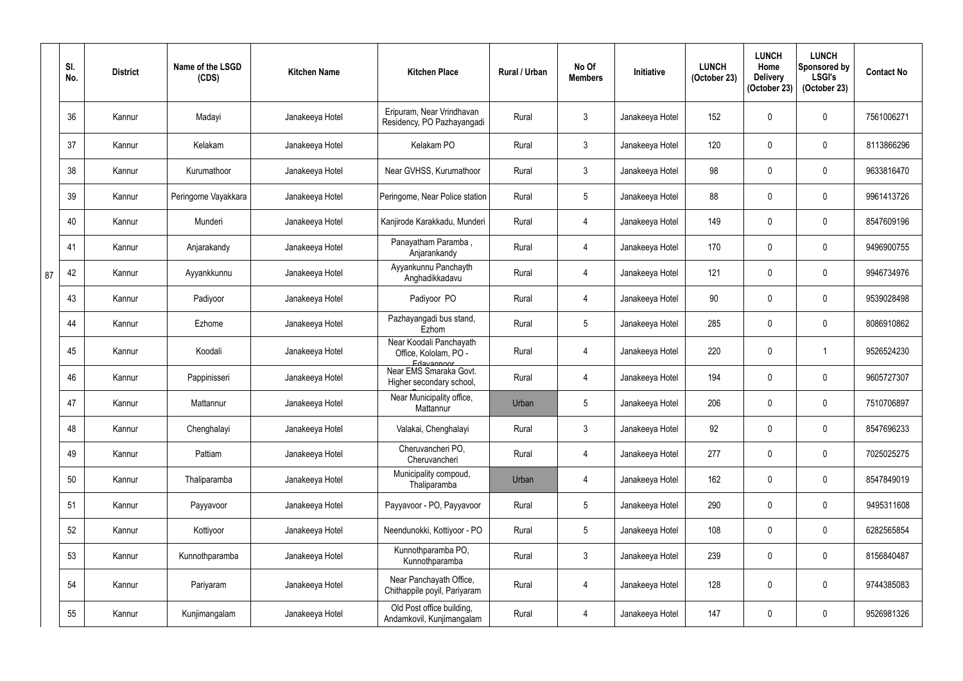|    | SI.<br>No. | <b>District</b> | Name of the LSGD<br>(CDS) | <b>Kitchen Name</b> | <b>Kitchen Place</b>                                           | Rural / Urban | No Of<br><b>Members</b> | <b>Initiative</b> | <b>LUNCH</b><br>(October 23) | <b>LUNCH</b><br>Home<br><b>Delivery</b><br>(October 23) | <b>LUNCH</b><br>Sponsored by<br><b>LSGI's</b><br>(October 23) | <b>Contact No</b> |
|----|------------|-----------------|---------------------------|---------------------|----------------------------------------------------------------|---------------|-------------------------|-------------------|------------------------------|---------------------------------------------------------|---------------------------------------------------------------|-------------------|
|    | 36         | Kannur          | Madayi                    | Janakeeya Hotel     | Eripuram, Near Vrindhavan<br>Residency, PO Pazhayangadi        | Rural         | $\mathbf{3}$            | Janakeeya Hotel   | 152                          |                                                         | $\mathbf 0$                                                   | 7561006271        |
|    | 37         | Kannur          | Kelakam                   | Janakeeya Hotel     | Kelakam PO                                                     | Rural         | $\mathbf{3}$            | Janakeeya Hotel   | 120                          | 0                                                       | $\pmb{0}$                                                     | 8113866296        |
|    | 38         | Kannur          | Kurumathoor               | Janakeeya Hotel     | Near GVHSS, Kurumathoor                                        | Rural         | $\mathfrak{Z}$          | Janakeeya Hotel   | 98                           |                                                         | $\mathbf 0$                                                   | 9633816470        |
|    | 39         | Kannur          | Peringome Vayakkara       | Janakeeya Hotel     | Peringome, Near Police station                                 | Rural         | $5\phantom{.0}$         | Janakeeya Hotel   | 88                           | 0                                                       | $\pmb{0}$                                                     | 9961413726        |
|    | 40         | Kannur          | Munderi                   | Janakeeya Hotel     | Kanjirode Karakkadu, Munderi                                   | Rural         | 4                       | Janakeeya Hotel   | 149                          |                                                         | $\mathbf 0$                                                   | 8547609196        |
|    | 41         | Kannur          | Anjarakandy               | Janakeeya Hotel     | Panayatham Paramba,<br>Anjarankandy                            | Rural         | $\overline{4}$          | Janakeeya Hotel   | 170                          | 0                                                       | $\pmb{0}$                                                     | 9496900755        |
| 87 | 42         | Kannur          | Ayyankkunnu               | Janakeeya Hotel     | Ayyankunnu Panchayth<br>Anghadikkadavu                         | Rural         | 4                       | Janakeeya Hotel   | 121                          | 0                                                       | $\pmb{0}$                                                     | 9946734976        |
|    | 43         | Kannur          | Padiyoor                  | Janakeeya Hotel     | Padiyoor PO                                                    | Rural         | 4                       | Janakeeya Hotel   | 90                           | 0                                                       | $\mathbf 0$                                                   | 9539028498        |
|    | 44         | Kannur          | Ezhome                    | Janakeeya Hotel     | Pazhayangadi bus stand,<br>Ezhom                               | Rural         | $5\phantom{.0}$         | Janakeeya Hotel   | 285                          |                                                         | $\pmb{0}$                                                     | 8086910862        |
|    | 45         | Kannur          | Koodali                   | Janakeeya Hotel     | Near Koodali Panchayath<br>Office, Kololam, PO -<br>Edayannoor | Rural         | $\overline{4}$          | Janakeeya Hotel   | 220                          | 0                                                       | 1                                                             | 9526524230        |
|    | 46         | Kannur          | Pappinisseri              | Janakeeya Hotel     | Near EMS Smaraka Govt.<br>Higher secondary school,             | Rural         | $\overline{4}$          | Janakeeya Hotel   | 194                          | 0                                                       | $\pmb{0}$                                                     | 9605727307        |
|    | 47         | Kannur          | Mattannur                 | Janakeeya Hotel     | Near Municipality office,<br>Mattannur                         | Urban         | 5                       | Janakeeya Hotel   | 206                          | 0                                                       | 0                                                             | 7510706897        |
|    | 48         | Kannur          | Chenghalayi               | Janakeeya Hotel     | Valakai, Chenghalayi                                           | Rural         | $\mathfrak{Z}$          | Janakeeya Hotel   | 92                           | $\mathbf 0$                                             | $\boldsymbol{0}$                                              | 8547696233        |
|    | 49         | Kannur          | Pattiam                   | Janakeeya Hotel     | Cheruvancheri PO,<br>Cheruvancheri                             | Rural         | 4                       | Janakeeya Hotel   | 277                          | 0                                                       | $\pmb{0}$                                                     | 7025025275        |
|    | 50         | Kannur          | Thaliparamba              | Janakeeya Hotel     | Municipality compoud,<br>Thaliparamba                          | Urban         | $\overline{4}$          | Janakeeya Hotel   | 162                          | 0                                                       | $\pmb{0}$                                                     | 8547849019        |
|    | 51         | Kannur          | Payyavoor                 | Janakeeya Hotel     | Payyavoor - PO, Payyavoor                                      | Rural         | $5\,$                   | Janakeeya Hotel   | 290                          | 0                                                       | $\boldsymbol{0}$                                              | 9495311608        |
|    | 52         | Kannur          | Kottiyoor                 | Janakeeya Hotel     | Neendunokki, Kottiyoor - PO                                    | Rural         | $5\phantom{.0}$         | Janakeeya Hotel   | 108                          | $\mathbf 0$                                             | $\boldsymbol{0}$                                              | 6282565854        |
|    | 53         | Kannur          | Kunnothparamba            | Janakeeya Hotel     | Kunnothparamba PO,<br>Kunnothparamba                           | Rural         | $\mathfrak{Z}$          | Janakeeya Hotel   | 239                          | 0                                                       | $\pmb{0}$                                                     | 8156840487        |
|    | 54         | Kannur          | Pariyaram                 | Janakeeya Hotel     | Near Panchayath Office,<br>Chithappile poyil, Pariyaram        | Rural         | 4                       | Janakeeya Hotel   | 128                          | 0                                                       | $\pmb{0}$                                                     | 9744385083        |
|    | 55         | Kannur          | Kunjimangalam             | Janakeeya Hotel     | Old Post office building,<br>Andamkovil, Kunjimangalam         | Rural         | $\overline{4}$          | Janakeeya Hotel   | 147                          |                                                         | $\pmb{0}$                                                     | 9526981326        |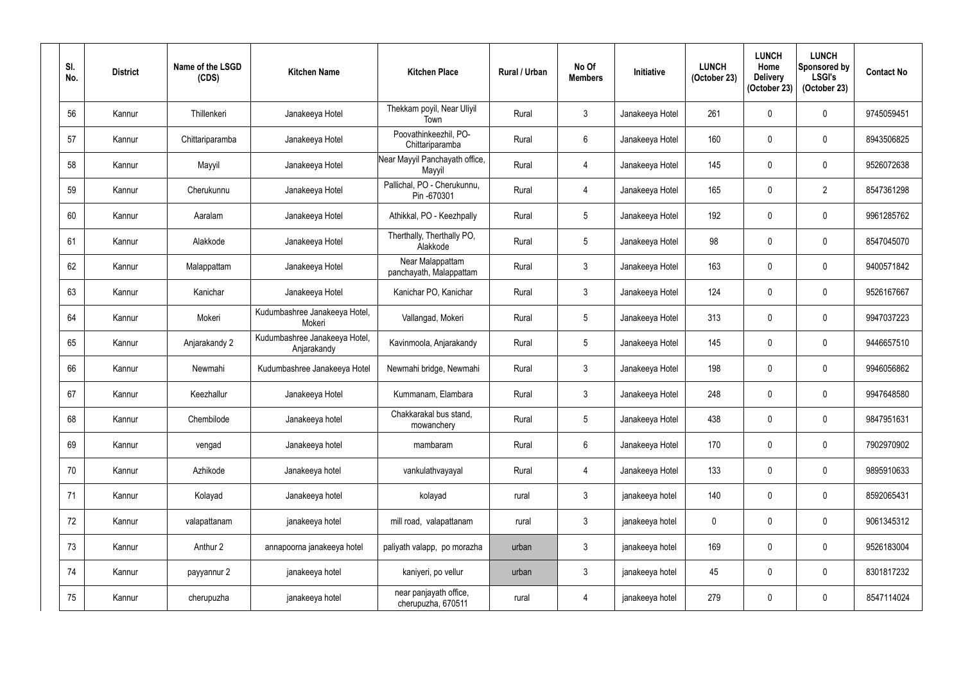| SI.<br>No. | <b>District</b> | Name of the LSGD<br>(CDS) | <b>Kitchen Name</b>                          | <b>Kitchen Place</b>                         | <b>Rural / Urban</b> | No Of<br><b>Members</b> | <b>Initiative</b> | <b>LUNCH</b><br>(October 23) | <b>LUNCH</b><br>Home<br><b>Delivery</b><br>(October 23) | <b>LUNCH</b><br>Sponsored by<br><b>LSGI's</b><br>(October 23) | <b>Contact No</b> |
|------------|-----------------|---------------------------|----------------------------------------------|----------------------------------------------|----------------------|-------------------------|-------------------|------------------------------|---------------------------------------------------------|---------------------------------------------------------------|-------------------|
| 56         | Kannur          | Thillenkeri               | Janakeeya Hotel                              | Thekkam poyil, Near Uliyil<br>Town           | Rural                | $\mathbf{3}$            | Janakeeya Hotel   | 261                          | $\mathbf{0}$                                            | $\mathbf 0$                                                   | 9745059451        |
| 57         | Kannur          | Chittariparamba           | Janakeeya Hotel                              | Poovathinkeezhil, PO-<br>Chittariparamba     | Rural                | $6\overline{6}$         | Janakeeya Hotel   | 160                          | $\mathbf{0}$                                            | $\mathbf 0$                                                   | 8943506825        |
| 58         | Kannur          | Mayyil                    | Janakeeya Hotel                              | Near Mayyil Panchayath office,<br>Mayyil     | Rural                | $\overline{4}$          | Janakeeya Hotel   | 145                          | $\mathbf 0$                                             | $\pmb{0}$                                                     | 9526072638        |
| 59         | Kannur          | Cherukunnu                | Janakeeya Hotel                              | Pallichal, PO - Cherukunnu,<br>Pin -670301   | Rural                | 4                       | Janakeeya Hotel   | 165                          | $\mathbf 0$                                             | $\overline{2}$                                                | 8547361298        |
| 60         | Kannur          | Aaralam                   | Janakeeya Hotel                              | Athikkal, PO - Keezhpally                    | Rural                | $\overline{5}$          | Janakeeya Hotel   | 192                          | $\mathbf{0}$                                            | $\pmb{0}$                                                     | 9961285762        |
| 61         | Kannur          | Alakkode                  | Janakeeya Hotel                              | Therthally, Therthally PO,<br>Alakkode       | Rural                | $5\phantom{.0}$         | Janakeeya Hotel   | 98                           | $\mathbf 0$                                             | $\mathbf 0$                                                   | 8547045070        |
| 62         | Kannur          | Malappattam               | Janakeeya Hotel                              | Near Malappattam<br>panchayath, Malappattam  | Rural                | $\mathfrak{Z}$          | Janakeeya Hotel   | 163                          | $\mathbf{0}$                                            | $\pmb{0}$                                                     | 9400571842        |
| 63         | Kannur          | Kanichar                  | Janakeeya Hotel                              | Kanichar PO, Kanichar                        | Rural                | $\mathbf{3}$            | Janakeeya Hotel   | 124                          | $\mathbf 0$                                             | $\mathbf 0$                                                   | 9526167667        |
| 64         | Kannur          | Mokeri                    | Kudumbashree Janakeeya Hotel,<br>Mokeri      | Vallangad, Mokeri                            | Rural                | $5\phantom{.0}$         | Janakeeya Hotel   | 313                          | 0                                                       | $\pmb{0}$                                                     | 9947037223        |
| 65         | Kannur          | Anjarakandy 2             | Kudumbashree Janakeeya Hotel,<br>Anjarakandy | Kavinmoola, Anjarakandy                      | Rural                | $5\phantom{.0}$         | Janakeeya Hotel   | 145                          | $\mathbf 0$                                             | $\mathbf 0$                                                   | 9446657510        |
| 66         | Kannur          | Newmahi                   | Kudumbashree Janakeeya Hotel                 | Newmahi bridge, Newmahi                      | Rural                | $\mathfrak{Z}$          | Janakeeya Hotel   | 198                          | $\mathbf 0$                                             | $\pmb{0}$                                                     | 9946056862        |
| 67         | Kannur          | Keezhallur                | Janakeeya Hotel                              | Kummanam, Elambara                           | Rural                | $\mathfrak{Z}$          | Janakeeya Hotel   | 248                          | $\mathbf 0$                                             | $\mathbf 0$                                                   | 9947648580        |
| 68         | Kannur          | Chembilode                | Janakeeya hotel                              | Chakkarakal bus stand,<br>mowanchery         | Rural                | $5\,$                   | Janakeeya Hotel   | 438                          | $\mathbf 0$                                             | $\mathbf 0$                                                   | 9847951631        |
| 69         | Kannur          | vengad                    | Janakeeya hotel                              | mambaram                                     | Rural                | $6\overline{6}$         | Janakeeya Hotel   | 170                          | $\mathbf 0$                                             | $\pmb{0}$                                                     | 7902970902        |
| 70         | Kannur          | Azhikode                  | Janakeeya hotel                              | vankulathvayayal                             | Rural                | $\overline{4}$          | Janakeeya Hotel   | 133                          | $\mathbf 0$                                             | $\pmb{0}$                                                     | 9895910633        |
| 71         | Kannur          | Kolayad                   | Janakeeya hotel                              | kolayad                                      | rural                | $\mathfrak{Z}$          | janakeeya hotel   | 140                          | $\mathbf 0$                                             | $\boldsymbol{0}$                                              | 8592065431        |
| 72         | Kannur          | valapattanam              | janakeeya hotel                              | mill road, valapattanam                      | rural                | $\mathfrak{Z}$          | janakeeya hotel   | $\mathbf 0$                  | $\mathbf 0$                                             | $\pmb{0}$                                                     | 9061345312        |
| 73         | Kannur          | Anthur 2                  | annapoorna janakeeya hotel                   | paliyath valapp, po morazha                  | urban                | $\mathfrak{Z}$          | janakeeya hotel   | 169                          | $\mathbf 0$                                             | $\pmb{0}$                                                     | 9526183004        |
| 74         | Kannur          | payyannur 2               | janakeeya hotel                              | kaniyeri, po vellur                          | urban                | $\mathbf{3}$            | janakeeya hotel   | 45                           | $\mathbf 0$                                             | $\boldsymbol{0}$                                              | 8301817232        |
| 75         | Kannur          | cherupuzha                | janakeeya hotel                              | near panjayath office,<br>cherupuzha, 670511 | rural                | $\overline{4}$          | janakeeya hotel   | 279                          | $\pmb{0}$                                               | $\pmb{0}$                                                     | 8547114024        |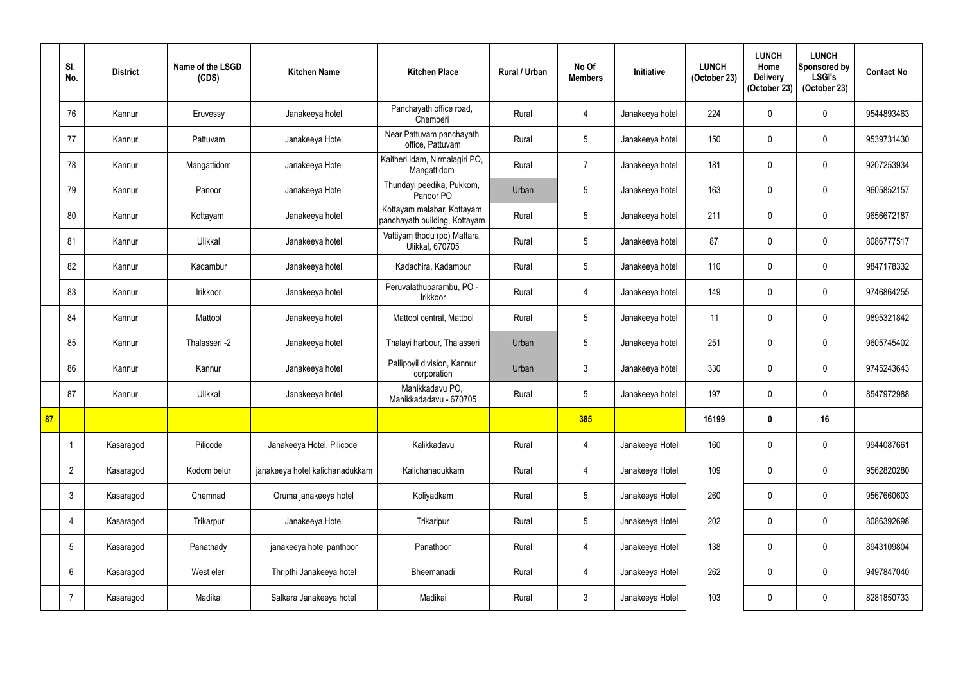|    | SI.<br>No.      | <b>District</b> | Name of the LSGD<br>(CDS) | <b>Kitchen Name</b>             | <b>Kitchen Place</b>                                        | Rural / Urban | No Of<br><b>Members</b> | Initiative      | <b>LUNCH</b><br>(October 23) | <b>LUNCH</b><br>Home<br><b>Delivery</b><br>(October 23) | <b>LUNCH</b><br>Sponsored by<br><b>LSGI's</b><br>(October 23) | <b>Contact No</b> |
|----|-----------------|-----------------|---------------------------|---------------------------------|-------------------------------------------------------------|---------------|-------------------------|-----------------|------------------------------|---------------------------------------------------------|---------------------------------------------------------------|-------------------|
|    | 76              | Kannur          | Eruvessy                  | Janakeeya hotel                 | Panchayath office road,<br>Chemberi                         | Rural         | $\overline{4}$          | Janakeeya hotel | 224                          |                                                         | $\pmb{0}$                                                     | 9544893463        |
|    | 77              | Kannur          | Pattuvam                  | Janakeeya Hotel                 | Near Pattuvam panchayath<br>office, Pattuvam                | Rural         | $5\phantom{.0}$         | Janakeeya hotel | 150                          | $\Omega$                                                | $\pmb{0}$                                                     | 9539731430        |
|    | 78              | Kannur          | Mangattidom               | Janakeeya Hotel                 | Kaitheri idam, Nirmalagiri PO,<br>Mangattidom               | Rural         | $\overline{7}$          | Janakeeya hotel | 181                          | $\Omega$                                                | $\pmb{0}$                                                     | 9207253934        |
|    | 79              | Kannur          | Panoor                    | Janakeeya Hotel                 | Thundayi peedika, Pukkom,<br>Panoor PO                      | Urban         | 5                       | Janakeeya hotel | 163                          |                                                         | $\mathbf 0$                                                   | 9605852157        |
|    | 80              | Kannur          | Kottayam                  | Janakeeya hotel                 | Kottayam malabar, Kottayam<br>panchayath building, Kottayam | Rural         | $5\overline{)}$         | Janakeeya hotel | 211                          |                                                         | $\pmb{0}$                                                     | 9656672187        |
|    | 81              | Kannur          | Ulikkal                   | Janakeeya hotel                 | Vattiyam thodu (po) Mattara,<br><b>Ulikkal, 670705</b>      | Rural         | 5 <sub>5</sub>          | Janakeeya hotel | 87                           | $\Omega$                                                | $\pmb{0}$                                                     | 8086777517        |
|    | 82              | Kannur          | Kadambur                  | Janakeeya hotel                 | Kadachira, Kadambur                                         | Rural         | $5\overline{)}$         | Janakeeya hotel | 110                          |                                                         | $\pmb{0}$                                                     | 9847178332        |
|    | 83              | Kannur          | Irikkoor                  | Janakeeya hotel                 | Peruvalathuparambu, PO -<br>Irikkoor                        | Rural         | 4                       | Janakeeya hotel | 149                          | 0                                                       | $\mathbf 0$                                                   | 9746864255        |
|    | 84              | Kannur          | Mattool                   | Janakeeya hotel                 | Mattool central, Mattool                                    | Rural         | 5                       | Janakeeya hotel | 11                           |                                                         | $\pmb{0}$                                                     | 9895321842        |
|    | 85              | Kannur          | Thalasseri -2             | Janakeeya hotel                 | Thalayi harbour, Thalasseri                                 | Urban         | $5\overline{)}$         | Janakeeya hotel | 251                          |                                                         | $\mathbf 0$                                                   | 9605745402        |
|    | 86              | Kannur          | Kannur                    | Janakeeya hotel                 | Pallipoyil division, Kannur<br>corporation                  | Urban         | 3                       | Janakeeya hotel | 330                          | 0                                                       | $\pmb{0}$                                                     | 9745243643        |
|    | 87              | Kannur          | Ulikkal                   | Janakeeya hotel                 | Manikkadavu PO,<br>Manikkadadavu - 670705                   | Rural         | $5\phantom{.0}$         | Janakeeya hotel | 197                          | 0                                                       | $\mathbf 0$                                                   | 8547972988        |
| 87 |                 |                 |                           |                                 |                                                             |               | 385                     |                 | 16199                        | 0                                                       | 16                                                            |                   |
|    | $\overline{1}$  | Kasaragod       | Pilicode                  | Janakeeya Hotel, Pilicode       | Kalikkadavu                                                 | Rural         | $\overline{4}$          | Janakeeya Hotel | 160                          | $\mathbf 0$                                             | $\pmb{0}$                                                     | 9944087661        |
|    | $\overline{2}$  | Kasaragod       | Kodom belur               | janakeeya hotel kalichanadukkam | Kalichanadukkam                                             | Rural         | $\overline{4}$          | Janakeeya Hotel | 109                          | 0                                                       | $\boldsymbol{0}$                                              | 9562820280        |
|    | $\mathbf{3}$    | Kasaragod       | Chemnad                   | Oruma janakeeya hotel           | Koliyadkam                                                  | Rural         | $5\phantom{.0}$         | Janakeeya Hotel | 260                          | 0                                                       | $\pmb{0}$                                                     | 9567660603        |
|    | $\overline{4}$  | Kasaragod       | Trikarpur                 | Janakeeya Hotel                 | Trikaripur                                                  | Rural         | $5\overline{)}$         | Janakeeya Hotel | 202                          | 0                                                       | $\pmb{0}$                                                     | 8086392698        |
|    | $5\phantom{.0}$ | Kasaragod       | Panathady                 | janakeeya hotel panthoor        | Panathoor                                                   | Rural         | $\overline{4}$          | Janakeeya Hotel | 138                          | 0                                                       | $\pmb{0}$                                                     | 8943109804        |
|    | $6\phantom{.}6$ | Kasaragod       | West eleri                | Thripthi Janakeeya hotel        | Bheemanadi                                                  | Rural         | $\overline{4}$          | Janakeeya Hotel | 262                          | 0                                                       | $\boldsymbol{0}$                                              | 9497847040        |
|    |                 | Kasaragod       | Madikai                   | Salkara Janakeeya hotel         | Madikai                                                     | Rural         | $\mathfrak{Z}$          | Janakeeya Hotel | 103                          | 0                                                       | $\pmb{0}$                                                     | 8281850733        |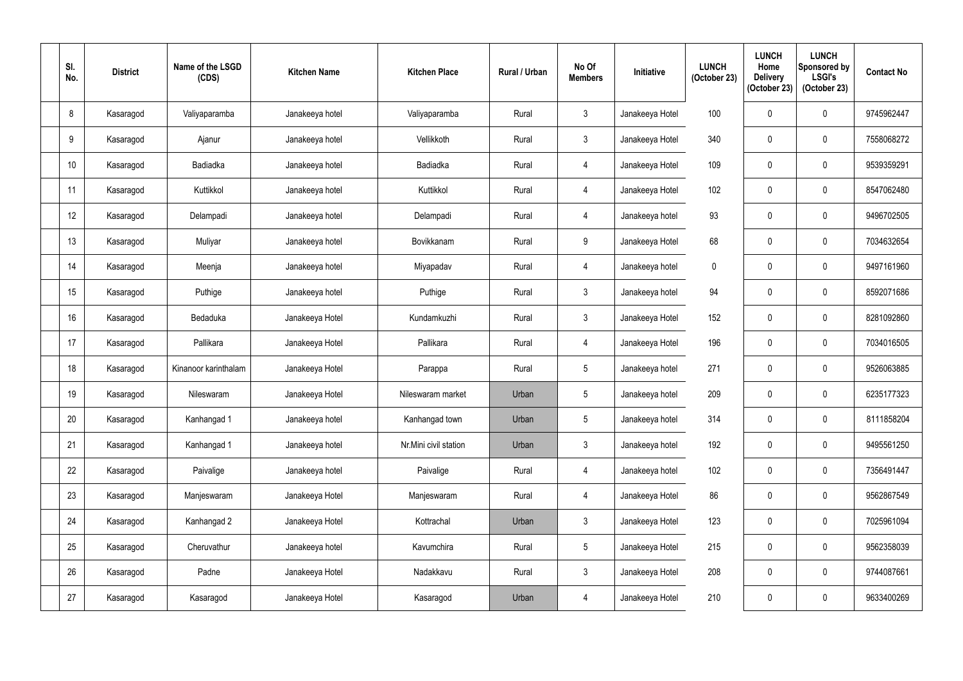| SI.<br>No. | <b>District</b> | Name of the LSGD<br>(CDS) | <b>Kitchen Name</b> | <b>Kitchen Place</b>  | Rural / Urban | No Of<br><b>Members</b> | Initiative      | <b>LUNCH</b><br>(October 23) | <b>LUNCH</b><br>Home<br><b>Delivery</b><br>(October 23) | <b>LUNCH</b><br>Sponsored by<br><b>LSGI's</b><br>(October 23) | <b>Contact No</b> |
|------------|-----------------|---------------------------|---------------------|-----------------------|---------------|-------------------------|-----------------|------------------------------|---------------------------------------------------------|---------------------------------------------------------------|-------------------|
| 8          | Kasaragod       | Valiyaparamba             | Janakeeya hotel     | Valiyaparamba         | Rural         | $\mathfrak{Z}$          | Janakeeya Hotel | 100                          |                                                         | $\pmb{0}$                                                     | 9745962447        |
| 9          | Kasaragod       | Ajanur                    | Janakeeya hotel     | Vellikkoth            | Rural         | $\mathfrak{Z}$          | Janakeeya Hotel | 340                          | $\Omega$                                                | $\pmb{0}$                                                     | 7558068272        |
| 10         | Kasaragod       | Badiadka                  | Janakeeya hotel     | Badiadka              | Rural         | 4                       | Janakeeya Hotel | 109                          | 0                                                       | $\pmb{0}$                                                     | 9539359291        |
| 11         | Kasaragod       | Kuttikkol                 | Janakeeya hotel     | Kuttikkol             | Rural         | $\overline{4}$          | Janakeeya Hotel | 102                          |                                                         | $\mathbf 0$                                                   | 8547062480        |
| 12         | Kasaragod       | Delampadi                 | Janakeeya hotel     | Delampadi             | Rural         | $\overline{4}$          | Janakeeya hotel | 93                           |                                                         | $\pmb{0}$                                                     | 9496702505        |
| 13         | Kasaragod       | Muliyar                   | Janakeeya hotel     | Bovikkanam            | Rural         | 9                       | Janakeeya Hotel | 68                           | 0                                                       | $\pmb{0}$                                                     | 7034632654        |
| 14         | Kasaragod       | Meenja                    | Janakeeya hotel     | Miyapadav             | Rural         | $\overline{4}$          | Janakeeya hotel | $\mathbf 0$                  |                                                         | $\pmb{0}$                                                     | 9497161960        |
| 15         | Kasaragod       | Puthige                   | Janakeeya hotel     | Puthige               | Rural         | 3                       | Janakeeya hotel | 94                           | 0                                                       | $\pmb{0}$                                                     | 8592071686        |
| 16         | Kasaragod       | Bedaduka                  | Janakeeya Hotel     | Kundamkuzhi           | Rural         | 3                       | Janakeeya Hotel | 152                          |                                                         | $\pmb{0}$                                                     | 8281092860        |
| 17         | Kasaragod       | Pallikara                 | Janakeeya Hotel     | Pallikara             | Rural         | $\overline{4}$          | Janakeeya Hotel | 196                          | $\Omega$                                                | $\mathbf 0$                                                   | 7034016505        |
| 18         | Kasaragod       | Kinanoor karinthalam      | Janakeeya Hotel     | Parappa               | Rural         | $5\phantom{.0}$         | Janakeeya hotel | 271                          | 0                                                       | $\pmb{0}$                                                     | 9526063885        |
| 19         | Kasaragod       | Nileswaram                | Janakeeya Hotel     | Nileswaram market     | Urban         | $5\phantom{.0}$         | Janakeeya hotel | 209                          | 0                                                       | 0                                                             | 6235177323        |
| 20         | Kasaragod       | Kanhangad 1               | Janakeeya hotel     | Kanhangad town        | Urban         | $5\phantom{.0}$         | Janakeeya hotel | 314                          | 0                                                       | $\pmb{0}$                                                     | 8111858204        |
| 21         | Kasaragod       | Kanhangad 1               | Janakeeya hotel     | Nr.Mini civil station | Urban         | $\mathfrak{Z}$          | Janakeeya hotel | 192                          | $\mathbf 0$                                             | $\pmb{0}$                                                     | 9495561250        |
| 22         | Kasaragod       | Paivalige                 | Janakeeya hotel     | Paivalige             | Rural         | 4                       | Janakeeya hotel | 102                          | 0                                                       | $\pmb{0}$                                                     | 7356491447        |
| 23         | Kasaragod       | Manjeswaram               | Janakeeya Hotel     | Manjeswaram           | Rural         | $\overline{4}$          | Janakeeya Hotel | 86                           | 0                                                       | $\pmb{0}$                                                     | 9562867549        |
| 24         | Kasaragod       | Kanhangad 2               | Janakeeya Hotel     | Kottrachal            | Urban         | $\mathfrak{Z}$          | Janakeeya Hotel | 123                          | 0                                                       | $\pmb{0}$                                                     | 7025961094        |
| 25         | Kasaragod       | Cheruvathur               | Janakeeya hotel     | Kavumchira            | Rural         | $5\phantom{.0}$         | Janakeeya Hotel | 215                          | 0                                                       | $\pmb{0}$                                                     | 9562358039        |
| 26         | Kasaragod       | Padne                     | Janakeeya Hotel     | Nadakkavu             | Rural         | $\mathfrak{Z}$          | Janakeeya Hotel | 208                          | 0                                                       | $\pmb{0}$                                                     | 9744087661        |
| 27         | Kasaragod       | Kasaragod                 | Janakeeya Hotel     | Kasaragod             | Urban         | $\overline{4}$          | Janakeeya Hotel | 210                          | $\pmb{0}$                                               | $\pmb{0}$                                                     | 9633400269        |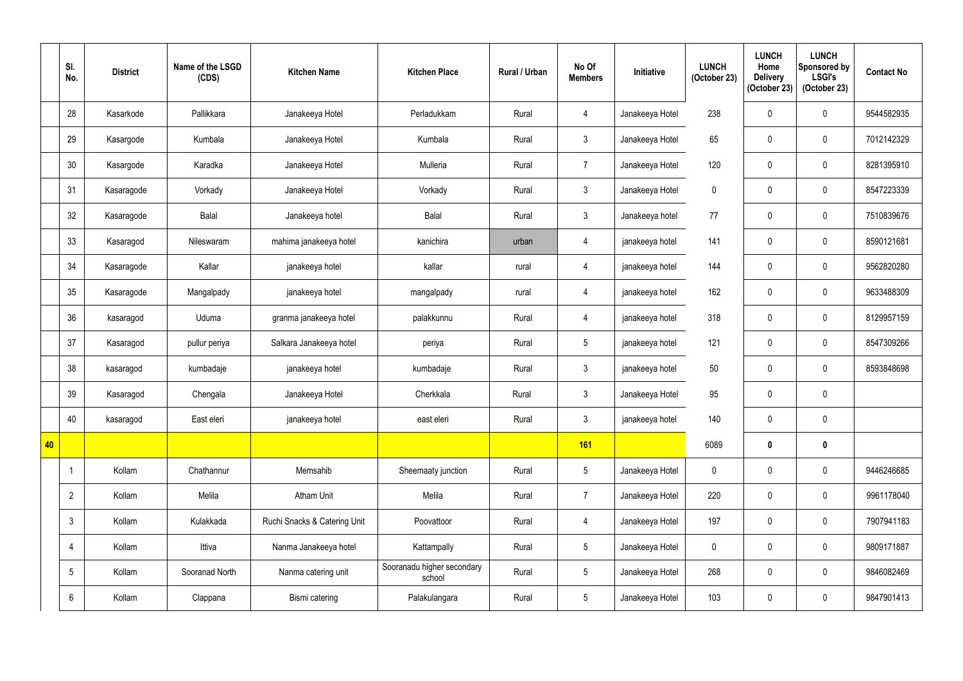|    | SI.<br>No.      | <b>District</b> | Name of the LSGD<br>(CDS) | <b>Kitchen Name</b>          | <b>Kitchen Place</b>                 | Rural / Urban | No Of<br><b>Members</b> | Initiative      | <b>LUNCH</b><br>(October 23) | <b>LUNCH</b><br>Home<br><b>Delivery</b><br>(October 23) | <b>LUNCH</b><br>Sponsored by<br><b>LSGI's</b><br>(October 23) | <b>Contact No</b> |
|----|-----------------|-----------------|---------------------------|------------------------------|--------------------------------------|---------------|-------------------------|-----------------|------------------------------|---------------------------------------------------------|---------------------------------------------------------------|-------------------|
|    | 28              | Kasarkode       | Pallikkara                | Janakeeya Hotel              | Perladukkam                          | Rural         | $\overline{4}$          | Janakeeya Hotel | 238                          |                                                         | $\pmb{0}$                                                     | 9544582935        |
|    | 29              | Kasargode       | Kumbala                   | Janakeeya Hotel              | Kumbala                              | Rural         | $\mathbf{3}$            | Janakeeya Hotel | 65                           | $\Omega$                                                | $\boldsymbol{0}$                                              | 7012142329        |
|    | 30              | Kasargode       | Karadka                   | Janakeeya Hotel              | Mulleria                             | Rural         | $\overline{7}$          | Janakeeya Hotel | 120                          | $\mathbf{0}$                                            | $\boldsymbol{0}$                                              | 8281395910        |
|    | 31              | Kasaragode      | Vorkady                   | Janakeeya Hotel              | Vorkady                              | Rural         | $\mathfrak{Z}$          | Janakeeya Hotel | $\mathbf 0$                  |                                                         | $\mathbf 0$                                                   | 8547223339        |
|    | 32              | Kasaragode      | <b>Balal</b>              | Janakeeya hotel              | <b>Balal</b>                         | Rural         | $\mathfrak{Z}$          | Janakeeya hotel | 77                           | 0                                                       | $\pmb{0}$                                                     | 7510839676        |
|    | 33              | Kasaragod       | Nileswaram                | mahima janakeeya hotel       | kanichira                            | urban         | 4                       | janakeeya hotel | 141                          | $\mathbf{0}$                                            | $\mathbf 0$                                                   | 8590121681        |
|    | 34              | Kasaragode      | Kallar                    | janakeeya hotel              | kallar                               | rural         | 4                       | janakeeya hotel | 144                          |                                                         | $\mathbf 0$                                                   | 9562820280        |
|    | 35              | Kasaragode      | Mangalpady                | janakeeya hotel              | mangalpady                           | rural         | 4                       | janakeeya hotel | 162                          | 0                                                       | $\mathbf 0$                                                   | 9633488309        |
|    | 36              | kasaragod       | Uduma                     | granma janakeeya hotel       | palakkunnu                           | Rural         | 4                       | janakeeya hotel | 318                          |                                                         | $\mathbf 0$                                                   | 8129957159        |
|    | 37              | Kasaragod       | pullur periya             | Salkara Janakeeya hotel      | periya                               | Rural         | $5\phantom{.0}$         | janakeeya hotel | 121                          | $\Omega$                                                | $\mathbf 0$                                                   | 8547309266        |
|    | 38              | kasaragod       | kumbadaje                 | janakeeya hotel              | kumbadaje                            | Rural         | $\mathbf{3}$            | janakeeya hotel | 50                           | 0                                                       | $\mathbf 0$                                                   | 8593848698        |
|    | 39              | Kasaragod       | Chengala                  | Janakeeya Hotel              | Cherkkala                            | Rural         | $\mathfrak{Z}$          | Janakeeya Hotel | 95                           | 0                                                       | $\pmb{0}$                                                     |                   |
|    | 40              | kasaragod       | East eleri                | janakeeya hotel              | east eleri                           | Rural         | $3\phantom{.0}$         | janakeeya hotel | 140                          | $\mathbf 0$                                             | $\pmb{0}$                                                     |                   |
| 40 |                 |                 |                           |                              |                                      |               | <b>161</b>              |                 | 6089                         | $\mathbf{0}$                                            | $\pmb{0}$                                                     |                   |
|    | $\overline{1}$  | Kollam          | Chathannur                | Memsahib                     | Sheemaaty junction                   | Rural         | $5\phantom{.0}$         | Janakeeya Hotel | $\mathbf 0$                  | $\mathbf 0$                                             | $\pmb{0}$                                                     | 9446246685        |
|    | $\overline{2}$  | Kollam          | Melila                    | <b>Atham Unit</b>            | Melila                               | Rural         | $\overline{7}$          | Janakeeya Hotel | 220                          | 0                                                       | $\mathbf 0$                                                   | 9961178040        |
|    | $\mathbf{3}$    | Kollam          | Kulakkada                 | Ruchi Snacks & Catering Unit | Poovattoor                           | Rural         | $\overline{4}$          | Janakeeya Hotel | 197                          | 0                                                       | $\pmb{0}$                                                     | 7907941183        |
|    | $\overline{4}$  | Kollam          | Ittiva                    | Nanma Janakeeya hotel        | Kattampally                          | Rural         | $5\phantom{.0}$         | Janakeeya Hotel | $\mathbf 0$                  | 0                                                       | $\pmb{0}$                                                     | 9809171887        |
|    | $5\phantom{.0}$ | Kollam          | Sooranad North            | Nanma catering unit          | Sooranadu higher secondary<br>school | Rural         | $5\phantom{.0}$         | Janakeeya Hotel | 268                          | $\mathbf 0$                                             | $\pmb{0}$                                                     | 9846082469        |
|    | 6               | Kollam          | Clappana                  | Bismi catering               | Palakulangara                        | Rural         | $5\phantom{.0}$         | Janakeeya Hotel | 103                          | $\mathbf 0$                                             | $\pmb{0}$                                                     | 9847901413        |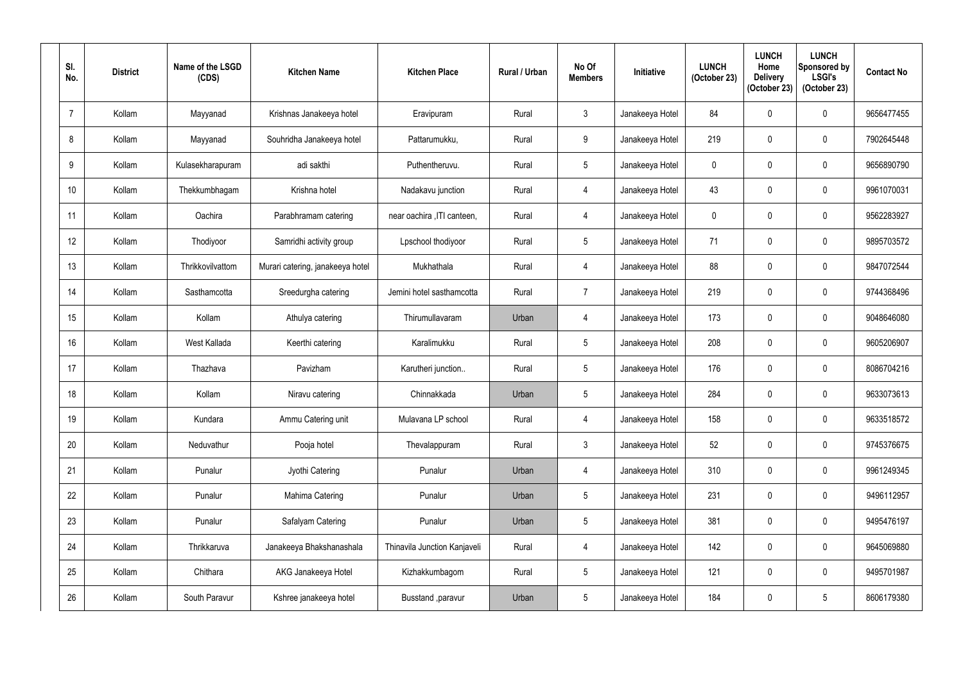| SI.<br>No.       | <b>District</b> | Name of the LSGD<br>(CDS) | <b>Kitchen Name</b>              | <b>Kitchen Place</b>         | <b>Rural / Urban</b> | No Of<br><b>Members</b> | Initiative      | <b>LUNCH</b><br>(October 23) | <b>LUNCH</b><br>Home<br><b>Delivery</b><br>(October 23) | <b>LUNCH</b><br>Sponsored by<br><b>LSGI's</b><br>(October 23) | <b>Contact No</b> |
|------------------|-----------------|---------------------------|----------------------------------|------------------------------|----------------------|-------------------------|-----------------|------------------------------|---------------------------------------------------------|---------------------------------------------------------------|-------------------|
| $\overline{7}$   | Kollam          | Mayyanad                  | Krishnas Janakeeya hotel         | Eravipuram                   | Rural                | $\mathbf{3}$            | Janakeeya Hotel | 84                           | $\mathbf 0$                                             | $\pmb{0}$                                                     | 9656477455        |
| 8                | Kollam          | Mayyanad                  | Souhridha Janakeeya hotel        | Pattarumukku,                | Rural                | 9                       | Janakeeya Hotel | 219                          | $\mathbf 0$                                             | $\pmb{0}$                                                     | 7902645448        |
| 9                | Kollam          | Kulasekharapuram          | adi sakthi                       | Puthentheruvu.               | Rural                | $5\phantom{.0}$         | Janakeeya Hotel | 0                            | $\mathbf 0$                                             | $\pmb{0}$                                                     | 9656890790        |
| 10 <sup>°</sup>  | Kollam          | Thekkumbhagam             | Krishna hotel                    | Nadakavu junction            | Rural                | $\overline{4}$          | Janakeeya Hotel | 43                           | $\mathbf 0$                                             | $\mathbf 0$                                                   | 9961070031        |
| 11               | Kollam          | Oachira                   | Parabhramam catering             | near oachira , ITI canteen,  | Rural                | $\overline{4}$          | Janakeeya Hotel | 0                            | $\mathbf 0$                                             | $\pmb{0}$                                                     | 9562283927        |
| 12               | Kollam          | Thodiyoor                 | Samridhi activity group          | Lpschool thodiyoor           | Rural                | $5\phantom{.0}$         | Janakeeya Hotel | 71                           | 0                                                       | $\mathbf 0$                                                   | 9895703572        |
| 13               | Kollam          | Thrikkovilvattom          | Murari catering, janakeeya hotel | Mukhathala                   | Rural                | $\overline{4}$          | Janakeeya Hotel | 88                           | $\mathbf 0$                                             | $\pmb{0}$                                                     | 9847072544        |
| 14               | Kollam          | Sasthamcotta              | Sreedurgha catering              | Jemini hotel sasthamcotta    | Rural                | $\overline{7}$          | Janakeeya Hotel | 219                          | $\mathbf 0$                                             | $\mathbf 0$                                                   | 9744368496        |
| 15 <sup>15</sup> | Kollam          | Kollam                    | Athulya catering                 | Thirumullavaram              | Urban                | 4                       | Janakeeya Hotel | 173                          | 0                                                       | $\pmb{0}$                                                     | 9048646080        |
| 16               | Kollam          | West Kallada              | Keerthi catering                 | Karalimukku                  | Rural                | $\overline{5}$          | Janakeeya Hotel | 208                          | $\mathbf 0$                                             | $\mathbf 0$                                                   | 9605206907        |
| 17               | Kollam          | Thazhava                  | Pavizham                         | Karutheri junction           | Rural                | $\overline{5}$          | Janakeeya Hotel | 176                          | $\mathbf 0$                                             | 0                                                             | 8086704216        |
| 18               | Kollam          | Kollam                    | Niravu catering                  | Chinnakkada                  | Urban                | $5\phantom{.0}$         | Janakeeya Hotel | 284                          | 0                                                       | $\mathbf 0$                                                   | 9633073613        |
| 19               | Kollam          | Kundara                   | Ammu Catering unit               | Mulavana LP school           | Rural                | $\overline{4}$          | Janakeeya Hotel | 158                          | 0                                                       | $\mathbf 0$                                                   | 9633518572        |
| 20               | Kollam          | Neduvathur                | Pooja hotel                      | Thevalappuram                | Rural                | $\mathfrak{Z}$          | Janakeeya Hotel | 52                           | 0                                                       | $\pmb{0}$                                                     | 9745376675        |
| 21               | Kollam          | Punalur                   | Jyothi Catering                  | Punalur                      | Urban                | $\overline{4}$          | Janakeeya Hotel | 310                          | 0                                                       | $\pmb{0}$                                                     | 9961249345        |
| 22               | Kollam          | Punalur                   | Mahima Catering                  | Punalur                      | Urban                | $\sqrt{5}$              | Janakeeya Hotel | 231                          | 0                                                       | $\boldsymbol{0}$                                              | 9496112957        |
| 23               | Kollam          | Punalur                   | Safalyam Catering                | Punalur                      | Urban                | $\sqrt{5}$              | Janakeeya Hotel | 381                          | 0                                                       | $\pmb{0}$                                                     | 9495476197        |
| 24               | Kollam          | Thrikkaruva               | Janakeeya Bhakshanashala         | Thinavila Junction Kanjaveli | Rural                | $\overline{4}$          | Janakeeya Hotel | 142                          | 0                                                       | $\pmb{0}$                                                     | 9645069880        |
| 25               | Kollam          | Chithara                  | AKG Janakeeya Hotel              | Kizhakkumbagom               | Rural                | $\overline{5}$          | Janakeeya Hotel | 121                          | 0                                                       | $\pmb{0}$                                                     | 9495701987        |
| 26               | Kollam          | South Paravur             | Kshree janakeeya hotel           | Busstand ,paravur            | Urban                | $\sqrt{5}$              | Janakeeya Hotel | 184                          | $\mathbf 0$                                             | $5\phantom{.0}$                                               | 8606179380        |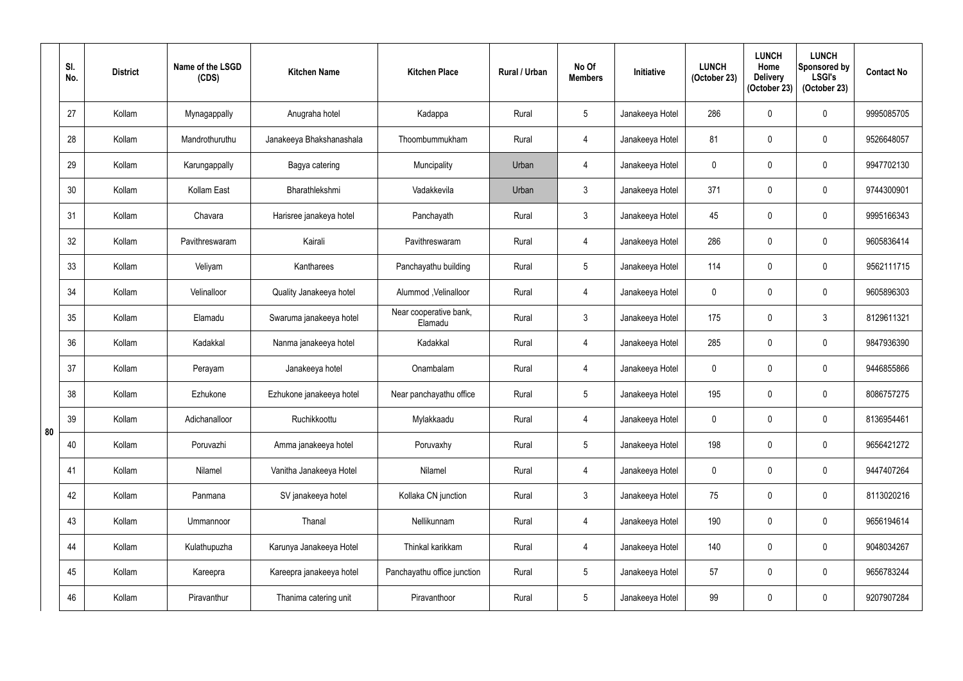|    | SI.<br>No. | <b>District</b> | Name of the LSGD<br>(CDS) | <b>Kitchen Name</b>      | <b>Kitchen Place</b>              | <b>Rural / Urban</b> | No Of<br><b>Members</b> | <b>Initiative</b> | <b>LUNCH</b><br>(October 23) | <b>LUNCH</b><br>Home<br><b>Delivery</b><br>(October 23) | <b>LUNCH</b><br><b>Sponsored by</b><br><b>LSGI's</b><br>(October 23) | <b>Contact No</b> |
|----|------------|-----------------|---------------------------|--------------------------|-----------------------------------|----------------------|-------------------------|-------------------|------------------------------|---------------------------------------------------------|----------------------------------------------------------------------|-------------------|
|    | 27         | Kollam          | Mynagappally              | Anugraha hotel           | Kadappa                           | Rural                | $5\phantom{.0}$         | Janakeeya Hotel   | 286                          | $\mathbf{0}$                                            | $\pmb{0}$                                                            | 9995085705        |
|    | 28         | Kollam          | Mandrothuruthu            | Janakeeya Bhakshanashala | Thoombummukham                    | Rural                | $\overline{4}$          | Janakeeya Hotel   | 81                           | $\mathbf{0}$                                            | $\pmb{0}$                                                            | 9526648057        |
|    | 29         | Kollam          | Karungappally             | Bagya catering           | Muncipality                       | Urban                | $\overline{4}$          | Janakeeya Hotel   | $\mathbf 0$                  | 0                                                       | $\boldsymbol{0}$                                                     | 9947702130        |
|    | 30         | Kollam          | Kollam East               | Bharathlekshmi           | Vadakkevila                       | Urban                | $\mathbf{3}$            | Janakeeya Hotel   | 371                          | 0                                                       | $\mathbf 0$                                                          | 9744300901        |
|    | 31         | Kollam          | Chavara                   | Harisree janakeya hotel  | Panchayath                        | Rural                | $\mathfrak{Z}$          | Janakeeya Hotel   | 45                           | 0                                                       | $\pmb{0}$                                                            | 9995166343        |
|    | 32         | Kollam          | Pavithreswaram            | Kairali                  | Pavithreswaram                    | Rural                | $\overline{4}$          | Janakeeya Hotel   | 286                          | 0                                                       | $\pmb{0}$                                                            | 9605836414        |
|    | 33         | Kollam          | Veliyam                   | Kantharees               | Panchayathu building              | Rural                | $5\phantom{.0}$         | Janakeeya Hotel   | 114                          | $\mathbf 0$                                             | $\pmb{0}$                                                            | 9562111715        |
|    | 34         | Kollam          | Velinalloor               | Quality Janakeeya hotel  | Alummod, Velinalloor              | Rural                | $\overline{4}$          | Janakeeya Hotel   | $\mathbf 0$                  | 0                                                       | $\pmb{0}$                                                            | 9605896303        |
|    | 35         | Kollam          | Elamadu                   | Swaruma janakeeya hotel  | Near cooperative bank,<br>Elamadu | Rural                | $\mathfrak{Z}$          | Janakeeya Hotel   | 175                          | 0                                                       | $\mathfrak{Z}$                                                       | 8129611321        |
|    | 36         | Kollam          | Kadakkal                  | Nanma janakeeya hotel    | Kadakkal                          | Rural                | $\overline{4}$          | Janakeeya Hotel   | 285                          | $\mathbf{0}$                                            | $\pmb{0}$                                                            | 9847936390        |
|    | 37         | Kollam          | Perayam                   | Janakeeya hotel          | Onambalam                         | Rural                | $\overline{4}$          | Janakeeya Hotel   | $\mathbf 0$                  | 0                                                       | $\pmb{0}$                                                            | 9446855866        |
|    | 38         | Kollam          | Ezhukone                  | Ezhukone janakeeya hotel | Near panchayathu office           | Rural                | $5\phantom{.0}$         | Janakeeya Hotel   | 195                          | 0                                                       | $\pmb{0}$                                                            | 8086757275        |
| 80 | 39         | Kollam          | Adichanalloor             | Ruchikkoottu             | Mylakkaadu                        | Rural                | $\overline{4}$          | Janakeeya Hotel   | $\pmb{0}$                    | 0                                                       | $\pmb{0}$                                                            | 8136954461        |
|    | 40         | Kollam          | Poruvazhi                 | Amma janakeeya hotel     | Poruvaxhy                         | Rural                | $5\overline{)}$         | Janakeeya Hotel   | 198                          | 0                                                       | $\pmb{0}$                                                            | 9656421272        |
|    | 41         | Kollam          | Nilamel                   | Vanitha Janakeeya Hotel  | Nilamel                           | Rural                | $\overline{4}$          | Janakeeya Hotel   | $\mathbf 0$                  | 0                                                       | $\boldsymbol{0}$                                                     | 9447407264        |
|    | 42         | Kollam          | Panmana                   | SV janakeeya hotel       | Kollaka CN junction               | Rural                | $\mathbf{3}$            | Janakeeya Hotel   | 75                           | 0                                                       | $\pmb{0}$                                                            | 8113020216        |
|    | 43         | Kollam          | Ummannoor                 | Thanal                   | Nellikunnam                       | Rural                | $\overline{4}$          | Janakeeya Hotel   | 190                          | 0                                                       | $\pmb{0}$                                                            | 9656194614        |
|    | 44         | Kollam          | Kulathupuzha              | Karunya Janakeeya Hotel  | Thinkal karikkam                  | Rural                | $\overline{4}$          | Janakeeya Hotel   | 140                          | 0                                                       | $\boldsymbol{0}$                                                     | 9048034267        |
|    | 45         | Kollam          | Kareepra                  | Kareepra janakeeya hotel | Panchayathu office junction       | Rural                | $\sqrt{5}$              | Janakeeya Hotel   | 57                           | 0                                                       | $\pmb{0}$                                                            | 9656783244        |
|    | 46         | Kollam          | Piravanthur               | Thanima catering unit    | Piravanthoor                      | Rural                | $5\phantom{.0}$         | Janakeeya Hotel   | 99                           | 0                                                       | $\pmb{0}$                                                            | 9207907284        |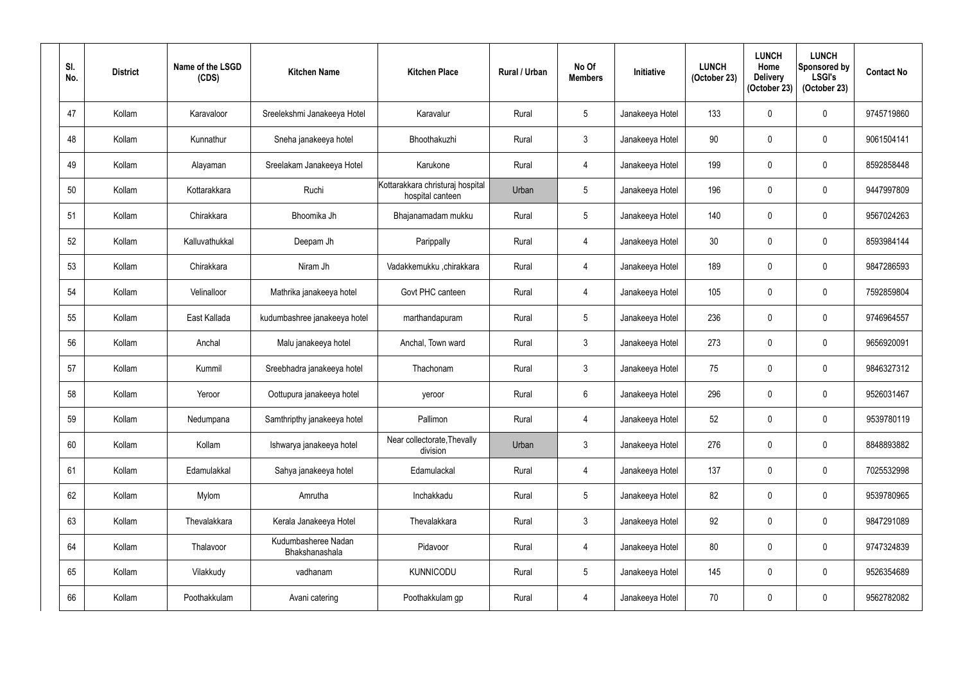| SI.<br>No. | <b>District</b> | Name of the LSGD<br>(CDS) | <b>Kitchen Name</b>                   | <b>Kitchen Place</b>                                 | <b>Rural / Urban</b> | No Of<br><b>Members</b> | Initiative      | <b>LUNCH</b><br>(October 23) | <b>LUNCH</b><br>Home<br><b>Delivery</b><br>(October 23) | <b>LUNCH</b><br>Sponsored by<br><b>LSGI's</b><br>(October 23) | <b>Contact No</b> |
|------------|-----------------|---------------------------|---------------------------------------|------------------------------------------------------|----------------------|-------------------------|-----------------|------------------------------|---------------------------------------------------------|---------------------------------------------------------------|-------------------|
| 47         | Kollam          | Karavaloor                | Sreelekshmi Janakeeya Hotel           | Karavalur                                            | Rural                | $5\phantom{.0}$         | Janakeeya Hotel | 133                          | 0                                                       | 0                                                             | 9745719860        |
| 48         | Kollam          | Kunnathur                 | Sneha janakeeya hotel                 | Bhoothakuzhi                                         | Rural                | $\mathfrak{Z}$          | Janakeeya Hotel | 90                           | $\mathbf{0}$                                            | 0                                                             | 9061504141        |
| 49         | Kollam          | Alayaman                  | Sreelakam Janakeeya Hotel             | Karukone                                             | Rural                | 4                       | Janakeeya Hotel | 199                          | 0                                                       | 0                                                             | 8592858448        |
| 50         | Kollam          | Kottarakkara              | Ruchi                                 | Kottarakkara christuraj hospital<br>hospital canteen | Urban                | $\overline{5}$          | Janakeeya Hotel | 196                          | 0                                                       | 0                                                             | 9447997809        |
| 51         | Kollam          | Chirakkara                | Bhoomika Jh                           | Bhajanamadam mukku                                   | Rural                | $\overline{5}$          | Janakeeya Hotel | 140                          | $\mathbf 0$                                             | 0                                                             | 9567024263        |
| 52         | Kollam          | Kalluvathukkal            | Deepam Jh                             | Parippally                                           | Rural                | 4                       | Janakeeya Hotel | 30                           | 0                                                       | 0                                                             | 8593984144        |
| 53         | Kollam          | Chirakkara                | Niram Jh                              | Vadakkemukku ,chirakkara                             | Rural                | 4                       | Janakeeya Hotel | 189                          | 0                                                       | 0                                                             | 9847286593        |
| 54         | Kollam          | Velinalloor               | Mathrika janakeeya hotel              | Govt PHC canteen                                     | Rural                | 4                       | Janakeeya Hotel | 105                          | 0                                                       | 0                                                             | 7592859804        |
| 55         | Kollam          | East Kallada              | kudumbashree janakeeya hotel          | marthandapuram                                       | Rural                | $\overline{5}$          | Janakeeya Hotel | 236                          | 0                                                       | 0                                                             | 9746964557        |
| 56         | Kollam          | Anchal                    | Malu janakeeya hotel                  | Anchal, Town ward                                    | Rural                | $\mathfrak{Z}$          | Janakeeya Hotel | 273                          | 0                                                       | 0                                                             | 9656920091        |
| 57         | Kollam          | Kummil                    | Sreebhadra janakeeya hotel            | Thachonam                                            | Rural                | $\mathfrak{Z}$          | Janakeeya Hotel | 75                           | 0                                                       | 0                                                             | 9846327312        |
| 58         | Kollam          | Yeroor                    | Oottupura janakeeya hotel             | yeroor                                               | Rural                | $6\,$                   | Janakeeya Hotel | 296                          | 0                                                       | 0                                                             | 9526031467        |
| 59         | Kollam          | Nedumpana                 | Samthripthy janakeeya hotel           | Pallimon                                             | Rural                | $\overline{4}$          | Janakeeya Hotel | 52                           | 0                                                       | 0                                                             | 9539780119        |
| 60         | Kollam          | Kollam                    | Ishwarya janakeeya hotel              | Near collectorate, Thevally<br>division              | Urban                | $\mathfrak{Z}$          | Janakeeya Hotel | 276                          | $\mathbf 0$                                             | 0                                                             | 8848893882        |
| 61         | Kollam          | Edamulakkal               | Sahya janakeeya hotel                 | Edamulackal                                          | Rural                | $\overline{4}$          | Janakeeya Hotel | 137                          | 0                                                       | 0                                                             | 7025532998        |
| 62         | Kollam          | Mylom                     | Amrutha                               | Inchakkadu                                           | Rural                | $\sqrt{5}$              | Janakeeya Hotel | 82                           | $\mathbf 0$                                             | 0                                                             | 9539780965        |
| 63         | Kollam          | Thevalakkara              | Kerala Janakeeya Hotel                | Thevalakkara                                         | Rural                | $\mathfrak{Z}$          | Janakeeya Hotel | 92                           | 0                                                       | 0                                                             | 9847291089        |
| 64         | Kollam          | Thalavoor                 | Kudumbasheree Nadan<br>Bhakshanashala | Pidavoor                                             | Rural                | $\overline{4}$          | Janakeeya Hotel | 80                           | $\mathbf 0$                                             | 0                                                             | 9747324839        |
| 65         | Kollam          | Vilakkudy                 | vadhanam                              | <b>KUNNICODU</b>                                     | Rural                | $\sqrt{5}$              | Janakeeya Hotel | 145                          | $\mathbf 0$                                             | 0                                                             | 9526354689        |
| 66         | Kollam          | Poothakkulam              | Avani catering                        | Poothakkulam gp                                      | Rural                | $\overline{4}$          | Janakeeya Hotel | 70                           | 0                                                       | 0                                                             | 9562782082        |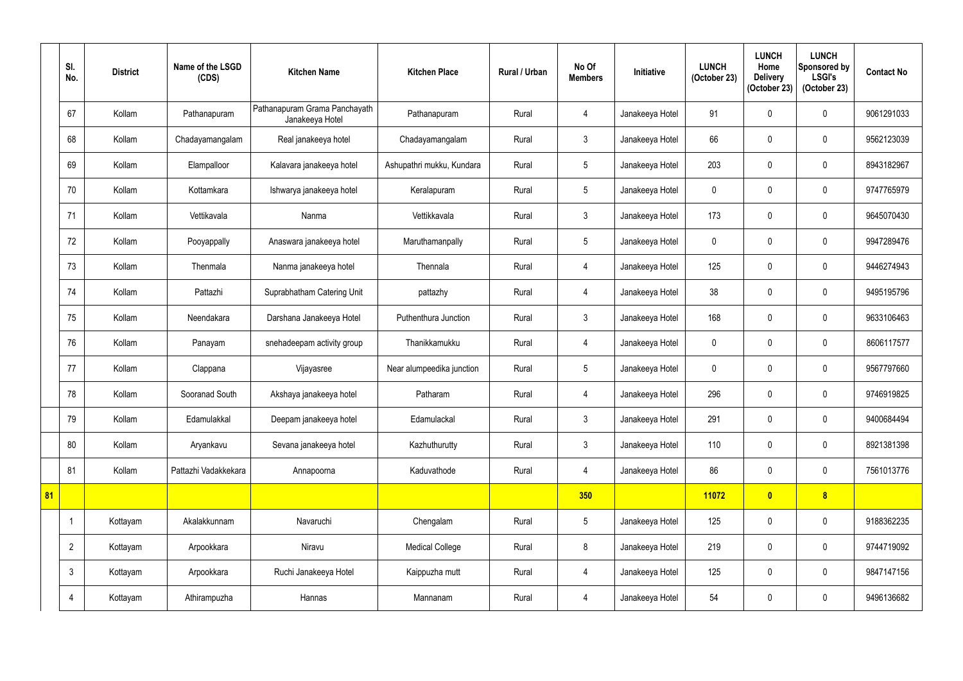|    | SI.<br>No.     | <b>District</b> | Name of the LSGD<br>(CDS) | <b>Kitchen Name</b>                              | <b>Kitchen Place</b>      | Rural / Urban | No Of<br><b>Members</b> | Initiative      | <b>LUNCH</b><br>(October 23) | <b>LUNCH</b><br>Home<br><b>Delivery</b><br>(October 23) | <b>LUNCH</b><br>Sponsored by<br><b>LSGI's</b><br>(October 23) | <b>Contact No</b> |
|----|----------------|-----------------|---------------------------|--------------------------------------------------|---------------------------|---------------|-------------------------|-----------------|------------------------------|---------------------------------------------------------|---------------------------------------------------------------|-------------------|
|    | 67             | Kollam          | Pathanapuram              | Pathanapuram Grama Panchayath<br>Janakeeya Hotel | Pathanapuram              | Rural         | $\overline{4}$          | Janakeeya Hotel | 91                           |                                                         | $\mathbf 0$                                                   | 9061291033        |
|    | 68             | Kollam          | Chadayamangalam           | Real janakeeya hotel                             | Chadayamangalam           | Rural         | $\mathfrak{Z}$          | Janakeeya Hotel | 66                           |                                                         | $\boldsymbol{0}$                                              | 9562123039        |
|    | 69             | Kollam          | Elampalloor               | Kalavara janakeeya hotel                         | Ashupathri mukku, Kundara | Rural         | $5\phantom{.0}$         | Janakeeya Hotel | 203                          |                                                         | $\boldsymbol{0}$                                              | 8943182967        |
|    | 70             | Kollam          | Kottamkara                | Ishwarya janakeeya hotel                         | Keralapuram               | Rural         | 5                       | Janakeeya Hotel | $\mathbf{0}$                 |                                                         | $\mathbf 0$                                                   | 9747765979        |
|    | 71             | Kollam          | Vettikavala               | Nanma                                            | Vettikkavala              | Rural         | $\mathbf{3}$            | Janakeeya Hotel | 173                          |                                                         | $\mathbf 0$                                                   | 9645070430        |
|    | 72             | Kollam          | Pooyappally               | Anaswara janakeeya hotel                         | Maruthamanpally           | Rural         | 5                       | Janakeeya Hotel | $\mathbf 0$                  | $\Omega$                                                | $\boldsymbol{0}$                                              | 9947289476        |
|    | 73             | Kollam          | Thenmala                  | Nanma janakeeya hotel                            | Thennala                  | Rural         | $\overline{4}$          | Janakeeya Hotel | 125                          |                                                         | $\boldsymbol{0}$                                              | 9446274943        |
|    | 74             | Kollam          | Pattazhi                  | Suprabhatham Catering Unit                       | pattazhy                  | Rural         | $\overline{4}$          | Janakeeya Hotel | 38                           |                                                         | $\pmb{0}$                                                     | 9495195796        |
|    | 75             | Kollam          | Neendakara                | Darshana Janakeeya Hotel                         | Puthenthura Junction      | Rural         | $\mathfrak{Z}$          | Janakeeya Hotel | 168                          |                                                         | $\mathbf 0$                                                   | 9633106463        |
|    | 76             | Kollam          | Panayam                   | snehadeepam activity group                       | Thanikkamukku             | Rural         | $\overline{4}$          | Janakeeya Hotel | $\mathbf 0$                  |                                                         | $\mathbf 0$                                                   | 8606117577        |
|    | 77             | Kollam          | Clappana                  | Vijayasree                                       | Near alumpeedika junction | Rural         | $5\phantom{.0}$         | Janakeeya Hotel | $\mathbf 0$                  |                                                         | $\pmb{0}$                                                     | 9567797660        |
|    | 78             | Kollam          | Sooranad South            | Akshaya janakeeya hotel                          | Patharam                  | Rural         | $\overline{4}$          | Janakeeya Hotel | 296                          |                                                         | $\boldsymbol{0}$                                              | 9746919825        |
|    | 79             | Kollam          | Edamulakkal               | Deepam janakeeya hotel                           | Edamulackal               | Rural         | 3 <sup>1</sup>          | Janakeeya Hotel | 291                          | 0                                                       | $\pmb{0}$                                                     | 9400684494        |
|    | 80             | Kollam          | Aryankavu                 | Sevana janakeeya hotel                           | Kazhuthurutty             | Rural         | $\mathfrak{Z}$          | Janakeeya Hotel | 110                          | $\Omega$                                                | $\pmb{0}$                                                     | 8921381398        |
|    | 81             | Kollam          | Pattazhi Vadakkekara      | Annapoorna                                       | Kaduvathode               | Rural         | $\overline{4}$          | Janakeeya Hotel | 86                           | 0                                                       | $\boldsymbol{0}$                                              | 7561013776        |
| 81 |                |                 |                           |                                                  |                           |               | 350                     |                 | 11072                        | $\mathbf{0}$                                            | $\boldsymbol{8}$                                              |                   |
|    | -1             | Kottayam        | Akalakkunnam              | Navaruchi                                        | Chengalam                 | Rural         | $5\phantom{.0}$         | Janakeeya Hotel | 125                          | 0                                                       | $\pmb{0}$                                                     | 9188362235        |
|    | $\overline{2}$ | Kottayam        | Arpookkara                | Niravu                                           | <b>Medical College</b>    | Rural         | 8                       | Janakeeya Hotel | 219                          | 0                                                       | $\pmb{0}$                                                     | 9744719092        |
|    | $\mathfrak{Z}$ | Kottayam        | Arpookkara                | Ruchi Janakeeya Hotel                            | Kaippuzha mutt            | Rural         | $\overline{4}$          | Janakeeya Hotel | 125                          | 0                                                       | $\mathbf 0$                                                   | 9847147156        |
|    | 4              | Kottayam        | Athirampuzha              | Hannas                                           | Mannanam                  | Rural         | $\overline{4}$          | Janakeeya Hotel | 54                           | 0                                                       | $\pmb{0}$                                                     | 9496136682        |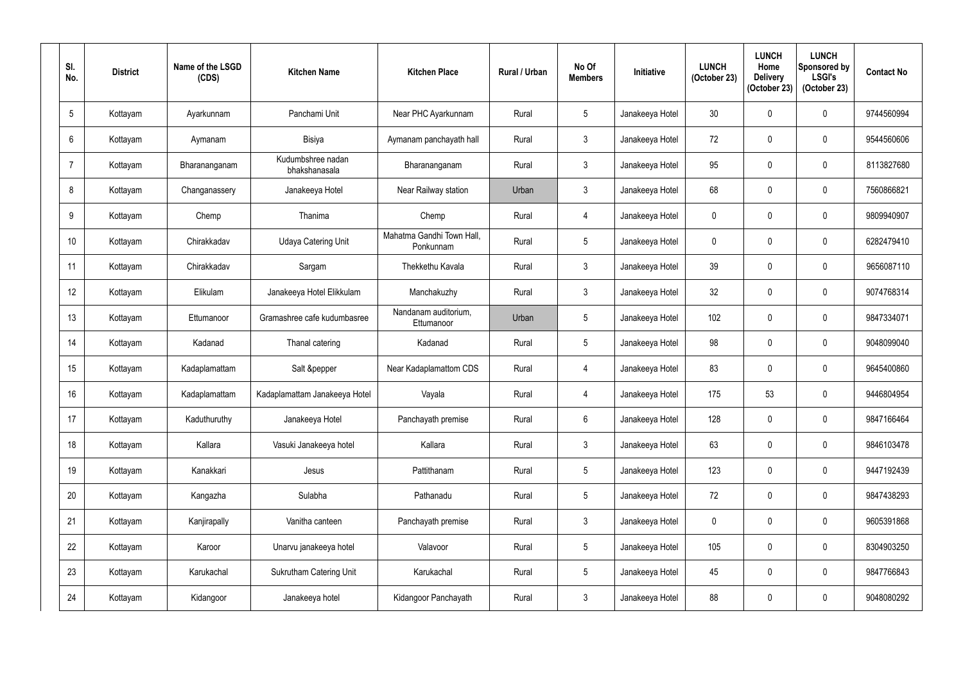| SI.<br>No.      | <b>District</b> | Name of the LSGD<br>(CDS) | <b>Kitchen Name</b>                | <b>Kitchen Place</b>                   | <b>Rural / Urban</b> | No Of<br><b>Members</b> | Initiative      | <b>LUNCH</b><br>(October 23) | <b>LUNCH</b><br>Home<br><b>Delivery</b><br>(October 23) | <b>LUNCH</b><br>Sponsored by<br><b>LSGI's</b><br>(October 23) | <b>Contact No</b> |
|-----------------|-----------------|---------------------------|------------------------------------|----------------------------------------|----------------------|-------------------------|-----------------|------------------------------|---------------------------------------------------------|---------------------------------------------------------------|-------------------|
| $5\phantom{.0}$ | Kottayam        | Ayarkunnam                | Panchami Unit                      | Near PHC Ayarkunnam                    | Rural                | $5\phantom{.0}$         | Janakeeya Hotel | 30 <sup>°</sup>              | $\mathbf{0}$                                            | 0                                                             | 9744560994        |
| $6\phantom{.}$  | Kottayam        | Aymanam                   | Bisiya                             | Aymanam panchayath hall                | Rural                | $\mathfrak{Z}$          | Janakeeya Hotel | 72                           | $\mathbf{0}$                                            | 0                                                             | 9544560606        |
| $\overline{7}$  | Kottayam        | Bharananganam             | Kudumbshree nadan<br>bhakshanasala | Bharananganam                          | Rural                | $\mathfrak{Z}$          | Janakeeya Hotel | 95                           | 0                                                       | 0                                                             | 8113827680        |
| 8               | Kottayam        | Changanassery             | Janakeeya Hotel                    | Near Railway station                   | Urban                | $\mathfrak{Z}$          | Janakeeya Hotel | 68                           | 0                                                       | 0                                                             | 7560866821        |
| 9               | Kottayam        | Chemp                     | Thanima                            | Chemp                                  | Rural                | $\overline{4}$          | Janakeeya Hotel | $\mathbf 0$                  | $\mathbf 0$                                             | 0                                                             | 9809940907        |
| 10 <sup>°</sup> | Kottayam        | Chirakkadav               | <b>Udaya Catering Unit</b>         | Mahatma Gandhi Town Hall,<br>Ponkunnam | Rural                | $5\phantom{.0}$         | Janakeeya Hotel | 0                            | 0                                                       | 0                                                             | 6282479410        |
| 11              | Kottayam        | Chirakkadav               | Sargam                             | Thekkethu Kavala                       | Rural                | $\mathfrak{Z}$          | Janakeeya Hotel | 39                           | 0                                                       | 0                                                             | 9656087110        |
| 12              | Kottayam        | Elikulam                  | Janakeeya Hotel Elikkulam          | Manchakuzhy                            | Rural                | $\mathfrak{Z}$          | Janakeeya Hotel | 32                           | 0                                                       | 0                                                             | 9074768314        |
| 13              | Kottayam        | Ettumanoor                | Gramashree cafe kudumbasree        | Nandanam auditorium,<br>Ettumanoor     | Urban                | $5\phantom{.0}$         | Janakeeya Hotel | 102                          | 0                                                       | 0                                                             | 9847334071        |
| 14              | Kottayam        | Kadanad                   | Thanal catering                    | Kadanad                                | Rural                | $5\phantom{.0}$         | Janakeeya Hotel | 98                           | $\mathbf 0$                                             | 0                                                             | 9048099040        |
| 15              | Kottayam        | Kadaplamattam             | Salt &pepper                       | Near Kadaplamattom CDS                 | Rural                | $\overline{4}$          | Janakeeya Hotel | 83                           | 0                                                       | 0                                                             | 9645400860        |
| 16              | Kottayam        | Kadaplamattam             | Kadaplamattam Janakeeya Hotel      | Vayala                                 | Rural                | 4                       | Janakeeya Hotel | 175                          | 53                                                      | 0                                                             | 9446804954        |
| 17              | Kottayam        | Kaduthuruthy              | Janakeeya Hotel                    | Panchayath premise                     | Rural                | $6\,$                   | Janakeeya Hotel | 128                          | 0                                                       | 0                                                             | 9847166464        |
| 18              | Kottayam        | Kallara                   | Vasuki Janakeeya hotel             | Kallara                                | Rural                | $\mathfrak{Z}$          | Janakeeya Hotel | 63                           | $\mathbf 0$                                             | 0                                                             | 9846103478        |
| 19              | Kottayam        | Kanakkari                 | Jesus                              | Pattithanam                            | Rural                | $\sqrt{5}$              | Janakeeya Hotel | 123                          | $\mathbf 0$                                             | 0                                                             | 9447192439        |
| 20              | Kottayam        | Kangazha                  | Sulabha                            | Pathanadu                              | Rural                | $\sqrt{5}$              | Janakeeya Hotel | 72                           | $\mathbf 0$                                             | 0                                                             | 9847438293        |
| 21              | Kottayam        | Kanjirapally              | Vanitha canteen                    | Panchayath premise                     | Rural                | $\mathfrak{Z}$          | Janakeeya Hotel | $\mathbf 0$                  | $\mathbf 0$                                             | 0                                                             | 9605391868        |
| 22              | Kottayam        | Karoor                    | Unarvu janakeeya hotel             | Valavoor                               | Rural                | $\sqrt{5}$              | Janakeeya Hotel | 105                          | $\mathbf 0$                                             | 0                                                             | 8304903250        |
| 23              | Kottayam        | Karukachal                | <b>Sukrutham Catering Unit</b>     | Karukachal                             | Rural                | $\sqrt{5}$              | Janakeeya Hotel | 45                           | $\mathbf 0$                                             | 0                                                             | 9847766843        |
| 24              | Kottayam        | Kidangoor                 | Janakeeya hotel                    | Kidangoor Panchayath                   | Rural                | $\mathfrak{Z}$          | Janakeeya Hotel | 88                           | 0                                                       | 0                                                             | 9048080292        |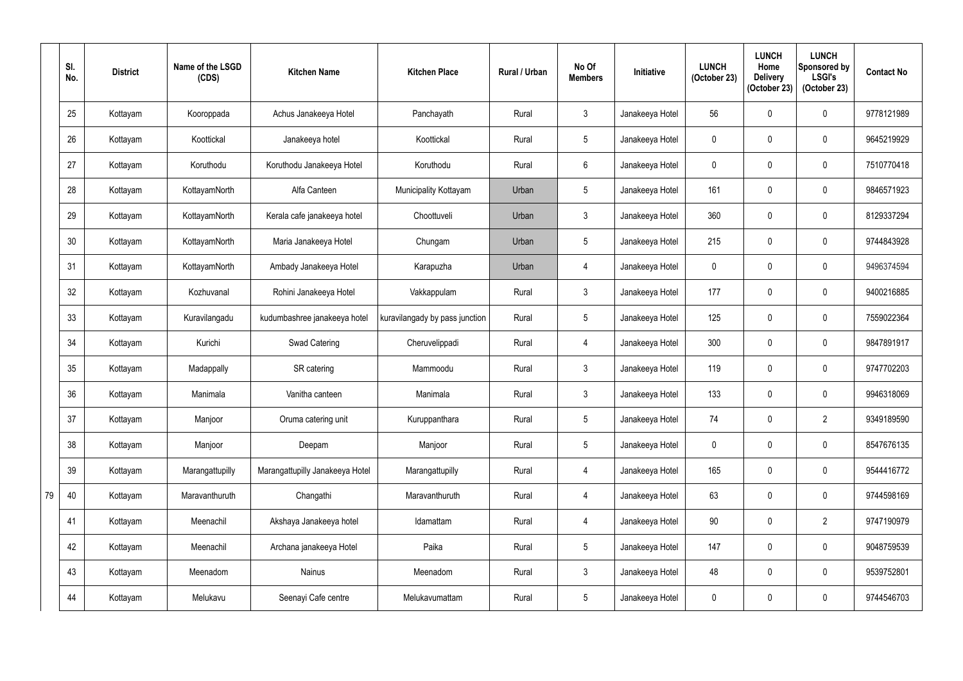|    | SI.<br>No. | <b>District</b> | Name of the LSGD<br>(CDS) | <b>Kitchen Name</b>             | <b>Kitchen Place</b>           | <b>Rural / Urban</b> | No Of<br><b>Members</b> | <b>Initiative</b> | <b>LUNCH</b><br>(October 23) | <b>LUNCH</b><br>Home<br><b>Delivery</b><br>(October 23) | <b>LUNCH</b><br>Sponsored by<br><b>LSGI's</b><br>(October 23) | <b>Contact No</b> |
|----|------------|-----------------|---------------------------|---------------------------------|--------------------------------|----------------------|-------------------------|-------------------|------------------------------|---------------------------------------------------------|---------------------------------------------------------------|-------------------|
|    | 25         | Kottayam        | Kooroppada                | Achus Janakeeya Hotel           | Panchayath                     | Rural                | $\mathfrak{Z}$          | Janakeeya Hotel   | 56                           | $\mathbf 0$                                             | $\mathbf 0$                                                   | 9778121989        |
|    | 26         | Kottayam        | Koottickal                | Janakeeya hotel                 | Koottickal                     | Rural                | $\overline{5}$          | Janakeeya Hotel   | $\mathbf 0$                  | $\mathbf 0$                                             | $\pmb{0}$                                                     | 9645219929        |
|    | 27         | Kottayam        | Koruthodu                 | Koruthodu Janakeeya Hotel       | Koruthodu                      | Rural                | $6\overline{6}$         | Janakeeya Hotel   | $\mathbf 0$                  | $\mathbf 0$                                             | $\mathbf 0$                                                   | 7510770418        |
|    | 28         | Kottayam        | KottayamNorth             | Alfa Canteen                    | Municipality Kottayam          | Urban                | 5                       | Janakeeya Hotel   | 161                          | $\mathbf 0$                                             | $\pmb{0}$                                                     | 9846571923        |
|    | 29         | Kottayam        | KottayamNorth             | Kerala cafe janakeeya hotel     | Choottuveli                    | Urban                | $\mathfrak{Z}$          | Janakeeya Hotel   | 360                          | $\mathbf 0$                                             | 0                                                             | 8129337294        |
|    | 30         | Kottayam        | KottayamNorth             | Maria Janakeeya Hotel           | Chungam                        | Urban                | 5                       | Janakeeya Hotel   | 215                          | 0                                                       | $\pmb{0}$                                                     | 9744843928        |
|    | 31         | Kottayam        | KottayamNorth             | Ambady Janakeeya Hotel          | Karapuzha                      | Urban                | 4                       | Janakeeya Hotel   | $\mathbf 0$                  | $\mathbf 0$                                             | 0                                                             | 9496374594        |
|    | 32         | Kottayam        | Kozhuvanal                | Rohini Janakeeya Hotel          | Vakkappulam                    | Rural                | $\mathfrak{Z}$          | Janakeeya Hotel   | 177                          | $\mathbf 0$                                             | 0                                                             | 9400216885        |
|    | 33         | Kottayam        | Kuravilangadu             | kudumbashree janakeeya hotel    | kuravilangady by pass junction | Rural                | $5\phantom{.0}$         | Janakeeya Hotel   | 125                          | $\mathbf 0$                                             | $\mathbf 0$                                                   | 7559022364        |
|    | 34         | Kottayam        | Kurichi                   | Swad Catering                   | Cheruvelippadi                 | Rural                | 4                       | Janakeeya Hotel   | 300                          | $\mathbf{0}$                                            | $\pmb{0}$                                                     | 9847891917        |
|    | 35         | Kottayam        | Madappally                | SR catering                     | Mammoodu                       | Rural                | $\mathfrak{Z}$          | Janakeeya Hotel   | 119                          | $\mathbf 0$                                             | $\pmb{0}$                                                     | 9747702203        |
|    | 36         | Kottayam        | Manimala                  | Vanitha canteen                 | Manimala                       | Rural                | $\mathbf{3}$            | Janakeeya Hotel   | 133                          | $\mathbf 0$                                             | $\mathbf 0$                                                   | 9946318069        |
|    | 37         | Kottayam        | Manjoor                   | Oruma catering unit             | Kuruppanthara                  | Rural                | $5\overline{)}$         | Janakeeya Hotel   | 74                           | $\mathbf 0$                                             | $\overline{2}$                                                | 9349189590        |
|    | 38         | Kottayam        | Manjoor                   | Deepam                          | Manjoor                        | Rural                | $5\phantom{.0}$         | Janakeeya Hotel   | $\mathbf 0$                  | $\mathbf 0$                                             | $\pmb{0}$                                                     | 8547676135        |
|    | 39         | Kottayam        | Marangattupilly           | Marangattupilly Janakeeya Hotel | Marangattupilly                | Rural                | $\overline{4}$          | Janakeeya Hotel   | 165                          | $\mathbf 0$                                             | $\pmb{0}$                                                     | 9544416772        |
| 79 | 40         | Kottayam        | Maravanthuruth            | Changathi                       | Maravanthuruth                 | Rural                | $\overline{4}$          | Janakeeya Hotel   | 63                           | $\mathbf 0$                                             | $\boldsymbol{0}$                                              | 9744598169        |
|    | 41         | Kottayam        | Meenachil                 | Akshaya Janakeeya hotel         | Idamattam                      | Rural                | $\overline{4}$          | Janakeeya Hotel   | 90                           | $\mathbf 0$                                             | $\overline{2}$                                                | 9747190979        |
|    | 42         | Kottayam        | Meenachil                 | Archana janakeeya Hotel         | Paika                          | Rural                | $5\phantom{.0}$         | Janakeeya Hotel   | 147                          | $\mathbf 0$                                             | $\boldsymbol{0}$                                              | 9048759539        |
|    | 43         | Kottayam        | Meenadom                  | <b>Nainus</b>                   | Meenadom                       | Rural                | $\mathfrak{Z}$          | Janakeeya Hotel   | 48                           | $\mathbf 0$                                             | $\boldsymbol{0}$                                              | 9539752801        |
|    | 44         | Kottayam        | Melukavu                  | Seenayi Cafe centre             | Melukavumattam                 | Rural                | $5\phantom{.0}$         | Janakeeya Hotel   | $\pmb{0}$                    | 0                                                       | $\pmb{0}$                                                     | 9744546703        |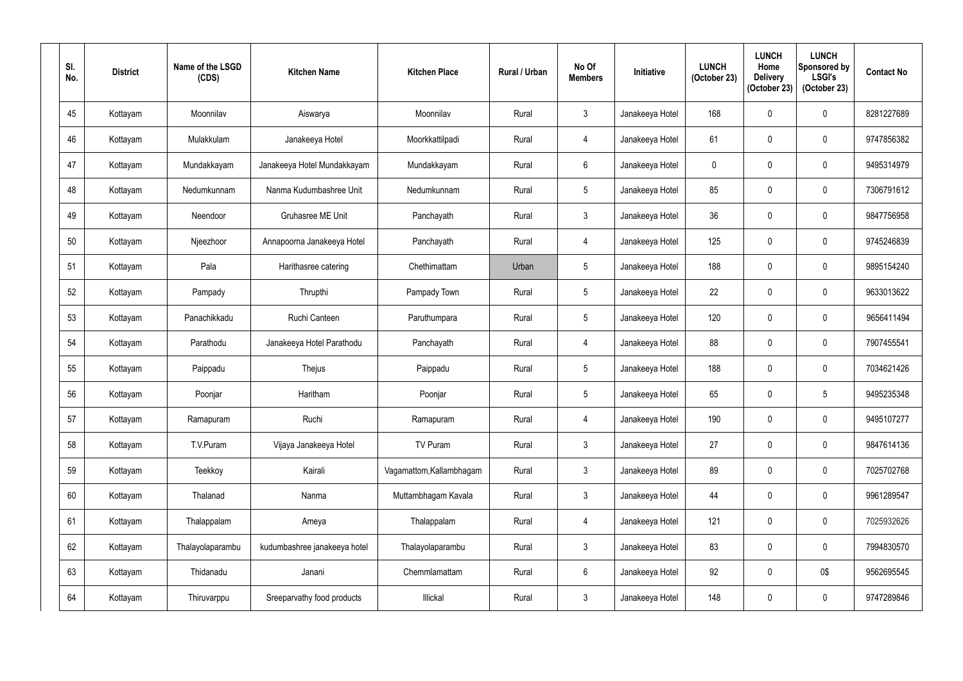| SI.<br>No. | <b>District</b> | Name of the LSGD<br>(CDS) | <b>Kitchen Name</b>          | <b>Kitchen Place</b>     | <b>Rural / Urban</b> | No Of<br><b>Members</b> | Initiative      | <b>LUNCH</b><br>(October 23) | <b>LUNCH</b><br>Home<br><b>Delivery</b><br>(October 23) | <b>LUNCH</b><br>Sponsored by<br><b>LSGI's</b><br>(October 23) | <b>Contact No</b> |
|------------|-----------------|---------------------------|------------------------------|--------------------------|----------------------|-------------------------|-----------------|------------------------------|---------------------------------------------------------|---------------------------------------------------------------|-------------------|
| 45         | Kottayam        | Moonnilav                 | Aiswarya                     | Moonnilav                | Rural                | $\mathfrak{Z}$          | Janakeeya Hotel | 168                          | $\mathbf 0$                                             | 0                                                             | 8281227689        |
| 46         | Kottayam        | Mulakkulam                | Janakeeya Hotel              | Moorkkattilpadi          | Rural                | $\overline{4}$          | Janakeeya Hotel | 61                           | 0                                                       | 0                                                             | 9747856382        |
| 47         | Kottayam        | Mundakkayam               | Janakeeya Hotel Mundakkayam  | Mundakkayam              | Rural                | $6\,$                   | Janakeeya Hotel | 0                            | $\mathbf 0$                                             | 0                                                             | 9495314979        |
| 48         | Kottayam        | Nedumkunnam               | Nanma Kudumbashree Unit      | Nedumkunnam              | Rural                | $5\phantom{.0}$         | Janakeeya Hotel | 85                           | 0                                                       | 0                                                             | 7306791612        |
| 49         | Kottayam        | Neendoor                  | <b>Gruhasree ME Unit</b>     | Panchayath               | Rural                | $\mathfrak{Z}$          | Janakeeya Hotel | 36                           | $\mathbf 0$                                             | 0                                                             | 9847756958        |
| 50         | Kottayam        | Njeezhoor                 | Annapoorna Janakeeya Hotel   | Panchayath               | Rural                | $\overline{4}$          | Janakeeya Hotel | 125                          | 0                                                       | 0                                                             | 9745246839        |
| 51         | Kottayam        | Pala                      | Harithasree catering         | Chethimattam             | Urban                | $5\phantom{.0}$         | Janakeeya Hotel | 188                          | $\mathbf 0$                                             | 0                                                             | 9895154240        |
| 52         | Kottayam        | Pampady                   | Thrupthi                     | Pampady Town             | Rural                | $\overline{5}$          | Janakeeya Hotel | 22                           | $\mathbf 0$                                             | 0                                                             | 9633013622        |
| 53         | Kottayam        | Panachikkadu              | Ruchi Canteen                | Paruthumpara             | Rural                | $\overline{5}$          | Janakeeya Hotel | 120                          | $\mathbf 0$                                             | 0                                                             | 9656411494        |
| 54         | Kottayam        | Parathodu                 | Janakeeya Hotel Parathodu    | Panchayath               | Rural                | 4                       | Janakeeya Hotel | 88                           | 0                                                       | $\mathbf 0$                                                   | 7907455541        |
| 55         | Kottayam        | Paippadu                  | Thejus                       | Paippadu                 | Rural                | $\sqrt{5}$              | Janakeeya Hotel | 188                          | 0                                                       | 0                                                             | 7034621426        |
| 56         | Kottayam        | Poonjar                   | Haritham                     | Poonjar                  | Rural                | $5\phantom{.0}$         | Janakeeya Hotel | 65                           | 0                                                       | $5\phantom{.0}$                                               | 9495235348        |
| 57         | Kottayam        | Ramapuram                 | Ruchi                        | Ramapuram                | Rural                | $\overline{4}$          | Janakeeya Hotel | 190                          | $\mathbf 0$                                             | $\mathbf 0$                                                   | 9495107277        |
| 58         | Kottayam        | T.V.Puram                 | Vijaya Janakeeya Hotel       | TV Puram                 | Rural                | $\mathfrak{Z}$          | Janakeeya Hotel | 27                           | $\mathbf 0$                                             | 0                                                             | 9847614136        |
| 59         | Kottayam        | Teekkoy                   | Kairali                      | Vagamattom, Kallambhagam | Rural                | $\mathfrak{Z}$          | Janakeeya Hotel | 89                           | $\mathbf 0$                                             | 0                                                             | 7025702768        |
| 60         | Kottayam        | Thalanad                  | Nanma                        | Muttambhagam Kavala      | Rural                | $\mathfrak{Z}$          | Janakeeya Hotel | 44                           | 0                                                       | 0                                                             | 9961289547        |
| 61         | Kottayam        | Thalappalam               | Ameya                        | Thalappalam              | Rural                | $\overline{4}$          | Janakeeya Hotel | 121                          | 0                                                       | $\pmb{0}$                                                     | 7025932626        |
| 62         | Kottayam        | Thalayolaparambu          | kudumbashree janakeeya hotel | Thalayolaparambu         | Rural                | $\mathfrak{Z}$          | Janakeeya Hotel | 83                           | $\mathbf 0$                                             | 0                                                             | 7994830570        |
| 63         | Kottayam        | Thidanadu                 | Janani                       | Chemmlamattam            | Rural                | $\,6\,$                 | Janakeeya Hotel | 92                           | $\mathbf 0$                                             | 0\$                                                           | 9562695545        |
| 64         | Kottayam        | Thiruvarppu               | Sreeparvathy food products   | Illickal                 | Rural                | $\mathfrak{Z}$          | Janakeeya Hotel | 148                          | 0                                                       | $\pmb{0}$                                                     | 9747289846        |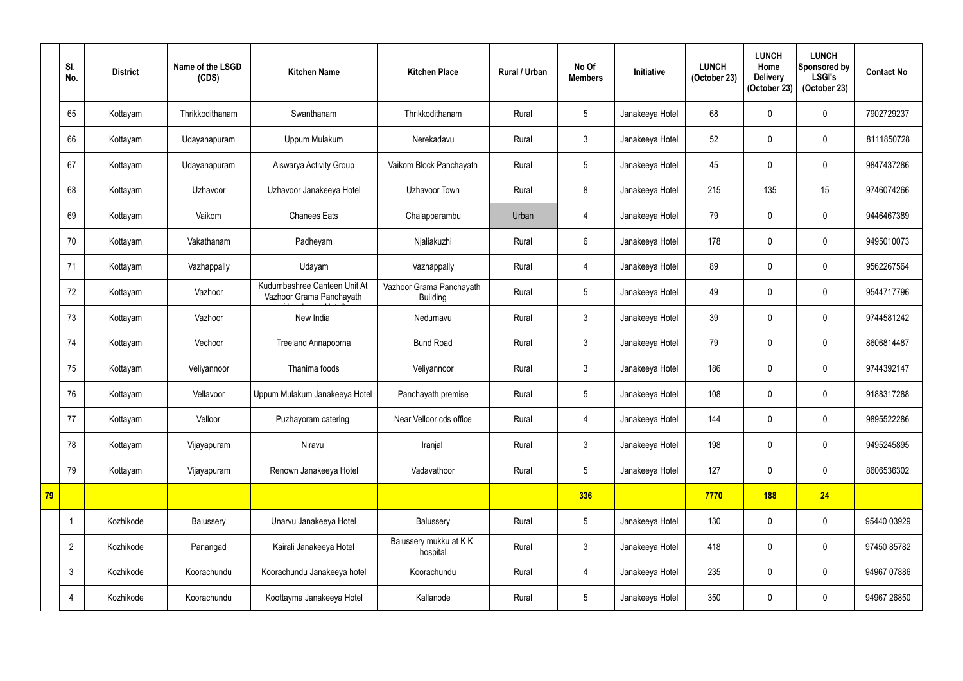|    | SI.<br>No.     | <b>District</b> | Name of the LSGD<br>(CDS) | <b>Kitchen Name</b>                                      | <b>Kitchen Place</b>                        | <b>Rural / Urban</b> | No Of<br><b>Members</b> | Initiative      | <b>LUNCH</b><br>(October 23) | <b>LUNCH</b><br>Home<br><b>Delivery</b><br>(October 23) | <b>LUNCH</b><br>Sponsored by<br><b>LSGI's</b><br>(October 23) | <b>Contact No</b> |
|----|----------------|-----------------|---------------------------|----------------------------------------------------------|---------------------------------------------|----------------------|-------------------------|-----------------|------------------------------|---------------------------------------------------------|---------------------------------------------------------------|-------------------|
|    | 65             | Kottayam        | Thrikkodithanam           | Swanthanam                                               | Thrikkodithanam                             | Rural                | 5                       | Janakeeya Hotel | 68                           |                                                         | $\mathbf 0$                                                   | 7902729237        |
|    | 66             | Kottayam        | Udayanapuram              | Uppum Mulakum                                            | Nerekadavu                                  | Rural                | $\mathfrak{Z}$          | Janakeeya Hotel | 52                           | 0                                                       | $\mathbf 0$                                                   | 8111850728        |
|    | 67             | Kottayam        | Udayanapuram              | Aiswarya Activity Group                                  | Vaikom Block Panchayath                     | Rural                | $\sqrt{5}$              | Janakeeya Hotel | 45                           | $\Omega$                                                | $\pmb{0}$                                                     | 9847437286        |
|    | 68             | Kottayam        | Uzhavoor                  | Uzhavoor Janakeeya Hotel                                 | Uzhavoor Town                               | Rural                | 8                       | Janakeeya Hotel | 215                          | 135                                                     | 15                                                            | 9746074266        |
|    | 69             | Kottayam        | Vaikom                    | <b>Chanees Eats</b>                                      | Chalapparambu                               | Urban                | 4                       | Janakeeya Hotel | 79                           |                                                         | $\pmb{0}$                                                     | 9446467389        |
|    | 70             | Kottayam        | Vakathanam                | Padheyam                                                 | Njaliakuzhi                                 | Rural                | 6                       | Janakeeya Hotel | 178                          |                                                         | $\mathbf 0$                                                   | 9495010073        |
|    | 71             | Kottayam        | Vazhappally               | Udayam                                                   | Vazhappally                                 | Rural                | $\overline{4}$          | Janakeeya Hotel | 89                           |                                                         | $\mathbf 0$                                                   | 9562267564        |
|    | 72             | Kottayam        | Vazhoor                   | Kudumbashree Canteen Unit At<br>Vazhoor Grama Panchayath | Vazhoor Grama Panchayath<br><b>Building</b> | Rural                | $\sqrt{5}$              | Janakeeya Hotel | 49                           | 0                                                       | $\pmb{0}$                                                     | 9544717796        |
|    | 73             | Kottayam        | Vazhoor                   | New India                                                | Nedumavu                                    | Rural                | $\mathfrak{Z}$          | Janakeeya Hotel | 39                           |                                                         | $\mathbf 0$                                                   | 9744581242        |
|    | 74             | Kottayam        | Vechoor                   | <b>Treeland Annapoorna</b>                               | <b>Bund Road</b>                            | Rural                | $\mathfrak{Z}$          | Janakeeya Hotel | 79                           |                                                         | $\mathbf 0$                                                   | 8606814487        |
|    | 75             | Kottayam        | Veliyannoor               | Thanima foods                                            | Veliyannoor                                 | Rural                | $\mathfrak{Z}$          | Janakeeya Hotel | 186                          | $\mathbf{0}$                                            | $\mathbf 0$                                                   | 9744392147        |
|    | 76             | Kottayam        | Vellavoor                 | Uppum Mulakum Janakeeya Hotel                            | Panchayath premise                          | Rural                | $5\overline{)}$         | Janakeeya Hotel | 108                          | 0                                                       | 0                                                             | 9188317288        |
|    | 77             | Kottayam        | Velloor                   | Puzhayoram catering                                      | Near Velloor cds office                     | Rural                | $\overline{4}$          | Janakeeya Hotel | 144                          |                                                         | $\pmb{0}$                                                     | 9895522286        |
|    | 78             | Kottayam        | Vijayapuram               | Niravu                                                   | Iranjal                                     | Rural                | $3\phantom{a}$          | Janakeeya Hotel | 198                          | $\mathbf{0}$                                            | $\pmb{0}$                                                     | 9495245895        |
|    | 79             | Kottayam        | Vijayapuram               | Renown Janakeeya Hotel                                   | Vadavathoor                                 | Rural                | $5\phantom{.0}$         | Janakeeya Hotel | 127                          | $\boldsymbol{0}$                                        | $\pmb{0}$                                                     | 8606536302        |
| 79 |                |                 |                           |                                                          |                                             |                      | 336                     |                 | 7770                         | <b>188</b>                                              | 24                                                            |                   |
|    | $\mathbf{1}$   | Kozhikode       | Balussery                 | Unarvu Janakeeya Hotel                                   | Balussery                                   | Rural                | $5\phantom{.0}$         | Janakeeya Hotel | 130                          | $\mathbf 0$                                             | $\pmb{0}$                                                     | 95440 03929       |
|    | $\overline{2}$ | Kozhikode       | Panangad                  | Kairali Janakeeya Hotel                                  | Balussery mukku at KK<br>hospital           | Rural                | $3\phantom{a}$          | Janakeeya Hotel | 418                          | 0                                                       | $\pmb{0}$                                                     | 97450 85782       |
|    | 3              | Kozhikode       | Koorachundu               | Koorachundu Janakeeya hotel                              | Koorachundu                                 | Rural                | $\overline{4}$          | Janakeeya Hotel | 235                          | $\mathbf 0$                                             | $\pmb{0}$                                                     | 94967 07886       |
|    | 4              | Kozhikode       | Koorachundu               | Koottayma Janakeeya Hotel                                | Kallanode                                   | Rural                | $5\phantom{.0}$         | Janakeeya Hotel | 350                          | $\pmb{0}$                                               | $\pmb{0}$                                                     | 94967 26850       |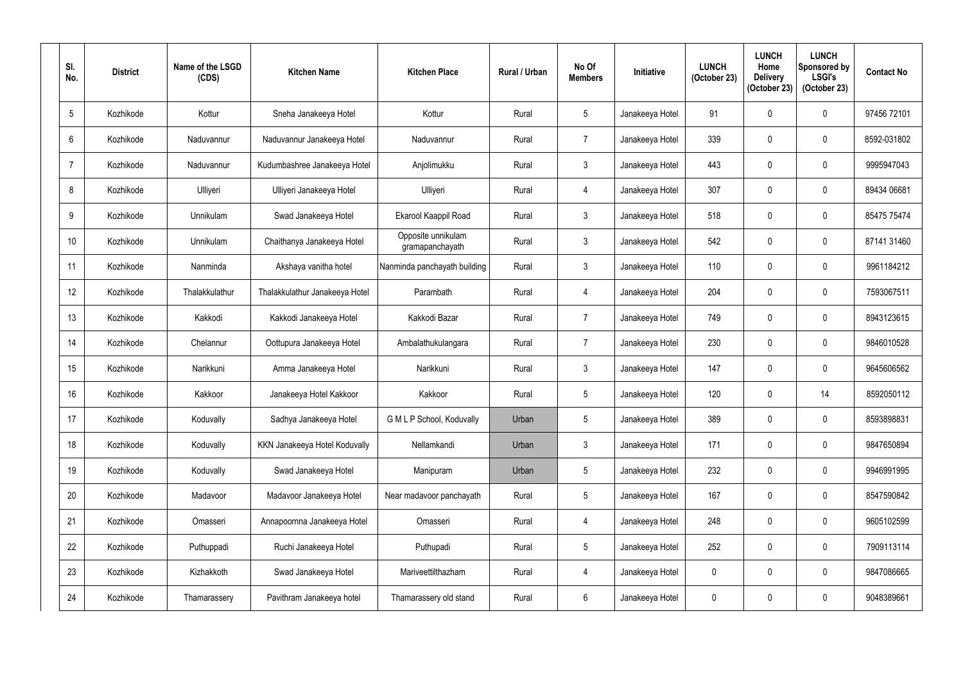| SI.<br>No.       | <b>District</b> | Name of the LSGD<br>(CDS) | <b>Kitchen Name</b>            | <b>Kitchen Place</b>                  | <b>Rural / Urban</b> | No Of<br><b>Members</b> | Initiative      | <b>LUNCH</b><br>(October 23) | <b>LUNCH</b><br>Home<br><b>Delivery</b><br>(October 23) | <b>LUNCH</b><br>Sponsored by<br><b>LSGI's</b><br>(October 23) | <b>Contact No</b> |
|------------------|-----------------|---------------------------|--------------------------------|---------------------------------------|----------------------|-------------------------|-----------------|------------------------------|---------------------------------------------------------|---------------------------------------------------------------|-------------------|
| $5\phantom{.0}$  | Kozhikode       | Kottur                    | Sneha Janakeeya Hotel          | Kottur                                | Rural                | $\overline{5}$          | Janakeeya Hotel | 91                           | $\mathbf 0$                                             | $\pmb{0}$                                                     | 97456 72101       |
| 6                | Kozhikode       | Naduvannur                | Naduvannur Janakeeya Hotel     | Naduvannur                            | Rural                | $\overline{7}$          | Janakeeya Hotel | 339                          | $\mathbf 0$                                             | $\pmb{0}$                                                     | 8592-031802       |
| $\overline{7}$   | Kozhikode       | Naduvannur                | Kudumbashree Janakeeya Hotel   | Anjolimukku                           | Rural                | $\mathfrak{Z}$          | Janakeeya Hotel | 443                          | 0                                                       | $\pmb{0}$                                                     | 9995947043        |
| 8                | Kozhikode       | Ulliyeri                  | Ulliyeri Janakeeya Hotel       | Ulliyeri                              | Rural                | $\overline{4}$          | Janakeeya Hotel | 307                          | 0                                                       | $\pmb{0}$                                                     | 89434 06681       |
| 9                | Kozhikode       | Unnikulam                 | Swad Janakeeya Hotel           | Ekarool Kaappil Road                  | Rural                | $\mathfrak{Z}$          | Janakeeya Hotel | 518                          | 0                                                       | $\pmb{0}$                                                     | 85475 75474       |
| 10 <sup>°</sup>  | Kozhikode       | Unnikulam                 | Chaithanya Janakeeya Hotel     | Opposite unnikulam<br>gramapanchayath | Rural                | $\mathfrak{Z}$          | Janakeeya Hotel | 542                          | 0                                                       | $\mathbf 0$                                                   | 87141 31460       |
| 11               | Kozhikode       | Nanminda                  | Akshaya vanitha hotel          | Nanminda panchayath building          | Rural                | $\mathfrak{Z}$          | Janakeeya Hotel | 110                          | $\mathbf 0$                                             | $\pmb{0}$                                                     | 9961184212        |
| 12 <sup>°</sup>  | Kozhikode       | Thalakkulathur            | Thalakkulathur Janakeeya Hotel | Parambath                             | Rural                | $\overline{4}$          | Janakeeya Hotel | 204                          | 0                                                       | $\mathbf 0$                                                   | 7593067511        |
| 13               | Kozhikode       | Kakkodi                   | Kakkodi Janakeeya Hotel        | Kakkodi Bazar                         | Rural                | $\overline{7}$          | Janakeeya Hotel | 749                          | 0                                                       | $\pmb{0}$                                                     | 8943123615        |
| 14               | Kozhikode       | Chelannur                 | Oottupura Janakeeya Hotel      | Ambalathukulangara                    | Rural                | $\overline{7}$          | Janakeeya Hotel | 230                          | $\mathbf 0$                                             | $\mathbf 0$                                                   | 9846010528        |
| 15 <sup>15</sup> | Kozhikode       | Narikkuni                 | Amma Janakeeya Hotel           | Narikkuni                             | Rural                | $\mathfrak{Z}$          | Janakeeya Hotel | 147                          | 0                                                       | 0                                                             | 9645606562        |
| 16               | Kozhikode       | Kakkoor                   | Janakeeya Hotel Kakkoor        | Kakkoor                               | Rural                | $5\phantom{.0}$         | Janakeeya Hotel | 120                          | 0                                                       | 14                                                            | 8592050112        |
| 17               | Kozhikode       | Koduvally                 | Sadhya Janakeeya Hotel         | G M L P School, Koduvally             | Urban                | $\overline{5}$          | Janakeeya Hotel | 389                          | 0                                                       | $\mathbf 0$                                                   | 8593898831        |
| 18               | Kozhikode       | Koduvally                 | KKN Janakeeya Hotel Koduvally  | Nellamkandi                           | Urban                | $\mathfrak{Z}$          | Janakeeya Hotel | 171                          | 0                                                       | $\pmb{0}$                                                     | 9847650894        |
| 19               | Kozhikode       | Koduvally                 | Swad Janakeeya Hotel           | Manipuram                             | Urban                | $\sqrt{5}$              | Janakeeya Hotel | 232                          | 0                                                       | $\pmb{0}$                                                     | 9946991995        |
| 20               | Kozhikode       | Madavoor                  | Madavoor Janakeeya Hotel       | Near madavoor panchayath              | Rural                | $5\phantom{.0}$         | Janakeeya Hotel | 167                          | 0                                                       | $\pmb{0}$                                                     | 8547590842        |
| 21               | Kozhikode       | Omasseri                  | Annapoornna Janakeeya Hotel    | Omasseri                              | Rural                | $\overline{4}$          | Janakeeya Hotel | 248                          | 0                                                       | $\pmb{0}$                                                     | 9605102599        |
| 22               | Kozhikode       | Puthuppadi                | Ruchi Janakeeya Hotel          | Puthupadi                             | Rural                | $\sqrt{5}$              | Janakeeya Hotel | 252                          | 0                                                       | $\pmb{0}$                                                     | 7909113114        |
| 23               | Kozhikode       | Kizhakkoth                | Swad Janakeeya Hotel           | Mariveettilthazham                    | Rural                | $\overline{4}$          | Janakeeya Hotel | 0                            | $\mathbf 0$                                             | $\pmb{0}$                                                     | 9847086665        |
| 24               | Kozhikode       | Thamarassery              | Pavithram Janakeeya hotel      | Thamarassery old stand                | Rural                | $6\phantom{.}$          | Janakeeya Hotel | 0                            | 0                                                       | $\pmb{0}$                                                     | 9048389661        |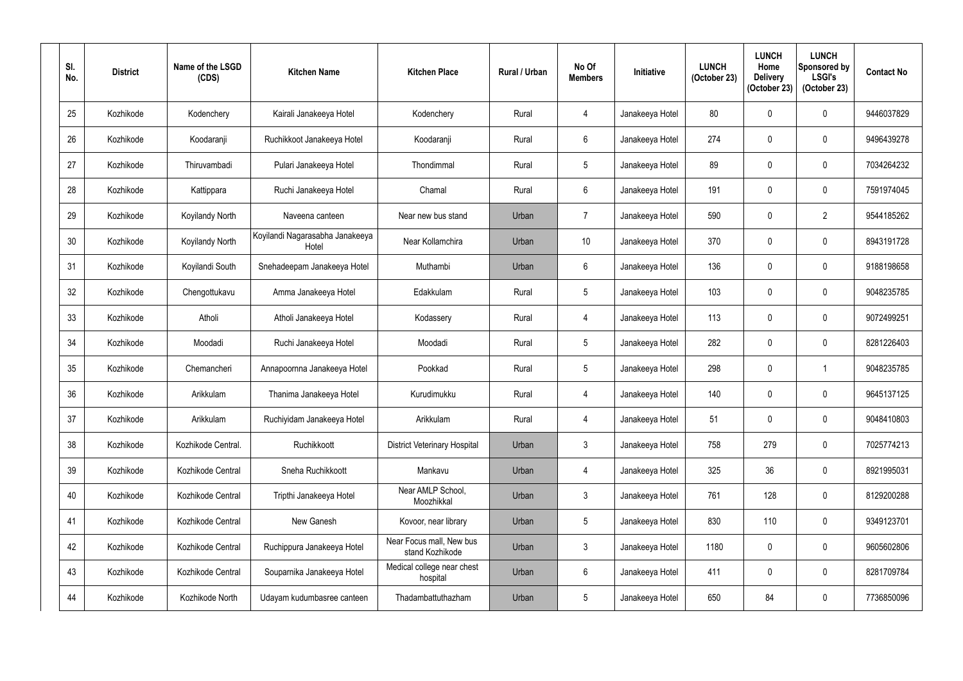| SI.<br>No. | <b>District</b> | Name of the LSGD<br>(CDS) | <b>Kitchen Name</b>                      | <b>Kitchen Place</b>                        | <b>Rural / Urban</b> | No Of<br><b>Members</b> | Initiative      | <b>LUNCH</b><br>(October 23) | <b>LUNCH</b><br>Home<br><b>Delivery</b><br>(October 23) | <b>LUNCH</b><br>Sponsored by<br><b>LSGI's</b><br>(October 23) | <b>Contact No</b> |
|------------|-----------------|---------------------------|------------------------------------------|---------------------------------------------|----------------------|-------------------------|-----------------|------------------------------|---------------------------------------------------------|---------------------------------------------------------------|-------------------|
| 25         | Kozhikode       | Kodenchery                | Kairali Janakeeya Hotel                  | Kodenchery                                  | Rural                | 4                       | Janakeeya Hotel | 80                           | $\mathbf{0}$                                            | 0                                                             | 9446037829        |
| 26         | Kozhikode       | Koodaranji                | Ruchikkoot Janakeeya Hotel               | Koodaranji                                  | Rural                | $6\phantom{.}$          | Janakeeya Hotel | 274                          | $\mathbf{0}$                                            | 0                                                             | 9496439278        |
| 27         | Kozhikode       | Thiruvambadi              | Pulari Janakeeya Hotel                   | Thondimmal                                  | Rural                | $\sqrt{5}$              | Janakeeya Hotel | 89                           | 0                                                       | 0                                                             | 7034264232        |
| 28         | Kozhikode       | Kattippara                | Ruchi Janakeeya Hotel                    | Chamal                                      | Rural                | $6\,$                   | Janakeeya Hotel | 191                          | 0                                                       | 0                                                             | 7591974045        |
| 29         | Kozhikode       | Koyilandy North           | Naveena canteen                          | Near new bus stand                          | Urban                | $\overline{7}$          | Janakeeya Hotel | 590                          | 0                                                       | $\overline{2}$                                                | 9544185262        |
| 30         | Kozhikode       | Koyilandy North           | Koyilandi Nagarasabha Janakeeya<br>Hotel | Near Kollamchira                            | Urban                | 10 <sup>°</sup>         | Janakeeya Hotel | 370                          | 0                                                       | 0                                                             | 8943191728        |
| 31         | Kozhikode       | Koyilandi South           | Snehadeepam Janakeeya Hotel              | Muthambi                                    | Urban                | $6\phantom{.}$          | Janakeeya Hotel | 136                          | 0                                                       | 0                                                             | 9188198658        |
| 32         | Kozhikode       | Chengottukavu             | Amma Janakeeya Hotel                     | Edakkulam                                   | Rural                | $5\overline{)}$         | Janakeeya Hotel | 103                          | 0                                                       | 0                                                             | 9048235785        |
| 33         | Kozhikode       | Atholi                    | Atholi Janakeeya Hotel                   | Kodassery                                   | Rural                | 4                       | Janakeeya Hotel | 113                          | 0                                                       | 0                                                             | 9072499251        |
| 34         | Kozhikode       | Moodadi                   | Ruchi Janakeeya Hotel                    | Moodadi                                     | Rural                | $5\overline{)}$         | Janakeeya Hotel | 282                          | $\mathbf{0}$                                            | 0                                                             | 8281226403        |
| 35         | Kozhikode       | Chemancheri               | Annapoornna Janakeeya Hotel              | Pookkad                                     | Rural                | $\sqrt{5}$              | Janakeeya Hotel | 298                          | 0                                                       |                                                               | 9048235785        |
| 36         | Kozhikode       | Arikkulam                 | Thanima Janakeeya Hotel                  | Kurudimukku                                 | Rural                | 4                       | Janakeeya Hotel | 140                          | 0                                                       | 0                                                             | 9645137125        |
| 37         | Kozhikode       | Arikkulam                 | Ruchiyidam Janakeeya Hotel               | Arikkulam                                   | Rural                | $\overline{4}$          | Janakeeya Hotel | 51                           | $\mathbf 0$                                             | 0                                                             | 9048410803        |
| 38         | Kozhikode       | Kozhikode Central.        | Ruchikkoott                              | <b>District Veterinary Hospital</b>         | Urban                | $\mathfrak{Z}$          | Janakeeya Hotel | 758                          | 279                                                     | 0                                                             | 7025774213        |
| 39         | Kozhikode       | Kozhikode Central         | Sneha Ruchikkoott                        | Mankavu                                     | Urban                | $\overline{4}$          | Janakeeya Hotel | 325                          | 36                                                      | 0                                                             | 8921995031        |
| 40         | Kozhikode       | Kozhikode Central         | Tripthi Janakeeya Hotel                  | Near AMLP School,<br>Moozhikkal             | Urban                | $\mathfrak{Z}$          | Janakeeya Hotel | 761                          | 128                                                     | 0                                                             | 8129200288        |
| 41         | Kozhikode       | Kozhikode Central         | New Ganesh                               | Kovoor, near library                        | Urban                | $5\overline{)}$         | Janakeeya Hotel | 830                          | 110                                                     | 0                                                             | 9349123701        |
| 42         | Kozhikode       | Kozhikode Central         | Ruchippura Janakeeya Hotel               | Near Focus mall, New bus<br>stand Kozhikode | Urban                | $\mathfrak{Z}$          | Janakeeya Hotel | 1180                         | $\mathbf 0$                                             | 0                                                             | 9605602806        |
| 43         | Kozhikode       | Kozhikode Central         | Souparnika Janakeeya Hotel               | Medical college near chest<br>hospital      | Urban                | $6\,$                   | Janakeeya Hotel | 411                          | $\mathbf 0$                                             | 0                                                             | 8281709784        |
| 44         | Kozhikode       | Kozhikode North           | Udayam kudumbasree canteen               | Thadambattuthazham                          | Urban                | $5\phantom{.0}$         | Janakeeya Hotel | 650                          | 84                                                      | 0                                                             | 7736850096        |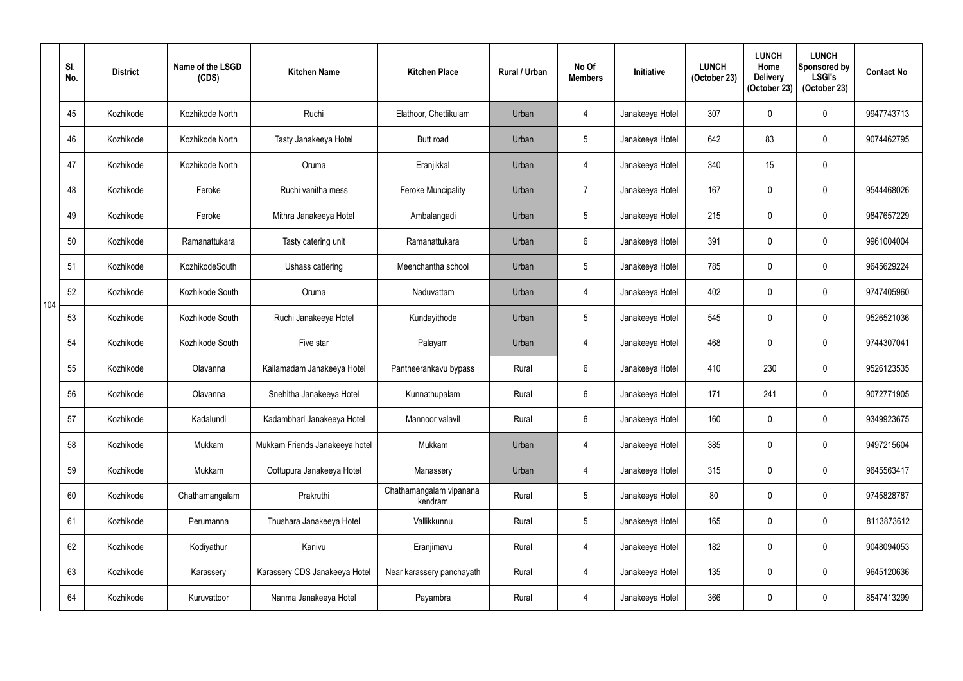|     | SI.<br>No. | <b>District</b> | Name of the LSGD<br>(CDS) | <b>Kitchen Name</b>            | <b>Kitchen Place</b>               | <b>Rural / Urban</b> | No Of<br><b>Members</b> | <b>Initiative</b> | <b>LUNCH</b><br>(October 23) | <b>LUNCH</b><br>Home<br><b>Delivery</b><br>(October 23) | <b>LUNCH</b><br>Sponsored by<br><b>LSGI's</b><br>(October 23) | <b>Contact No</b> |
|-----|------------|-----------------|---------------------------|--------------------------------|------------------------------------|----------------------|-------------------------|-------------------|------------------------------|---------------------------------------------------------|---------------------------------------------------------------|-------------------|
|     | 45         | Kozhikode       | Kozhikode North           | Ruchi                          | Elathoor, Chettikulam              | Urban                | $\overline{4}$          | Janakeeya Hotel   | 307                          | 0                                                       | $\mathbf 0$                                                   | 9947743713        |
|     | 46         | Kozhikode       | Kozhikode North           | Tasty Janakeeya Hotel          | <b>Butt road</b>                   | Urban                | $5\phantom{.0}$         | Janakeeya Hotel   | 642                          | 83                                                      | $\pmb{0}$                                                     | 9074462795        |
|     | 47         | Kozhikode       | Kozhikode North           | Oruma                          | Eranjikkal                         | Urban                | $\overline{4}$          | Janakeeya Hotel   | 340                          | 15                                                      | $\pmb{0}$                                                     |                   |
|     | 48         | Kozhikode       | Feroke                    | Ruchi vanitha mess             | <b>Feroke Muncipality</b>          | Urban                | $\overline{7}$          | Janakeeya Hotel   | 167                          | 0                                                       | 0                                                             | 9544468026        |
|     | 49         | Kozhikode       | Feroke                    | Mithra Janakeeya Hotel         | Ambalangadi                        | Urban                | $\overline{5}$          | Janakeeya Hotel   | 215                          | $\mathbf{0}$                                            | $\pmb{0}$                                                     | 9847657229        |
|     | 50         | Kozhikode       | Ramanattukara             | Tasty catering unit            | Ramanattukara                      | Urban                | 6                       | Janakeeya Hotel   | 391                          | 0                                                       | $\mathbf 0$                                                   | 9961004004        |
|     | 51         | Kozhikode       | KozhikodeSouth            | Ushass cattering               | Meenchantha school                 | Urban                | $\sqrt{5}$              | Janakeeya Hotel   | 785                          | $\Omega$                                                | $\boldsymbol{0}$                                              | 9645629224        |
| 104 | 52         | Kozhikode       | Kozhikode South           | Oruma                          | Naduvattam                         | Urban                | $\overline{4}$          | Janakeeya Hotel   | 402                          | $\mathbf 0$                                             | $\mathbf 0$                                                   | 9747405960        |
|     | 53         | Kozhikode       | Kozhikode South           | Ruchi Janakeeya Hotel          | Kundayithode                       | Urban                | $\overline{5}$          | Janakeeya Hotel   | 545                          | 0                                                       | $\mathbf 0$                                                   | 9526521036        |
|     | 54         | Kozhikode       | Kozhikode South           | Five star                      | Palayam                            | Urban                | 4                       | Janakeeya Hotel   | 468                          | $\mathbf 0$                                             | $\mathbf 0$                                                   | 9744307041        |
|     | 55         | Kozhikode       | Olavanna                  | Kailamadam Janakeeya Hotel     | Pantheerankavu bypass              | Rural                | $6\phantom{.}$          | Janakeeya Hotel   | 410                          | 230                                                     | $\pmb{0}$                                                     | 9526123535        |
|     | 56         | Kozhikode       | Olavanna                  | Snehitha Janakeeya Hotel       | Kunnathupalam                      | Rural                | $6\overline{6}$         | Janakeeya Hotel   | 171                          | 241                                                     | 0                                                             | 9072771905        |
|     | 57         | Kozhikode       | Kadalundi                 | Kadambhari Janakeeya Hotel     | Mannoor valavil                    | Rural                | $6\phantom{.}6$         | Janakeeya Hotel   | 160                          | $\mathbf{0}$                                            | $\pmb{0}$                                                     | 9349923675        |
|     | 58         | Kozhikode       | Mukkam                    | Mukkam Friends Janakeeya hotel | Mukkam                             | Urban                | $\overline{4}$          | Janakeeya Hotel   | 385                          | $\mathbf 0$                                             | $\pmb{0}$                                                     | 9497215604        |
|     | 59         | Kozhikode       | Mukkam                    | Oottupura Janakeeya Hotel      | Manassery                          | Urban                | $\overline{4}$          | Janakeeya Hotel   | 315                          | $\mathbf 0$                                             | $\pmb{0}$                                                     | 9645563417        |
|     | 60         | Kozhikode       | Chathamangalam            | Prakruthi                      | Chathamangalam vipanana<br>kendram | Rural                | $5\overline{)}$         | Janakeeya Hotel   | 80                           | $\mathbf 0$                                             | $\pmb{0}$                                                     | 9745828787        |
|     | 61         | Kozhikode       | Perumanna                 | Thushara Janakeeya Hotel       | Vallikkunnu                        | Rural                | $\sqrt{5}$              | Janakeeya Hotel   | 165                          | $\mathbf 0$                                             | $\pmb{0}$                                                     | 8113873612        |
|     | 62         | Kozhikode       | Kodiyathur                | Kanivu                         | Eranjimavu                         | Rural                | $\overline{4}$          | Janakeeya Hotel   | 182                          | 0                                                       | $\pmb{0}$                                                     | 9048094053        |
|     | 63         | Kozhikode       | Karassery                 | Karassery CDS Janakeeya Hotel  | Near karassery panchayath          | Rural                | $\overline{4}$          | Janakeeya Hotel   | 135                          | $\mathbf 0$                                             | $\pmb{0}$                                                     | 9645120636        |
|     | 64         | Kozhikode       | Kuruvattoor               | Nanma Janakeeya Hotel          | Payambra                           | Rural                | $\overline{4}$          | Janakeeya Hotel   | 366                          | 0                                                       | $\pmb{0}$                                                     | 8547413299        |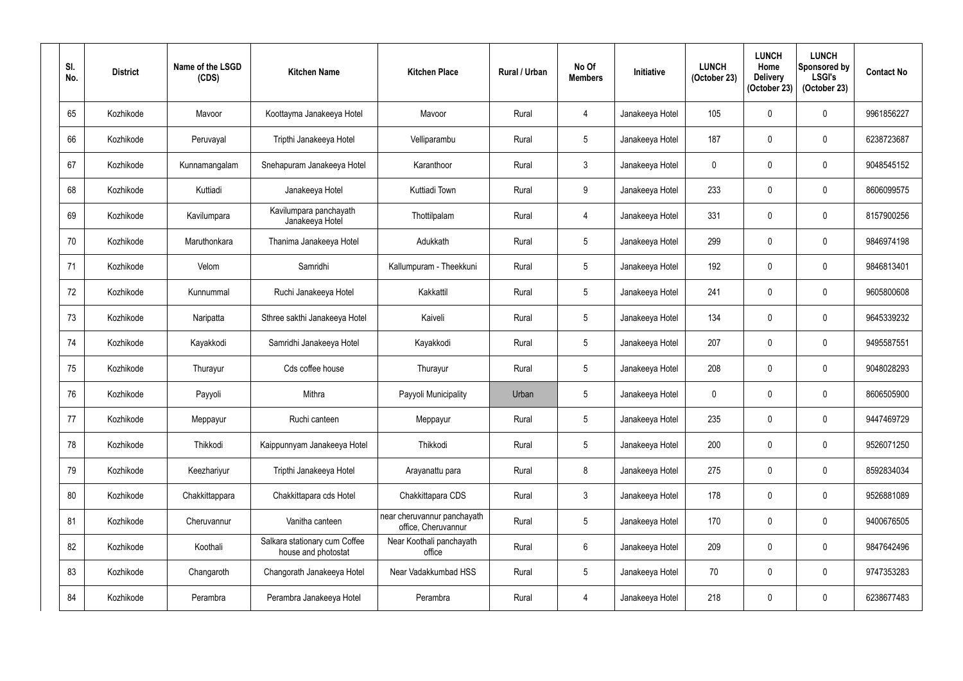| SI.<br>No. | <b>District</b> | Name of the LSGD<br>(CDS) | <b>Kitchen Name</b>                                  | <b>Kitchen Place</b>                               | <b>Rural / Urban</b> | No Of<br><b>Members</b> | Initiative      | <b>LUNCH</b><br>(October 23) | <b>LUNCH</b><br>Home<br><b>Delivery</b><br>(October 23) | <b>LUNCH</b><br>Sponsored by<br><b>LSGI's</b><br>(October 23) | <b>Contact No</b> |
|------------|-----------------|---------------------------|------------------------------------------------------|----------------------------------------------------|----------------------|-------------------------|-----------------|------------------------------|---------------------------------------------------------|---------------------------------------------------------------|-------------------|
| 65         | Kozhikode       | Mavoor                    | Koottayma Janakeeya Hotel                            | Mavoor                                             | Rural                | 4                       | Janakeeya Hotel | 105                          | $\mathbf 0$                                             | $\pmb{0}$                                                     | 9961856227        |
| 66         | Kozhikode       | Peruvayal                 | Tripthi Janakeeya Hotel                              | Velliparambu                                       | Rural                | $\overline{5}$          | Janakeeya Hotel | 187                          | $\mathbf 0$                                             | $\pmb{0}$                                                     | 6238723687        |
| 67         | Kozhikode       | Kunnamangalam             | Snehapuram Janakeeya Hotel                           | Karanthoor                                         | Rural                | $\mathfrak{Z}$          | Janakeeya Hotel | $\mathbf 0$                  | $\mathbf 0$                                             | $\pmb{0}$                                                     | 9048545152        |
| 68         | Kozhikode       | Kuttiadi                  | Janakeeya Hotel                                      | Kuttiadi Town                                      | Rural                | 9                       | Janakeeya Hotel | 233                          | $\mathbf 0$                                             | $\mathbf 0$                                                   | 8606099575        |
| 69         | Kozhikode       | Kavilumpara               | Kavilumpara panchayath<br>Janakeeya Hotel            | Thottilpalam                                       | Rural                | $\overline{4}$          | Janakeeya Hotel | 331                          | $\mathbf 0$                                             | $\pmb{0}$                                                     | 8157900256        |
| 70         | Kozhikode       | Maruthonkara              | Thanima Janakeeya Hotel                              | Adukkath                                           | Rural                | $5\phantom{.0}$         | Janakeeya Hotel | 299                          | 0                                                       | $\mathbf 0$                                                   | 9846974198        |
| 71         | Kozhikode       | Velom                     | Samridhi                                             | Kallumpuram - Theekkuni                            | Rural                | $5\phantom{.0}$         | Janakeeya Hotel | 192                          | $\mathbf 0$                                             | $\pmb{0}$                                                     | 9846813401        |
| 72         | Kozhikode       | Kunnummal                 | Ruchi Janakeeya Hotel                                | Kakkattil                                          | Rural                | $\overline{5}$          | Janakeeya Hotel | 241                          | $\mathbf 0$                                             | $\mathbf 0$                                                   | 9605800608        |
| 73         | Kozhikode       | Naripatta                 | Sthree sakthi Janakeeya Hotel                        | Kaiveli                                            | Rural                | $\overline{5}$          | Janakeeya Hotel | 134                          | 0                                                       | $\pmb{0}$                                                     | 9645339232        |
| 74         | Kozhikode       | Kayakkodi                 | Samridhi Janakeeya Hotel                             | Kayakkodi                                          | Rural                | $\overline{5}$          | Janakeeya Hotel | 207                          | $\mathbf 0$                                             | $\mathbf 0$                                                   | 9495587551        |
| 75         | Kozhikode       | Thurayur                  | Cds coffee house                                     | Thurayur                                           | Rural                | $\overline{5}$          | Janakeeya Hotel | 208                          | 0                                                       | 0                                                             | 9048028293        |
| 76         | Kozhikode       | Payyoli                   | Mithra                                               | Payyoli Municipality                               | Urban                | $5\phantom{.0}$         | Janakeeya Hotel | $\mathbf 0$                  | 0                                                       | $\mathbf 0$                                                   | 8606505900        |
| 77         | Kozhikode       | Meppayur                  | Ruchi canteen                                        | Meppayur                                           | Rural                | $\sqrt{5}$              | Janakeeya Hotel | 235                          | 0                                                       | $\mathbf 0$                                                   | 9447469729        |
| 78         | Kozhikode       | Thikkodi                  | Kaippunnyam Janakeeya Hotel                          | Thikkodi                                           | Rural                | $5\phantom{.0}$         | Janakeeya Hotel | 200                          | 0                                                       | $\pmb{0}$                                                     | 9526071250        |
| 79         | Kozhikode       | Keezhariyur               | Tripthi Janakeeya Hotel                              | Arayanattu para                                    | Rural                | $\,8\,$                 | Janakeeya Hotel | 275                          | 0                                                       | $\pmb{0}$                                                     | 8592834034        |
| 80         | Kozhikode       | Chakkittappara            | Chakkittapara cds Hotel                              | Chakkittapara CDS                                  | Rural                | $\mathfrak{Z}$          | Janakeeya Hotel | 178                          | 0                                                       | $\boldsymbol{0}$                                              | 9526881089        |
| 81         | Kozhikode       | Cheruvannur               | Vanitha canteen                                      | near cheruvannur panchayath<br>office, Cheruvannur | Rural                | $\sqrt{5}$              | Janakeeya Hotel | 170                          | 0                                                       | $\pmb{0}$                                                     | 9400676505        |
| 82         | Kozhikode       | Koothali                  | Salkara stationary cum Coffee<br>house and photostat | Near Koothali panchayath<br>office                 | Rural                | $6\phantom{.0}$         | Janakeeya Hotel | 209                          | 0                                                       | $\pmb{0}$                                                     | 9847642496        |
| 83         | Kozhikode       | Changaroth                | Changorath Janakeeya Hotel                           | Near Vadakkumbad HSS                               | Rural                | $\sqrt{5}$              | Janakeeya Hotel | 70                           | $\mathbf 0$                                             | $\pmb{0}$                                                     | 9747353283        |
| 84         | Kozhikode       | Perambra                  | Perambra Janakeeya Hotel                             | Perambra                                           | Rural                | $\overline{4}$          | Janakeeya Hotel | 218                          | $\mathbf 0$                                             | $\pmb{0}$                                                     | 6238677483        |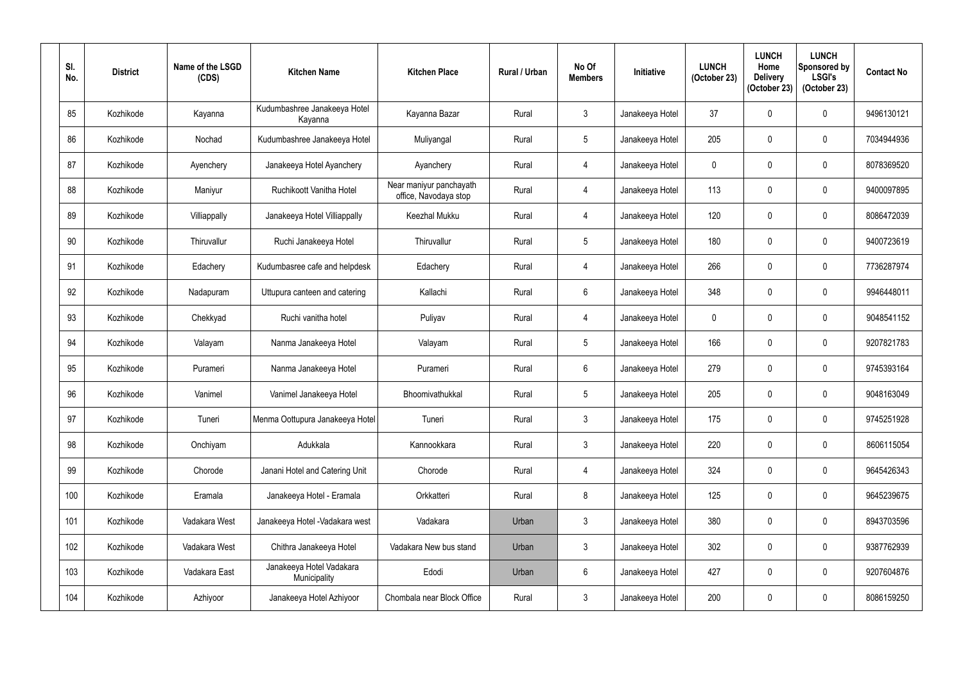| SI.<br>No. | <b>District</b> | Name of the LSGD<br>(CDS) | <b>Kitchen Name</b>                      | <b>Kitchen Place</b>                             | Rural / Urban | No Of<br><b>Members</b> | <b>Initiative</b> | <b>LUNCH</b><br>(October 23) | <b>LUNCH</b><br>Home<br><b>Delivery</b><br>(October 23) | <b>LUNCH</b><br><b>Sponsored by</b><br><b>LSGI's</b><br>(October 23) | <b>Contact No</b> |
|------------|-----------------|---------------------------|------------------------------------------|--------------------------------------------------|---------------|-------------------------|-------------------|------------------------------|---------------------------------------------------------|----------------------------------------------------------------------|-------------------|
| 85         | Kozhikode       | Kayanna                   | Kudumbashree Janakeeya Hotel<br>Kayanna  | Kayanna Bazar                                    | Rural         | $\mathfrak{Z}$          | Janakeeya Hotel   | 37                           | 0                                                       | $\pmb{0}$                                                            | 9496130121        |
| 86         | Kozhikode       | Nochad                    | Kudumbashree Janakeeya Hotel             | Muliyangal                                       | Rural         | $5\overline{)}$         | Janakeeya Hotel   | 205                          | $\mathbf 0$                                             | $\pmb{0}$                                                            | 7034944936        |
| 87         | Kozhikode       | Ayenchery                 | Janakeeya Hotel Ayanchery                | Ayanchery                                        | Rural         | $\overline{4}$          | Janakeeya Hotel   | $\mathbf 0$                  | $\mathbf 0$                                             | $\mathbf 0$                                                          | 8078369520        |
| 88         | Kozhikode       | Maniyur                   | Ruchikoott Vanitha Hotel                 | Near maniyur panchayath<br>office, Navodaya stop | Rural         | $\overline{4}$          | Janakeeya Hotel   | 113                          | $\mathbf 0$                                             | $\mathbf 0$                                                          | 9400097895        |
| 89         | Kozhikode       | Villiappally              | Janakeeya Hotel Villiappally             | Keezhal Mukku                                    | Rural         | $\overline{4}$          | Janakeeya Hotel   | 120                          | $\mathbf 0$                                             | $\pmb{0}$                                                            | 8086472039        |
| 90         | Kozhikode       | Thiruvallur               | Ruchi Janakeeya Hotel                    | Thiruvallur                                      | Rural         | $5\phantom{.0}$         | Janakeeya Hotel   | 180                          | 0                                                       | $\pmb{0}$                                                            | 9400723619        |
| 91         | Kozhikode       | Edachery                  | Kudumbasree cafe and helpdesk            | Edachery                                         | Rural         | $\overline{4}$          | Janakeeya Hotel   | 266                          | $\mathbf 0$                                             | $\pmb{0}$                                                            | 7736287974        |
| 92         | Kozhikode       | Nadapuram                 | Uttupura canteen and catering            | Kallachi                                         | Rural         | $6\phantom{.}6$         | Janakeeya Hotel   | 348                          | $\mathbf 0$                                             | $\pmb{0}$                                                            | 9946448011        |
| 93         | Kozhikode       | Chekkyad                  | Ruchi vanitha hotel                      | Puliyav                                          | Rural         | 4                       | Janakeeya Hotel   | $\mathbf 0$                  | 0                                                       | $\mathbf 0$                                                          | 9048541152        |
| 94         | Kozhikode       | Valayam                   | Nanma Janakeeya Hotel                    | Valayam                                          | Rural         | $5\phantom{.0}$         | Janakeeya Hotel   | 166                          | 0                                                       | $\mathbf 0$                                                          | 9207821783        |
| 95         | Kozhikode       | Purameri                  | Nanma Janakeeya Hotel                    | Purameri                                         | Rural         | $6\phantom{.}6$         | Janakeeya Hotel   | 279                          | $\mathbf 0$                                             | $\pmb{0}$                                                            | 9745393164        |
| 96         | Kozhikode       | Vanimel                   | Vanimel Janakeeya Hotel                  | Bhoomivathukkal                                  | Rural         | $\overline{5}$          | Janakeeya Hotel   | 205                          | $\mathbf 0$                                             | $\mathbf 0$                                                          | 9048163049        |
| 97         | Kozhikode       | Tuneri                    | Menma Oottupura Janakeeya Hotel          | Tuneri                                           | Rural         | $\mathfrak{Z}$          | Janakeeya Hotel   | 175                          | $\mathbf 0$                                             | $\pmb{0}$                                                            | 9745251928        |
| 98         | Kozhikode       | Onchiyam                  | Adukkala                                 | Kannookkara                                      | Rural         | $\mathbf{3}$            | Janakeeya Hotel   | 220                          | $\mathbf 0$                                             | $\pmb{0}$                                                            | 8606115054        |
| 99         | Kozhikode       | Chorode                   | Janani Hotel and Catering Unit           | Chorode                                          | Rural         | $\overline{4}$          | Janakeeya Hotel   | 324                          | $\mathbf 0$                                             | $\boldsymbol{0}$                                                     | 9645426343        |
| 100        | Kozhikode       | Eramala                   | Janakeeya Hotel - Eramala                | Orkkatteri                                       | Rural         | 8                       | Janakeeya Hotel   | 125                          | $\mathbf 0$                                             | $\pmb{0}$                                                            | 9645239675        |
| 101        | Kozhikode       | Vadakara West             | Janakeeya Hotel -Vadakara west           | Vadakara                                         | Urban         | $\mathfrak{Z}$          | Janakeeya Hotel   | 380                          | $\mathbf 0$                                             | $\pmb{0}$                                                            | 8943703596        |
| 102        | Kozhikode       | Vadakara West             | Chithra Janakeeya Hotel                  | Vadakara New bus stand                           | Urban         | $\mathfrak{Z}$          | Janakeeya Hotel   | 302                          | $\mathbf 0$                                             | $\boldsymbol{0}$                                                     | 9387762939        |
| 103        | Kozhikode       | Vadakara East             | Janakeeya Hotel Vadakara<br>Municipality | Edodi                                            | Urban         | $6\,$                   | Janakeeya Hotel   | 427                          | $\mathbf 0$                                             | $\pmb{0}$                                                            | 9207604876        |
| 104        | Kozhikode       | Azhiyoor                  | Janakeeya Hotel Azhiyoor                 | Chombala near Block Office                       | Rural         | $\mathfrak{Z}$          | Janakeeya Hotel   | 200                          | $\mathbf 0$                                             | $\pmb{0}$                                                            | 8086159250        |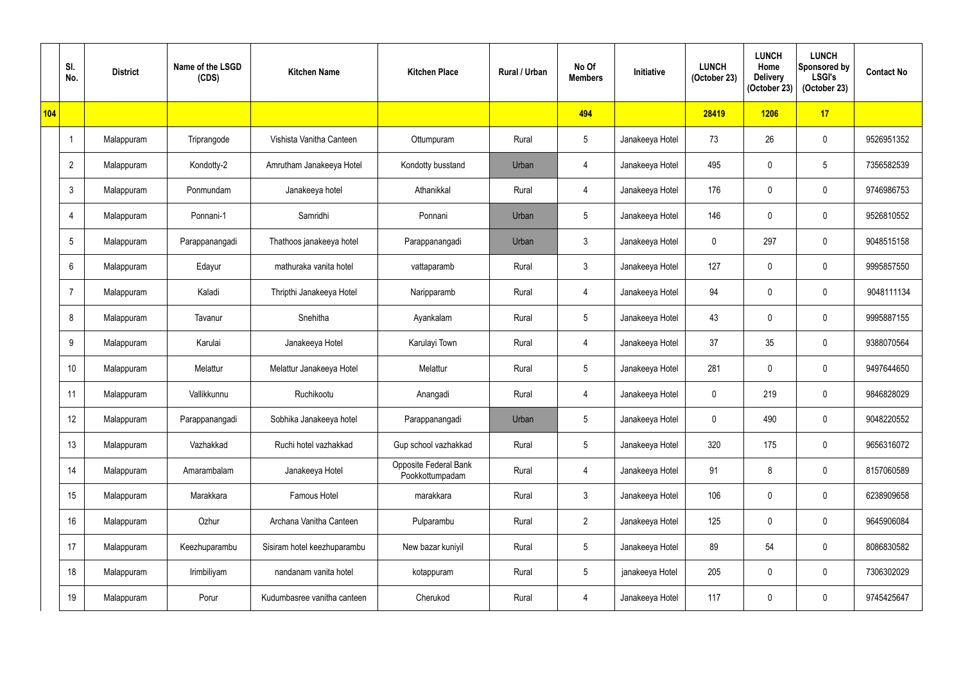|            | SI.<br>No.      | <b>District</b> | Name of the LSGD<br>(CDS) | <b>Kitchen Name</b>         | <b>Kitchen Place</b>                     | <b>Rural / Urban</b> | No Of<br><b>Members</b> | <b>Initiative</b> | <b>LUNCH</b><br>(October 23) | <b>LUNCH</b><br>Home<br><b>Delivery</b><br>(October 23) | <b>LUNCH</b><br>Sponsored by<br><b>LSGI's</b><br>(October 23) | <b>Contact No</b> |
|------------|-----------------|-----------------|---------------------------|-----------------------------|------------------------------------------|----------------------|-------------------------|-------------------|------------------------------|---------------------------------------------------------|---------------------------------------------------------------|-------------------|
| <b>104</b> |                 |                 |                           |                             |                                          |                      | 494                     |                   | 28419                        | 1206                                                    | 17                                                            |                   |
|            |                 | Malappuram      | Triprangode               | Vishista Vanitha Canteen    | Ottumpuram                               | Rural                | $5\phantom{.0}$         | Janakeeya Hotel   | 73                           | 26                                                      | $\boldsymbol{0}$                                              | 9526951352        |
|            | $\overline{2}$  | Malappuram      | Kondotty-2                | Amrutham Janakeeya Hotel    | Kondotty busstand                        | Urban                | 4                       | Janakeeya Hotel   | 495                          | $\mathbf 0$                                             | $5\phantom{.0}$                                               | 7356582539        |
|            | $\mathbf{3}$    | Malappuram      | Ponmundam                 | Janakeeya hotel             | Athanikkal                               | Rural                | 4                       | Janakeeya Hotel   | 176                          | $\mathbf 0$                                             | $\mathbf 0$                                                   | 9746986753        |
|            | $\overline{4}$  | Malappuram      | Ponnani-1                 | Samridhi                    | Ponnani                                  | Urban                | 5                       | Janakeeya Hotel   | 146                          | $\mathbf 0$                                             | $\pmb{0}$                                                     | 9526810552        |
|            | $5\phantom{.0}$ | Malappuram      | Parappanangadi            | Thathoos janakeeya hotel    | Parappanangadi                           | Urban                | $\mathfrak{Z}$          | Janakeeya Hotel   | $\mathbf 0$                  | 297                                                     | $\mathbf 0$                                                   | 9048515158        |
|            | $6\phantom{.}6$ | Malappuram      | Edayur                    | mathuraka vanita hotel      | vattaparamb                              | Rural                | $\mathfrak{Z}$          | Janakeeya Hotel   | 127                          | $\mathbf 0$                                             | $\pmb{0}$                                                     | 9995857550        |
|            | $\overline{7}$  | Malappuram      | Kaladi                    | Thripthi Janakeeya Hotel    | Naripparamb                              | Rural                | $\overline{4}$          | Janakeeya Hotel   | 94                           | $\mathbf 0$                                             | 0                                                             | 9048111134        |
|            | 8               | Malappuram      | Tavanur                   | Snehitha                    | Ayankalam                                | Rural                | 5                       | Janakeeya Hotel   | 43                           | 0                                                       | $\pmb{0}$                                                     | 9995887155        |
|            | 9               | Malappuram      | Karulai                   | Janakeeya Hotel             | Karulayi Town                            | Rural                | $\overline{4}$          | Janakeeya Hotel   | 37                           | 35                                                      | $\mathbf 0$                                                   | 9388070564        |
|            | 10              | Malappuram      | Melattur                  | Melattur Janakeeya Hotel    | Melattur                                 | Rural                | 5                       | Janakeeya Hotel   | 281                          | $\mathbf 0$                                             | $\pmb{0}$                                                     | 9497644650        |
|            | 11              | Malappuram      | Vallikkunnu               | Ruchikootu                  | Anangadi                                 | Rural                | 4                       | Janakeeya Hotel   | $\mathbf 0$                  | 219                                                     | 0                                                             | 9846828029        |
|            | 12              | Malappuram      | Parappanangadi            | Sobhika Janakeeya hotel     | Parappanangadi                           | Urban                | $\sqrt{5}$              | Janakeeya Hotel   | $\mathbf 0$                  | 490                                                     | $\pmb{0}$                                                     | 9048220552        |
|            | 13              | Malappuram      | Vazhakkad                 | Ruchi hotel vazhakkad       | Gup school vazhakkad                     | Rural                | $5\overline{)}$         | Janakeeya Hotel   | 320                          | 175                                                     | $\pmb{0}$                                                     | 9656316072        |
|            | 14              | Malappuram      | Amarambalam               | Janakeeya Hotel             | Opposite Federal Bank<br>Pookkottumpadam | Rural                | $\overline{4}$          | Janakeeya Hotel   | 91                           | 8                                                       | $\boldsymbol{0}$                                              | 8157060589        |
|            | 15              | Malappuram      | Marakkara                 | Famous Hotel                | marakkara                                | Rural                | $\mathbf{3}$            | Janakeeya Hotel   | 106                          | $\mathbf 0$                                             | $\boldsymbol{0}$                                              | 6238909658        |
|            | 16              | Malappuram      | Ozhur                     | Archana Vanitha Canteen     | Pulparambu                               | Rural                | $\overline{2}$          | Janakeeya Hotel   | 125                          | $\mathbf 0$                                             | $\pmb{0}$                                                     | 9645906084        |
|            | 17              | Malappuram      | Keezhuparambu             | Sisiram hotel keezhuparambu | New bazar kuniyil                        | Rural                | $5\phantom{.0}$         | Janakeeya Hotel   | 89                           | 54                                                      | $\pmb{0}$                                                     | 8086830582        |
|            | 18              | Malappuram      | Irimbiliyam               | nandanam vanita hotel       | kotappuram                               | Rural                | $5\phantom{.0}$         | janakeeya Hotel   | 205                          | $\mathbf 0$                                             | $\boldsymbol{0}$                                              | 7306302029        |
|            | 19              | Malappuram      | Porur                     | Kudumbasree vanitha canteen | Cherukod                                 | Rural                | $\overline{4}$          | Janakeeya Hotel   | 117                          | $\mathbf 0$                                             | $\pmb{0}$                                                     | 9745425647        |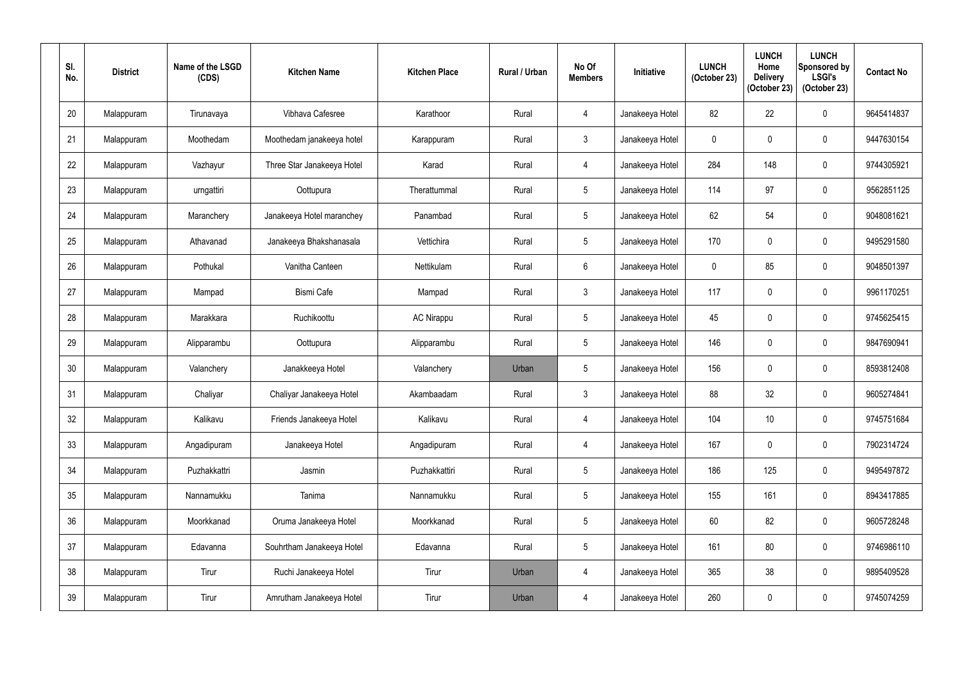| SI.<br>No. | <b>District</b> | Name of the LSGD<br>(CDS) | <b>Kitchen Name</b>        | <b>Kitchen Place</b> | <b>Rural / Urban</b> | No Of<br><b>Members</b> | Initiative      | <b>LUNCH</b><br>(October 23) | <b>LUNCH</b><br>Home<br><b>Delivery</b><br>(October 23) | <b>LUNCH</b><br>Sponsored by<br><b>LSGI's</b><br>(October 23) | <b>Contact No</b> |
|------------|-----------------|---------------------------|----------------------------|----------------------|----------------------|-------------------------|-----------------|------------------------------|---------------------------------------------------------|---------------------------------------------------------------|-------------------|
| 20         | Malappuram      | Tirunavaya                | Vibhava Cafesree           | Karathoor            | Rural                | 4                       | Janakeeya Hotel | 82                           | 22                                                      | 0                                                             | 9645414837        |
| 21         | Malappuram      | Moothedam                 | Moothedam janakeeya hotel  | Karappuram           | Rural                | $\mathbf{3}$            | Janakeeya Hotel | $\mathbf 0$                  | $\mathbf{0}$                                            | 0                                                             | 9447630154        |
| 22         | Malappuram      | Vazhayur                  | Three Star Janakeeya Hotel | Karad                | Rural                | $\overline{4}$          | Janakeeya Hotel | 284                          | 148                                                     | 0                                                             | 9744305921        |
| 23         | Malappuram      | urngattiri                | Oottupura                  | Therattummal         | Rural                | $\overline{5}$          | Janakeeya Hotel | 114                          | 97                                                      | 0                                                             | 9562851125        |
| 24         | Malappuram      | Maranchery                | Janakeeya Hotel maranchey  | Panambad             | Rural                | $\overline{5}$          | Janakeeya Hotel | 62                           | 54                                                      | 0                                                             | 9048081621        |
| 25         | Malappuram      | Athavanad                 | Janakeeya Bhakshanasala    | Vettichira           | Rural                | $\overline{5}$          | Janakeeya Hotel | 170                          | 0                                                       | 0                                                             | 9495291580        |
| 26         | Malappuram      | Pothukal                  | Vanitha Canteen            | Nettikulam           | Rural                | $6\phantom{.}$          | Janakeeya Hotel | $\mathbf 0$                  | 85                                                      | 0                                                             | 9048501397        |
| 27         | Malappuram      | Mampad                    | <b>Bismi Cafe</b>          | Mampad               | Rural                | $\mathfrak{Z}$          | Janakeeya Hotel | 117                          | $\mathbf 0$                                             | 0                                                             | 9961170251        |
| 28         | Malappuram      | Marakkara                 | Ruchikoottu                | <b>AC Nirappu</b>    | Rural                | $5\phantom{.0}$         | Janakeeya Hotel | 45                           | 0                                                       | 0                                                             | 9745625415        |
| 29         | Malappuram      | Alipparambu               | Oottupura                  | Alipparambu          | Rural                | $5\phantom{.0}$         | Janakeeya Hotel | 146                          | $\mathbf 0$                                             | 0                                                             | 9847690941        |
| 30         | Malappuram      | Valanchery                | Janakkeeya Hotel           | Valanchery           | Urban                | $\overline{5}$          | Janakeeya Hotel | 156                          | 0                                                       | 0                                                             | 8593812408        |
| 31         | Malappuram      | Chaliyar                  | Chaliyar Janakeeya Hotel   | Akambaadam           | Rural                | $\mathfrak{Z}$          | Janakeeya Hotel | 88                           | 32                                                      | 0                                                             | 9605274841        |
| 32         | Malappuram      | Kalikavu                  | Friends Janakeeya Hotel    | Kalikavu             | Rural                | $\overline{4}$          | Janakeeya Hotel | 104                          | 10                                                      | 0                                                             | 9745751684        |
| 33         | Malappuram      | Angadipuram               | Janakeeya Hotel            | Angadipuram          | Rural                | $\overline{4}$          | Janakeeya Hotel | 167                          | $\mathbf 0$                                             | 0                                                             | 7902314724        |
| 34         | Malappuram      | Puzhakkattri              | Jasmin                     | Puzhakkattiri        | Rural                | $5\phantom{.0}$         | Janakeeya Hotel | 186                          | 125                                                     | 0                                                             | 9495497872        |
| 35         | Malappuram      | Nannamukku                | Tanima                     | Nannamukku           | Rural                | $5\phantom{.0}$         | Janakeeya Hotel | 155                          | 161                                                     | 0                                                             | 8943417885        |
| 36         | Malappuram      | Moorkkanad                | Oruma Janakeeya Hotel      | Moorkkanad           | Rural                | $5\phantom{.0}$         | Janakeeya Hotel | 60                           | 82                                                      | 0                                                             | 9605728248        |
| 37         | Malappuram      | Edavanna                  | Souhrtham Janakeeya Hotel  | Edavanna             | Rural                | $5\phantom{.0}$         | Janakeeya Hotel | 161                          | 80                                                      | 0                                                             | 9746986110        |
| 38         | Malappuram      | Tirur                     | Ruchi Janakeeya Hotel      | Tirur                | Urban                | 4                       | Janakeeya Hotel | 365                          | 38                                                      | 0                                                             | 9895409528        |
| 39         | Malappuram      | Tirur                     | Amrutham Janakeeya Hotel   | Tirur                | Urban                | $\overline{4}$          | Janakeeya Hotel | 260                          | 0                                                       | $\pmb{0}$                                                     | 9745074259        |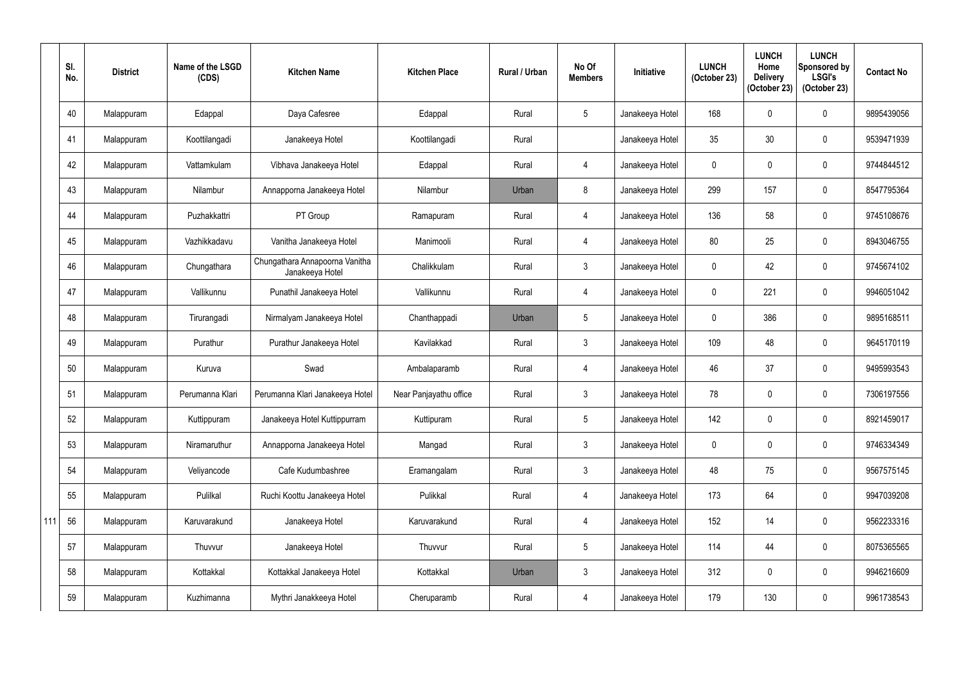|     | SI.<br>No. | <b>District</b> | Name of the LSGD<br>(CDS) | <b>Kitchen Name</b>                               | <b>Kitchen Place</b>   | Rural / Urban | No Of<br><b>Members</b> | <b>Initiative</b> | <b>LUNCH</b><br>(October 23) | <b>LUNCH</b><br>Home<br><b>Delivery</b><br>(October 23) | <b>LUNCH</b><br><b>Sponsored by</b><br><b>LSGI's</b><br>(October 23) | <b>Contact No</b> |
|-----|------------|-----------------|---------------------------|---------------------------------------------------|------------------------|---------------|-------------------------|-------------------|------------------------------|---------------------------------------------------------|----------------------------------------------------------------------|-------------------|
|     | 40         | Malappuram      | Edappal                   | Daya Cafesree                                     | Edappal                | Rural         | $5\phantom{.0}$         | Janakeeya Hotel   | 168                          | $\mathbf{0}$                                            | $\pmb{0}$                                                            | 9895439056        |
|     | 41         | Malappuram      | Koottilangadi             | Janakeeya Hotel                                   | Koottilangadi          | Rural         |                         | Janakeeya Hotel   | 35                           | 30                                                      | $\pmb{0}$                                                            | 9539471939        |
|     | 42         | Malappuram      | Vattamkulam               | Vibhava Janakeeya Hotel                           | Edappal                | Rural         | $\overline{4}$          | Janakeeya Hotel   | $\mathbf 0$                  | $\mathbf 0$                                             | $\boldsymbol{0}$                                                     | 9744844512        |
|     | 43         | Malappuram      | Nilambur                  | Annapporna Janakeeya Hotel                        | Nilambur               | Urban         | 8                       | Janakeeya Hotel   | 299                          | 157                                                     | $\pmb{0}$                                                            | 8547795364        |
|     | 44         | Malappuram      | Puzhakkattri              | PT Group                                          | Ramapuram              | Rural         | $\overline{4}$          | Janakeeya Hotel   | 136                          | 58                                                      | $\pmb{0}$                                                            | 9745108676        |
|     | 45         | Malappuram      | Vazhikkadavu              | Vanitha Janakeeya Hotel                           | Manimooli              | Rural         | 4                       | Janakeeya Hotel   | 80                           | 25                                                      | $\pmb{0}$                                                            | 8943046755        |
|     | 46         | Malappuram      | Chungathara               | Chungathara Annapoorna Vanitha<br>Janakeeya Hotel | Chalikkulam            | Rural         | $\mathfrak{Z}$          | Janakeeya Hotel   | $\mathbf 0$                  | 42                                                      | $\pmb{0}$                                                            | 9745674102        |
|     | 47         | Malappuram      | Vallikunnu                | Punathil Janakeeya Hotel                          | Vallikunnu             | Rural         | $\overline{4}$          | Janakeeya Hotel   | $\mathbf 0$                  | 221                                                     | $\pmb{0}$                                                            | 9946051042        |
|     | 48         | Malappuram      | Tirurangadi               | Nirmalyam Janakeeya Hotel                         | Chanthappadi           | Urban         | $5\phantom{.0}$         | Janakeeya Hotel   | $\mathbf 0$                  | 386                                                     | $\pmb{0}$                                                            | 9895168511        |
|     | 49         | Malappuram      | Purathur                  | Purathur Janakeeya Hotel                          | Kavilakkad             | Rural         | $\mathbf{3}$            | Janakeeya Hotel   | 109                          | 48                                                      | $\pmb{0}$                                                            | 9645170119        |
|     | 50         | Malappuram      | Kuruva                    | Swad                                              | Ambalaparamb           | Rural         | $\overline{4}$          | Janakeeya Hotel   | 46                           | 37                                                      | $\pmb{0}$                                                            | 9495993543        |
|     | 51         | Malappuram      | Perumanna Klari           | Perumanna Klari Janakeeya Hotel                   | Near Panjayathu office | Rural         | $\mathbf{3}$            | Janakeeya Hotel   | 78                           | $\mathbf 0$                                             | $\pmb{0}$                                                            | 7306197556        |
|     | 52         | Malappuram      | Kuttippuram               | Janakeeya Hotel Kuttippurram                      | Kuttipuram             | Rural         | $5\phantom{.0}$         | Janakeeya Hotel   | 142                          | $\mathbf 0$                                             | $\pmb{0}$                                                            | 8921459017        |
|     | 53         | Malappuram      | Niramaruthur              | Annapporna Janakeeya Hotel                        | Mangad                 | Rural         | $\mathfrak{Z}$          | Janakeeya Hotel   | $\mathbf 0$                  | $\mathbf 0$                                             | $\pmb{0}$                                                            | 9746334349        |
|     | 54         | Malappuram      | Veliyancode               | Cafe Kudumbashree                                 | Eramangalam            | Rural         | $\mathbf{3}$            | Janakeeya Hotel   | 48                           | 75                                                      | $\pmb{0}$                                                            | 9567575145        |
|     | 55         | Malappuram      | Pulilkal                  | Ruchi Koottu Janakeeya Hotel                      | Pulikkal               | Rural         | $\overline{4}$          | Janakeeya Hotel   | 173                          | 64                                                      | $\pmb{0}$                                                            | 9947039208        |
| 111 | 56         | Malappuram      | Karuvarakund              | Janakeeya Hotel                                   | Karuvarakund           | Rural         | $\overline{4}$          | Janakeeya Hotel   | 152                          | 14                                                      | $\pmb{0}$                                                            | 9562233316        |
|     | 57         | Malappuram      | Thuvvur                   | Janakeeya Hotel                                   | Thuvvur                | Rural         | $5\phantom{.0}$         | Janakeeya Hotel   | 114                          | 44                                                      | $\pmb{0}$                                                            | 8075365565        |
|     | 58         | Malappuram      | Kottakkal                 | Kottakkal Janakeeya Hotel                         | Kottakkal              | Urban         | $\mathfrak{Z}$          | Janakeeya Hotel   | 312                          | $\mathbf 0$                                             | $\pmb{0}$                                                            | 9946216609        |
|     | 59         | Malappuram      | Kuzhimanna                | Mythri Janakkeeya Hotel                           | Cheruparamb            | Rural         | $\overline{4}$          | Janakeeya Hotel   | 179                          | 130                                                     | $\pmb{0}$                                                            | 9961738543        |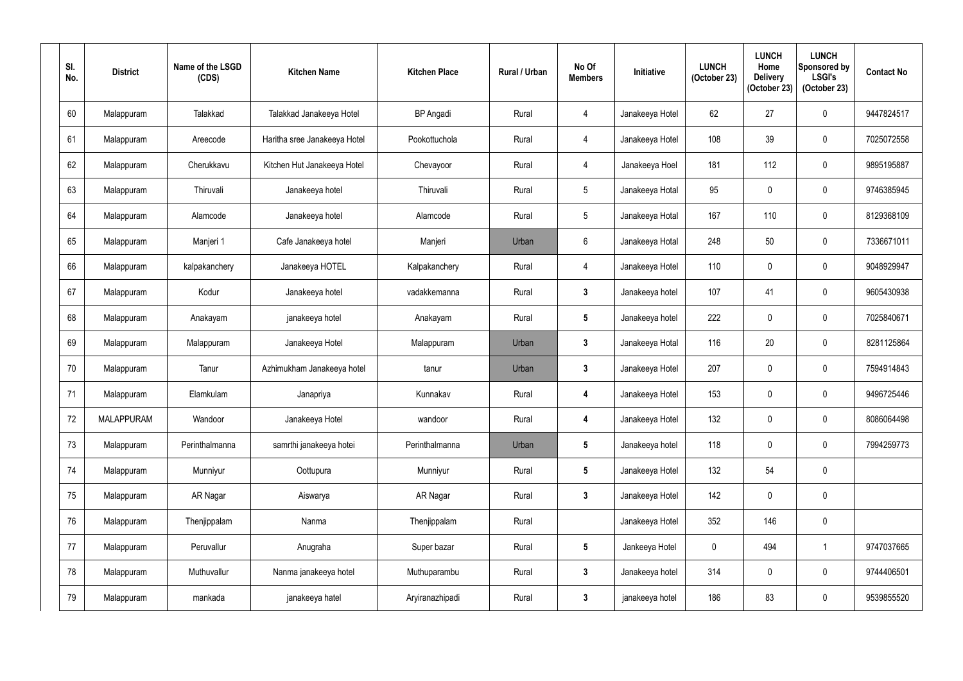| SI.<br>No. | <b>District</b>   | Name of the LSGD<br>(CDS) | <b>Kitchen Name</b>          | <b>Kitchen Place</b> | <b>Rural / Urban</b> | No Of<br><b>Members</b> | Initiative      | <b>LUNCH</b><br>(October 23) | <b>LUNCH</b><br>Home<br><b>Delivery</b><br>(October 23) | <b>LUNCH</b><br><b>Sponsored by</b><br><b>LSGI's</b><br>(October 23) | <b>Contact No</b> |
|------------|-------------------|---------------------------|------------------------------|----------------------|----------------------|-------------------------|-----------------|------------------------------|---------------------------------------------------------|----------------------------------------------------------------------|-------------------|
| 60         | Malappuram        | Talakkad                  | Talakkad Janakeeya Hotel     | <b>BP</b> Angadi     | Rural                | 4                       | Janakeeya Hotel | 62                           | 27                                                      | $\pmb{0}$                                                            | 9447824517        |
| 61         | Malappuram        | Areecode                  | Haritha sree Janakeeya Hotel | Pookottuchola        | Rural                | 4                       | Janakeeya Hotel | 108                          | 39                                                      | $\boldsymbol{0}$                                                     | 7025072558        |
| 62         | Malappuram        | Cherukkavu                | Kitchen Hut Janakeeya Hotel  | Chevayoor            | Rural                | 4                       | Janakeeya Hoel  | 181                          | 112                                                     | $\boldsymbol{0}$                                                     | 9895195887        |
| 63         | Malappuram        | Thiruvali                 | Janakeeya hotel              | Thiruvali            | Rural                | $\sqrt{5}$              | Janakeeya Hotal | 95                           | $\mathbf 0$                                             | 0                                                                    | 9746385945        |
| 64         | Malappuram        | Alamcode                  | Janakeeya hotel              | Alamcode             | Rural                | $\overline{5}$          | Janakeeya Hotal | 167                          | 110                                                     | $\pmb{0}$                                                            | 8129368109        |
| 65         | Malappuram        | Manjeri 1                 | Cafe Janakeeya hotel         | Manjeri              | Urban                | $6\phantom{.}$          | Janakeeya Hotal | 248                          | 50                                                      | $\boldsymbol{0}$                                                     | 7336671011        |
| 66         | Malappuram        | kalpakanchery             | Janakeeya HOTEL              | Kalpakanchery        | Rural                | 4                       | Janakeeya Hotel | 110                          | $\mathbf 0$                                             | $\mathbf 0$                                                          | 9048929947        |
| 67         | Malappuram        | Kodur                     | Janakeeya hotel              | vadakkemanna         | Rural                | $\mathbf{3}$            | Janakeeya hotel | 107                          | 41                                                      | $\pmb{0}$                                                            | 9605430938        |
| 68         | Malappuram        | Anakayam                  | janakeeya hotel              | Anakayam             | Rural                | $5\phantom{.0}$         | Janakeeya hotel | 222                          | $\mathbf 0$                                             | $\pmb{0}$                                                            | 7025840671        |
| 69         | Malappuram        | Malappuram                | Janakeeya Hotel              | Malappuram           | Urban                | $\mathbf{3}$            | Janakeeya Hotal | 116                          | 20                                                      | $\boldsymbol{0}$                                                     | 8281125864        |
| 70         | Malappuram        | Tanur                     | Azhimukham Janakeeya hotel   | tanur                | Urban                | $\mathbf{3}$            | Janakeeya Hotel | 207                          | $\mathbf 0$                                             | $\boldsymbol{0}$                                                     | 7594914843        |
| 71         | Malappuram        | Elamkulam                 | Janapriya                    | Kunnakav             | Rural                | 4                       | Janakeeya Hotel | 153                          | $\mathbf 0$                                             | 0                                                                    | 9496725446        |
| 72         | <b>MALAPPURAM</b> | Wandoor                   | Janakeeya Hotel              | wandoor              | Rural                | 4                       | Janakeeya Hotel | 132                          | $\mathbf 0$                                             | $\pmb{0}$                                                            | 8086064498        |
| 73         | Malappuram        | Perinthalmanna            | samrthi janakeeya hotei      | Perinthalmanna       | Urban                | $5\phantom{.0}$         | Janakeeya hotel | 118                          | $\mathbf 0$                                             | $\pmb{0}$                                                            | 7994259773        |
| 74         | Malappuram        | Munniyur                  | Oottupura                    | Munniyur             | Rural                | $5\phantom{.0}$         | Janakeeya Hotel | 132                          | 54                                                      | $\pmb{0}$                                                            |                   |
| 75         | Malappuram        | AR Nagar                  | Aiswarya                     | AR Nagar             | Rural                | $3\phantom{a}$          | Janakeeya Hotel | 142                          | $\mathbf 0$                                             | $\pmb{0}$                                                            |                   |
| 76         | Malappuram        | Thenjippalam              | Nanma                        | Thenjippalam         | Rural                |                         | Janakeeya Hotel | 352                          | 146                                                     | $\pmb{0}$                                                            |                   |
| 77         | Malappuram        | Peruvallur                | Anugraha                     | Super bazar          | Rural                | $5\phantom{.0}$         | Jankeeya Hotel  | $\pmb{0}$                    | 494                                                     | $\mathbf{1}$                                                         | 9747037665        |
| 78         | Malappuram        | Muthuvallur               | Nanma janakeeya hotel        | Muthuparambu         | Rural                | $\mathbf{3}$            | Janakeeya hotel | 314                          | $\pmb{0}$                                               | $\pmb{0}$                                                            | 9744406501        |
| 79         | Malappuram        | mankada                   | janakeeya hatel              | Aryiranazhipadi      | Rural                | $\mathbf{3}$            | janakeeya hotel | 186                          | 83                                                      | $\pmb{0}$                                                            | 9539855520        |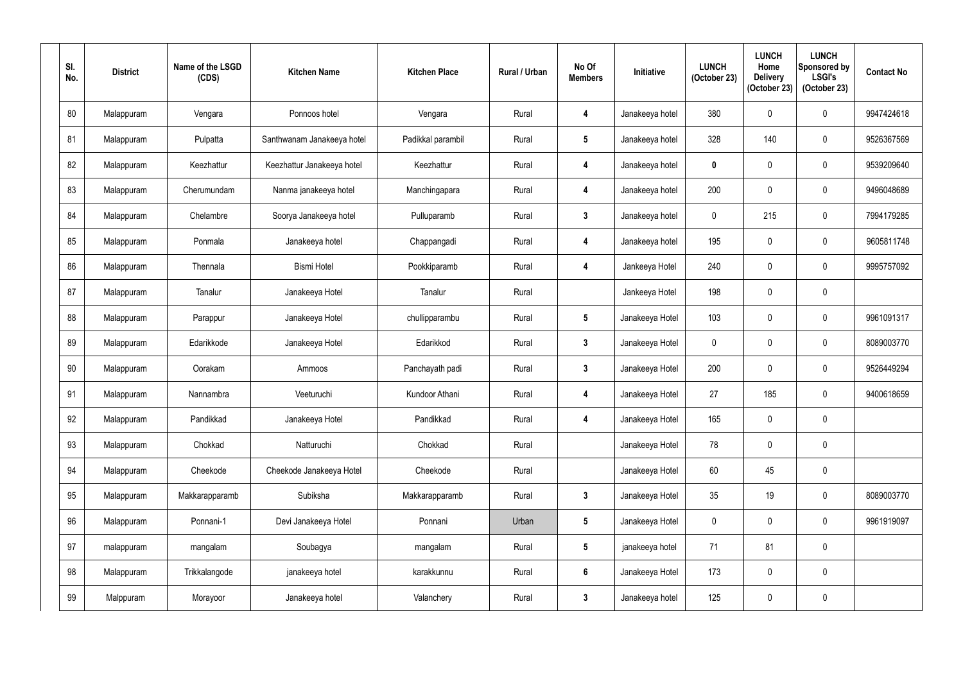| SI.<br>No. | <b>District</b> | Name of the LSGD<br>(CDS) | <b>Kitchen Name</b>        | <b>Kitchen Place</b> | <b>Rural / Urban</b> | No Of<br><b>Members</b> | Initiative      | <b>LUNCH</b><br>(October 23) | <b>LUNCH</b><br>Home<br><b>Delivery</b><br>(October 23) | <b>LUNCH</b><br><b>Sponsored by</b><br><b>LSGI's</b><br>(October 23) | <b>Contact No</b> |
|------------|-----------------|---------------------------|----------------------------|----------------------|----------------------|-------------------------|-----------------|------------------------------|---------------------------------------------------------|----------------------------------------------------------------------|-------------------|
| 80         | Malappuram      | Vengara                   | Ponnoos hotel              | Vengara              | Rural                | 4                       | Janakeeya hotel | 380                          | 0                                                       | $\boldsymbol{0}$                                                     | 9947424618        |
| 81         | Malappuram      | Pulpatta                  | Santhwanam Janakeeya hotel | Padikkal parambil    | Rural                | $5\phantom{.0}$         | Janakeeya hotel | 328                          | 140                                                     | $\pmb{0}$                                                            | 9526367569        |
| 82         | Malappuram      | Keezhattur                | Keezhattur Janakeeya hotel | Keezhattur           | Rural                | 4                       | Janakeeya hotel | $\mathbf 0$                  | $\mathbf 0$                                             | $\pmb{0}$                                                            | 9539209640        |
| 83         | Malappuram      | Cherumundam               | Nanma janakeeya hotel      | Manchingapara        | Rural                | 4                       | Janakeeya hotel | 200                          | $\mathbf 0$                                             | 0                                                                    | 9496048689        |
| 84         | Malappuram      | Chelambre                 | Soorya Janakeeya hotel     | Pulluparamb          | Rural                | $\mathbf{3}$            | Janakeeya hotel | 0                            | 215                                                     | $\pmb{0}$                                                            | 7994179285        |
| 85         | Malappuram      | Ponmala                   | Janakeeya hotel            | Chappangadi          | Rural                | 4                       | Janakeeya hotel | 195                          | $\mathbf 0$                                             | $\mathbf 0$                                                          | 9605811748        |
| 86         | Malappuram      | Thennala                  | <b>Bismi Hotel</b>         | Pookkiparamb         | Rural                | 4                       | Jankeeya Hotel  | 240                          | $\mathbf 0$                                             | $\mathbf 0$                                                          | 9995757092        |
| 87         | Malappuram      | Tanalur                   | Janakeeya Hotel            | Tanalur              | Rural                |                         | Jankeeya Hotel  | 198                          | $\mathbf 0$                                             | $\pmb{0}$                                                            |                   |
| 88         | Malappuram      | Parappur                  | Janakeeya Hotel            | chullipparambu       | Rural                | $5\phantom{.0}$         | Janakeeya Hotel | 103                          | $\mathbf 0$                                             | $\pmb{0}$                                                            | 9961091317        |
| 89         | Malappuram      | Edarikkode                | Janakeeya Hotel            | Edarikkod            | Rural                | $\mathbf{3}$            | Janakeeya Hotel | $\mathbf 0$                  | $\mathbf 0$                                             | $\boldsymbol{0}$                                                     | 8089003770        |
| 90         | Malappuram      | Oorakam                   | Ammoos                     | Panchayath padi      | Rural                | $\mathbf{3}$            | Janakeeya Hotel | 200                          | $\mathbf 0$                                             | $\mathbf 0$                                                          | 9526449294        |
| 91         | Malappuram      | Nannambra                 | Veeturuchi                 | Kundoor Athani       | Rural                | 4                       | Janakeeya Hotel | 27                           | 185                                                     | 0                                                                    | 9400618659        |
| 92         | Malappuram      | Pandikkad                 | Janakeeya Hotel            | Pandikkad            | Rural                | $\boldsymbol{4}$        | Janakeeya Hotel | 165                          | $\mathbf 0$                                             | $\pmb{0}$                                                            |                   |
| 93         | Malappuram      | Chokkad                   | Natturuchi                 | Chokkad              | Rural                |                         | Janakeeya Hotel | 78                           | $\mathbf 0$                                             | $\pmb{0}$                                                            |                   |
| 94         | Malappuram      | Cheekode                  | Cheekode Janakeeya Hotel   | Cheekode             | Rural                |                         | Janakeeya Hotel | 60                           | 45                                                      | $\pmb{0}$                                                            |                   |
| 95         | Malappuram      | Makkarapparamb            | Subiksha                   | Makkarapparamb       | Rural                | $\mathbf{3}$            | Janakeeya Hotel | 35                           | 19                                                      | $\pmb{0}$                                                            | 8089003770        |
| 96         | Malappuram      | Ponnani-1                 | Devi Janakeeya Hotel       | Ponnani              | Urban                | $5\phantom{.0}$         | Janakeeya Hotel | $\mathbf 0$                  | $\mathbf 0$                                             | $\pmb{0}$                                                            | 9961919097        |
| 97         | malappuram      | mangalam                  | Soubagya                   | mangalam             | Rural                | $5\phantom{.0}$         | janakeeya hotel | 71                           | 81                                                      | $\pmb{0}$                                                            |                   |
| 98         | Malappuram      | Trikkalangode             | janakeeya hotel            | karakkunnu           | Rural                | $\boldsymbol{6}$        | Janakeeya Hotel | 173                          | $\pmb{0}$                                               | $\pmb{0}$                                                            |                   |
| 99         | Malppuram       | Morayoor                  | Janakeeya hotel            | Valanchery           | Rural                | $\mathbf{3}$            | Janakeeya hotel | 125                          | 0                                                       | $\pmb{0}$                                                            |                   |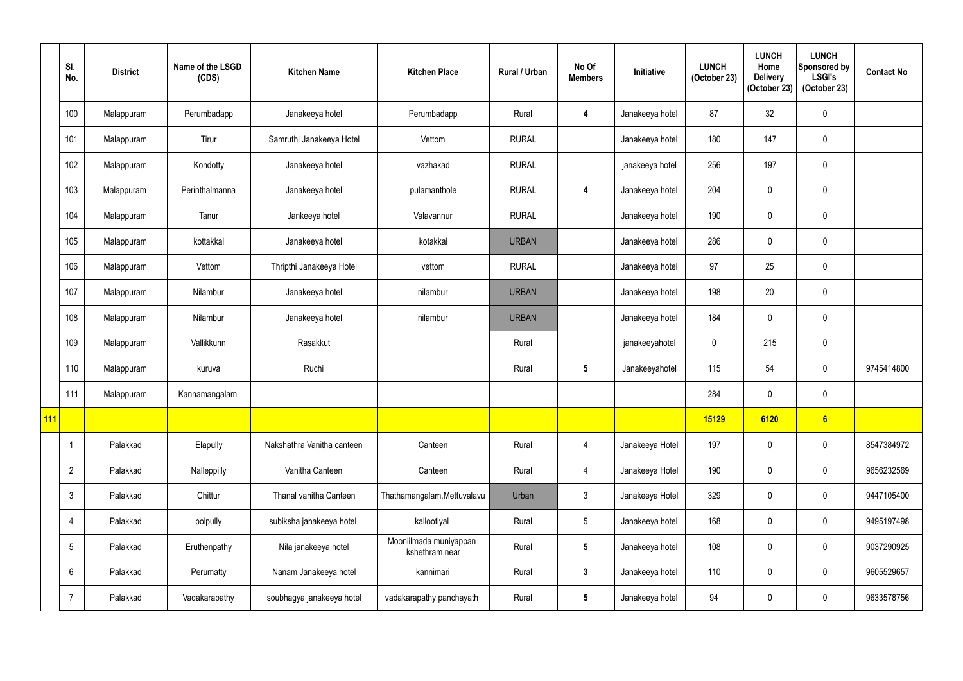|     | SI.<br>No.      | <b>District</b> | Name of the LSGD<br>(CDS) | <b>Kitchen Name</b>        | <b>Kitchen Place</b>                     | <b>Rural / Urban</b> | No Of<br><b>Members</b> | <b>Initiative</b> | <b>LUNCH</b><br>(October 23) | <b>LUNCH</b><br>Home<br><b>Delivery</b><br>(October 23) | <b>LUNCH</b><br>Sponsored by<br><b>LSGI's</b><br>(October 23) | <b>Contact No</b> |
|-----|-----------------|-----------------|---------------------------|----------------------------|------------------------------------------|----------------------|-------------------------|-------------------|------------------------------|---------------------------------------------------------|---------------------------------------------------------------|-------------------|
|     | 100             | Malappuram      | Perumbadapp               | Janakeeya hotel            | Perumbadapp                              | Rural                | 4                       | Janakeeya hotel   | 87                           | 32                                                      | 0                                                             |                   |
|     | 101             | Malappuram      | Tirur                     | Samruthi Janakeeya Hotel   | Vettom                                   | <b>RURAL</b>         |                         | Janakeeya hotel   | 180                          | 147                                                     | 0                                                             |                   |
|     | 102             | Malappuram      | Kondotty                  | Janakeeya hotel            | vazhakad                                 | <b>RURAL</b>         |                         | janakeeya hotel   | 256                          | 197                                                     | 0                                                             |                   |
|     | 103             | Malappuram      | Perinthalmanna            | Janakeeya hotel            | pulamanthole                             | <b>RURAL</b>         | $\overline{4}$          | Janakeeya hotel   | 204                          | 0                                                       | 0                                                             |                   |
|     | 104             | Malappuram      | Tanur                     | Jankeeya hotel             | Valavannur                               | <b>RURAL</b>         |                         | Janakeeya hotel   | 190                          | 0                                                       | 0                                                             |                   |
|     | 105             | Malappuram      | kottakkal                 | Janakeeya hotel            | kotakkal                                 | <b>URBAN</b>         |                         | Janakeeya hotel   | 286                          | 0                                                       | 0                                                             |                   |
|     | 106             | Malappuram      | Vettom                    | Thripthi Janakeeya Hotel   | vettom                                   | <b>RURAL</b>         |                         | Janakeeya hotel   | 97                           | 25                                                      | 0                                                             |                   |
|     | 107             | Malappuram      | Nilambur                  | Janakeeya hotel            | nilambur                                 | <b>URBAN</b>         |                         | Janakeeya hotel   | 198                          | 20                                                      | 0                                                             |                   |
|     | 108             | Malappuram      | Nilambur                  | Janakeeya hotel            | nilambur                                 | <b>URBAN</b>         |                         | Janakeeya hotel   | 184                          | 0                                                       | 0                                                             |                   |
|     | 109             | Malappuram      | Vallikkunn                | Rasakkut                   |                                          | Rural                |                         | janakeeyahotel    | $\mathbf 0$                  | 215                                                     | 0                                                             |                   |
|     | 110             | Malappuram      | kuruva                    | Ruchi                      |                                          | Rural                | $\overline{\mathbf{5}}$ | Janakeeyahotel    | 115                          | 54                                                      | 0                                                             | 9745414800        |
|     | 111             | Malappuram      | Kannamangalam             |                            |                                          |                      |                         |                   | 284                          | 0                                                       | 0                                                             |                   |
| 111 |                 |                 |                           |                            |                                          |                      |                         |                   | 15129                        | 6120                                                    | 6                                                             |                   |
|     |                 | Palakkad        | Elapully                  | Nakshathra Vanitha canteen | Canteen                                  | Rural                | $\overline{4}$          | Janakeeya Hotel   | 197                          | $\mathbf 0$                                             | 0                                                             | 8547384972        |
|     | $\overline{2}$  | Palakkad        | Nalleppilly               | Vanitha Canteen            | Canteen                                  | Rural                | $\overline{4}$          | Janakeeya Hotel   | 190                          | $\mathbf 0$                                             | 0                                                             | 9656232569        |
|     | $\mathbf{3}$    | Palakkad        | Chittur                   | Thanal vanitha Canteen     | Thathamangalam, Mettuvalavu              | Urban                | $\mathfrak{Z}$          | Janakeeya Hotel   | 329                          | $\mathbf 0$                                             | 0                                                             | 9447105400        |
|     | $\overline{4}$  | Palakkad        | polpully                  | subiksha janakeeya hotel   | kallootiyal                              | Rural                | $5\overline{)}$         | Janakeeya hotel   | 168                          | 0                                                       | $\overline{0}$                                                | 9495197498        |
|     | $5\phantom{.0}$ | Palakkad        | Eruthenpathy              | Nila janakeeya hotel       | Mooniilmada muniyappan<br>kshethram near | Rural                | $5\phantom{.0}$         | Janakeeya hotel   | 108                          | $\mathbf 0$                                             | 0                                                             | 9037290925        |
|     | 6               | Palakkad        | Perumatty                 | Nanam Janakeeya hotel      | kannimari                                | Rural                | $\mathbf{3}$            | Janakeeya hotel   | 110                          | $\mathbf 0$                                             | $\mathbf 0$                                                   | 9605529657        |
|     | $\overline{7}$  | Palakkad        | Vadakarapathy             | soubhagya janakeeya hotel  | vadakarapathy panchayath                 | Rural                | $\sqrt{5}$              | Janakeeya hotel   | 94                           | $\mathbf 0$                                             | $\pmb{0}$                                                     | 9633578756        |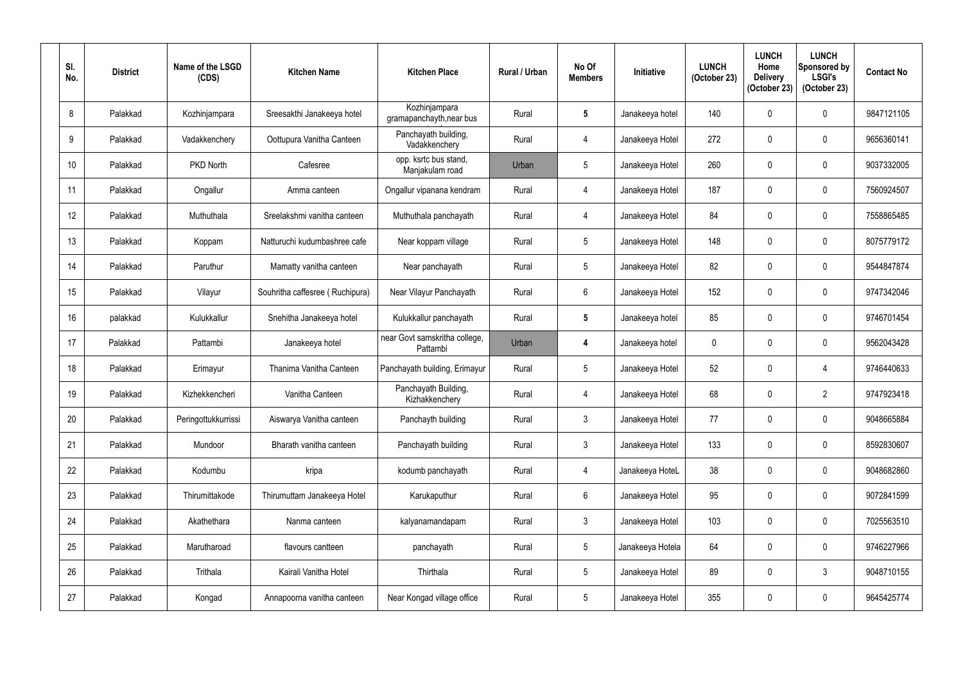| SI.<br>No.       | <b>District</b> | Name of the LSGD<br>(CDS) | <b>Kitchen Name</b>             | <b>Kitchen Place</b>                      | <b>Rural / Urban</b> | No Of<br><b>Members</b> | Initiative       | <b>LUNCH</b><br>(October 23) | <b>LUNCH</b><br>Home<br><b>Delivery</b><br>(October 23) | <b>LUNCH</b><br>Sponsored by<br><b>LSGI's</b><br>(October 23) | <b>Contact No</b> |
|------------------|-----------------|---------------------------|---------------------------------|-------------------------------------------|----------------------|-------------------------|------------------|------------------------------|---------------------------------------------------------|---------------------------------------------------------------|-------------------|
| 8                | Palakkad        | Kozhinjampara             | Sreesakthi Janakeeya hotel      | Kozhinjampara<br>gramapanchayth, near bus | Rural                | $\overline{\mathbf{5}}$ | Janakeeya hotel  | 140                          | 0                                                       | $\pmb{0}$                                                     | 9847121105        |
| 9                | Palakkad        | Vadakkenchery             | Oottupura Vanitha Canteen       | Panchayath building,<br>Vadakkenchery     | Rural                | $\overline{4}$          | Janakeeya Hotel  | 272                          | $\mathbf 0$                                             | $\pmb{0}$                                                     | 9656360141        |
| 10 <sup>°</sup>  | Palakkad        | PKD North                 | Cafesree                        | opp. ksrtc bus stand,<br>Manjakulam road  | Urban                | $5\phantom{.0}$         | Janakeeya Hotel  | 260                          | 0                                                       | $\pmb{0}$                                                     | 9037332005        |
| 11               | Palakkad        | Ongallur                  | Amma canteen                    | Ongallur vipanana kendram                 | Rural                | $\overline{4}$          | Janakeeya Hotel  | 187                          | 0                                                       | $\mathbf 0$                                                   | 7560924507        |
| 12               | Palakkad        | Muthuthala                | Sreelakshmi vanitha canteen     | Muthuthala panchayath                     | Rural                | $\overline{4}$          | Janakeeya Hotel  | 84                           | $\mathbf{0}$                                            | $\pmb{0}$                                                     | 7558865485        |
| 13               | Palakkad        | Koppam                    | Natturuchi kudumbashree cafe    | Near koppam village                       | Rural                | $\overline{5}$          | Janakeeya Hotel  | 148                          | 0                                                       | $\pmb{0}$                                                     | 8075779172        |
| 14               | Palakkad        | Paruthur                  | Mamatty vanitha canteen         | Near panchayath                           | Rural                | $\overline{5}$          | Janakeeya Hotel  | 82                           | 0                                                       | $\pmb{0}$                                                     | 9544847874        |
| 15 <sup>15</sup> | Palakkad        | Vilayur                   | Souhritha caffesree (Ruchipura) | Near Vilayur Panchayath                   | Rural                | $6\phantom{.}6$         | Janakeeya Hotel  | 152                          | 0                                                       | $\mathbf 0$                                                   | 9747342046        |
| 16               | palakkad        | Kulukkallur               | Snehitha Janakeeya hotel        | Kulukkallur panchayath                    | Rural                | $\overline{\mathbf{5}}$ | Janakeeya hotel  | 85                           | 0                                                       | $\pmb{0}$                                                     | 9746701454        |
| 17               | Palakkad        | Pattambi                  | Janakeeya hotel                 | near Govt samskritha college,<br>Pattambi | Urban                | 4                       | Janakeeya hotel  | 0                            | 0                                                       | $\mathbf 0$                                                   | 9562043428        |
| 18               | Palakkad        | Erimayur                  | Thanima Vanitha Canteen         | Panchayath building, Erimayur             | Rural                | $\overline{5}$          | Janakeeya Hotel  | 52                           | 0                                                       | 4                                                             | 9746440633        |
| 19               | Palakkad        | Kizhekkencheri            | Vanitha Canteen                 | Panchayath Building,<br>Kizhakkenchery    | Rural                | 4                       | Janakeeya Hotel  | 68                           | 0                                                       | $\overline{2}$                                                | 9747923418        |
| 20               | Palakkad        | Peringottukkurrissi       | Aiswarya Vanitha canteen        | Panchayth building                        | Rural                | $\mathfrak{Z}$          | Janakeeya Hotel  | 77                           | 0                                                       | $\pmb{0}$                                                     | 9048665884        |
| 21               | Palakkad        | Mundoor                   | Bharath vanitha canteen         | Panchayath building                       | Rural                | $\mathfrak{Z}$          | Janakeeya Hotel  | 133                          | 0                                                       | $\boldsymbol{0}$                                              | 8592830607        |
| 22               | Palakkad        | Kodumbu                   | kripa                           | kodumb panchayath                         | Rural                | $\overline{4}$          | Janakeeya HoteL  | 38                           | 0                                                       | $\pmb{0}$                                                     | 9048682860        |
| 23               | Palakkad        | Thirumittakode            | Thirumuttam Janakeeya Hotel     | Karukaputhur                              | Rural                | $6\,$                   | Janakeeya Hotel  | 95                           | 0                                                       | $\pmb{0}$                                                     | 9072841599        |
| 24               | Palakkad        | Akathethara               | Nanma canteen                   | kalyanamandapam                           | Rural                | $\mathfrak{Z}$          | Janakeeya Hotel  | 103                          | 0                                                       | $\pmb{0}$                                                     | 7025563510        |
| 25               | Palakkad        | Marutharoad               | flavours cantteen               | panchayath                                | Rural                | $\sqrt{5}$              | Janakeeya Hotela | 64                           | 0                                                       | $\boldsymbol{0}$                                              | 9746227966        |
| 26               | Palakkad        | Trithala                  | Kairali Vanitha Hotel           | Thirthala                                 | Rural                | $5\,$                   | Janakeeya Hotel  | 89                           | 0                                                       | $\mathfrak{Z}$                                                | 9048710155        |
| 27               | Palakkad        | Kongad                    | Annapoorna vanitha canteen      | Near Kongad village office                | Rural                | $\sqrt{5}$              | Janakeeya Hotel  | 355                          | 0                                                       | $\pmb{0}$                                                     | 9645425774        |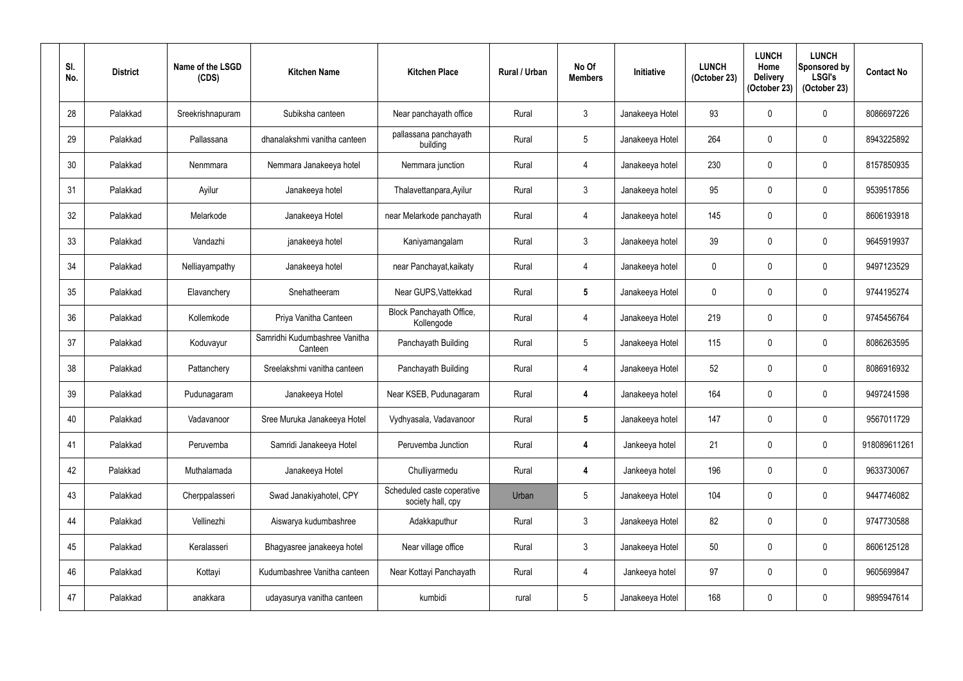| SI.<br>No. | <b>District</b> | Name of the LSGD<br>(CDS) | <b>Kitchen Name</b>                      | <b>Kitchen Place</b>                            | <b>Rural / Urban</b> | No Of<br><b>Members</b> | Initiative      | <b>LUNCH</b><br>(October 23) | <b>LUNCH</b><br>Home<br><b>Delivery</b><br>(October 23) | <b>LUNCH</b><br>Sponsored by<br><b>LSGI's</b><br>(October 23) | <b>Contact No</b> |
|------------|-----------------|---------------------------|------------------------------------------|-------------------------------------------------|----------------------|-------------------------|-----------------|------------------------------|---------------------------------------------------------|---------------------------------------------------------------|-------------------|
| 28         | Palakkad        | Sreekrishnapuram          | Subiksha canteen                         | Near panchayath office                          | Rural                | $\mathfrak{Z}$          | Janakeeya Hotel | 93                           | 0                                                       | 0                                                             | 8086697226        |
| 29         | Palakkad        | Pallassana                | dhanalakshmi vanitha canteen             | pallassana panchayath<br>building               | Rural                | $5\phantom{.0}$         | Janakeeya Hotel | 264                          | $\mathbf{0}$                                            | 0                                                             | 8943225892        |
| 30         | Palakkad        | Nenmmara                  | Nemmara Janakeeya hotel                  | Nemmara junction                                | Rural                | 4                       | Janakeeya hotel | 230                          | 0                                                       | 0                                                             | 8157850935        |
| 31         | Palakkad        | Ayilur                    | Janakeeya hotel                          | Thalavettanpara, Ayilur                         | Rural                | $\mathfrak{Z}$          | Janakeeya hotel | 95                           | 0                                                       | 0                                                             | 9539517856        |
| 32         | Palakkad        | Melarkode                 | Janakeeya Hotel                          | near Melarkode panchayath                       | Rural                | 4                       | Janakeeya hotel | 145                          | $\mathbf 0$                                             | 0                                                             | 8606193918        |
| 33         | Palakkad        | Vandazhi                  | janakeeya hotel                          | Kaniyamangalam                                  | Rural                | $\mathfrak{Z}$          | Janakeeya hotel | 39                           | 0                                                       | 0                                                             | 9645919937        |
| 34         | Palakkad        | Nelliayampathy            | Janakeeya hotel                          | near Panchayat, kaikaty                         | Rural                | 4                       | Janakeeya hotel | $\mathbf 0$                  | 0                                                       | 0                                                             | 9497123529        |
| 35         | Palakkad        | Elavanchery               | Snehatheeram                             | Near GUPS, Vattekkad                            | Rural                | $5\phantom{.0}$         | Janakeeya Hotel | $\mathbf 0$                  | 0                                                       | 0                                                             | 9744195274        |
| 36         | Palakkad        | Kollemkode                | Priya Vanitha Canteen                    | Block Panchayath Office,<br>Kollengode          | Rural                | 4                       | Janakeeya Hotel | 219                          | 0                                                       | 0                                                             | 9745456764        |
| 37         | Palakkad        | Koduvayur                 | Samridhi Kudumbashree Vanitha<br>Canteen | Panchayath Building                             | Rural                | 5                       | Janakeeya Hotel | 115                          | $\mathbf{0}$                                            | 0                                                             | 8086263595        |
| 38         | Palakkad        | Pattanchery               | Sreelakshmi vanitha canteen              | Panchayath Building                             | Rural                | $\overline{4}$          | Janakeeya Hotel | 52                           | 0                                                       | 0                                                             | 8086916932        |
| 39         | Palakkad        | Pudunagaram               | Janakeeya Hotel                          | Near KSEB, Pudunagaram                          | Rural                | 4                       | Janakeeya hotel | 164                          | 0                                                       | 0                                                             | 9497241598        |
| 40         | Palakkad        | Vadavanoor                | Sree Muruka Janakeeya Hotel              | Vydhyasala, Vadavanoor                          | Rural                | $5\phantom{.0}$         | Janakeeya hotel | 147                          | $\mathbf 0$                                             | 0                                                             | 9567011729        |
| 41         | Palakkad        | Peruvemba                 | Samridi Janakeeya Hotel                  | Peruvemba Junction                              | Rural                | 4                       | Jankeeya hotel  | 21                           | 0                                                       | 0                                                             | 918089611261      |
| 42         | Palakkad        | Muthalamada               | Janakeeya Hotel                          | Chulliyarmedu                                   | Rural                | $\overline{\mathbf{4}}$ | Jankeeya hotel  | 196                          | $\mathbf 0$                                             | 0                                                             | 9633730067        |
| 43         | Palakkad        | Cherppalasseri            | Swad Janakiyahotel, CPY                  | Scheduled caste coperative<br>society hall, cpy | Urban                | $\sqrt{5}$              | Janakeeya Hotel | 104                          | 0                                                       | 0                                                             | 9447746082        |
| 44         | Palakkad        | Vellinezhi                | Aiswarya kudumbashree                    | Adakkaputhur                                    | Rural                | $\mathfrak{Z}$          | Janakeeya Hotel | 82                           | 0                                                       | 0                                                             | 9747730588        |
| 45         | Palakkad        | Keralasseri               | Bhagyasree janakeeya hotel               | Near village office                             | Rural                | $\mathfrak{Z}$          | Janakeeya Hotel | 50                           | $\mathbf 0$                                             | 0                                                             | 8606125128        |
| 46         | Palakkad        | Kottayi                   | Kudumbashree Vanitha canteen             | Near Kottayi Panchayath                         | Rural                | $\overline{4}$          | Jankeeya hotel  | 97                           | 0                                                       | 0                                                             | 9605699847        |
| 47         | Palakkad        | anakkara                  | udayasurya vanitha canteen               | kumbidi                                         | rural                | $\sqrt{5}$              | Janakeeya Hotel | 168                          | 0                                                       | $\pmb{0}$                                                     | 9895947614        |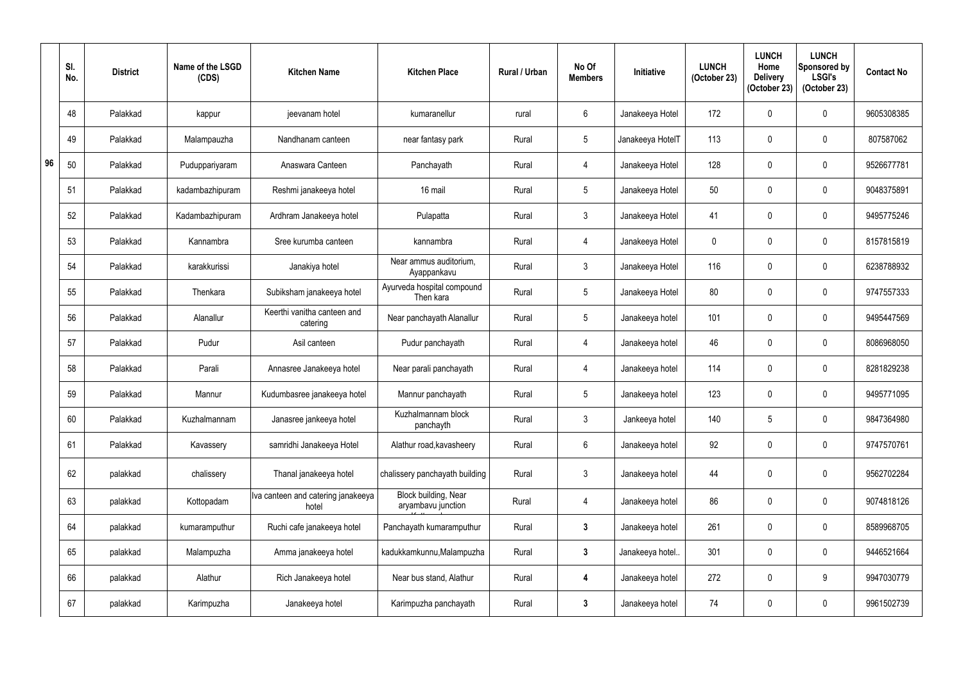|    | SI.<br>No. | <b>District</b> | Name of the LSGD<br>(CDS) | <b>Kitchen Name</b>                         | <b>Kitchen Place</b>                       | Rural / Urban | No Of<br><b>Members</b> | <b>Initiative</b> | <b>LUNCH</b><br>(October 23) | <b>LUNCH</b><br>Home<br><b>Delivery</b><br>(October 23) | <b>LUNCH</b><br>Sponsored by<br><b>LSGI's</b><br>(October 23) | <b>Contact No</b> |
|----|------------|-----------------|---------------------------|---------------------------------------------|--------------------------------------------|---------------|-------------------------|-------------------|------------------------------|---------------------------------------------------------|---------------------------------------------------------------|-------------------|
|    | 48         | Palakkad        | kappur                    | jeevanam hotel                              | kumaranellur                               | rural         | $6\phantom{.}$          | Janakeeya Hotel   | 172                          |                                                         | $\mathbf 0$                                                   | 9605308385        |
|    | 49         | Palakkad        | Malampauzha               | Nandhanam canteen                           | near fantasy park                          | Rural         | 5                       | Janakeeya HotelT  | 113                          |                                                         | $\mathbf 0$                                                   | 807587062         |
| 96 | 50         | Palakkad        | Puduppariyaram            | Anaswara Canteen                            | Panchayath                                 | Rural         | $\overline{4}$          | Janakeeya Hotel   | 128                          | $\mathbf{0}$                                            | $\mathbf 0$                                                   | 9526677781        |
|    | 51         | Palakkad        | kadambazhipuram           | Reshmi janakeeya hotel                      | 16 mail                                    | Rural         | 5                       | Janakeeya Hotel   | 50                           |                                                         | $\mathbf 0$                                                   | 9048375891        |
|    | 52         | Palakkad        | Kadambazhipuram           | Ardhram Janakeeya hotel                     | Pulapatta                                  | Rural         | $\mathfrak{Z}$          | Janakeeya Hotel   | 41                           | $\Omega$                                                | $\boldsymbol{0}$                                              | 9495775246        |
|    | 53         | Palakkad        | Kannambra                 | Sree kurumba canteen                        | kannambra                                  | Rural         | $\overline{4}$          | Janakeeya Hotel   | $\mathbf 0$                  |                                                         | $\mathbf 0$                                                   | 8157815819        |
|    | 54         | Palakkad        | karakkurissi              | Janakiya hotel                              | Near ammus auditorium,<br>Ayappankavu      | Rural         | $\mathfrak{Z}$          | Janakeeya Hotel   | 116                          | $\Omega$                                                | $\mathbf 0$                                                   | 6238788932        |
|    | 55         | Palakkad        | Thenkara                  | Subiksham janakeeya hotel                   | Ayurveda hospital compound<br>Then kara    | Rural         | 5                       | Janakeeya Hotel   | 80                           | 0                                                       | $\mathbf 0$                                                   | 9747557333        |
|    | 56         | Palakkad        | Alanallur                 | Keerthi vanitha canteen and<br>catering     | Near panchayath Alanallur                  | Rural         | 5                       | Janakeeya hotel   | 101                          |                                                         | $\mathbf 0$                                                   | 9495447569        |
|    | 57         | Palakkad        | Pudur                     | Asil canteen                                | Pudur panchayath                           | Rural         | $\overline{4}$          | Janakeeya hotel   | 46                           |                                                         | $\mathbf 0$                                                   | 8086968050        |
|    | 58         | Palakkad        | Parali                    | Annasree Janakeeya hotel                    | Near parali panchayath                     | Rural         | $\overline{4}$          | Janakeeya hotel   | 114                          | $\mathbf{0}$                                            | $\boldsymbol{0}$                                              | 8281829238        |
|    | 59         | Palakkad        | Mannur                    | Kudumbasree janakeeya hotel                 | Mannur panchayath                          | Rural         | 5                       | Janakeeya hotel   | 123                          | 0                                                       | $\mathbf 0$                                                   | 9495771095        |
|    | 60         | Palakkad        | Kuzhalmannam              | Janasree jankeeya hotel                     | Kuzhalmannam block<br>panchayth            | Rural         | $\mathfrak{Z}$          | Jankeeya hotel    | 140                          | 5                                                       | $\boldsymbol{0}$                                              | 9847364980        |
|    | 61         | Palakkad        | Kavassery                 | samridhi Janakeeya Hotel                    | Alathur road, kavasheery                   | Rural         | $6\phantom{.0}$         | Janakeeya hotel   | 92                           | $\mathbf 0$                                             | $\pmb{0}$                                                     | 9747570761        |
|    | 62         | palakkad        | chalissery                | Thanal janakeeya hotel                      | chalissery panchayath building             | Rural         | $\mathfrak{Z}$          | Janakeeya hotel   | 44                           | 0                                                       | $\pmb{0}$                                                     | 9562702284        |
|    | 63         | palakkad        | Kottopadam                | Iva canteen and catering janakeeya<br>hotel | Block building, Near<br>aryambavu junction | Rural         | $\overline{4}$          | Janakeeya hotel   | 86                           | $\mathbf 0$                                             | $\pmb{0}$                                                     | 9074818126        |
|    | 64         | palakkad        | kumaramputhur             | Ruchi cafe janakeeya hotel                  | Panchayath kumaramputhur                   | Rural         | $\mathbf{3}$            | Janakeeya hotel   | 261                          |                                                         | $\pmb{0}$                                                     | 8589968705        |
|    | 65         | palakkad        | Malampuzha                | Amma janakeeya hotel                        | kadukkamkunnu, Malampuzha                  | Rural         | $\mathbf{3}$            | Janakeeya hotel   | 301                          | $\mathbf 0$                                             | $\boldsymbol{0}$                                              | 9446521664        |
|    | 66         | palakkad        | Alathur                   | Rich Janakeeya hotel                        | Near bus stand, Alathur                    | Rural         | 4                       | Janakeeya hotel   | 272                          | 0                                                       | 9                                                             | 9947030779        |
|    | 67         | palakkad        | Karimpuzha                | Janakeeya hotel                             | Karimpuzha panchayath                      | Rural         | $\mathbf{3}$            | Janakeeya hotel   | 74                           | 0                                                       | $\pmb{0}$                                                     | 9961502739        |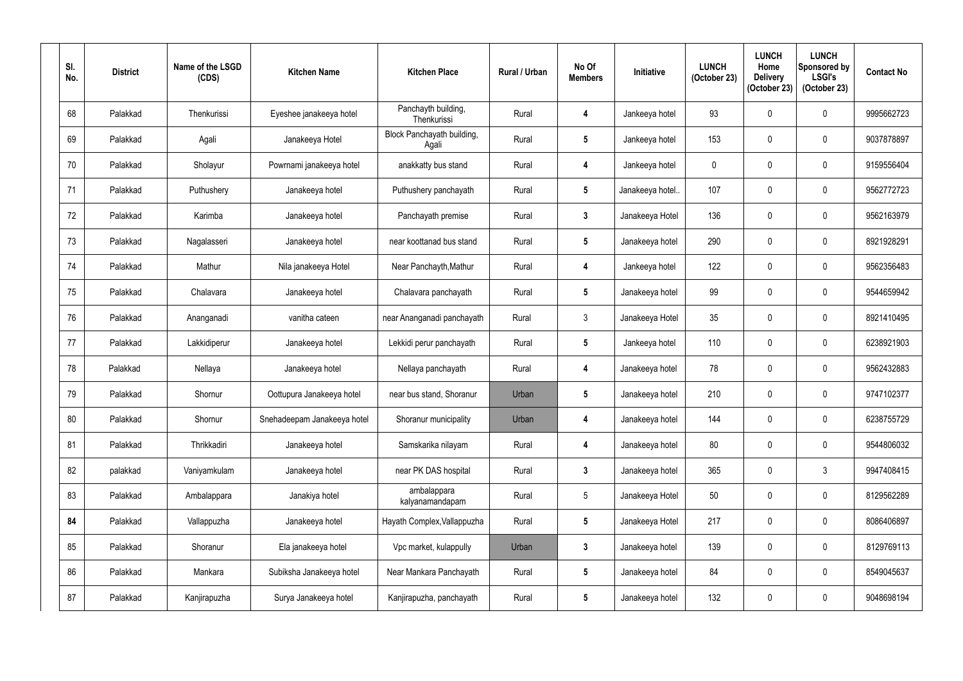| SI.<br>No. | <b>District</b> | Name of the LSGD<br>(CDS) | <b>Kitchen Name</b>         | <b>Kitchen Place</b>                | <b>Rural / Urban</b> | No Of<br><b>Members</b> | Initiative      | <b>LUNCH</b><br>(October 23) | <b>LUNCH</b><br>Home<br><b>Delivery</b><br>(October 23) | <b>LUNCH</b><br>Sponsored by<br><b>LSGI's</b><br>(October 23) | <b>Contact No</b> |
|------------|-----------------|---------------------------|-----------------------------|-------------------------------------|----------------------|-------------------------|-----------------|------------------------------|---------------------------------------------------------|---------------------------------------------------------------|-------------------|
| 68         | Palakkad        | Thenkurissi               | Eyeshee janakeeya hotel     | Panchayth building,<br>Thenkurissi  | Rural                | 4                       | Jankeeya hotel  | 93                           | $\mathbf 0$                                             | $\pmb{0}$                                                     | 9995662723        |
| 69         | Palakkad        | Agali                     | Janakeeya Hotel             | Block Panchayath building,<br>Agali | Rural                | $5\phantom{.0}$         | Jankeeya hotel  | 153                          | $\mathbf 0$                                             | $\pmb{0}$                                                     | 9037878897        |
| 70         | Palakkad        | Sholayur                  | Powrnami janakeeya hotel    | anakkatty bus stand                 | Rural                | 4                       | Jankeeya hotel  | $\mathbf 0$                  | $\mathbf 0$                                             | $\pmb{0}$                                                     | 9159556404        |
| 71         | Palakkad        | Puthushery                | Janakeeya hotel             | Puthushery panchayath               | Rural                | $5\phantom{.0}$         | Janakeeya hotel | 107                          | $\mathbf 0$                                             | $\mathbf 0$                                                   | 9562772723        |
| 72         | Palakkad        | Karimba                   | Janakeeya hotel             | Panchayath premise                  | Rural                | $\mathbf{3}$            | Janakeeya Hotel | 136                          | $\mathbf 0$                                             | $\pmb{0}$                                                     | 9562163979        |
| 73         | Palakkad        | Nagalasseri               | Janakeeya hotel             | near koottanad bus stand            | Rural                | $5\phantom{.0}$         | Janakeeya hotel | 290                          | 0                                                       | $\mathbf 0$                                                   | 8921928291        |
| 74         | Palakkad        | Mathur                    | Nila janakeeya Hotel        | Near Panchayth, Mathur              | Rural                | 4                       | Jankeeya hotel  | 122                          | $\mathbf 0$                                             | $\pmb{0}$                                                     | 9562356483        |
| 75         | Palakkad        | Chalavara                 | Janakeeya hotel             | Chalavara panchayath                | Rural                | $5\phantom{.0}$         | Janakeeya hotel | 99                           | $\mathbf 0$                                             | $\mathbf 0$                                                   | 9544659942        |
| 76         | Palakkad        | Ananganadi                | vanitha cateen              | near Ananganadi panchayath          | Rural                | $\mathfrak{Z}$          | Janakeeya Hotel | 35                           | 0                                                       | $\pmb{0}$                                                     | 8921410495        |
| 77         | Palakkad        | Lakkidiperur              | Janakeeya hotel             | Lekkidi perur panchayath            | Rural                | $5\phantom{.0}$         | Jankeeya hotel  | 110                          | $\mathbf 0$                                             | $\mathbf 0$                                                   | 6238921903        |
| 78         | Palakkad        | Nellaya                   | Janakeeya hotel             | Nellaya panchayath                  | Rural                | 4                       | Janakeeya hotel | 78                           | 0                                                       | 0                                                             | 9562432883        |
| 79         | Palakkad        | Shornur                   | Oottupura Janakeeya hotel   | near bus stand, Shoranur            | Urban                | $5\phantom{.0}$         | Janakeeya hotel | 210                          | 0                                                       | $\mathbf 0$                                                   | 9747102377        |
| 80         | Palakkad        | Shornur                   | Snehadeepam Janakeeya hotel | Shoranur municipality               | Urban                | 4                       | Janakeeya hotel | 144                          | 0                                                       | $\mathbf 0$                                                   | 6238755729        |
| 81         | Palakkad        | Thrikkadiri               | Janakeeya hotel             | Samskarika nilayam                  | Rural                | 4                       | Janakeeya hotel | 80                           | 0                                                       | $\pmb{0}$                                                     | 9544806032        |
| 82         | palakkad        | Vaniyamkulam              | Janakeeya hotel             | near PK DAS hospital                | Rural                | $\mathbf{3}$            | Janakeeya hotel | 365                          | 0                                                       | $\mathfrak{Z}$                                                | 9947408415        |
| 83         | Palakkad        | Ambalappara               | Janakiya hotel              | ambalappara<br>kalyanamandapam      | Rural                | $\sqrt{5}$              | Janakeeya Hotel | 50                           | 0                                                       | $\pmb{0}$                                                     | 8129562289        |
| 84         | Palakkad        | Vallappuzha               | Janakeeya hotel             | Hayath Complex, Vallappuzha         | Rural                | $5\phantom{.0}$         | Janakeeya Hotel | 217                          | 0                                                       | $\pmb{0}$                                                     | 8086406897        |
| 85         | Palakkad        | Shoranur                  | Ela janakeeya hotel         | Vpc market, kulappully              | Urban                | $\boldsymbol{3}$        | Janakeeya hotel | 139                          | 0                                                       | $\pmb{0}$                                                     | 8129769113        |
| 86         | Palakkad        | Mankara                   | Subiksha Janakeeya hotel    | Near Mankara Panchayath             | Rural                | $\sqrt{5}$              | Janakeeya hotel | 84                           | 0                                                       | $\pmb{0}$                                                     | 8549045637        |
| 87         | Palakkad        | Kanjirapuzha              | Surya Janakeeya hotel       | Kanjirapuzha, panchayath            | Rural                | $5\phantom{.0}$         | Janakeeya hotel | 132                          | 0                                                       | $\pmb{0}$                                                     | 9048698194        |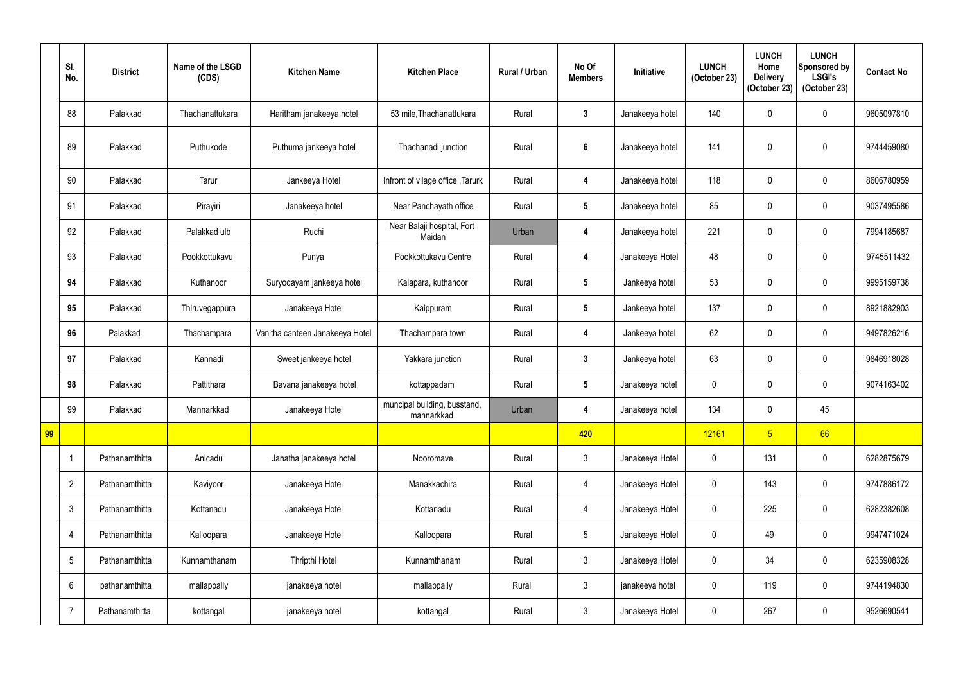|    | SI.<br>No.      | <b>District</b> | Name of the LSGD<br>(CDS) | <b>Kitchen Name</b>             | <b>Kitchen Place</b>                       | <b>Rural / Urban</b> | No Of<br><b>Members</b> | Initiative      | <b>LUNCH</b><br>(October 23) | <b>LUNCH</b><br>Home<br><b>Delivery</b><br>(October 23) | <b>LUNCH</b><br>Sponsored by<br><b>LSGI's</b><br>(October 23) | <b>Contact No</b> |
|----|-----------------|-----------------|---------------------------|---------------------------------|--------------------------------------------|----------------------|-------------------------|-----------------|------------------------------|---------------------------------------------------------|---------------------------------------------------------------|-------------------|
|    | 88              | Palakkad        | Thachanattukara           | Haritham janakeeya hotel        | 53 mile, Thachanattukara                   | Rural                | $\mathbf{3}$            | Janakeeya hotel | 140                          |                                                         | $\mathbf 0$                                                   | 9605097810        |
|    | 89              | Palakkad        | Puthukode                 | Puthuma jankeeya hotel          | Thachanadi junction                        | Rural                | $6\phantom{1}$          | Janakeeya hotel | 141                          | $\Omega$                                                | $\boldsymbol{0}$                                              | 9744459080        |
|    | 90              | Palakkad        | Tarur                     | Jankeeya Hotel                  | Infront of vilage office, Tarurk           | Rural                | 4                       | Janakeeya hotel | 118                          |                                                         | $\mathbf 0$                                                   | 8606780959        |
|    | 91              | Palakkad        | Pirayiri                  | Janakeeya hotel                 | Near Panchayath office                     | Rural                | $5\phantom{.0}$         | Janakeeya hotel | 85                           | $\Omega$                                                | $\boldsymbol{0}$                                              | 9037495586        |
|    | 92              | Palakkad        | Palakkad ulb              | Ruchi                           | Near Balaji hospital, Fort<br>Maidan       | Urban                | 4                       | Janakeeya hotel | 221                          | $\mathbf{0}$                                            | $\mathbf 0$                                                   | 7994185687        |
|    | 93              | Palakkad        | Pookkottukavu             | Punya                           | Pookkottukavu Centre                       | Rural                | $\overline{\mathbf{4}}$ | Janakeeya Hotel | 48                           |                                                         | $\mathbf 0$                                                   | 9745511432        |
|    | 94              | Palakkad        | Kuthanoor                 | Suryodayam jankeeya hotel       | Kalapara, kuthanoor                        | Rural                | $5\phantom{.0}$         | Jankeeya hotel  | 53                           | $\mathbf 0$                                             | $\mathbf 0$                                                   | 9995159738        |
|    | 95              | Palakkad        | Thiruvegappura            | Janakeeya Hotel                 | Kaippuram                                  | Rural                | $5\phantom{.0}$         | Jankeeya hotel  | 137                          |                                                         | $\mathbf 0$                                                   | 8921882903        |
|    | 96              | Palakkad        | Thachampara               | Vanitha canteen Janakeeya Hotel | Thachampara town                           | Rural                | $\overline{\mathbf{4}}$ | Jankeeya hotel  | 62                           | $\Omega$                                                | $\mathbf 0$                                                   | 9497826216        |
|    | 97              | Palakkad        | Kannadi                   | Sweet jankeeya hotel            | Yakkara junction                           | Rural                | $\mathbf{3}$            | Jankeeya hotel  | 63                           | 0                                                       | $\mathbf 0$                                                   | 9846918028        |
|    | 98              | Palakkad        | Pattithara                | Bavana janakeeya hotel          | kottappadam                                | Rural                | $5\phantom{.0}$         | Janakeeya hotel | $\mathbf 0$                  | 0                                                       | $\mathbf 0$                                                   | 9074163402        |
|    | 99              | Palakkad        | Mannarkkad                | Janakeeya Hotel                 | muncipal building, busstand,<br>mannarkkad | Urban                | $\overline{\mathbf{4}}$ | Janakeeya hotel | 134                          | $\mathbf 0$                                             | 45                                                            |                   |
| 99 |                 |                 |                           |                                 |                                            |                      | 420                     |                 | 12161                        | 5 <sup>1</sup>                                          | 66                                                            |                   |
|    | $\mathbf{1}$    | Pathanamthitta  | Anicadu                   | Janatha janakeeya hotel         | Nooromave                                  | Rural                | $\mathbf{3}$            | Janakeeya Hotel | $\pmb{0}$                    | 131                                                     | $\pmb{0}$                                                     | 6282875679        |
|    | $\overline{2}$  | Pathanamthitta  | Kaviyoor                  | Janakeeya Hotel                 | Manakkachira                               | Rural                | $\overline{4}$          | Janakeeya Hotel | $\mathbf 0$                  | 143                                                     | $\pmb{0}$                                                     | 9747886172        |
|    | $3\phantom{.0}$ | Pathanamthitta  | Kottanadu                 | Janakeeya Hotel                 | Kottanadu                                  | Rural                | $\overline{4}$          | Janakeeya Hotel | $\pmb{0}$                    | 225                                                     | $\pmb{0}$                                                     | 6282382608        |
|    | 4               | Pathanamthitta  | Kalloopara                | Janakeeya Hotel                 | Kalloopara                                 | Rural                | 5 <sub>5</sub>          | Janakeeya Hotel | $\pmb{0}$                    | 49                                                      | $\pmb{0}$                                                     | 9947471024        |
|    | $5\phantom{.0}$ | Pathanamthitta  | Kunnamthanam              | Thripthi Hotel                  | Kunnamthanam                               | Rural                | $\mathbf{3}$            | Janakeeya Hotel | $\mathbf 0$                  | 34                                                      | $\pmb{0}$                                                     | 6235908328        |
|    | $6\phantom{.}$  | pathanamthitta  | mallappally               | janakeeya hotel                 | mallappally                                | Rural                | $\mathfrak{Z}$          | janakeeya hotel | $\boldsymbol{0}$             | 119                                                     | $\pmb{0}$                                                     | 9744194830        |
|    | $\overline{7}$  | Pathanamthitta  | kottangal                 | janakeeya hotel                 | kottangal                                  | Rural                | $\mathfrak{Z}$          | Janakeeya Hotel | $\pmb{0}$                    | 267                                                     | $\pmb{0}$                                                     | 9526690541        |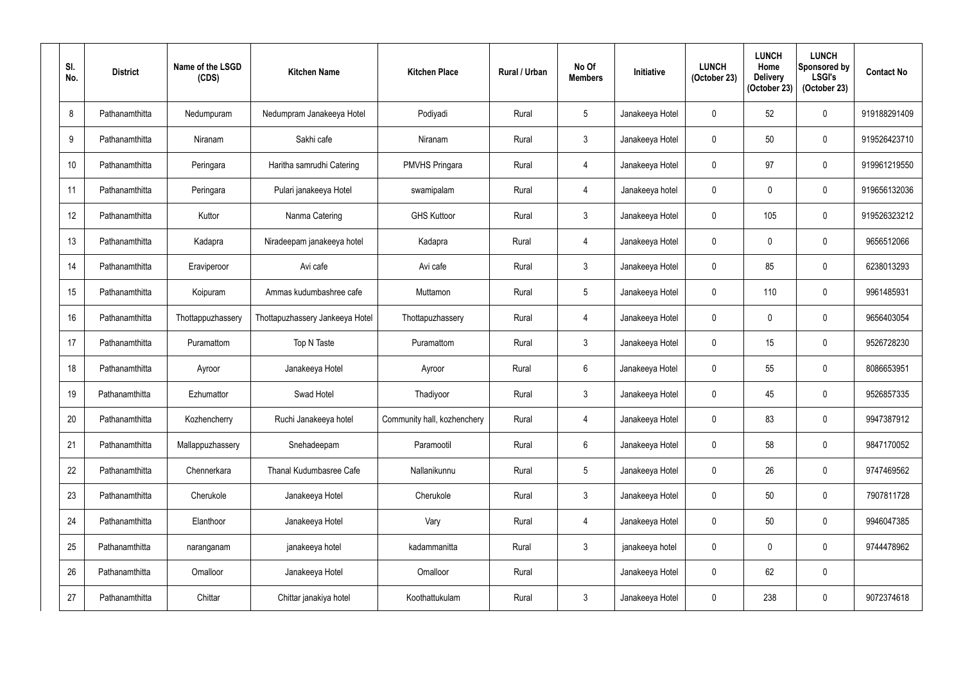| SI.<br>No.      | <b>District</b> | Name of the LSGD<br>(CDS) | <b>Kitchen Name</b>             | <b>Kitchen Place</b>        | <b>Rural / Urban</b> | No Of<br><b>Members</b> | Initiative      | <b>LUNCH</b><br>(October 23) | <b>LUNCH</b><br>Home<br><b>Delivery</b><br>(October 23) | <b>LUNCH</b><br>Sponsored by<br><b>LSGI's</b><br>(October 23) | <b>Contact No</b> |
|-----------------|-----------------|---------------------------|---------------------------------|-----------------------------|----------------------|-------------------------|-----------------|------------------------------|---------------------------------------------------------|---------------------------------------------------------------|-------------------|
| 8               | Pathanamthitta  | Nedumpuram                | Nedumpram Janakeeya Hotel       | Podiyadi                    | Rural                | $\overline{5}$          | Janakeeya Hotel | $\mathbf 0$                  | 52                                                      | 0                                                             | 919188291409      |
| $9\,$           | Pathanamthitta  | Niranam                   | Sakhi cafe                      | Niranam                     | Rural                | $\mathfrak{Z}$          | Janakeeya Hotel | $\mathbf 0$                  | 50                                                      | 0                                                             | 919526423710      |
| 10 <sup>°</sup> | Pathanamthitta  | Peringara                 | Haritha samrudhi Catering       | <b>PMVHS Pringara</b>       | Rural                | 4                       | Janakeeya Hotel | $\mathbf 0$                  | 97                                                      | 0                                                             | 919961219550      |
| 11              | Pathanamthitta  | Peringara                 | Pulari janakeeya Hotel          | swamipalam                  | Rural                | 4                       | Janakeeya hotel | $\mathbf 0$                  | 0                                                       | 0                                                             | 919656132036      |
| 12              | Pathanamthitta  | Kuttor                    | Nanma Catering                  | <b>GHS Kuttoor</b>          | Rural                | $\mathfrak{Z}$          | Janakeeya Hotel | 0                            | 105                                                     | 0                                                             | 919526323212      |
| 13              | Pathanamthitta  | Kadapra                   | Niradeepam janakeeya hotel      | Kadapra                     | Rural                | 4                       | Janakeeya Hotel | 0                            | 0                                                       | 0                                                             | 9656512066        |
| 14              | Pathanamthitta  | Eraviperoor               | Avi cafe                        | Avi cafe                    | Rural                | $\mathfrak{Z}$          | Janakeeya Hotel | $\mathbf 0$                  | 85                                                      | 0                                                             | 6238013293        |
| 15              | Pathanamthitta  | Koipuram                  | Ammas kudumbashree cafe         | Muttamon                    | Rural                | $\overline{5}$          | Janakeeya Hotel | $\mathbf 0$                  | 110                                                     | 0                                                             | 9961485931        |
| 16              | Pathanamthitta  | Thottappuzhassery         | Thottapuzhassery Jankeeya Hotel | Thottapuzhassery            | Rural                | 4                       | Janakeeya Hotel | 0                            | 0                                                       | 0                                                             | 9656403054        |
| 17              | Pathanamthitta  | Puramattom                | Top N Taste                     | Puramattom                  | Rural                | $\mathfrak{Z}$          | Janakeeya Hotel | $\mathbf 0$                  | 15                                                      | 0                                                             | 9526728230        |
| 18              | Pathanamthitta  | Ayroor                    | Janakeeya Hotel                 | Ayroor                      | Rural                | $6\,$                   | Janakeeya Hotel | $\mathbf 0$                  | 55                                                      | 0                                                             | 8086653951        |
| 19              | Pathanamthitta  | Ezhumattor                | Swad Hotel                      | Thadiyoor                   | Rural                | $\mathfrak{Z}$          | Janakeeya Hotel | 0                            | 45                                                      | 0                                                             | 9526857335        |
| 20              | Pathanamthitta  | Kozhencherry              | Ruchi Janakeeya hotel           | Community hall, kozhenchery | Rural                | 4                       | Janakeeya Hotel | $\mathbf 0$                  | 83                                                      | $\pmb{0}$                                                     | 9947387912        |
| 21              | Pathanamthitta  | Mallappuzhassery          | Snehadeepam                     | Paramootil                  | Rural                | $6\phantom{.}$          | Janakeeya Hotel | 0                            | 58                                                      | 0                                                             | 9847170052        |
| 22              | Pathanamthitta  | Chennerkara               | Thanal Kudumbasree Cafe         | Nallanikunnu                | Rural                | $\sqrt{5}$              | Janakeeya Hotel | 0                            | 26                                                      | 0                                                             | 9747469562        |
| 23              | Pathanamthitta  | Cherukole                 | Janakeeya Hotel                 | Cherukole                   | Rural                | $\mathfrak{Z}$          | Janakeeya Hotel | 0                            | 50                                                      | 0                                                             | 7907811728        |
| 24              | Pathanamthitta  | Elanthoor                 | Janakeeya Hotel                 | Vary                        | Rural                | $\overline{4}$          | Janakeeya Hotel | $\mathbf 0$                  | 50                                                      | $\pmb{0}$                                                     | 9946047385        |
| 25              | Pathanamthitta  | naranganam                | janakeeya hotel                 | kadammanitta                | Rural                | $\mathfrak{Z}$          | janakeeya hotel | 0                            | 0                                                       | 0                                                             | 9744478962        |
| 26              | Pathanamthitta  | Omalloor                  | Janakeeya Hotel                 | Omalloor                    | Rural                |                         | Janakeeya Hotel | 0                            | 62                                                      | $\pmb{0}$                                                     |                   |
| 27              | Pathanamthitta  | Chittar                   | Chittar janakiya hotel          | Koothattukulam              | Rural                | $\mathfrak{Z}$          | Janakeeya Hotel | 0                            | 238                                                     | 0                                                             | 9072374618        |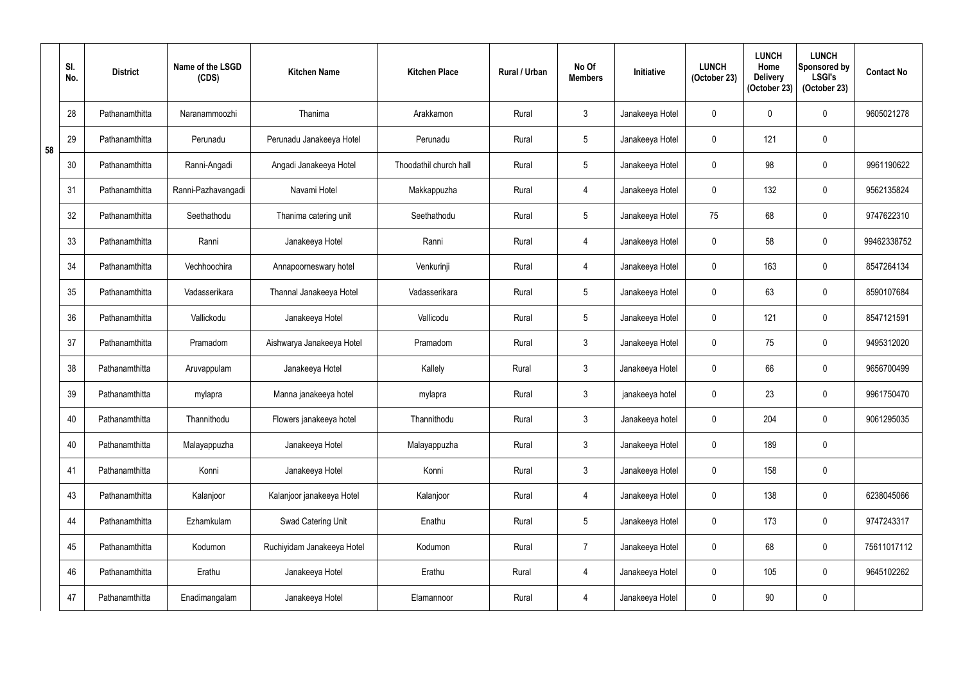|    | SI.<br>No. | <b>District</b> | Name of the LSGD<br>(CDS) | <b>Kitchen Name</b>        | <b>Kitchen Place</b>   | Rural / Urban | No Of<br><b>Members</b> | Initiative      | <b>LUNCH</b><br>(October 23) | <b>LUNCH</b><br>Home<br><b>Delivery</b><br>(October 23) | <b>LUNCH</b><br>Sponsored by<br><b>LSGI's</b><br>(October 23) | <b>Contact No</b> |
|----|------------|-----------------|---------------------------|----------------------------|------------------------|---------------|-------------------------|-----------------|------------------------------|---------------------------------------------------------|---------------------------------------------------------------|-------------------|
|    | 28         | Pathanamthitta  | Naranammoozhi             | Thanima                    | Arakkamon              | Rural         | $\mathfrak{Z}$          | Janakeeya Hotel | $\mathbf 0$                  | 0                                                       | $\pmb{0}$                                                     | 9605021278        |
| 58 | 29         | Pathanamthitta  | Perunadu                  | Perunadu Janakeeya Hotel   | Perunadu               | Rural         | $5\phantom{.0}$         | Janakeeya Hotel | $\mathbf 0$                  | 121                                                     | $\pmb{0}$                                                     |                   |
|    | 30         | Pathanamthitta  | Ranni-Angadi              | Angadi Janakeeya Hotel     | Thoodathil church hall | Rural         | $5\phantom{.0}$         | Janakeeya Hotel | $\mathbf 0$                  | 98                                                      | 0                                                             | 9961190622        |
|    | 31         | Pathanamthitta  | Ranni-Pazhavangadi        | Navami Hotel               | Makkappuzha            | Rural         | $\overline{4}$          | Janakeeya Hotel | $\mathbf 0$                  | 132                                                     | $\mathbf 0$                                                   | 9562135824        |
|    | 32         | Pathanamthitta  | Seethathodu               | Thanima catering unit      | Seethathodu            | Rural         | $5\phantom{.0}$         | Janakeeya Hotel | 75                           | 68                                                      | $\pmb{0}$                                                     | 9747622310        |
|    | 33         | Pathanamthitta  | Ranni                     | Janakeeya Hotel            | Ranni                  | Rural         | 4                       | Janakeeya Hotel | $\mathbf 0$                  | 58                                                      | $\pmb{0}$                                                     | 99462338752       |
|    | 34         | Pathanamthitta  | Vechhoochira              | Annapoorneswary hotel      | Venkurinji             | Rural         | $\overline{4}$          | Janakeeya Hotel | $\mathbf 0$                  | 163                                                     | $\pmb{0}$                                                     | 8547264134        |
|    | 35         | Pathanamthitta  | Vadasserikara             | Thannal Janakeeya Hotel    | Vadasserikara          | Rural         | 5                       | Janakeeya Hotel | $\mathbf 0$                  | 63                                                      | $\pmb{0}$                                                     | 8590107684        |
|    | 36         | Pathanamthitta  | Vallickodu                | Janakeeya Hotel            | Vallicodu              | Rural         | 5                       | Janakeeya Hotel | $\mathbf 0$                  | 121                                                     | 0                                                             | 8547121591        |
|    | 37         | Pathanamthitta  | Pramadom                  | Aishwarya Janakeeya Hotel  | Pramadom               | Rural         | $\mathbf{3}$            | Janakeeya Hotel | $\mathbf 0$                  | 75                                                      | 0                                                             | 9495312020        |
|    | 38         | Pathanamthitta  | Aruvappulam               | Janakeeya Hotel            | Kallely                | Rural         | $\mathbf{3}$            | Janakeeya Hotel | $\mathbf 0$                  | 66                                                      | $\pmb{0}$                                                     | 9656700499        |
|    | 39         | Pathanamthitta  | mylapra                   | Manna janakeeya hotel      | mylapra                | Rural         | $\mathfrak{Z}$          | janakeeya hotel | $\mathbf 0$                  | 23                                                      | $\pmb{0}$                                                     | 9961750470        |
|    | 40         | Pathanamthitta  | Thannithodu               | Flowers janakeeya hotel    | Thannithodu            | Rural         | $\mathbf{3}$            | Janakeeya hotel | $\mathbf 0$                  | 204                                                     | $\pmb{0}$                                                     | 9061295035        |
|    | 40         | Pathanamthitta  | Malayappuzha              | Janakeeya Hotel            | Malayappuzha           | Rural         | $\mathbf{3}$            | Janakeeya Hotel | $\mathbf 0$                  | 189                                                     | $\pmb{0}$                                                     |                   |
|    | 41         | Pathanamthitta  | Konni                     | Janakeeya Hotel            | Konni                  | Rural         | $\mathbf{3}$            | Janakeeya Hotel | $\mathbf 0$                  | 158                                                     | $\pmb{0}$                                                     |                   |
|    | 43         | Pathanamthitta  | Kalanjoor                 | Kalanjoor janakeeya Hotel  | Kalanjoor              | Rural         | 4                       | Janakeeya Hotel | $\mathbf 0$                  | 138                                                     | $\pmb{0}$                                                     | 6238045066        |
|    | 44         | Pathanamthitta  | Ezhamkulam                | Swad Catering Unit         | Enathu                 | Rural         | $5\phantom{.0}$         | Janakeeya Hotel | $\mathbf 0$                  | 173                                                     | $\pmb{0}$                                                     | 9747243317        |
|    | 45         | Pathanamthitta  | Kodumon                   | Ruchiyidam Janakeeya Hotel | Kodumon                | Rural         | $\overline{7}$          | Janakeeya Hotel | $\mathbf 0$                  | 68                                                      | $\pmb{0}$                                                     | 75611017112       |
|    | 46         | Pathanamthitta  | Erathu                    | Janakeeya Hotel            | Erathu                 | Rural         | $\overline{4}$          | Janakeeya Hotel | $\mathbf 0$                  | 105                                                     | $\pmb{0}$                                                     | 9645102262        |
|    | 47         | Pathanamthitta  | Enadimangalam             | Janakeeya Hotel            | Elamannoor             | Rural         | 4                       | Janakeeya Hotel | $\pmb{0}$                    | 90                                                      | $\pmb{0}$                                                     |                   |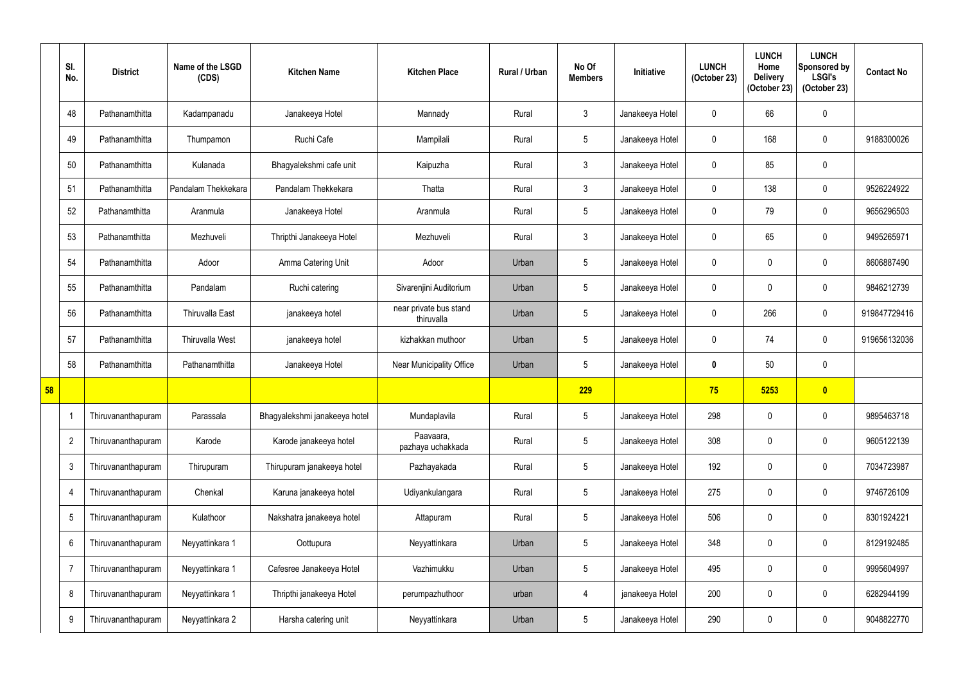|    | SI.<br>No.     | <b>District</b>    | Name of the LSGD<br>(CDS) | <b>Kitchen Name</b>           | <b>Kitchen Place</b>                 | Rural / Urban | No Of<br><b>Members</b> | Initiative      | <b>LUNCH</b><br>(October 23) | <b>LUNCH</b><br>Home<br><b>Delivery</b><br>(October 23) | <b>LUNCH</b><br>Sponsored by<br><b>LSGI's</b><br>(October 23) | <b>Contact No</b> |
|----|----------------|--------------------|---------------------------|-------------------------------|--------------------------------------|---------------|-------------------------|-----------------|------------------------------|---------------------------------------------------------|---------------------------------------------------------------|-------------------|
|    | 48             | Pathanamthitta     | Kadampanadu               | Janakeeya Hotel               | Mannady                              | Rural         | $\mathfrak{Z}$          | Janakeeya Hotel | $\mathbf{0}$                 | 66                                                      | $\mathbf 0$                                                   |                   |
|    | 49             | Pathanamthitta     | Thumpamon                 | Ruchi Cafe                    | Mampilali                            | Rural         | $5\phantom{.0}$         | Janakeeya Hotel | $\mathbf 0$                  | 168                                                     | $\pmb{0}$                                                     | 9188300026        |
|    | 50             | Pathanamthitta     | Kulanada                  | Bhagyalekshmi cafe unit       | Kaipuzha                             | Rural         | $3\phantom{.0}$         | Janakeeya Hotel | $\mathbf{0}$                 | 85                                                      | $\pmb{0}$                                                     |                   |
|    | 51             | Pathanamthitta     | Pandalam Thekkekara       | Pandalam Thekkekara           | Thatta                               | Rural         | $3\phantom{.0}$         | Janakeeya Hotel | $\mathbf 0$                  | 138                                                     | $\pmb{0}$                                                     | 9526224922        |
|    | 52             | Pathanamthitta     | Aranmula                  | Janakeeya Hotel               | Aranmula                             | Rural         | 5                       | Janakeeya Hotel | $\mathbf{0}$                 | 79                                                      | $\mathbf 0$                                                   | 9656296503        |
|    | 53             | Pathanamthitta     | Mezhuveli                 | Thripthi Janakeeya Hotel      | Mezhuveli                            | Rural         | $\mathfrak{Z}$          | Janakeeya Hotel | $\mathbf{0}$                 | 65                                                      | $\pmb{0}$                                                     | 9495265971        |
|    | 54             | Pathanamthitta     | Adoor                     | Amma Catering Unit            | Adoor                                | Urban         | 5                       | Janakeeya Hotel | $\mathbf 0$                  |                                                         | $\mathbf 0$                                                   | 8606887490        |
|    | 55             | Pathanamthitta     | Pandalam                  | Ruchi catering                | Sivarenjini Auditorium               | Urban         | 5                       | Janakeeya Hotel | $\mathbf 0$                  |                                                         | $\mathbf 0$                                                   | 9846212739        |
|    | 56             | Pathanamthitta     | <b>Thiruvalla East</b>    | janakeeya hotel               | near private bus stand<br>thiruvalla | Urban         | 5                       | Janakeeya Hotel | $\mathbf 0$                  | 266                                                     | $\mathbf 0$                                                   | 919847729416      |
|    | 57             | Pathanamthitta     | Thiruvalla West           | janakeeya hotel               | kizhakkan muthoor                    | Urban         | 5                       | Janakeeya Hotel | $\mathbf 0$                  | 74                                                      | $\mathbf 0$                                                   | 919656132036      |
|    | 58             | Pathanamthitta     | Pathanamthitta            | Janakeeya Hotel               | Near Municipality Office             | Urban         | 5                       | Janakeeya Hotel | $\boldsymbol{0}$             | 50                                                      | $\pmb{0}$                                                     |                   |
| 58 |                |                    |                           |                               |                                      |               | 229                     |                 | 75                           | 5253                                                    | $\bullet$                                                     |                   |
|    |                | Thiruvananthapuram | Parassala                 | Bhagyalekshmi janakeeya hotel | Mundaplavila                         | Rural         | $5\phantom{.0}$         | Janakeeya Hotel | 298                          | $\mathbf 0$                                             | $\pmb{0}$                                                     | 9895463718        |
|    | $\overline{2}$ | Thiruvananthapuram | Karode                    | Karode janakeeya hotel        | Paavaara,<br>pazhaya uchakkada       | Rural         | 5                       | Janakeeya Hotel | 308                          | 0                                                       | $\pmb{0}$                                                     | 9605122139        |
|    | $\mathfrak{3}$ | Thiruvananthapuram | Thirupuram                | Thirupuram janakeeya hotel    | Pazhayakada                          | Rural         | 5                       | Janakeeya Hotel | 192                          | 0                                                       | $\pmb{0}$                                                     | 7034723987        |
|    | 4              | Thiruvananthapuram | Chenkal                   | Karuna janakeeya hotel        | Udiyankulangara                      | Rural         | 5                       | Janakeeya Hotel | 275                          | 0                                                       | $\pmb{0}$                                                     | 9746726109        |
|    | $\overline{5}$ | Thiruvananthapuram | Kulathoor                 | Nakshatra janakeeya hotel     | Attapuram                            | Rural         | 5                       | Janakeeya Hotel | 506                          | 0                                                       | $\pmb{0}$                                                     | 8301924221        |
|    | 6              | Thiruvananthapuram | Neyyattinkara 1           | Oottupura                     | Neyyattinkara                        | Urban         | 5                       | Janakeeya Hotel | 348                          | 0                                                       | $\mathbf 0$                                                   | 8129192485        |
|    | 7              | Thiruvananthapuram | Neyyattinkara 1           | Cafesree Janakeeya Hotel      | Vazhimukku                           | Urban         | 5                       | Janakeeya Hotel | 495                          | 0                                                       | $\pmb{0}$                                                     | 9995604997        |
|    | 8              | Thiruvananthapuram | Neyyattinkara 1           | Thripthi janakeeya Hotel      | perumpazhuthoor                      | urban         | $\overline{4}$          | janakeeya Hotel | 200                          | 0                                                       | $\pmb{0}$                                                     | 6282944199        |
|    | 9              | Thiruvananthapuram | Neyyattinkara 2           | Harsha catering unit          | Neyyattinkara                        | Urban         | 5                       | Janakeeya Hotel | 290                          |                                                         | $\mathbf 0$                                                   | 9048822770        |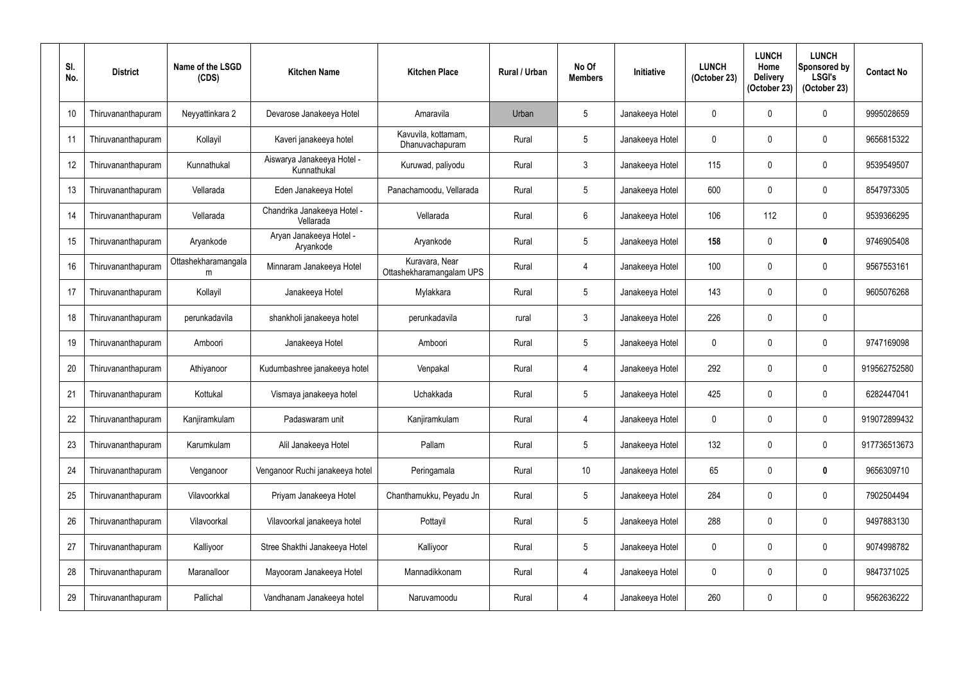| SI.<br>No. | <b>District</b>    | Name of the LSGD<br>(CDS) | <b>Kitchen Name</b>                       | <b>Kitchen Place</b>                       | <b>Rural / Urban</b> | No Of<br><b>Members</b> | Initiative      | <b>LUNCH</b><br>(October 23) | <b>LUNCH</b><br>Home<br><b>Delivery</b><br>(October 23) | <b>LUNCH</b><br>Sponsored by<br><b>LSGI's</b><br>(October 23) | <b>Contact No</b> |
|------------|--------------------|---------------------------|-------------------------------------------|--------------------------------------------|----------------------|-------------------------|-----------------|------------------------------|---------------------------------------------------------|---------------------------------------------------------------|-------------------|
| 10         | Thiruvananthapuram | Neyyattinkara 2           | Devarose Janakeeya Hotel                  | Amaravila                                  | Urban                | 5                       | Janakeeya Hotel | $\mathbf 0$                  | 0                                                       | 0                                                             | 9995028659        |
| 11         | Thiruvananthapuram | Kollayil                  | Kaveri janakeeya hotel                    | Kavuvila, kottamam,<br>Dhanuvachapuram     | Rural                | 5                       | Janakeeya Hotel | $\mathbf 0$                  | $\mathbf{0}$                                            | 0                                                             | 9656815322        |
| 12         | Thiruvananthapuram | Kunnathukal               | Aiswarya Janakeeya Hotel -<br>Kunnathukal | Kuruwad, paliyodu                          | Rural                | $\mathbf{3}$            | Janakeeya Hotel | 115                          | 0                                                       | 0                                                             | 9539549507        |
| 13         | Thiruvananthapuram | Vellarada                 | Eden Janakeeya Hotel                      | Panachamoodu, Vellarada                    | Rural                | $\sqrt{5}$              | Janakeeya Hotel | 600                          | $\mathbf{0}$                                            | 0                                                             | 8547973305        |
| 14         | Thiruvananthapuram | Vellarada                 | Chandrika Janakeeya Hotel -<br>Vellarada  | Vellarada                                  | Rural                | $6\phantom{1}$          | Janakeeya Hotel | 106                          | 112                                                     | 0                                                             | 9539366295        |
| 15         | Thiruvananthapuram | Aryankode                 | Aryan Janakeeya Hotel -<br>Aryankode      | Aryankode                                  | Rural                | 5                       | Janakeeya Hotel | 158                          | $\mathbf{0}$                                            | $\bm{0}$                                                      | 9746905408        |
| 16         | Thiruvananthapuram | Ottashekharamangala<br>m  | Minnaram Janakeeya Hotel                  | Kuravara, Near<br>Ottashekharamangalam UPS | Rural                | $\overline{4}$          | Janakeeya Hotel | 100                          | $\mathbf{0}$                                            | 0                                                             | 9567553161        |
| 17         | Thiruvananthapuram | Kollayil                  | Janakeeya Hotel                           | Mylakkara                                  | Rural                | 5                       | Janakeeya Hotel | 143                          | $\mathbf{0}$                                            | 0                                                             | 9605076268        |
| 18         | Thiruvananthapuram | perunkadavila             | shankholi janakeeya hotel                 | perunkadavila                              | rural                | $\mathfrak{Z}$          | Janakeeya Hotel | 226                          | 0                                                       | 0                                                             |                   |
| 19         | Thiruvananthapuram | Amboori                   | Janakeeya Hotel                           | Amboori                                    | Rural                | 5                       | Janakeeya Hotel | $\mathbf 0$                  | $\mathbf{0}$                                            | 0                                                             | 9747169098        |
| 20         | Thiruvananthapuram | Athiyanoor                | Kudumbashree janakeeya hotel              | Venpakal                                   | Rural                | $\overline{4}$          | Janakeeya Hotel | 292                          | $\mathbf 0$                                             | 0                                                             | 919562752580      |
| 21         | Thiruvananthapuram | Kottukal                  | Vismaya janakeeya hotel                   | Uchakkada                                  | Rural                | $\overline{5}$          | Janakeeya Hotel | 425                          | $\mathbf{0}$                                            | 0                                                             | 6282447041        |
| 22         | Thiruvananthapuram | Kanjiramkulam             | Padaswaram unit                           | Kanjiramkulam                              | Rural                | 4                       | Janakeeya Hotel | $\mathbf{0}$                 | $\mathbf 0$                                             | 0                                                             | 919072899432      |
| 23         | Thiruvananthapuram | Karumkulam                | Alil Janakeeya Hotel                      | Pallam                                     | Rural                | $5\phantom{.0}$         | Janakeeya Hotel | 132                          | 0                                                       | 0                                                             | 917736513673      |
| 24         | Thiruvananthapuram | Venganoor                 | Venganoor Ruchi janakeeya hotel           | Peringamala                                | Rural                | 10 <sup>°</sup>         | Janakeeya Hotel | 65                           | $\mathbf 0$                                             | $\pmb{0}$                                                     | 9656309710        |
| 25         | Thiruvananthapuram | Vilavoorkkal              | Priyam Janakeeya Hotel                    | Chanthamukku, Peyadu Jn                    | Rural                | $\sqrt{5}$              | Janakeeya Hotel | 284                          | 0                                                       | 0                                                             | 7902504494        |
| 26         | Thiruvananthapuram | Vilavoorkal               | Vilavoorkal janakeeya hotel               | Pottayil                                   | Rural                | $\overline{5}$          | Janakeeya Hotel | 288                          | $\mathbf 0$                                             | 0                                                             | 9497883130        |
| 27         | Thiruvananthapuram | Kalliyoor                 | Stree Shakthi Janakeeya Hotel             | Kalliyoor                                  | Rural                | $5\phantom{.0}$         | Janakeeya Hotel | 0                            | 0                                                       | 0                                                             | 9074998782        |
| 28         | Thiruvananthapuram | Maranalloor               | Mayooram Janakeeya Hotel                  | Mannadikkonam                              | Rural                | $\overline{4}$          | Janakeeya Hotel | $\mathbf 0$                  | 0                                                       | 0                                                             | 9847371025        |
| 29         | Thiruvananthapuram | Pallichal                 | Vandhanam Janakeeya hotel                 | Naruvamoodu                                | Rural                | 4                       | Janakeeya Hotel | 260                          | 0                                                       | $\pmb{0}$                                                     | 9562636222        |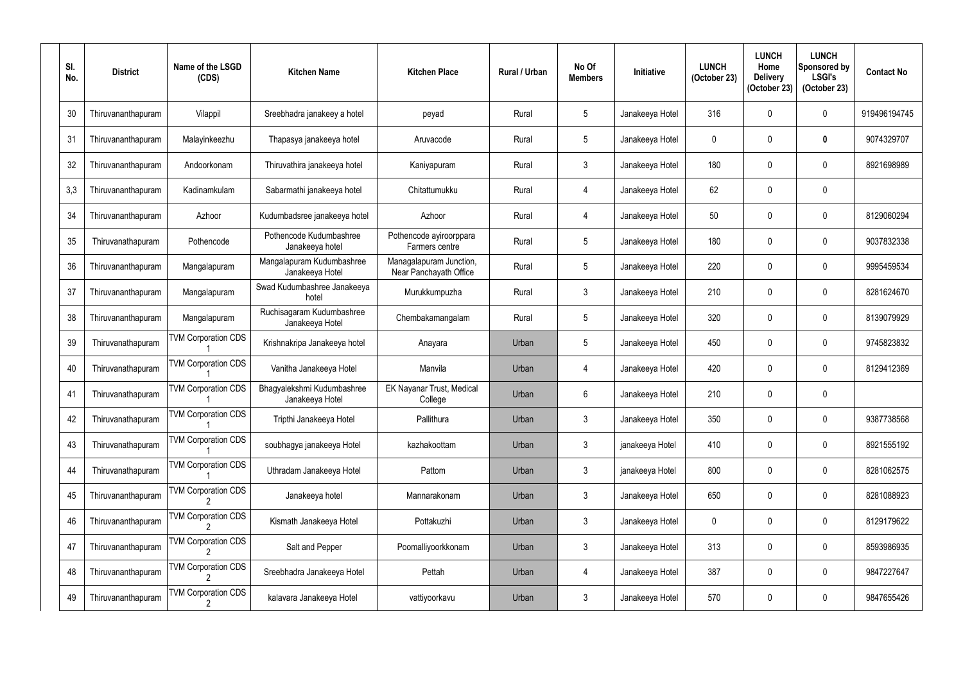| SI.<br>No. | <b>District</b>    | Name of the LSGD<br>(CDS)  | <b>Kitchen Name</b>                           | <b>Kitchen Place</b>                              | <b>Rural / Urban</b> | No Of<br><b>Members</b> | Initiative      | <b>LUNCH</b><br>(October 23) | <b>LUNCH</b><br>Home<br><b>Delivery</b><br>(October 23) | <b>LUNCH</b><br>Sponsored by<br><b>LSGI's</b><br>(October 23) | <b>Contact No</b> |
|------------|--------------------|----------------------------|-----------------------------------------------|---------------------------------------------------|----------------------|-------------------------|-----------------|------------------------------|---------------------------------------------------------|---------------------------------------------------------------|-------------------|
| 30         | Thiruvananthapuram | Vilappil                   | Sreebhadra janakeey a hotel                   | peyad                                             | Rural                | $5\phantom{.0}$         | Janakeeya Hotel | 316                          | $\mathbf{0}$                                            | 0                                                             | 919496194745      |
| 31         | Thiruvananthapuram | Malayinkeezhu              | Thapasya janakeeya hotel                      | Aruvacode                                         | Rural                | $5\phantom{.0}$         | Janakeeya Hotel | 0                            | $\mathbf{0}$                                            | 0                                                             | 9074329707        |
| 32         | Thiruvananthapuram | Andoorkonam                | Thiruvathira janakeeya hotel                  | Kaniyapuram                                       | Rural                | $\mathfrak{Z}$          | Janakeeya Hotel | 180                          | $\mathbf 0$                                             | 0                                                             | 8921698989        |
| 3,3        | Thiruvananthapuram | Kadinamkulam               | Sabarmathi janakeeya hotel                    | Chitattumukku                                     | Rural                | 4                       | Janakeeya Hotel | 62                           | $\mathbf 0$                                             | 0                                                             |                   |
| 34         | Thiruvananthapuram | Azhoor                     | Kudumbadsree janakeeya hotel                  | Azhoor                                            | Rural                | 4                       | Janakeeya Hotel | 50                           | $\mathbf{0}$                                            | 0                                                             | 8129060294        |
| 35         | Thiruvanathapuram  | Pothencode                 | Pothencode Kudumbashree<br>Janakeeya hotel    | Pothencode ayiroorppara<br>Farmers centre         | Rural                | $5\phantom{.0}$         | Janakeeya Hotel | 180                          | $\mathbf{0}$                                            | 0                                                             | 9037832338        |
| 36         | Thiruvananthapuram | Mangalapuram               | Mangalapuram Kudumbashree<br>Janakeeya Hotel  | Managalapuram Junction,<br>Near Panchayath Office | Rural                | $5\phantom{.0}$         | Janakeeya Hotel | 220                          | $\mathbf{0}$                                            | 0                                                             | 9995459534        |
| 37         | Thiruvananthapuram | Mangalapuram               | Swad Kudumbashree Janakeeya<br>hotel          | Murukkumpuzha                                     | Rural                | $\mathfrak{Z}$          | Janakeeya Hotel | 210                          | $\mathbf 0$                                             | 0                                                             | 8281624670        |
| 38         | Thiruvananthapuram | Mangalapuram               | Ruchisagaram Kudumbashree<br>Janakeeya Hotel  | Chembakamangalam                                  | Rural                | $5\phantom{.0}$         | Janakeeya Hotel | 320                          | 0                                                       | 0                                                             | 8139079929        |
| 39         | Thiruvanathapuram  | <b>TVM Corporation CDS</b> | Krishnakripa Janakeeya hotel                  | Anayara                                           | Urban                | $5\phantom{.0}$         | Janakeeya Hotel | 450                          | $\mathbf{0}$                                            | 0                                                             | 9745823832        |
| 40         | Thiruvanathapuram  | <b>TVM Corporation CDS</b> | Vanitha Janakeeya Hotel                       | Manvila                                           | Urban                | $\overline{4}$          | Janakeeya Hotel | 420                          | 0                                                       | 0                                                             | 8129412369        |
| 41         | Thiruvanathapuram  | <b>TVM Corporation CDS</b> | Bhagyalekshmi Kudumbashree<br>Janakeeya Hotel | EK Nayanar Trust, Medical<br>College              | Urban                | 6                       | Janakeeya Hotel | 210                          | $\mathbf{0}$                                            | 0                                                             |                   |
| 42         | Thiruvanathapuram  | <b>TVM Corporation CDS</b> | Tripthi Janakeeya Hotel                       | Pallithura                                        | Urban                | $\mathfrak{Z}$          | Janakeeya Hotel | 350                          | $\mathbf 0$                                             | 0                                                             | 9387738568        |
| 43         | Thiruvanathapuram  | <b>TVM Corporation CDS</b> | soubhagya janakeeya Hotel                     | kazhakoottam                                      | Urban                | $\mathfrak{Z}$          | janakeeya Hotel | 410                          | $\mathbf 0$                                             | 0                                                             | 8921555192        |
| 44         | Thiruvanathapuram  | <b>TVM Corporation CDS</b> | Uthradam Janakeeya Hotel                      | Pattom                                            | Urban                | $\mathfrak{Z}$          | janakeeya Hotel | 800                          | 0                                                       | 0                                                             | 8281062575        |
| 45         | Thiruvananthapuram | <b>TVM Corporation CDS</b> | Janakeeya hotel                               | Mannarakonam                                      | Urban                | $\mathfrak{Z}$          | Janakeeya Hotel | 650                          | $\mathbf 0$                                             | 0                                                             | 8281088923        |
| 46         | Thiruvananthapuram | <b>TVM Corporation CDS</b> | Kismath Janakeeya Hotel                       | Pottakuzhi                                        | Urban                | $\mathfrak{Z}$          | Janakeeya Hotel | 0                            | $\mathbf 0$                                             | 0                                                             | 8129179622        |
| 47         | Thiruvananthapuram | <b>TVM Corporation CDS</b> | Salt and Pepper                               | Poomalliyoorkkonam                                | Urban                | $\mathfrak{Z}$          | Janakeeya Hotel | 313                          | 0                                                       | 0                                                             | 8593986935        |
| 48         | Thiruvananthapuram | <b>TVM Corporation CDS</b> | Sreebhadra Janakeeya Hotel                    | Pettah                                            | Urban                | $\overline{4}$          | Janakeeya Hotel | 387                          | $\mathbf 0$                                             | 0                                                             | 9847227647        |
| 49         | Thiruvananthapuram | <b>TVM Corporation CDS</b> | kalavara Janakeeya Hotel                      | vattiyoorkavu                                     | Urban                | $\mathfrak{Z}$          | Janakeeya Hotel | 570                          | 0                                                       | 0                                                             | 9847655426        |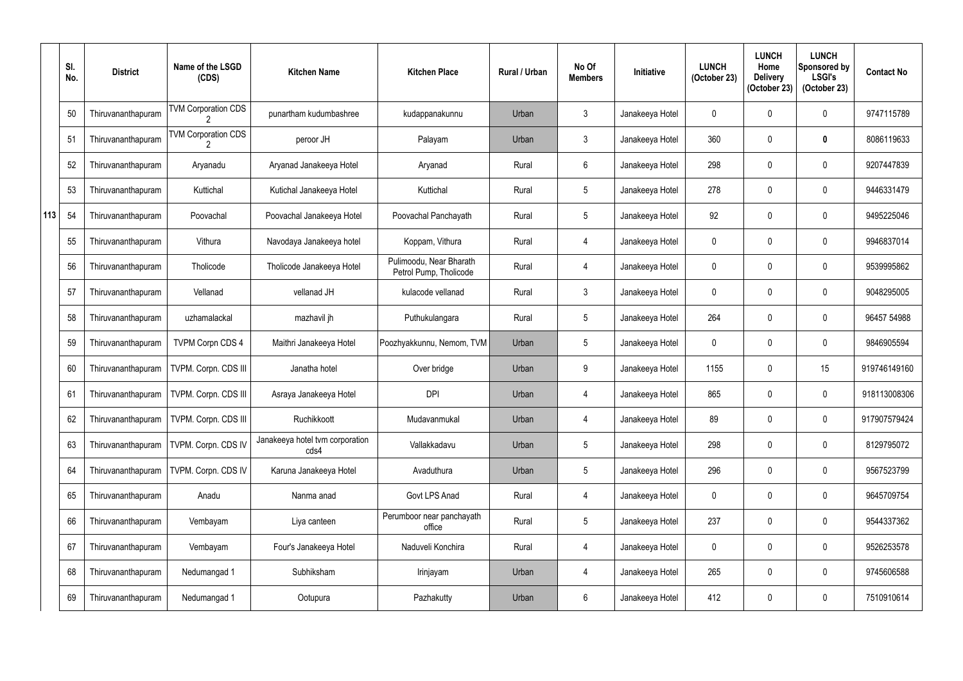|     | SI.<br>No. | <b>District</b>    | Name of the LSGD<br>(CDS)  | <b>Kitchen Name</b>                     | <b>Kitchen Place</b>                              | Rural / Urban | No Of<br><b>Members</b> | Initiative      | <b>LUNCH</b><br>(October 23) | <b>LUNCH</b><br>Home<br><b>Delivery</b><br>(October 23) | <b>LUNCH</b><br>Sponsored by<br><b>LSGI's</b><br>(October 23) | <b>Contact No</b> |
|-----|------------|--------------------|----------------------------|-----------------------------------------|---------------------------------------------------|---------------|-------------------------|-----------------|------------------------------|---------------------------------------------------------|---------------------------------------------------------------|-------------------|
|     | 50         | Thiruvananthapuram | <b>TVM Corporation CDS</b> | punartham kudumbashree                  | kudappanakunnu                                    | Urban         | $\mathfrak{Z}$          | Janakeeya Hotel | $\mathbf 0$                  |                                                         | $\boldsymbol{0}$                                              | 9747115789        |
|     | 51         | Thiruvananthapuram | <b>TVM Corporation CDS</b> | peroor JH                               | Palayam                                           | Urban         | $\mathfrak{Z}$          | Janakeeya Hotel | 360                          |                                                         | $\boldsymbol{0}$                                              | 8086119633        |
|     | 52         | Thiruvananthapuram | Aryanadu                   | Aryanad Janakeeya Hotel                 | Aryanad                                           | Rural         | $6\phantom{.}$          | Janakeeya Hotel | 298                          | 0                                                       | $\boldsymbol{0}$                                              | 9207447839        |
|     | 53         | Thiruvananthapuram | Kuttichal                  | Kutichal Janakeeya Hotel                | Kuttichal                                         | Rural         | $5\phantom{.0}$         | Janakeeya Hotel | 278                          |                                                         | $\boldsymbol{0}$                                              | 9446331479        |
| 113 | 54         | Thiruvananthapuram | Poovachal                  | Poovachal Janakeeya Hotel               | Poovachal Panchayath                              | Rural         | $5\phantom{.0}$         | Janakeeya Hotel | 92                           | 0                                                       | $\pmb{0}$                                                     | 9495225046        |
|     | 55         | Thiruvananthapuram | Vithura                    | Navodaya Janakeeya hotel                | Koppam, Vithura                                   | Rural         | $\overline{4}$          | Janakeeya Hotel | $\mathbf 0$                  |                                                         | $\boldsymbol{0}$                                              | 9946837014        |
|     | 56         | Thiruvananthapuram | Tholicode                  | Tholicode Janakeeya Hotel               | Pulimoodu, Near Bharath<br>Petrol Pump, Tholicode | Rural         | $\overline{4}$          | Janakeeya Hotel | $\mathbf 0$                  |                                                         | $\boldsymbol{0}$                                              | 9539995862        |
|     | 57         | Thiruvananthapuram | Vellanad                   | vellanad JH                             | kulacode vellanad                                 | Rural         | $\mathfrak{Z}$          | Janakeeya Hotel | $\mathbf 0$                  |                                                         | $\pmb{0}$                                                     | 9048295005        |
|     | 58         | Thiruvananthapuram | uzhamalackal               | mazhavil jh                             | Puthukulangara                                    | Rural         | 5                       | Janakeeya Hotel | 264                          |                                                         | $\boldsymbol{0}$                                              | 96457 54988       |
|     | 59         | Thiruvananthapuram | <b>TVPM Corpn CDS 4</b>    | Maithri Janakeeya Hotel                 | Poozhyakkunnu, Nemom, TVM                         | Urban         | 5                       | Janakeeya Hotel | $\mathbf 0$                  |                                                         | $\boldsymbol{0}$                                              | 9846905594        |
|     | 60         | Thiruvananthapuram | TVPM. Corpn. CDS III       | Janatha hotel                           | Over bridge                                       | Urban         | 9                       | Janakeeya Hotel | 1155                         | 0                                                       | 15                                                            | 919746149160      |
|     | 61         | Thiruvananthapuram | TVPM. Corpn. CDS III       | Asraya Janakeeya Hotel                  | <b>DPI</b>                                        | Urban         | $\overline{4}$          | Janakeeya Hotel | 865                          |                                                         | $\boldsymbol{0}$                                              | 918113008306      |
|     | 62         | Thiruvananthapuram | TVPM. Corpn. CDS III       | Ruchikkoott                             | Mudavanmukal                                      | Urban         | $\overline{4}$          | Janakeeya Hotel | 89                           | $\Omega$                                                | $\mathbf 0$                                                   | 917907579424      |
|     | 63         | Thiruvananthapuram | TVPM. Corpn. CDS IV        | Janakeeya hotel tvm corporation<br>cds4 | Vallakkadavu                                      | Urban         | $5\phantom{.0}$         | Janakeeya Hotel | 298                          |                                                         | $\pmb{0}$                                                     | 8129795072        |
|     | 64         | Thiruvananthapuram | TVPM. Corpn. CDS IV        | Karuna Janakeeya Hotel                  | Avaduthura                                        | Urban         | $5\phantom{.0}$         | Janakeeya Hotel | 296                          | 0                                                       | $\pmb{0}$                                                     | 9567523799        |
|     | 65         | Thiruvananthapuram | Anadu                      | Nanma anad                              | Govt LPS Anad                                     | Rural         | 4                       | Janakeeya Hotel | $\mathbf 0$                  |                                                         | $\pmb{0}$                                                     | 9645709754        |
|     | 66         | Thiruvananthapuram | Vembayam                   | Liya canteen                            | Perumboor near panchayath<br>office               | Rural         | $5\phantom{.0}$         | Janakeeya Hotel | 237                          | 0                                                       | $\pmb{0}$                                                     | 9544337362        |
|     | 67         | Thiruvananthapuram | Vembayam                   | Four's Janakeeya Hotel                  | Naduveli Konchira                                 | Rural         | $\overline{4}$          | Janakeeya Hotel | $\mathbf 0$                  |                                                         | $\pmb{0}$                                                     | 9526253578        |
|     | 68         | Thiruvananthapuram | Nedumangad 1               | Subhiksham                              | Irinjayam                                         | Urban         | $\overline{4}$          | Janakeeya Hotel | 265                          | 0                                                       | $\pmb{0}$                                                     | 9745606588        |
|     | 69         | Thiruvananthapuram | Nedumangad 1               | Ootupura                                | Pazhakutty                                        | Urban         | 6                       | Janakeeya Hotel | 412                          | 0                                                       | $\pmb{0}$                                                     | 7510910614        |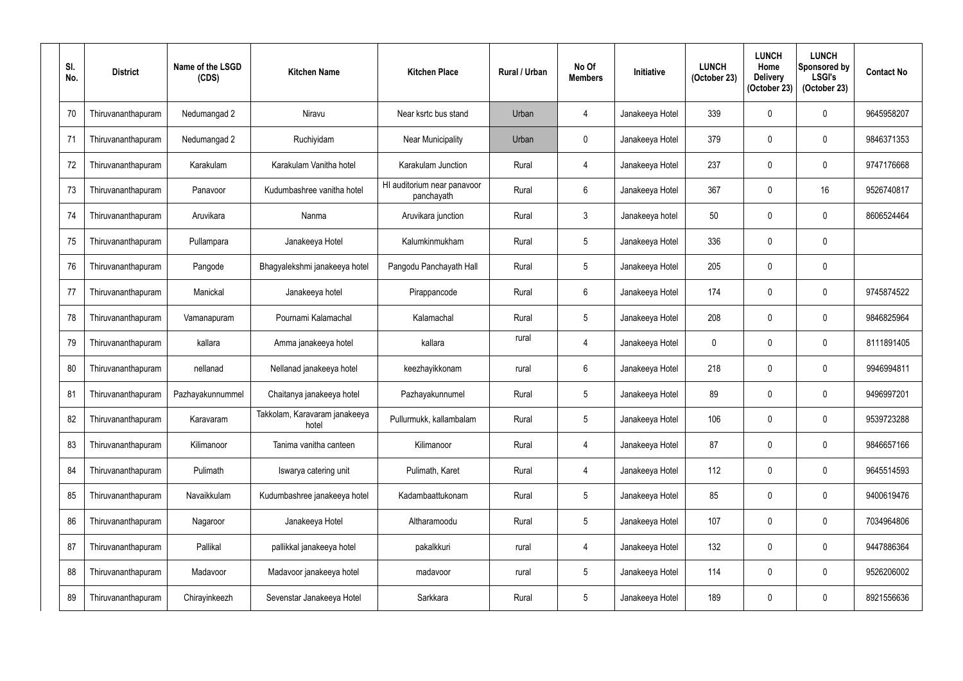| SI.<br>No. | <b>District</b>    | Name of the LSGD<br>(CDS) | <b>Kitchen Name</b>                    | <b>Kitchen Place</b>                      | <b>Rural / Urban</b> | No Of<br><b>Members</b> | Initiative      | <b>LUNCH</b><br>(October 23) | <b>LUNCH</b><br>Home<br><b>Delivery</b><br>(October 23) | <b>LUNCH</b><br>Sponsored by<br><b>LSGI's</b><br>(October 23) | <b>Contact No</b> |
|------------|--------------------|---------------------------|----------------------------------------|-------------------------------------------|----------------------|-------------------------|-----------------|------------------------------|---------------------------------------------------------|---------------------------------------------------------------|-------------------|
| 70         | Thiruvananthapuram | Nedumangad 2              | Niravu                                 | Near ksrtc bus stand                      | Urban                | 4                       | Janakeeya Hotel | 339                          | 0                                                       | 0                                                             | 9645958207        |
| 71         | Thiruvananthapuram | Nedumangad 2              | Ruchiyidam                             | <b>Near Municipality</b>                  | Urban                | $\pmb{0}$               | Janakeeya Hotel | 379                          | 0                                                       | 0                                                             | 9846371353        |
| 72         | Thiruvananthapuram | Karakulam                 | Karakulam Vanitha hotel                | Karakulam Junction                        | Rural                | 4                       | Janakeeya Hotel | 237                          | 0                                                       | 0                                                             | 9747176668        |
| 73         | Thiruvananthapuram | Panavoor                  | Kudumbashree vanitha hotel             | HI auditorium near panavoor<br>panchayath | Rural                | $6\phantom{.}$          | Janakeeya Hotel | 367                          | 0                                                       | 16                                                            | 9526740817        |
| 74         | Thiruvananthapuram | Aruvikara                 | Nanma                                  | Aruvikara junction                        | Rural                | $3\phantom{.0}$         | Janakeeya hotel | 50                           | $\mathbf{0}$                                            | 0                                                             | 8606524464        |
| 75         | Thiruvananthapuram | Pullampara                | Janakeeya Hotel                        | Kalumkinmukham                            | Rural                | $5\phantom{.0}$         | Janakeeya Hotel | 336                          | 0                                                       | 0                                                             |                   |
| 76         | Thiruvananthapuram | Pangode                   | Bhagyalekshmi janakeeya hotel          | Pangodu Panchayath Hall                   | Rural                | $\overline{5}$          | Janakeeya Hotel | 205                          | $\mathbf{0}$                                            | 0                                                             |                   |
| 77         | Thiruvananthapuram | Manickal                  | Janakeeya hotel                        | Pirappancode                              | Rural                | $6\phantom{.}$          | Janakeeya Hotel | 174                          | 0                                                       | 0                                                             | 9745874522        |
| 78         | Thiruvananthapuram | Vamanapuram               | Pournami Kalamachal                    | Kalamachal                                | Rural                | 5                       | Janakeeya Hotel | 208                          | 0                                                       | 0                                                             | 9846825964        |
| 79         | Thiruvananthapuram | kallara                   | Amma janakeeya hotel                   | kallara                                   | rural                | $\overline{4}$          | Janakeeya Hotel | 0                            | 0                                                       | 0                                                             | 8111891405        |
| 80         | Thiruvananthapuram | nellanad                  | Nellanad janakeeya hotel               | keezhayikkonam                            | rural                | $6\phantom{.}$          | Janakeeya Hotel | 218                          | 0                                                       | 0                                                             | 9946994811        |
| 81         | Thiruvananthapuram | Pazhayakunnummel          | Chaitanya janakeeya hotel              | Pazhayakunnumel                           | Rural                | $5\phantom{.0}$         | Janakeeya Hotel | 89                           | 0                                                       | $\mathbf 0$                                                   | 9496997201        |
| 82         | Thiruvananthapuram | Karavaram                 | Takkolam, Karavaram janakeeya<br>hotel | Pullurmukk, kallambalam                   | Rural                | $\overline{5}$          | Janakeeya Hotel | 106                          | 0                                                       | 0                                                             | 9539723288        |
| 83         | Thiruvananthapuram | Kilimanoor                | Tanima vanitha canteen                 | Kilimanoor                                | Rural                | $\overline{4}$          | Janakeeya Hotel | 87                           | 0                                                       | 0                                                             | 9846657166        |
| 84         | Thiruvananthapuram | Pulimath                  | Iswarya catering unit                  | Pulimath, Karet                           | Rural                | 4                       | Janakeeya Hotel | 112                          | 0                                                       | 0                                                             | 9645514593        |
| 85         | Thiruvananthapuram | Navaikkulam               | Kudumbashree janakeeya hotel           | Kadambaattukonam                          | Rural                | $\sqrt{5}$              | Janakeeya Hotel | 85                           | 0                                                       | 0                                                             | 9400619476        |
| 86         | Thiruvananthapuram | Nagaroor                  | Janakeeya Hotel                        | Altharamoodu                              | Rural                | $\sqrt{5}$              | Janakeeya Hotel | 107                          | 0                                                       | 0                                                             | 7034964806        |
| 87         | Thiruvananthapuram | Pallikal                  | pallikkal janakeeya hotel              | pakalkkuri                                | rural                | 4                       | Janakeeya Hotel | 132                          | 0                                                       | 0                                                             | 9447886364        |
| 88         | Thiruvananthapuram | Madavoor                  | Madavoor janakeeya hotel               | madavoor                                  | rural                | $\overline{5}$          | Janakeeya Hotel | 114                          | 0                                                       | 0                                                             | 9526206002        |
| 89         | Thiruvananthapuram | Chirayinkeezh             | Sevenstar Janakeeya Hotel              | Sarkkara                                  | Rural                | $\sqrt{5}$              | Janakeeya Hotel | 189                          | 0                                                       | $\pmb{0}$                                                     | 8921556636        |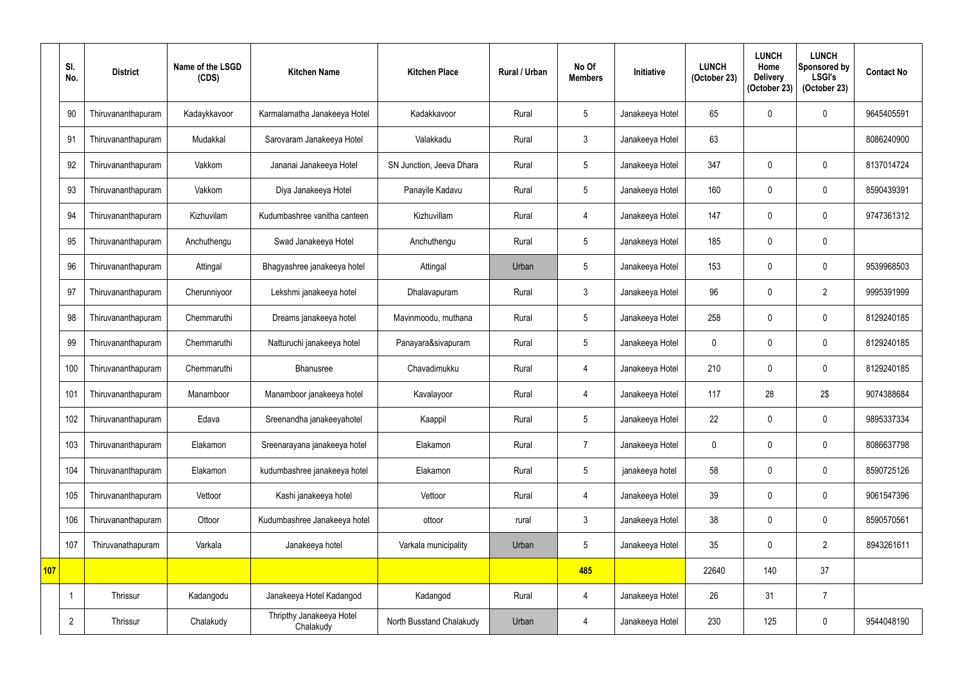|            | SI.<br>No.     | <b>District</b>    | Name of the LSGD<br>(CDS) | <b>Kitchen Name</b>                   | <b>Kitchen Place</b>     | Rural / Urban | No Of<br><b>Members</b> | Initiative      | <b>LUNCH</b><br>(October 23) | <b>LUNCH</b><br>Home<br><b>Delivery</b><br>(October 23) | <b>LUNCH</b><br>Sponsored by<br><b>LSGI's</b><br>(October 23) | <b>Contact No</b> |
|------------|----------------|--------------------|---------------------------|---------------------------------------|--------------------------|---------------|-------------------------|-----------------|------------------------------|---------------------------------------------------------|---------------------------------------------------------------|-------------------|
|            | 90             | Thiruvananthapuram | Kadaykkavoor              | Karmalamatha Janakeeya Hotel          | Kadakkavoor              | Rural         | $5\overline{)}$         | Janakeeya Hotel | 65                           |                                                         | $\mathbf 0$                                                   | 9645405591        |
|            | 91             | Thiruvananthapuram | Mudakkal                  | Sarovaram Janakeeya Hotel             | Valakkadu                | Rural         | $\mathbf{3}$            | Janakeeya Hotel | 63                           |                                                         |                                                               | 8086240900        |
|            | 92             | Thiruvananthapuram | Vakkom                    | Jananai Janakeeya Hotel               | SN Junction, Jeeva Dhara | Rural         | $5\phantom{.0}$         | Janakeeya Hotel | 347                          | $\Omega$                                                | 0                                                             | 8137014724        |
|            | 93             | Thiruvananthapuram | Vakkom                    | Diya Janakeeya Hotel                  | Panayile Kadavu          | Rural         | $5\overline{)}$         | Janakeeya Hotel | 160                          | $\theta$                                                | $\mathbf 0$                                                   | 8590439391        |
|            | 94             | Thiruvananthapuram | Kizhuvilam                | Kudumbashree vanitha canteen          | Kizhuvillam              | Rural         | 4                       | Janakeeya Hotel | 147                          | $\Omega$                                                | $\mathbf 0$                                                   | 9747361312        |
|            | 95             | Thiruvananthapuram | Anchuthengu               | Swad Janakeeya Hotel                  | Anchuthengu              | Rural         | $5\overline{)}$         | Janakeeya Hotel | 185                          | $\Omega$                                                | 0                                                             |                   |
|            | 96             | Thiruvananthapuram | Attingal                  | Bhagyashree janakeeya hotel           | Attingal                 | Urban         | 5                       | Janakeeya Hotel | 153                          |                                                         | $\mathbf 0$                                                   | 9539968503        |
|            | 97             | Thiruvananthapuram | Cherunniyoor              | Lekshmi janakeeya hotel               | Dhalavapuram             | Rural         | $\mathbf{3}$            | Janakeeya Hotel | 96                           | $\Omega$                                                | $\overline{2}$                                                | 9995391999        |
|            | 98             | Thiruvananthapuram | Chemmaruthi               | Dreams janakeeya hotel                | Mavinmoodu, muthana      | Rural         | 5                       | Janakeeya Hotel | 258                          | 0                                                       | $\mathbf 0$                                                   | 8129240185        |
|            | 99             | Thiruvananthapuram | Chemmaruthi               | Natturuchi janakeeya hotel            | Panayara&sivapuram       | Rural         | $5\phantom{.0}$         | Janakeeya Hotel | $\mathbf{0}$                 | $\cup$                                                  | 0                                                             | 8129240185        |
|            | 100            | Thiruvananthapuram | Chemmaruthi               | <b>Bhanusree</b>                      | Chavadimukku             | Rural         | $\overline{4}$          | Janakeeya Hotel | 210                          | 0                                                       | $\mathbf 0$                                                   | 8129240185        |
|            | 101            | Thiruvananthapuram | Manamboor                 | Manamboor janakeeya hotel             | Kavalayoor               | Rural         | $\overline{4}$          | Janakeeya Hotel | 117                          | 28                                                      | 2\$                                                           | 9074388684        |
|            | 102            | Thiruvananthapuram | Edava                     | Sreenandha janakeeyahotel             | Kaappil                  | Rural         | $5\phantom{.0}$         | Janakeeya Hotel | 22                           | $\mathbf{0}$                                            | $\pmb{0}$                                                     | 9895337334        |
|            | 103            | Thiruvananthapuram | Elakamon                  | Sreenarayana janakeeya hotel          | Elakamon                 | Rural         | $\overline{7}$          | Janakeeya Hotel | $\mathbf 0$                  | $\mathbf 0$                                             | $\pmb{0}$                                                     | 8086637798        |
|            | 104            | Thiruvananthapuram | Elakamon                  | kudumbashree janakeeya hotel          | Elakamon                 | Rural         | $5\phantom{.0}$         | janakeeya hotel | 58                           | 0                                                       | $\pmb{0}$                                                     | 8590725126        |
|            | 105            | Thiruvananthapuram | Vettoor                   | Kashi janakeeya hotel                 | Vettoor                  | Rural         | $\overline{4}$          | Janakeeya Hotel | 39                           | $\mathbf 0$                                             | $\pmb{0}$                                                     | 9061547396        |
|            | 106            | Thiruvananthapuram | Ottoor                    | Kudumbashree Janakeeya hotel          | ottoor                   | rural         | $\mathfrak{Z}$          | Janakeeya Hotel | 38                           | 0                                                       | $\pmb{0}$                                                     | 8590570561        |
|            | 107            | Thiruvanathapuram  | Varkala                   | Janakeeya hotel                       | Varkala municipality     | Urban         | $\sqrt{5}$              | Janakeeya Hotel | 35                           | $\mathbf 0$                                             | $\overline{2}$                                                | 8943261611        |
| <b>107</b> |                |                    |                           |                                       |                          |               | 485                     |                 | 22640                        | 140                                                     | 37                                                            |                   |
|            |                | Thrissur           | Kadangodu                 | Janakeeya Hotel Kadangod              | Kadangod                 | Rural         | $\overline{4}$          | Janakeeya Hotel | 26                           | 31                                                      | $\overline{7}$                                                |                   |
|            | $\overline{2}$ | Thrissur           | Chalakudy                 | Thripthy Janakeeya Hotel<br>Chalakudy | North Busstand Chalakudy | Urban         | 4                       | Janakeeya Hotel | 230                          | 125                                                     | $\pmb{0}$                                                     | 9544048190        |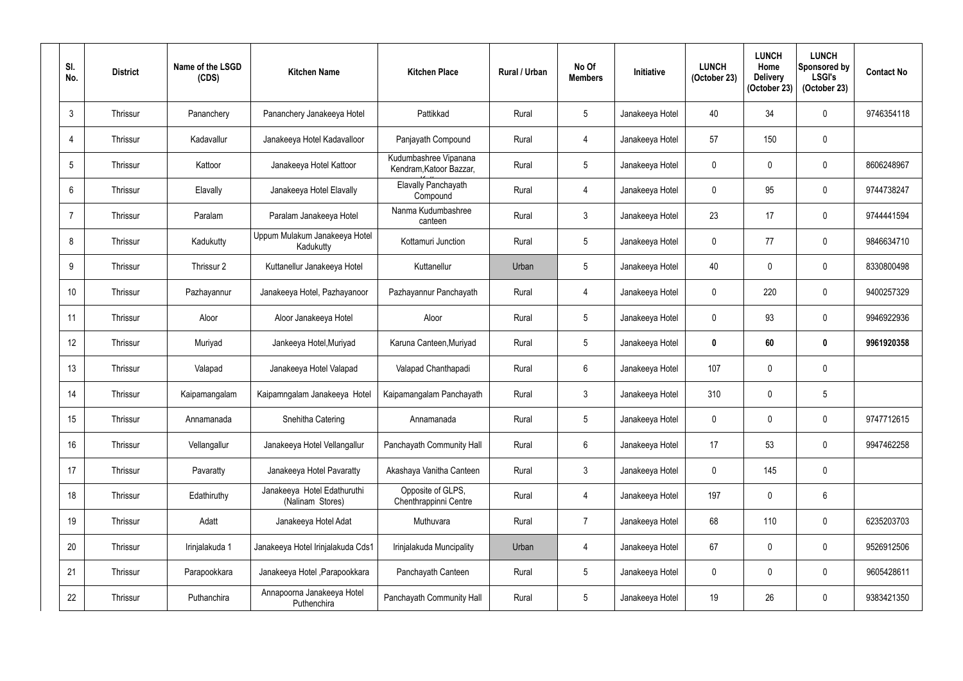| SI.<br>No.       | <b>District</b> | Name of the LSGD<br>(CDS) | <b>Kitchen Name</b>                             | <b>Kitchen Place</b>                             | <b>Rural / Urban</b> | No Of<br><b>Members</b> | Initiative      | <b>LUNCH</b><br>(October 23) | <b>LUNCH</b><br>Home<br><b>Delivery</b><br>(October 23) | <b>LUNCH</b><br>Sponsored by<br><b>LSGI's</b><br>(October 23) | <b>Contact No</b> |
|------------------|-----------------|---------------------------|-------------------------------------------------|--------------------------------------------------|----------------------|-------------------------|-----------------|------------------------------|---------------------------------------------------------|---------------------------------------------------------------|-------------------|
| $\mathfrak{Z}$   | Thrissur        | Pananchery                | Pananchery Janakeeya Hotel                      | Pattikkad                                        | Rural                | 5                       | Janakeeya Hotel | 40                           | 34                                                      | $\pmb{0}$                                                     | 9746354118        |
| 4                | Thrissur        | Kadavallur                | Janakeeya Hotel Kadavalloor                     | Panjayath Compound                               | Rural                | $\overline{4}$          | Janakeeya Hotel | 57                           | 150                                                     | $\pmb{0}$                                                     |                   |
| 5                | Thrissur        | Kattoor                   | Janakeeya Hotel Kattoor                         | Kudumbashree Vipanana<br>Kendram, Katoor Bazzar, | Rural                | $\overline{5}$          | Janakeeya Hotel | $\mathbf 0$                  | 0                                                       | $\pmb{0}$                                                     | 8606248967        |
| 6                | Thrissur        | Elavally                  | Janakeeya Hotel Elavally                        | <b>Elavally Panchayath</b><br>Compound           | Rural                | $\overline{4}$          | Janakeeya Hotel | 0                            | 95                                                      | $\mathbf 0$                                                   | 9744738247        |
| 7                | Thrissur        | Paralam                   | Paralam Janakeeya Hotel                         | Nanma Kudumbashree<br>canteen                    | Rural                | $\mathbf{3}$            | Janakeeya Hotel | 23                           | 17                                                      | $\pmb{0}$                                                     | 9744441594        |
| 8                | Thrissur        | Kadukutty                 | Uppum Mulakum Janakeeya Hotel<br>Kadukutty      | Kottamuri Junction                               | Rural                | $\overline{5}$          | Janakeeya Hotel | $\mathbf 0$                  | 77                                                      | $\pmb{0}$                                                     | 9846634710        |
| 9                | Thrissur        | Thrissur 2                | Kuttanellur Janakeeya Hotel                     | Kuttanellur                                      | Urban                | $\overline{5}$          | Janakeeya Hotel | 40                           | 0                                                       | $\pmb{0}$                                                     | 8330800498        |
| 10 <sup>°</sup>  | Thrissur        | Pazhayannur               | Janakeeya Hotel, Pazhayanoor                    | Pazhayannur Panchayath                           | Rural                | $\overline{4}$          | Janakeeya Hotel | 0                            | 220                                                     | 0                                                             | 9400257329        |
| 11               | Thrissur        | Aloor                     | Aloor Janakeeya Hotel                           | Aloor                                            | Rural                | 5                       | Janakeeya Hotel | $\mathbf 0$                  | 93                                                      | $\pmb{0}$                                                     | 9946922936        |
| 12 <sup>°</sup>  | Thrissur        | Muriyad                   | Jankeeya Hotel, Muriyad                         | Karuna Canteen, Muriyad                          | Rural                | 5                       | Janakeeya Hotel | $\mathbf{0}$                 | 60                                                      | $\bm{0}$                                                      | 9961920358        |
| 13               | Thrissur        | Valapad                   | Janakeeya Hotel Valapad                         | Valapad Chanthapadi                              | Rural                | $6\phantom{.}6$         | Janakeeya Hotel | 107                          | 0                                                       | $\pmb{0}$                                                     |                   |
| 14               | Thrissur        | Kaipamangalam             | Kaipamngalam Janakeeya Hotel                    | Kaipamangalam Panchayath                         | Rural                | $\mathfrak{Z}$          | Janakeeya Hotel | 310                          | 0                                                       | 5                                                             |                   |
| 15 <sup>15</sup> | Thrissur        | Annamanada                | Snehitha Catering                               | Annamanada                                       | Rural                | $\overline{5}$          | Janakeeya Hotel | $\mathbf 0$                  | 0                                                       | $\pmb{0}$                                                     | 9747712615        |
| 16 <sup>°</sup>  | Thrissur        | Vellangallur              | Janakeeya Hotel Vellangallur                    | Panchayath Community Hall                        | Rural                | $6\phantom{.}$          | Janakeeya Hotel | 17                           | 53                                                      | $\pmb{0}$                                                     | 9947462258        |
| 17               | Thrissur        | Pavaratty                 | Janakeeya Hotel Pavaratty                       | Akashaya Vanitha Canteen                         | Rural                | $\mathfrak{Z}$          | Janakeeya Hotel | $\mathbf 0$                  | 145                                                     | $\pmb{0}$                                                     |                   |
| 18               | Thrissur        | Edathiruthy               | Janakeeya Hotel Edathuruthi<br>(Nalinam Stores) | Opposite of GLPS,<br>Chenthrappinni Centre       | Rural                | $\overline{4}$          | Janakeeya Hotel | 197                          | 0                                                       | $6\phantom{.}$                                                |                   |
| 19               | Thrissur        | Adatt                     | Janakeeya Hotel Adat                            | Muthuvara                                        | Rural                | $\overline{7}$          | Janakeeya Hotel | 68                           | 110                                                     | $\pmb{0}$                                                     | 6235203703        |
| 20               | Thrissur        | Irinjalakuda 1            | Janakeeya Hotel Irinjalakuda Cds1               | Irinjalakuda Muncipality                         | Urban                | $\overline{4}$          | Janakeeya Hotel | 67                           | 0                                                       | $\boldsymbol{0}$                                              | 9526912506        |
| 21               | Thrissur        | Parapookkara              | Janakeeya Hotel , Parapookkara                  | Panchayath Canteen                               | Rural                | $\sqrt{5}$              | Janakeeya Hotel | 0                            | $\mathbf 0$                                             | $\pmb{0}$                                                     | 9605428611        |
| 22               | Thrissur        | Puthanchira               | Annapoorna Janakeeya Hotel<br>Puthenchira       | Panchayath Community Hall                        | Rural                | $\sqrt{5}$              | Janakeeya Hotel | 19                           | 26                                                      | $\pmb{0}$                                                     | 9383421350        |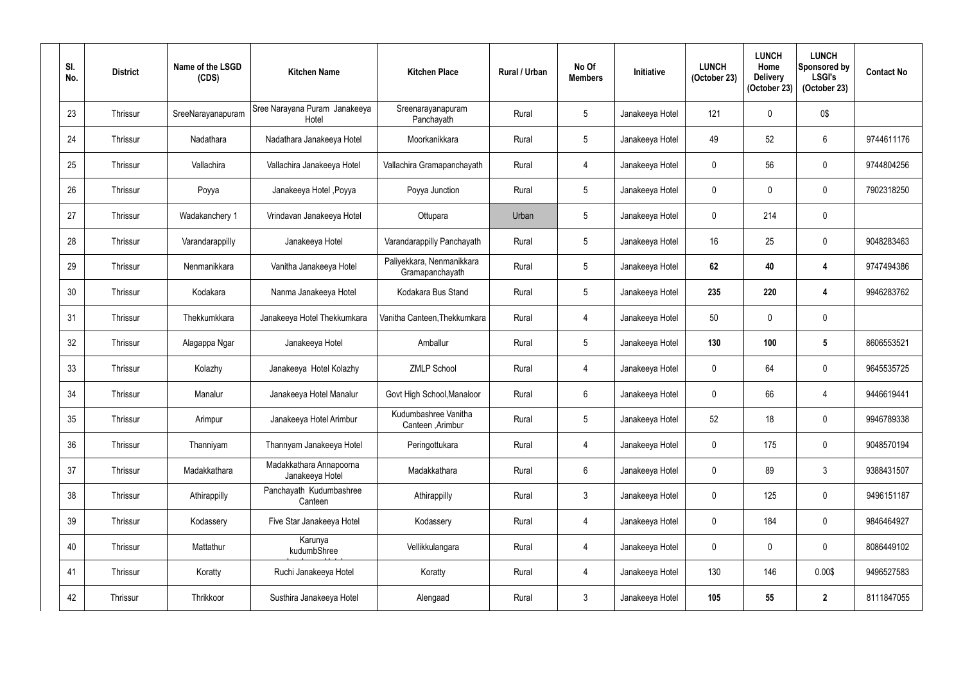| SI.<br>No. | <b>District</b> | Name of the LSGD<br>(CDS) | <b>Kitchen Name</b>                        | <b>Kitchen Place</b>                         | Rural / Urban | No Of<br><b>Members</b> | Initiative      | <b>LUNCH</b><br>(October 23) | <b>LUNCH</b><br>Home<br><b>Delivery</b><br>(October 23) | <b>LUNCH</b><br>Sponsored by<br><b>LSGI's</b><br>(October 23) | <b>Contact No</b> |
|------------|-----------------|---------------------------|--------------------------------------------|----------------------------------------------|---------------|-------------------------|-----------------|------------------------------|---------------------------------------------------------|---------------------------------------------------------------|-------------------|
| 23         | Thrissur        | SreeNarayanapuram         | Sree Narayana Puram Janakeeya<br>Hotel     | Sreenarayanapuram<br>Panchayath              | Rural         | $\overline{5}$          | Janakeeya Hotel | 121                          | $\mathbf{0}$                                            | 0\$                                                           |                   |
| 24         | Thrissur        | Nadathara                 | Nadathara Janakeeya Hotel                  | Moorkanikkara                                | Rural         | $5\phantom{.0}$         | Janakeeya Hotel | 49                           | 52                                                      | 6                                                             | 9744611176        |
| 25         | Thrissur        | Vallachira                | Vallachira Janakeeya Hotel                 | Vallachira Gramapanchayath                   | Rural         | 4                       | Janakeeya Hotel | $\mathbf 0$                  | 56                                                      | 0                                                             | 9744804256        |
| 26         | Thrissur        | Poyya                     | Janakeeya Hotel, Poyya                     | Poyya Junction                               | Rural         | $\overline{5}$          | Janakeeya Hotel | $\mathbf 0$                  | $\mathbf 0$                                             | 0                                                             | 7902318250        |
| 27         | Thrissur        | Wadakanchery 1            | Vrindavan Janakeeya Hotel                  | Ottupara                                     | Urban         | $\overline{5}$          | Janakeeya Hotel | $\mathbf 0$                  | 214                                                     | 0                                                             |                   |
| 28         | Thrissur        | Varandarappilly           | Janakeeya Hotel                            | Varandarappilly Panchayath                   | Rural         | $5\phantom{.0}$         | Janakeeya Hotel | 16                           | 25                                                      | 0                                                             | 9048283463        |
| 29         | Thrissur        | Nenmanikkara              | Vanitha Janakeeya Hotel                    | Paliyekkara, Nenmanikkara<br>Gramapanchayath | Rural         | $\overline{5}$          | Janakeeya Hotel | 62                           | 40                                                      | 4                                                             | 9747494386        |
| 30         | Thrissur        | Kodakara                  | Nanma Janakeeya Hotel                      | Kodakara Bus Stand                           | Rural         | $5\phantom{.0}$         | Janakeeya Hotel | 235                          | 220                                                     | 4                                                             | 9946283762        |
| 31         | Thrissur        | Thekkumkkara              | Janakeeya Hotel Thekkumkara                | Vanitha Canteen, Thekkumkara                 | Rural         | 4                       | Janakeeya Hotel | 50                           | $\mathbf 0$                                             | 0                                                             |                   |
| 32         | Thrissur        | Alagappa Ngar             | Janakeeya Hotel                            | Amballur                                     | Rural         | $5\phantom{.0}$         | Janakeeya Hotel | 130                          | 100                                                     | $5\phantom{.0}$                                               | 8606553521        |
| 33         | <b>Thrissur</b> | Kolazhy                   | Janakeeya Hotel Kolazhy                    | <b>ZMLP School</b>                           | Rural         | 4                       | Janakeeya Hotel | $\mathbf 0$                  | 64                                                      | 0                                                             | 9645535725        |
| 34         | Thrissur        | Manalur                   | Janakeeya Hotel Manalur                    | Govt High School, Manaloor                   | Rural         | $6\phantom{.}6$         | Janakeeya Hotel | $\mathbf 0$                  | 66                                                      | 4                                                             | 9446619441        |
| 35         | Thrissur        | Arimpur                   | Janakeeya Hotel Arimbur                    | Kudumbashree Vanitha<br>Canteen, Arimbur     | Rural         | $\overline{5}$          | Janakeeya Hotel | 52                           | 18                                                      | 0                                                             | 9946789338        |
| 36         | Thrissur        | Thanniyam                 | Thannyam Janakeeya Hotel                   | Peringottukara                               | Rural         | $\overline{4}$          | Janakeeya Hotel | $\mathbf 0$                  | 175                                                     | 0                                                             | 9048570194        |
| 37         | Thrissur        | Madakkathara              | Madakkathara Annapoorna<br>Janakeeya Hotel | Madakkathara                                 | Rural         | $6\,$                   | Janakeeya Hotel | $\mathbf 0$                  | 89                                                      | $\mathfrak{Z}$                                                | 9388431507        |
| 38         | Thrissur        | Athirappilly              | Panchayath Kudumbashree<br>Canteen         | Athirappilly                                 | Rural         | $\mathfrak{Z}$          | Janakeeya Hotel | 0                            | 125                                                     | 0                                                             | 9496151187        |
| 39         | Thrissur        | Kodassery                 | Five Star Janakeeya Hotel                  | Kodassery                                    | Rural         | $\overline{4}$          | Janakeeya Hotel | $\mathbf 0$                  | 184                                                     | 0                                                             | 9846464927        |
| 40         | Thrissur        | Mattathur                 | Karunya<br>kudumbShree                     | Vellikkulangara                              | Rural         | $\overline{4}$          | Janakeeya Hotel | 0                            | 0                                                       | 0                                                             | 8086449102        |
| 41         | Thrissur        | Koratty                   | Ruchi Janakeeya Hotel                      | Koratty                                      | Rural         | $\overline{4}$          | Janakeeya Hotel | 130                          | 146                                                     | 0.00\$                                                        | 9496527583        |
| 42         | Thrissur        | Thrikkoor                 | Susthira Janakeeya Hotel                   | Alengaad                                     | Rural         | $\mathfrak{Z}$          | Janakeeya Hotel | 105                          | 55                                                      | $\boldsymbol{2}$                                              | 8111847055        |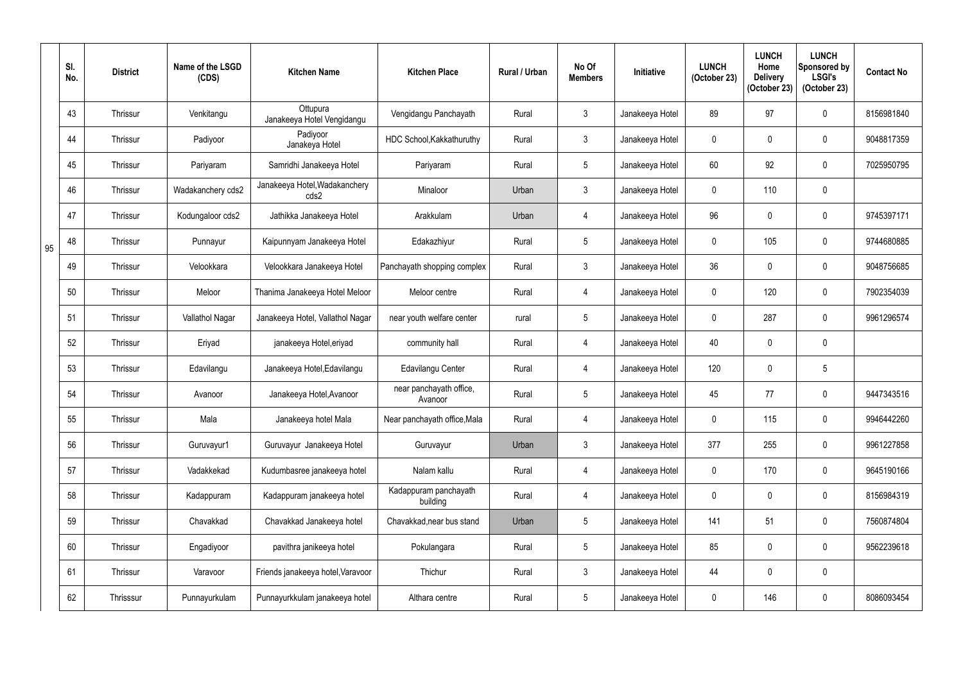|    | SI.<br>No. | <b>District</b> | Name of the LSGD<br>(CDS) | <b>Kitchen Name</b>                    | <b>Kitchen Place</b>               | Rural / Urban | No Of<br><b>Members</b> | <b>Initiative</b> | <b>LUNCH</b><br>(October 23) | <b>LUNCH</b><br>Home<br><b>Delivery</b><br>(October 23) | <b>LUNCH</b><br>Sponsored by<br><b>LSGI's</b><br>(October 23) | <b>Contact No</b> |
|----|------------|-----------------|---------------------------|----------------------------------------|------------------------------------|---------------|-------------------------|-------------------|------------------------------|---------------------------------------------------------|---------------------------------------------------------------|-------------------|
|    | 43         | Thrissur        | Venkitangu                | Ottupura<br>Janakeeya Hotel Vengidangu | Vengidangu Panchayath              | Rural         | $\mathbf{3}$            | Janakeeya Hotel   | 89                           | 97                                                      | $\mathbf 0$                                                   | 8156981840        |
|    | 44         | Thrissur        | Padiyoor                  | Padiyoor<br>Janakeya Hotel             | HDC School, Kakkathuruthy          | Rural         | $\mathbf{3}$            | Janakeeya Hotel   | $\mathbf 0$                  |                                                         | $\pmb{0}$                                                     | 9048817359        |
|    | 45         | Thrissur        | Pariyaram                 | Samridhi Janakeeya Hotel               | Pariyaram                          | Rural         | $5\overline{)}$         | Janakeeya Hotel   | 60                           | 92                                                      | $\mathbf 0$                                                   | 7025950795        |
|    | 46         | Thrissur        | Wadakanchery cds2         | Janakeeya Hotel, Wadakanchery<br>cds2  | Minaloor                           | Urban         | $\mathbf{3}$            | Janakeeya Hotel   | $\mathbf{0}$                 | 110                                                     | $\mathbf 0$                                                   |                   |
|    | 47         | Thrissur        | Kodungaloor cds2          | Jathikka Janakeeya Hotel               | Arakkulam                          | Urban         | 4                       | Janakeeya Hotel   | 96                           |                                                         | $\pmb{0}$                                                     | 9745397171        |
| 95 | 48         | Thrissur        | Punnayur                  | Kaipunnyam Janakeeya Hotel             | Edakazhiyur                        | Rural         | $5\phantom{.0}$         | Janakeeya Hotel   | $\mathbf{0}$                 | 105                                                     | $\mathbf 0$                                                   | 9744680885        |
|    | 49         | Thrissur        | Velookkara                | Velookkara Janakeeya Hotel             | Panchayath shopping complex        | Rural         | $\mathfrak{Z}$          | Janakeeya Hotel   | 36                           |                                                         | $\mathbf 0$                                                   | 9048756685        |
|    | 50         | Thrissur        | Meloor                    | Thanima Janakeeya Hotel Meloor         | Meloor centre                      | Rural         | $\overline{4}$          | Janakeeya Hotel   | $\mathbf 0$                  | 120                                                     | $\pmb{0}$                                                     | 7902354039        |
|    | 51         | Thrissur        | Vallathol Nagar           | Janakeeya Hotel, Vallathol Nagar       | near youth welfare center          | rural         | $5\phantom{.0}$         | Janakeeya Hotel   | $\mathbf 0$                  | 287                                                     | $\mathbf 0$                                                   | 9961296574        |
|    | 52         | Thrissur        | Eriyad                    | janakeeya Hotel, eriyad                | community hall                     | Rural         | $\overline{4}$          | Janakeeya Hotel   | 40                           |                                                         | $\mathbf 0$                                                   |                   |
|    | 53         | Thrissur        | Edavilangu                | Janakeeya Hotel, Edavilangu            | Edavilangu Center                  | Rural         | 4                       | Janakeeya Hotel   | 120                          | $\mathbf 0$                                             | $\overline{5}$                                                |                   |
|    | 54         | Thrissur        | Avanoor                   | Janakeeya Hotel, Avanoor               | near panchayath office,<br>Avanoor | Rural         | $5\phantom{.0}$         | Janakeeya Hotel   | 45                           | 77                                                      | $\mathbf 0$                                                   | 9447343516        |
|    | 55         | Thrissur        | Mala                      | Janakeeya hotel Mala                   | Near panchayath office, Mala       | Rural         | $\overline{4}$          | Janakeeya Hotel   | $\mathbf 0$                  | 115                                                     | $\boldsymbol{0}$                                              | 9946442260        |
|    | 56         | Thrissur        | Guruvayur1                | Guruvayur Janakeeya Hotel              | Guruvayur                          | Urban         | $\mathbf{3}$            | Janakeeya Hotel   | 377                          | 255                                                     | $\pmb{0}$                                                     | 9961227858        |
|    | 57         | Thrissur        | Vadakkekad                | Kudumbasree janakeeya hotel            | Nalam kallu                        | Rural         | $\overline{4}$          | Janakeeya Hotel   | $\mathbf 0$                  | 170                                                     | $\pmb{0}$                                                     | 9645190166        |
|    | 58         | Thrissur        | Kadappuram                | Kadappuram janakeeya hotel             | Kadappuram panchayath<br>building  | Rural         | 4                       | Janakeeya Hotel   | $\mathbf 0$                  |                                                         | $\boldsymbol{0}$                                              | 8156984319        |
|    | 59         | Thrissur        | Chavakkad                 | Chavakkad Janakeeya hotel              | Chavakkad, near bus stand          | Urban         | $5\phantom{.0}$         | Janakeeya Hotel   | 141                          | 51                                                      | $\pmb{0}$                                                     | 7560874804        |
|    | 60         | Thrissur        | Engadiyoor                | pavithra janikeeya hotel               | Pokulangara                        | Rural         | $5\overline{)}$         | Janakeeya Hotel   | 85                           | 0                                                       | $\pmb{0}$                                                     | 9562239618        |
|    | 61         | Thrissur        | Varavoor                  | Friends janakeeya hotel, Varavoor      | Thichur                            | Rural         | $\mathfrak{Z}$          | Janakeeya Hotel   | 44                           |                                                         | $\pmb{0}$                                                     |                   |
|    | 62         | Thrisssur       | Punnayurkulam             | Punnayurkkulam janakeeya hotel         | Althara centre                     | Rural         | $5\phantom{.0}$         | Janakeeya Hotel   | $\boldsymbol{0}$             | 146                                                     | $\pmb{0}$                                                     | 8086093454        |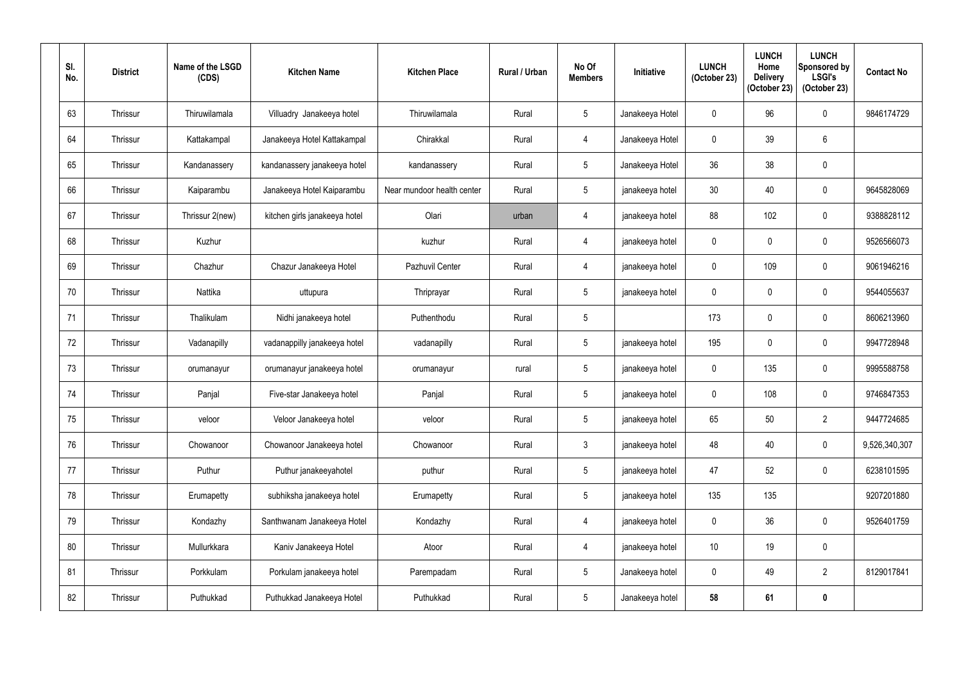| SI.<br>No. | <b>District</b> | Name of the LSGD<br>(CDS) | <b>Kitchen Name</b>           | <b>Kitchen Place</b>       | <b>Rural / Urban</b> | No Of<br><b>Members</b> | Initiative      | <b>LUNCH</b><br>(October 23) | <b>LUNCH</b><br>Home<br><b>Delivery</b><br>(October 23) | <b>LUNCH</b><br>Sponsored by<br><b>LSGI's</b><br>(October 23) | <b>Contact No</b> |
|------------|-----------------|---------------------------|-------------------------------|----------------------------|----------------------|-------------------------|-----------------|------------------------------|---------------------------------------------------------|---------------------------------------------------------------|-------------------|
| 63         | Thrissur        | Thiruwilamala             | Villuadry Janakeeya hotel     | Thiruwilamala              | Rural                | $\overline{5}$          | Janakeeya Hotel | 0                            | 96                                                      | 0                                                             | 9846174729        |
| 64         | Thrissur        | Kattakampal               | Janakeeya Hotel Kattakampal   | Chirakkal                  | Rural                | 4                       | Janakeeya Hotel | $\mathbf 0$                  | 39                                                      | 6                                                             |                   |
| 65         | Thrissur        | Kandanassery              | kandanassery janakeeya hotel  | kandanassery               | Rural                | $\overline{5}$          | Janakeeya Hotel | 36                           | 38                                                      | 0                                                             |                   |
| 66         | Thrissur        | Kaiparambu                | Janakeeya Hotel Kaiparambu    | Near mundoor health center | Rural                | $\sqrt{5}$              | janakeeya hotel | 30                           | 40                                                      | 0                                                             | 9645828069        |
| 67         | Thrissur        | Thrissur 2(new)           | kitchen girls janakeeya hotel | Olari                      | urban                | 4                       | janakeeya hotel | 88                           | 102                                                     | 0                                                             | 9388828112        |
| 68         | Thrissur        | Kuzhur                    |                               | kuzhur                     | Rural                | 4                       | janakeeya hotel | $\mathbf 0$                  | 0                                                       | 0                                                             | 9526566073        |
| 69         | Thrissur        | Chazhur                   | Chazur Janakeeya Hotel        | Pazhuvil Center            | Rural                | 4                       | janakeeya hotel | 0                            | 109                                                     | 0                                                             | 9061946216        |
| 70         | Thrissur        | Nattika                   | uttupura                      | Thriprayar                 | Rural                | $\sqrt{5}$              | janakeeya hotel | $\mathbf 0$                  | 0                                                       | 0                                                             | 9544055637        |
| 71         | Thrissur        | Thalikulam                | Nidhi janakeeya hotel         | Puthenthodu                | Rural                | $\overline{5}$          |                 | 173                          | 0                                                       | 0                                                             | 8606213960        |
| 72         | Thrissur        | Vadanapilly               | vadanappilly janakeeya hotel  | vadanapilly                | Rural                | $5\phantom{.0}$         | janakeeya hotel | 195                          | 0                                                       | 0                                                             | 9947728948        |
| 73         | Thrissur        | orumanayur                | orumanayur janakeeya hotel    | orumanayur                 | rural                | $\overline{5}$          | janakeeya hotel | 0                            | 135                                                     | 0                                                             | 9995588758        |
| 74         | Thrissur        | Panjal                    | Five-star Janakeeya hotel     | Panjal                     | Rural                | $\sqrt{5}$              | janakeeya hotel | $\mathbf 0$                  | 108                                                     | 0                                                             | 9746847353        |
| 75         | Thrissur        | veloor                    | Veloor Janakeeya hotel        | veloor                     | Rural                | $\overline{5}$          | janakeeya hotel | 65                           | 50                                                      | $\overline{2}$                                                | 9447724685        |
| 76         | Thrissur        | Chowanoor                 | Chowanoor Janakeeya hotel     | Chowanoor                  | Rural                | $\mathfrak{Z}$          | janakeeya hotel | 48                           | 40                                                      | $\pmb{0}$                                                     | 9,526,340,307     |
| 77         | Thrissur        | Puthur                    | Puthur janakeeyahotel         | puthur                     | Rural                | $\sqrt{5}$              | janakeeya hotel | 47                           | 52                                                      | 0                                                             | 6238101595        |
| 78         | Thrissur        | Erumapetty                | subhiksha janakeeya hotel     | Erumapetty                 | Rural                | $5\phantom{.0}$         | janakeeya hotel | 135                          | 135                                                     |                                                               | 9207201880        |
| 79         | Thrissur        | Kondazhy                  | Santhwanam Janakeeya Hotel    | Kondazhy                   | Rural                | $\overline{4}$          | janakeeya hotel | $\mathbf 0$                  | 36                                                      | $\mathbf 0$                                                   | 9526401759        |
| 80         | Thrissur        | Mullurkkara               | Kaniv Janakeeya Hotel         | Atoor                      | Rural                | $\overline{4}$          | janakeeya hotel | 10                           | 19                                                      | 0                                                             |                   |
| 81         | Thrissur        | Porkkulam                 | Porkulam janakeeya hotel      | Parempadam                 | Rural                | $\sqrt{5}$              | Janakeeya hotel | 0                            | 49                                                      | $\overline{2}$                                                | 8129017841        |
| 82         | Thrissur        | Puthukkad                 | Puthukkad Janakeeya Hotel     | Puthukkad                  | Rural                | $\sqrt{5}$              | Janakeeya hotel | 58                           | 61                                                      | $\boldsymbol{0}$                                              |                   |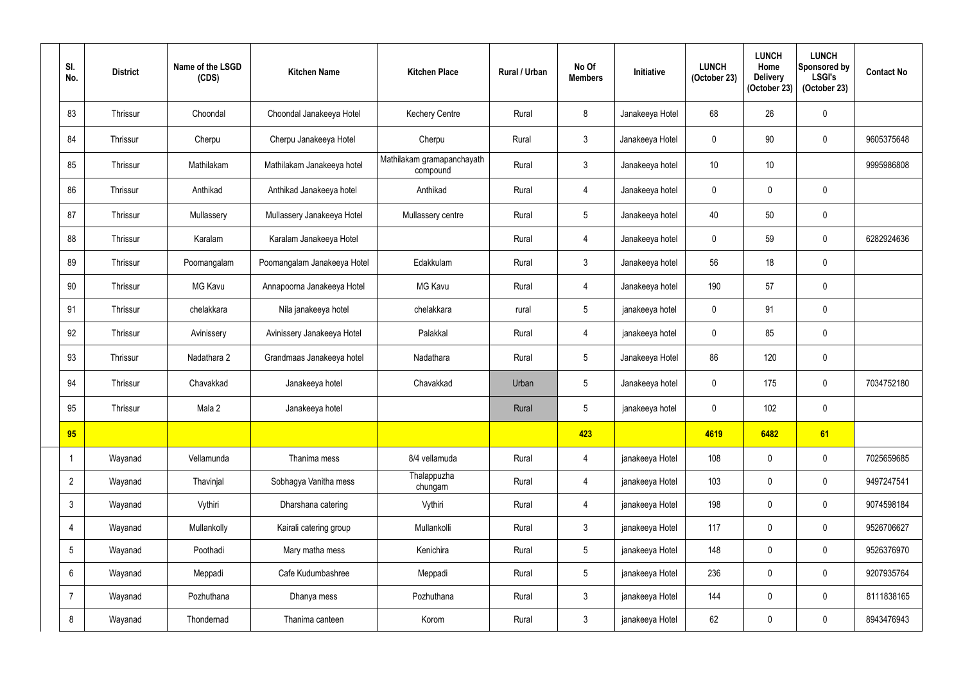| SI.<br>No.      | <b>District</b> | Name of the LSGD<br>(CDS) | <b>Kitchen Name</b>         | <b>Kitchen Place</b>                   | <b>Rural / Urban</b> | No Of<br><b>Members</b> | <b>Initiative</b> | <b>LUNCH</b><br>(October 23) | <b>LUNCH</b><br>Home<br><b>Delivery</b><br>(October 23) | <b>LUNCH</b><br>Sponsored by<br><b>LSGI's</b><br>(October 23) | <b>Contact No</b> |
|-----------------|-----------------|---------------------------|-----------------------------|----------------------------------------|----------------------|-------------------------|-------------------|------------------------------|---------------------------------------------------------|---------------------------------------------------------------|-------------------|
| 83              | Thrissur        | Choondal                  | Choondal Janakeeya Hotel    | <b>Kechery Centre</b>                  | Rural                | $8\phantom{1}$          | Janakeeya Hotel   | 68                           | 26                                                      | $\mathbf 0$                                                   |                   |
| 84              | Thrissur        | Cherpu                    | Cherpu Janakeeya Hotel      | Cherpu                                 | Rural                | $\mathbf{3}$            | Janakeeya Hotel   | $\mathbf 0$                  | 90                                                      | $\boldsymbol{0}$                                              | 9605375648        |
| 85              | Thrissur        | Mathilakam                | Mathilakam Janakeeya hotel  | Mathilakam gramapanchayath<br>compound | Rural                | $\mathbf{3}$            | Janakeeya hotel   | 10 <sup>°</sup>              | 10 <sup>°</sup>                                         |                                                               | 9995986808        |
| 86              | Thrissur        | Anthikad                  | Anthikad Janakeeya hotel    | Anthikad                               | Rural                | $\overline{4}$          | Janakeeya hotel   | $\mathbf 0$                  | $\Omega$                                                | $\mathbf 0$                                                   |                   |
| 87              | Thrissur        | Mullassery                | Mullassery Janakeeya Hotel  | Mullassery centre                      | Rural                | $5\phantom{.0}$         | Janakeeya hotel   | 40                           | 50                                                      | $\pmb{0}$                                                     |                   |
| 88              | Thrissur        | Karalam                   | Karalam Janakeeya Hotel     |                                        | Rural                | 4                       | Janakeeya hotel   | $\mathbf 0$                  | 59                                                      | $\mathbf 0$                                                   | 6282924636        |
| 89              | Thrissur        | Poomangalam               | Poomangalam Janakeeya Hotel | Edakkulam                              | Rural                | $\mathbf{3}$            | Janakeeya hotel   | 56                           | 18                                                      | $\pmb{0}$                                                     |                   |
| 90              | Thrissur        | <b>MG Kavu</b>            | Annapoorna Janakeeya Hotel  | <b>MG Kavu</b>                         | Rural                | 4                       | Janakeeya hotel   | 190                          | 57                                                      | $\pmb{0}$                                                     |                   |
| 91              | Thrissur        | chelakkara                | Nila janakeeya hotel        | chelakkara                             | rural                | $5\phantom{.0}$         | janakeeya hotel   | $\mathbf 0$                  | 91                                                      | $\pmb{0}$                                                     |                   |
| 92              | Thrissur        | Avinissery                | Avinissery Janakeeya Hotel  | Palakkal                               | Rural                | $\overline{4}$          | janakeeya hotel   | $\mathbf 0$                  | 85                                                      | $\pmb{0}$                                                     |                   |
| 93              | Thrissur        | Nadathara 2               | Grandmaas Janakeeya hotel   | Nadathara                              | Rural                | $5\phantom{.0}$         | Janakeeya Hotel   | 86                           | 120                                                     | $\pmb{0}$                                                     |                   |
| 94              | Thrissur        | Chavakkad                 | Janakeeya hotel             | Chavakkad                              | Urban                | $5\phantom{.0}$         | Janakeeya hotel   | $\mathbf 0$                  | 175                                                     | $\pmb{0}$                                                     | 7034752180        |
| 95              | Thrissur        | Mala 2                    | Janakeeya hotel             |                                        | Rural                | $5\phantom{.0}$         | janakeeya hotel   | 0                            | 102                                                     | 0                                                             |                   |
| 95              |                 |                           |                             |                                        |                      | 423                     |                   | 4619                         | 6482                                                    | 61                                                            |                   |
|                 | Wayanad         | Vellamunda                | Thanima mess                | 8/4 vellamuda                          | Rural                | 4                       | janakeeya Hotel   | 108                          | $\mathbf 0$                                             | $\pmb{0}$                                                     | 7025659685        |
| $\overline{2}$  | Wayanad         | Thavinjal                 | Sobhagya Vanitha mess       | Thalappuzha<br>chungam                 | Rural                | $\overline{4}$          | janakeeya Hotel   | 103                          | $\mathbf 0$                                             | $\pmb{0}$                                                     | 9497247541        |
| $\mathbf{3}$    | Wayanad         | Vythiri                   | Dharshana catering          | Vythiri                                | Rural                | $\overline{4}$          | janakeeya Hotel   | 198                          | $\mathbf 0$                                             | $\boldsymbol{0}$                                              | 9074598184        |
| $\overline{4}$  | Wayanad         | Mullankolly               | Kairali catering group      | Mullankolli                            | Rural                | $\mathfrak{Z}$          | janakeeya Hotel   | 117                          | $\mathbf 0$                                             | $\boldsymbol{0}$                                              | 9526706627        |
| $5\phantom{.0}$ | Wayanad         | Poothadi                  | Mary matha mess             | Kenichira                              | Rural                | $5\overline{)}$         | janakeeya Hotel   | 148                          | $\mathbf 0$                                             | $\pmb{0}$                                                     | 9526376970        |
| 6               | Wayanad         | Meppadi                   | Cafe Kudumbashree           | Meppadi                                | Rural                | $5\overline{)}$         | janakeeya Hotel   | 236                          | $\mathbf 0$                                             | $\boldsymbol{0}$                                              | 9207935764        |
| $\overline{7}$  | Wayanad         | Pozhuthana                | Dhanya mess                 | Pozhuthana                             | Rural                | $\mathfrak{Z}$          | janakeeya Hotel   | 144                          | $\mathbf 0$                                             | $\boldsymbol{0}$                                              | 8111838165        |
| 8               | Wayanad         | Thondernad                | Thanima canteen             | Korom                                  | Rural                | $\mathfrak{Z}$          | janakeeya Hotel   | 62                           | 0                                                       | $\pmb{0}$                                                     | 8943476943        |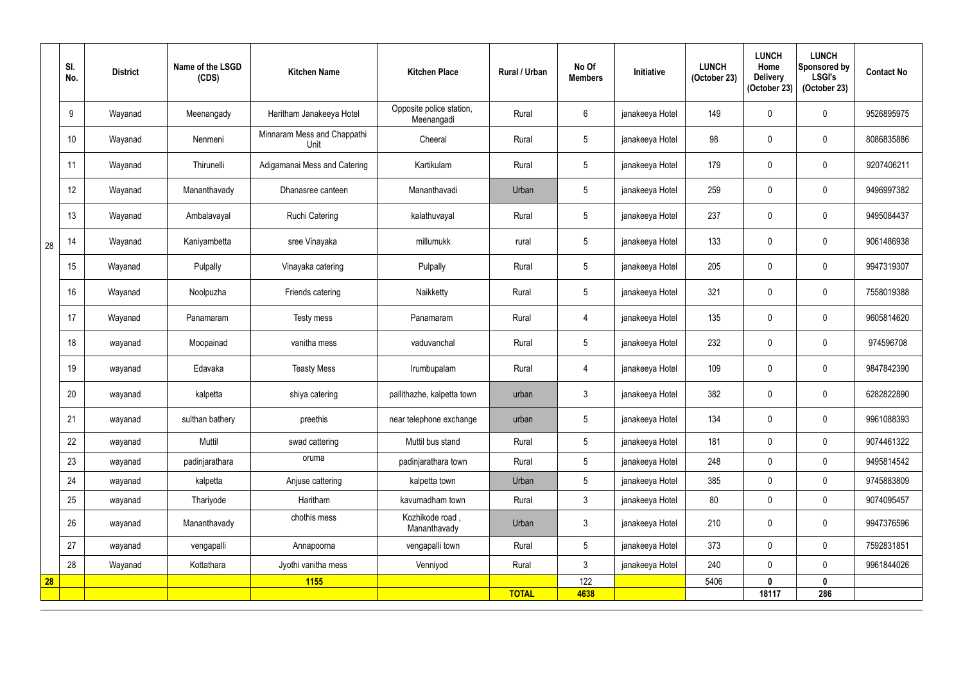|    | SI.<br>No.       | <b>District</b> | Name of the LSGD<br>(CDS) | <b>Kitchen Name</b>                 | <b>Kitchen Place</b>                   | Rural / Urban | No Of<br><b>Members</b> | <b>Initiative</b> | <b>LUNCH</b><br>(October 23) | <b>LUNCH</b><br>Home<br><b>Delivery</b><br>(October 23) | <b>LUNCH</b><br>Sponsored by<br><b>LSGI's</b><br>(October 23) | <b>Contact No</b> |
|----|------------------|-----------------|---------------------------|-------------------------------------|----------------------------------------|---------------|-------------------------|-------------------|------------------------------|---------------------------------------------------------|---------------------------------------------------------------|-------------------|
|    | 9                | Wayanad         | Meenangady                | Haritham Janakeeya Hotel            | Opposite police station,<br>Meenangadi | Rural         | 6                       | janakeeya Hotel   | 149                          |                                                         | $\mathbf 0$                                                   | 9526895975        |
|    | 10 <sup>°</sup>  | Wayanad         | Nenmeni                   | Minnaram Mess and Chappathi<br>Unit | Cheeral                                | Rural         | $5\overline{)}$         | janakeeya Hotel   | 98                           | 0                                                       | $\mathbf 0$                                                   | 8086835886        |
|    | 11               | Wayanad         | Thirunelli                | Adigamanai Mess and Catering        | Kartikulam                             | Rural         | $5\phantom{.0}$         | janakeeya Hotel   | 179                          | $\mathbf{0}$                                            | $\mathbf 0$                                                   | 9207406211        |
|    | 12               | Wayanad         | Mananthavady              | Dhanasree canteen                   | Mananthavadi                           | Urban         | $5\overline{)}$         | janakeeya Hotel   | 259                          |                                                         | $\mathbf 0$                                                   | 9496997382        |
|    | 13               | Wayanad         | Ambalavayal               | <b>Ruchi Catering</b>               | kalathuvayal                           | Rural         | $5\phantom{.0}$         | janakeeya Hotel   | 237                          | $\mathbf{0}$                                            | $\mathbf 0$                                                   | 9495084437        |
| 28 | 14               | Wayanad         | Kaniyambetta              | sree Vinayaka                       | millumukk                              | rural         | 5 <sub>5</sub>          | janakeeya Hotel   | 133                          |                                                         | $\mathbf 0$                                                   | 9061486938        |
|    | 15 <sub>15</sub> | Wayanad         | Pulpally                  | Vinayaka catering                   | Pulpally                               | Rural         | $5\phantom{.0}$         | janakeeya Hotel   | 205                          | $\Omega$                                                | $\mathbf 0$                                                   | 9947319307        |
|    | 16               | Wayanad         | Noolpuzha                 | Friends catering                    | Naikketty                              | Rural         | $5\overline{)}$         | janakeeya Hotel   | 321                          | 0                                                       | $\mathbf 0$                                                   | 7558019388        |
|    | 17               | Wayanad         | Panamaram                 | Testy mess                          | Panamaram                              | Rural         | $\overline{4}$          | janakeeya Hotel   | 135                          | 0                                                       | $\mathbf 0$                                                   | 9605814620        |
|    | 18               | wayanad         | Moopainad                 | vanitha mess                        | vaduvanchal                            | Rural         | 5 <sup>5</sup>          | janakeeya Hotel   | 232                          |                                                         | $\mathbf 0$                                                   | 974596708         |
|    | 19               | wayanad         | Edavaka                   | <b>Teasty Mess</b>                  | Irumbupalam                            | Rural         | 4                       | janakeeya Hotel   | 109                          | $\mathbf{0}$                                            | $\mathbf 0$                                                   | 9847842390        |
|    | 20               | wayanad         | kalpetta                  | shiya catering                      | pallithazhe, kalpetta town             | urban         | $\mathfrak{Z}$          | janakeeya Hotel   | 382                          | 0                                                       | $\mathbf 0$                                                   | 6282822890        |
|    | 21               | wayanad         | sulthan bathery           | preethis                            | near telephone exchange                | urban         | $5\phantom{.0}$         | janakeeya Hotel   | 134                          | $\mathbf 0$                                             | $\mathbf 0$                                                   | 9961088393        |
|    | 22               | wayanad         | Muttil                    | swad cattering                      | Muttil bus stand                       | Rural         | 5                       | janakeeya Hotel   | 181                          | $\mathbf 0$                                             | $\overline{0}$                                                | 9074461322        |
|    | 23               | wayanad         | padinjarathara            | oruma                               | padinjarathara town                    | Rural         | $5\overline{)}$         | janakeeya Hotel   | 248                          | $\mathbf 0$                                             | $\mathbf 0$                                                   | 9495814542        |
|    | 24               | wayanad         | kalpetta                  | Anjuse cattering                    | kalpetta town                          | Urban         | $5\overline{)}$         | janakeeya Hotel   | 385                          | $\mathbf 0$                                             | $\mathbf 0$                                                   | 9745883809        |
|    | 25               | wayanad         | Thariyode                 | Haritham                            | kavumadham town                        | Rural         | $\mathfrak{Z}$          | janakeeya Hotel   | 80                           | $\mathbf 0$                                             | $\mathbf 0$                                                   | 9074095457        |
|    | 26               | wayanad         | Mananthavady              | chothis mess                        | Kozhikode road,<br>Mananthavady        | Urban         | $\mathfrak{Z}$          | janakeeya Hotel   | 210                          | $\mathbf 0$                                             | $\mathbf 0$                                                   | 9947376596        |
|    | 27               | wayanad         | vengapalli                | Annapoorna                          | vengapalli town                        | Rural         | $5\overline{)}$         | janakeeya Hotel   | 373                          | $\mathbf{0}$                                            | $\mathbf 0$                                                   | 7592831851        |
|    | 28               | Wayanad         | Kottathara                | Jyothi vanitha mess                 | Venniyod                               | Rural         | $\mathfrak{Z}$          | janakeeya Hotel   | 240                          | 0                                                       | $\mathbf 0$                                                   | 9961844026        |
| 28 |                  |                 |                           | <b>1155</b>                         |                                        |               | 122                     |                   | 5406                         | $\mathbf{0}$                                            | $\mathbf 0$                                                   |                   |
|    |                  |                 |                           |                                     |                                        | <b>TOTAL</b>  | 4638                    |                   |                              | 18117                                                   | 286                                                           |                   |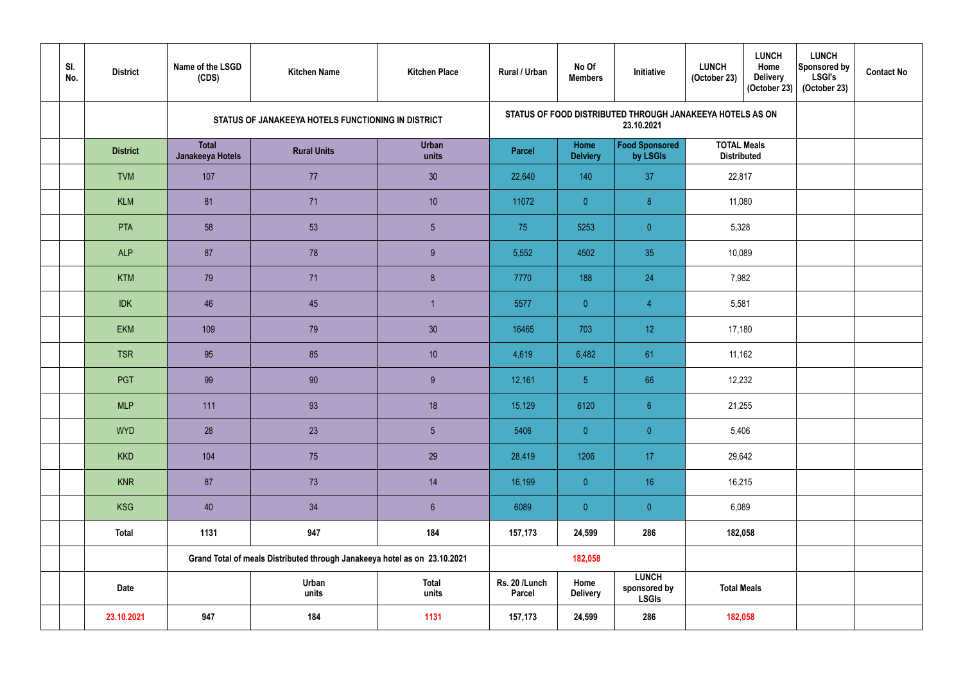| SI.<br>No. | <b>District</b> | Name of the LSGD<br>(CDS)        | <b>Kitchen Name</b>                                                       | <b>Kitchen Place</b>  | <b>Rural / Urban</b>    | No Of<br><b>Members</b> | Initiative                                   | <b>LUNCH</b><br><b>LUNCH</b><br>Home<br>(October 23)<br><b>Delivery</b><br>(October 23) | <b>LUNCH</b><br>Sponsored by<br><b>LSGI's</b><br>(October 23) | <b>Contact No</b> |
|------------|-----------------|----------------------------------|---------------------------------------------------------------------------|-----------------------|-------------------------|-------------------------|----------------------------------------------|-----------------------------------------------------------------------------------------|---------------------------------------------------------------|-------------------|
|            |                 |                                  | STATUS OF JANAKEEYA HOTELS FUNCTIONING IN DISTRICT                        |                       |                         |                         | 23.10.2021                                   | STATUS OF FOOD DISTRIBUTED THROUGH JANAKEEYA HOTELS AS ON                               |                                                               |                   |
|            | <b>District</b> | <b>Total</b><br>Janakeeya Hotels | <b>Rural Units</b>                                                        | <b>Urban</b><br>units | <b>Parcel</b>           | Home<br><b>Delviery</b> | <b>Food Sponsored</b><br>by LSGIs            | <b>TOTAL Meals</b><br><b>Distributed</b>                                                |                                                               |                   |
|            | <b>TVM</b>      | 107                              | 77                                                                        | 30                    | 22,640                  | 140                     | 37                                           | 22,817                                                                                  |                                                               |                   |
|            | <b>KLM</b>      | 81                               | 71                                                                        | 10 <sup>°</sup>       | 11072                   | $\overline{0}$          | 8                                            | 11,080                                                                                  |                                                               |                   |
|            | <b>PTA</b>      | 58                               | 53                                                                        | $5\phantom{.0}$       | 75                      | 5253                    | $\overline{0}$                               | 5,328                                                                                   |                                                               |                   |
|            | <b>ALP</b>      | 87                               | 78                                                                        | 9                     | 5,552                   | 4502                    | 35                                           | 10,089                                                                                  |                                                               |                   |
|            | <b>KTM</b>      | 79                               | 71                                                                        | 8 <sup>°</sup>        | 7770                    | 188                     | 24                                           | 7,982                                                                                   |                                                               |                   |
|            | <b>IDK</b>      | 46                               | 45                                                                        |                       | 5577                    | $\overline{0}$          | $\overline{4}$                               | 5,581                                                                                   |                                                               |                   |
|            | EKM             | 109                              | 79                                                                        | 30                    | 16465                   | 703                     | 12                                           | 17,180                                                                                  |                                                               |                   |
|            | <b>TSR</b>      | 95                               | 85                                                                        | 10 <sup>°</sup>       | 4,619                   | 6,482                   | 61                                           | 11,162                                                                                  |                                                               |                   |
|            | <b>PGT</b>      | 99                               | 90                                                                        | 9                     | 12,161                  | $\overline{5}$          | 66                                           | 12,232                                                                                  |                                                               |                   |
|            | <b>MLP</b>      | 111                              | 93                                                                        | 18                    | 15,129                  | 6120                    | $6\phantom{a}$                               | 21,255                                                                                  |                                                               |                   |
|            | <b>WYD</b>      | 28                               | 23                                                                        | 5 <sub>5</sub>        | 5406                    | $\overline{0}$          | $\overline{0}$                               | 5,406                                                                                   |                                                               |                   |
|            | <b>KKD</b>      | 104                              | 75                                                                        | 29                    | 28,419                  | 1206                    | 17                                           | 29,642                                                                                  |                                                               |                   |
|            | <b>KNR</b>      | 87                               | 73                                                                        | 14                    | 16,199                  | $\overline{0}$          | 16                                           | 16,215                                                                                  |                                                               |                   |
|            | KSG             | 40                               | 34                                                                        | $6\phantom{.}6$       | 6089                    | $\overline{0}$          | $\overline{0}$                               | 6,089                                                                                   |                                                               |                   |
|            | Total           | 1131                             | 947                                                                       | 184                   | 157,173                 | 24,599                  | 286                                          | 182,058                                                                                 |                                                               |                   |
|            |                 |                                  | Grand Total of meals Distributed through Janakeeya hotel as on 23.10.2021 |                       |                         | 182,058                 |                                              |                                                                                         |                                                               |                   |
|            | <b>Date</b>     |                                  | Urban<br>units                                                            | Total<br>units        | Rs. 20 /Lunch<br>Parcel | Home<br><b>Delivery</b> | <b>LUNCH</b><br>sponsored by<br><b>LSGIs</b> | <b>Total Meals</b>                                                                      |                                                               |                   |
|            | 23.10.2021      | 947                              | 184                                                                       | 1131                  | 157,173                 | 24,599                  | 286                                          | 182,058                                                                                 |                                                               |                   |